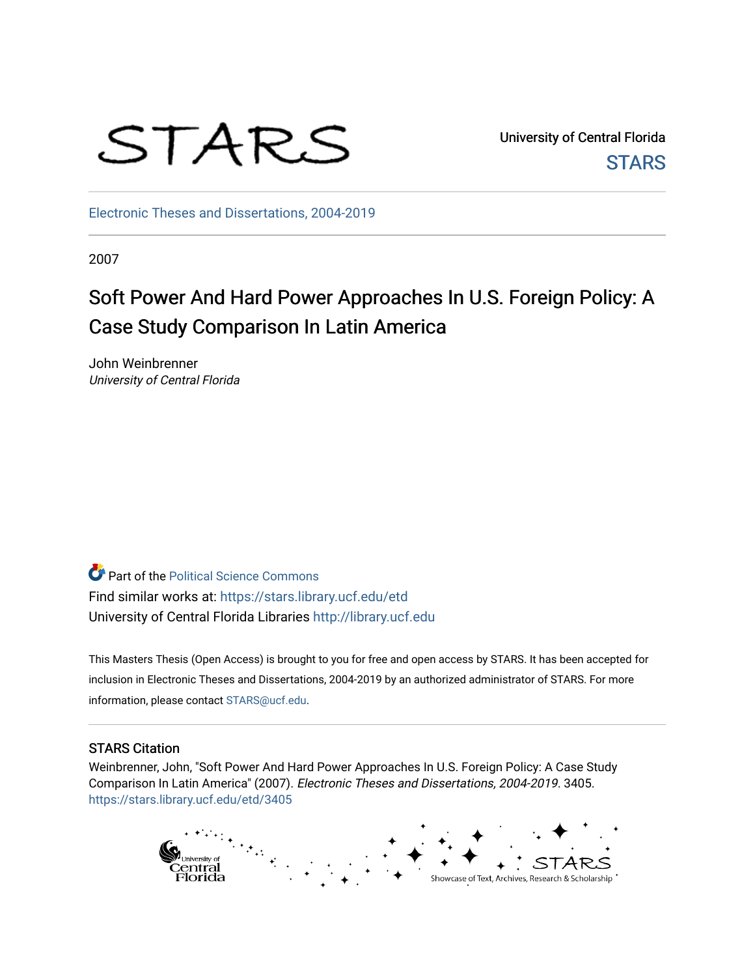

University of Central Florida **STARS** 

[Electronic Theses and Dissertations, 2004-2019](https://stars.library.ucf.edu/etd) 

2007

# Soft Power And Hard Power Approaches In U.S. Foreign Policy: A Case Study Comparison In Latin America

John Weinbrenner University of Central Florida

**Part of the Political Science Commons** Find similar works at: <https://stars.library.ucf.edu/etd> University of Central Florida Libraries [http://library.ucf.edu](http://library.ucf.edu/) 

This Masters Thesis (Open Access) is brought to you for free and open access by STARS. It has been accepted for inclusion in Electronic Theses and Dissertations, 2004-2019 by an authorized administrator of STARS. For more information, please contact [STARS@ucf.edu.](mailto:STARS@ucf.edu)

#### STARS Citation

Weinbrenner, John, "Soft Power And Hard Power Approaches In U.S. Foreign Policy: A Case Study Comparison In Latin America" (2007). Electronic Theses and Dissertations, 2004-2019. 3405. [https://stars.library.ucf.edu/etd/3405](https://stars.library.ucf.edu/etd/3405?utm_source=stars.library.ucf.edu%2Fetd%2F3405&utm_medium=PDF&utm_campaign=PDFCoverPages) 

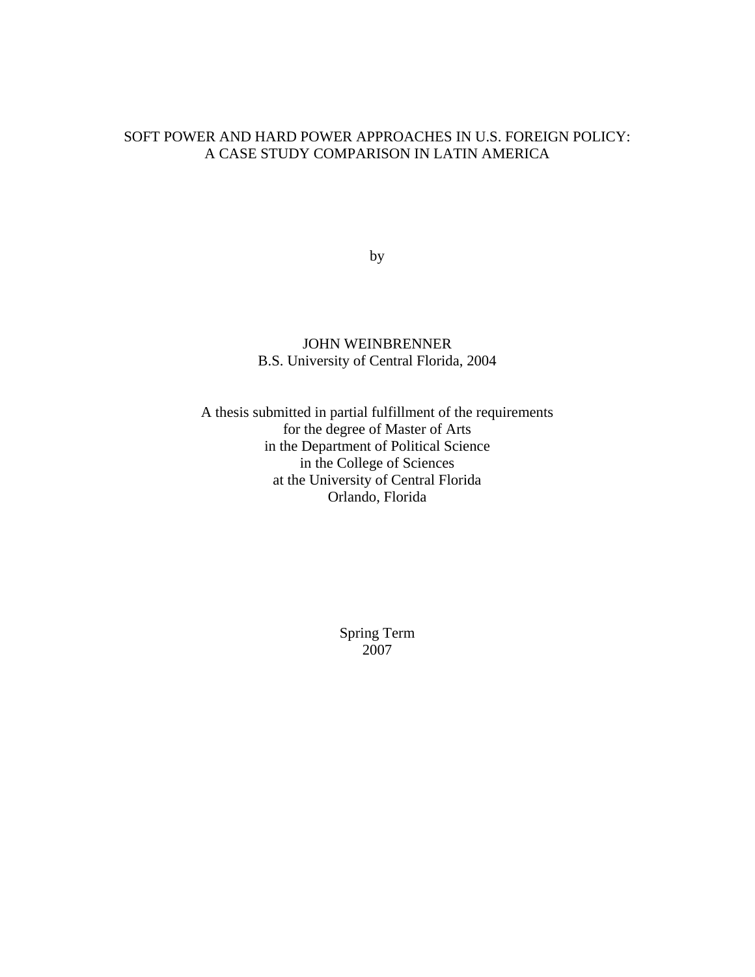# SOFT POWER AND HARD POWER APPROACHES IN U.S. FOREIGN POLICY: A CASE STUDY COMPARISON IN LATIN AMERICA

by

## JOHN WEINBRENNER B.S. University of Central Florida, 2004

# A thesis submitted in partial fulfillment of the requirements for the degree of Master of Arts in the Department of Political Science in the College of Sciences at the University of Central Florida Orlando, Florida

Spring Term 2007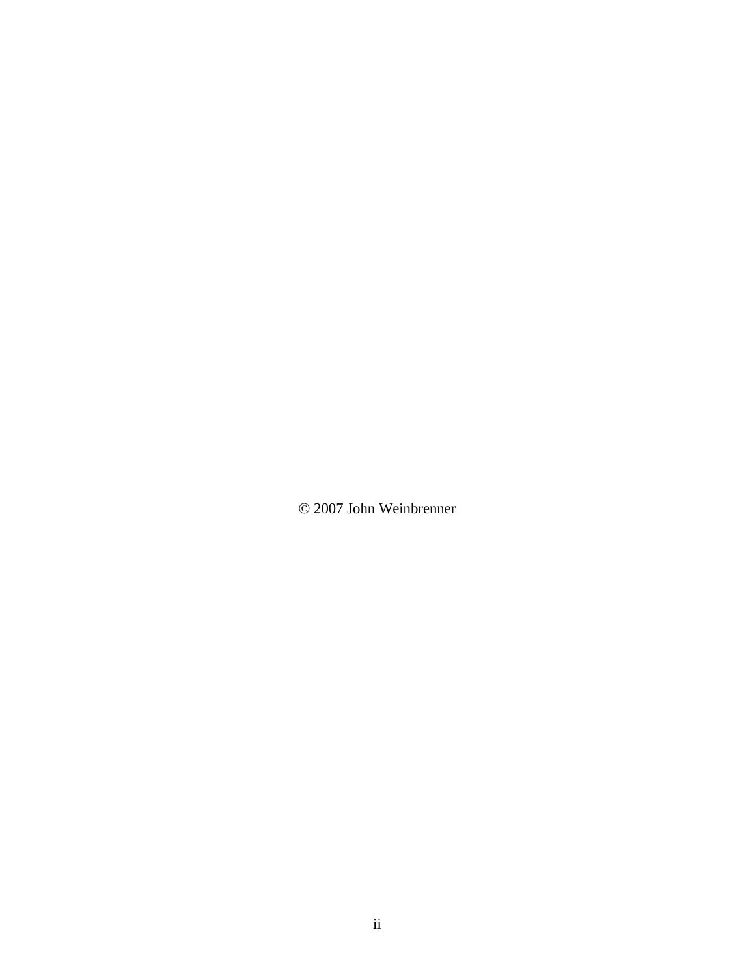© 2007 John Weinbrenner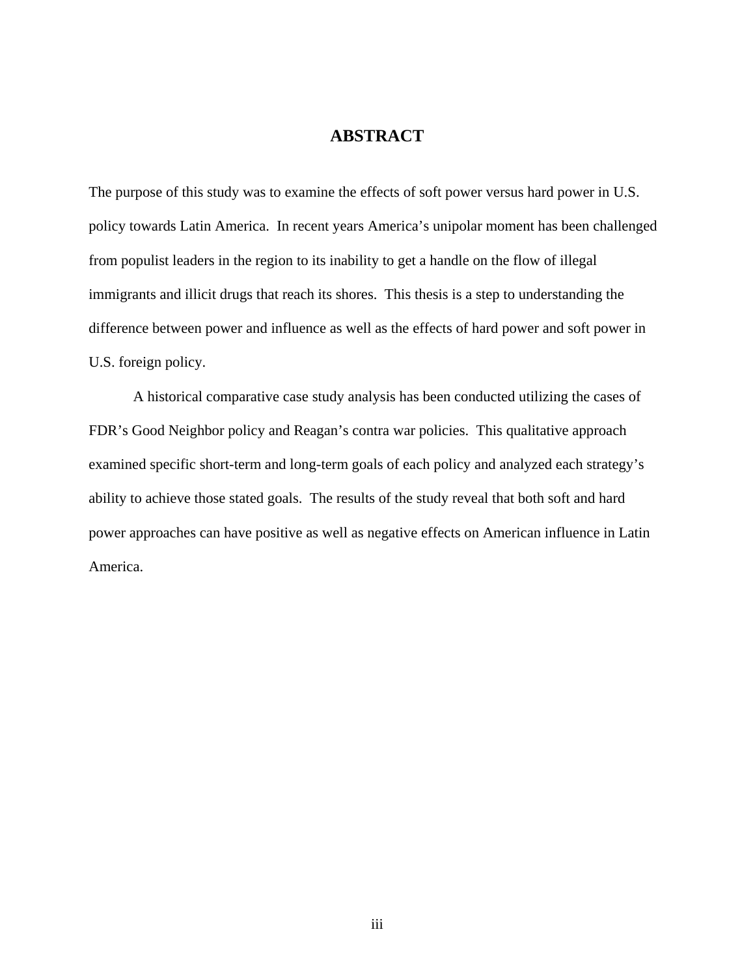# **ABSTRACT**

The purpose of this study was to examine the effects of soft power versus hard power in U.S. policy towards Latin America. In recent years America's unipolar moment has been challenged from populist leaders in the region to its inability to get a handle on the flow of illegal immigrants and illicit drugs that reach its shores. This thesis is a step to understanding the difference between power and influence as well as the effects of hard power and soft power in U.S. foreign policy.

A historical comparative case study analysis has been conducted utilizing the cases of FDR's Good Neighbor policy and Reagan's contra war policies. This qualitative approach examined specific short-term and long-term goals of each policy and analyzed each strategy's ability to achieve those stated goals. The results of the study reveal that both soft and hard power approaches can have positive as well as negative effects on American influence in Latin America.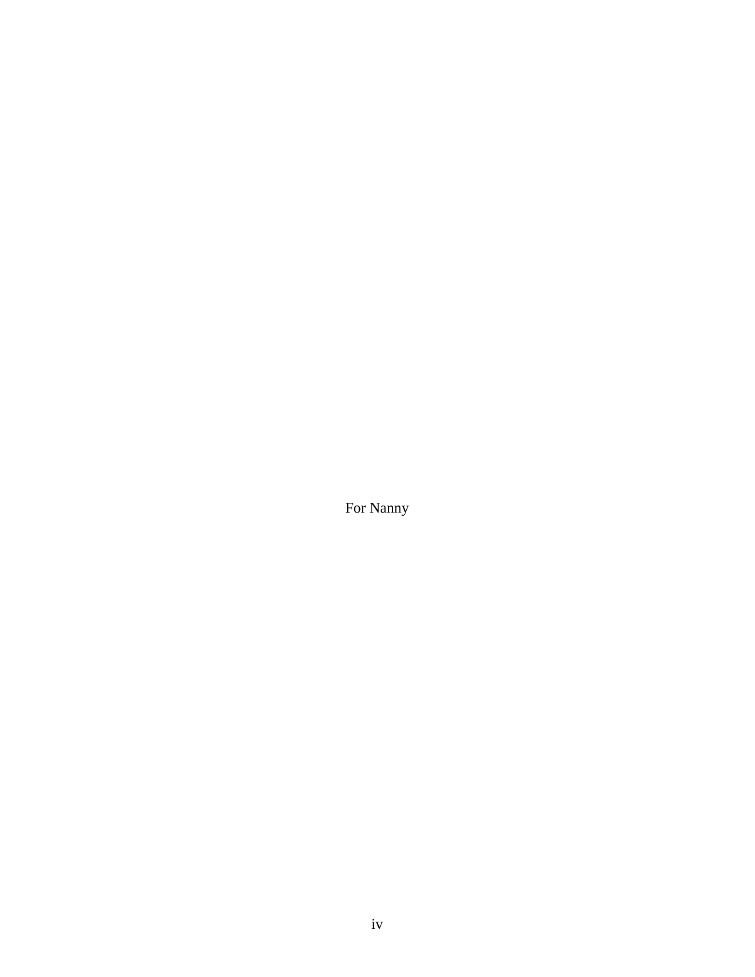For Nanny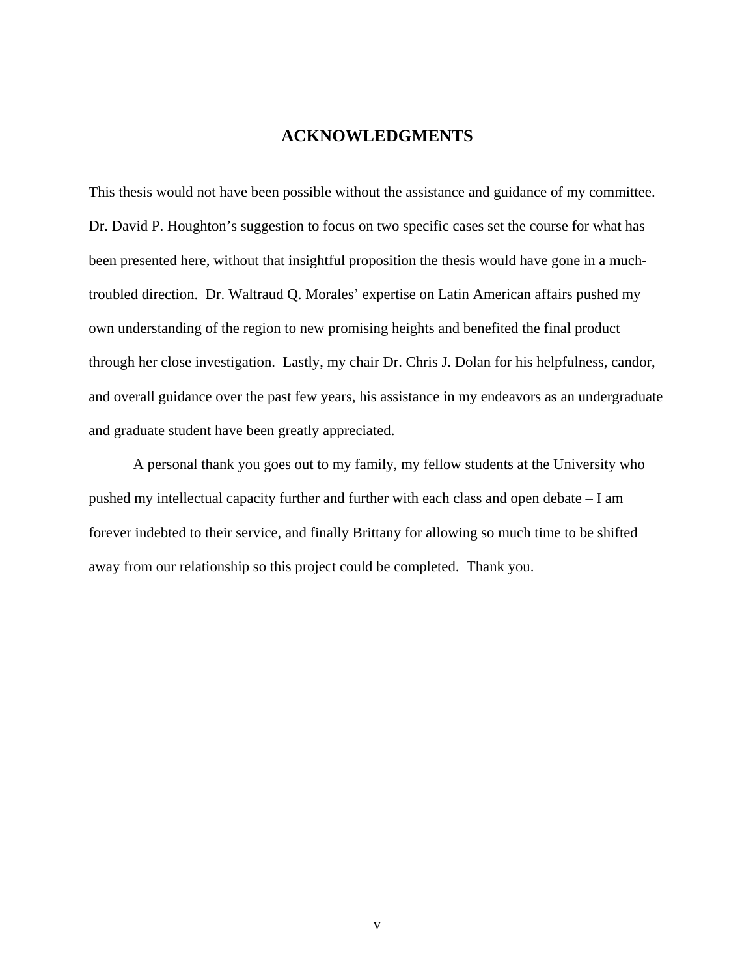# **ACKNOWLEDGMENTS**

This thesis would not have been possible without the assistance and guidance of my committee. Dr. David P. Houghton's suggestion to focus on two specific cases set the course for what has been presented here, without that insightful proposition the thesis would have gone in a muchtroubled direction. Dr. Waltraud Q. Morales' expertise on Latin American affairs pushed my own understanding of the region to new promising heights and benefited the final product through her close investigation. Lastly, my chair Dr. Chris J. Dolan for his helpfulness, candor, and overall guidance over the past few years, his assistance in my endeavors as an undergraduate and graduate student have been greatly appreciated.

A personal thank you goes out to my family, my fellow students at the University who pushed my intellectual capacity further and further with each class and open debate – I am forever indebted to their service, and finally Brittany for allowing so much time to be shifted away from our relationship so this project could be completed. Thank you.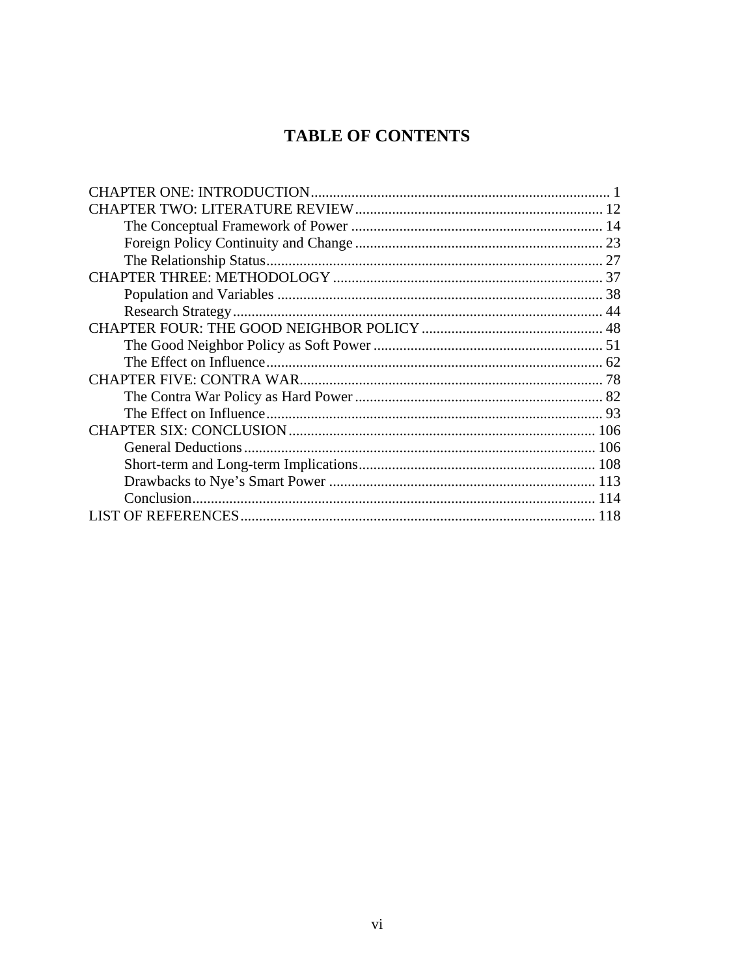# **TABLE OF CONTENTS**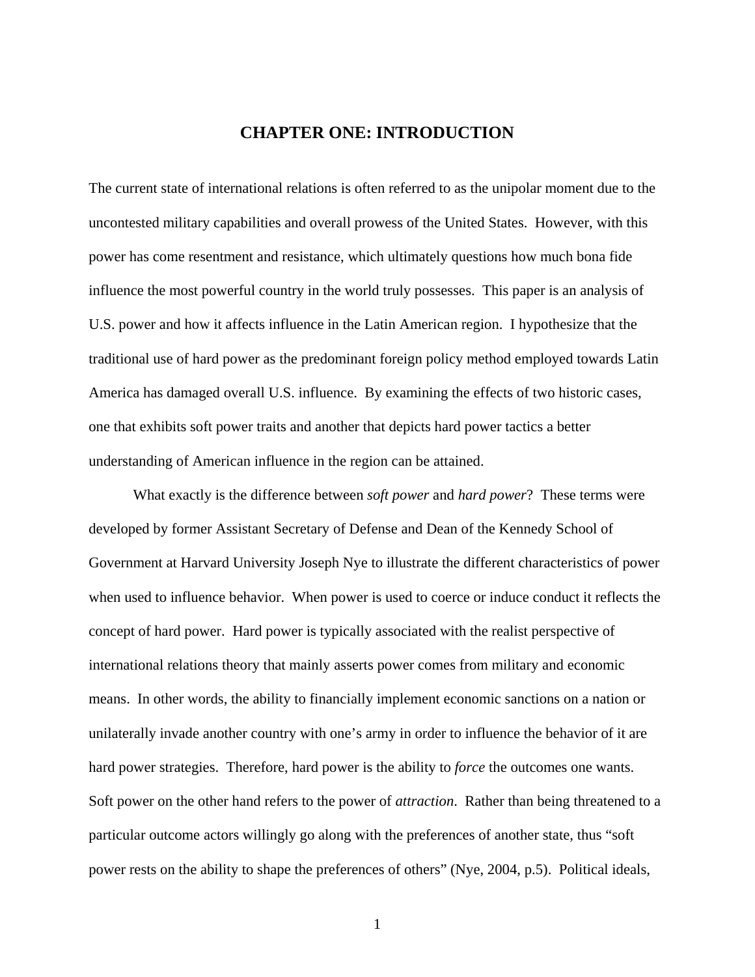# **CHAPTER ONE: INTRODUCTION**

<span id="page-7-0"></span>The current state of international relations is often referred to as the unipolar moment due to the uncontested military capabilities and overall prowess of the United States. However, with this power has come resentment and resistance, which ultimately questions how much bona fide influence the most powerful country in the world truly possesses. This paper is an analysis of U.S. power and how it affects influence in the Latin American region. I hypothesize that the traditional use of hard power as the predominant foreign policy method employed towards Latin America has damaged overall U.S. influence. By examining the effects of two historic cases, one that exhibits soft power traits and another that depicts hard power tactics a better understanding of American influence in the region can be attained.

What exactly is the difference between *soft power* and *hard power*? These terms were developed by former Assistant Secretary of Defense and Dean of the Kennedy School of Government at Harvard University Joseph Nye to illustrate the different characteristics of power when used to influence behavior. When power is used to coerce or induce conduct it reflects the concept of hard power. Hard power is typically associated with the realist perspective of international relations theory that mainly asserts power comes from military and economic means. In other words, the ability to financially implement economic sanctions on a nation or unilaterally invade another country with one's army in order to influence the behavior of it are hard power strategies. Therefore, hard power is the ability to *force* the outcomes one wants. Soft power on the other hand refers to the power of *attraction*. Rather than being threatened to a particular outcome actors willingly go along with the preferences of another state, thus "soft power rests on the ability to shape the preferences of others" (Nye, 2004, p.5). Political ideals,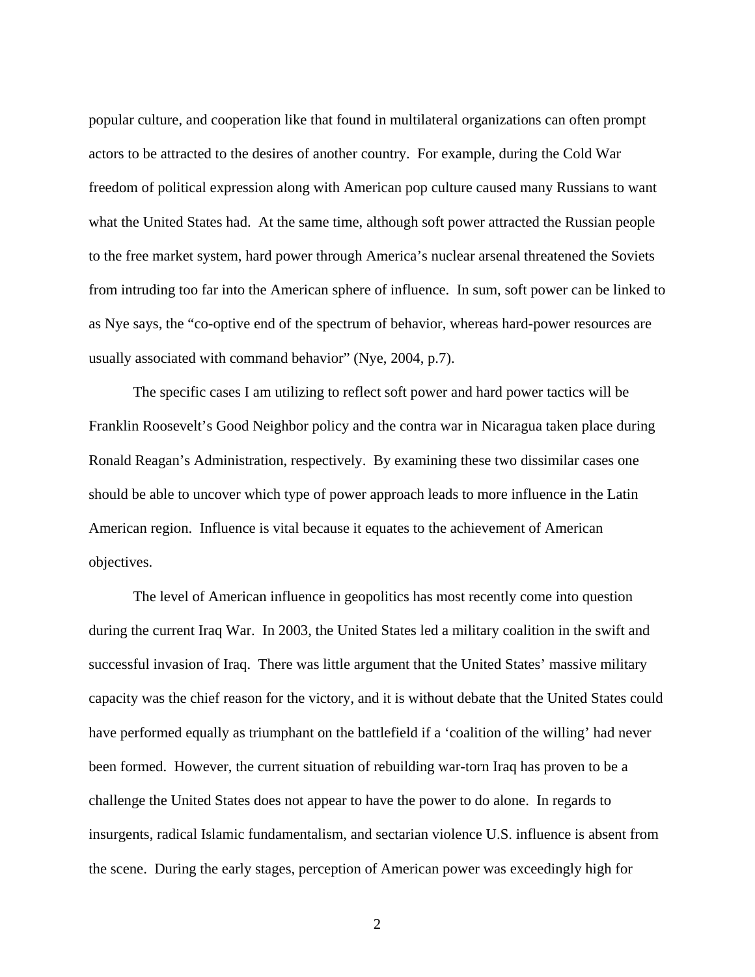popular culture, and cooperation like that found in multilateral organizations can often prompt actors to be attracted to the desires of another country. For example, during the Cold War freedom of political expression along with American pop culture caused many Russians to want what the United States had. At the same time, although soft power attracted the Russian people to the free market system, hard power through America's nuclear arsenal threatened the Soviets from intruding too far into the American sphere of influence. In sum, soft power can be linked to as Nye says, the "co-optive end of the spectrum of behavior, whereas hard-power resources are usually associated with command behavior" (Nye, 2004, p.7).

The specific cases I am utilizing to reflect soft power and hard power tactics will be Franklin Roosevelt's Good Neighbor policy and the contra war in Nicaragua taken place during Ronald Reagan's Administration, respectively. By examining these two dissimilar cases one should be able to uncover which type of power approach leads to more influence in the Latin American region. Influence is vital because it equates to the achievement of American objectives.

The level of American influence in geopolitics has most recently come into question during the current Iraq War. In 2003, the United States led a military coalition in the swift and successful invasion of Iraq. There was little argument that the United States' massive military capacity was the chief reason for the victory, and it is without debate that the United States could have performed equally as triumphant on the battlefield if a 'coalition of the willing' had never been formed. However, the current situation of rebuilding war-torn Iraq has proven to be a challenge the United States does not appear to have the power to do alone. In regards to insurgents, radical Islamic fundamentalism, and sectarian violence U.S. influence is absent from the scene. During the early stages, perception of American power was exceedingly high for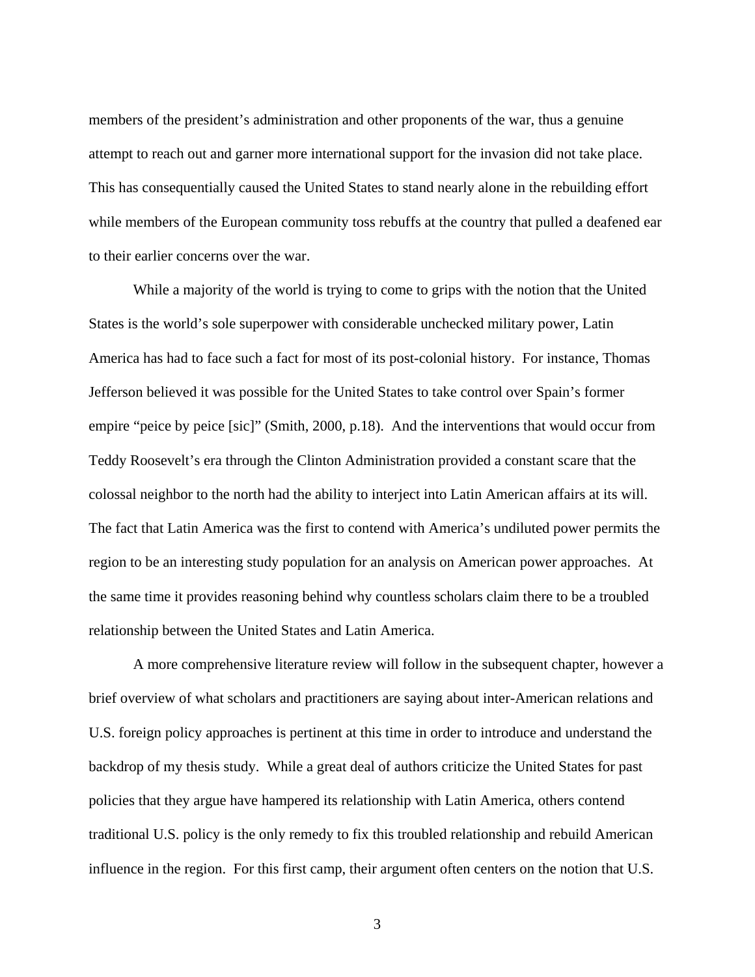members of the president's administration and other proponents of the war, thus a genuine attempt to reach out and garner more international support for the invasion did not take place. This has consequentially caused the United States to stand nearly alone in the rebuilding effort while members of the European community toss rebuffs at the country that pulled a deafened ear to their earlier concerns over the war.

While a majority of the world is trying to come to grips with the notion that the United States is the world's sole superpower with considerable unchecked military power, Latin America has had to face such a fact for most of its post-colonial history. For instance, Thomas Jefferson believed it was possible for the United States to take control over Spain's former empire "peice by peice [sic]" (Smith, 2000, p.18). And the interventions that would occur from Teddy Roosevelt's era through the Clinton Administration provided a constant scare that the colossal neighbor to the north had the ability to interject into Latin American affairs at its will. The fact that Latin America was the first to contend with America's undiluted power permits the region to be an interesting study population for an analysis on American power approaches. At the same time it provides reasoning behind why countless scholars claim there to be a troubled relationship between the United States and Latin America.

A more comprehensive literature review will follow in the subsequent chapter, however a brief overview of what scholars and practitioners are saying about inter-American relations and U.S. foreign policy approaches is pertinent at this time in order to introduce and understand the backdrop of my thesis study. While a great deal of authors criticize the United States for past policies that they argue have hampered its relationship with Latin America, others contend traditional U.S. policy is the only remedy to fix this troubled relationship and rebuild American influence in the region. For this first camp, their argument often centers on the notion that U.S.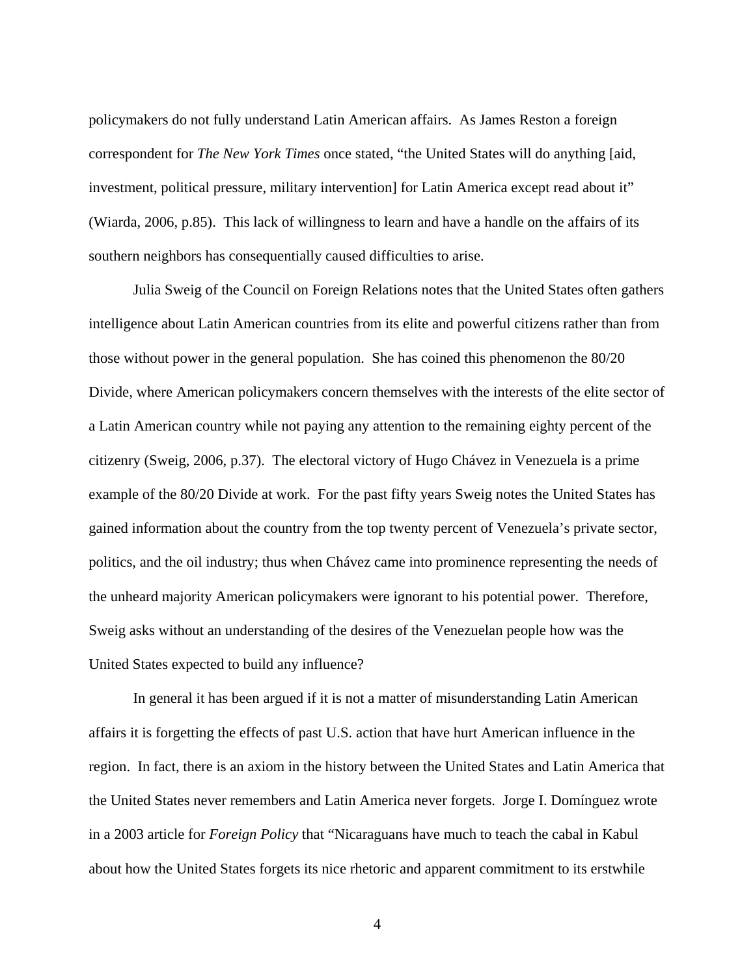policymakers do not fully understand Latin American affairs. As James Reston a foreign correspondent for *The New York Times* once stated, "the United States will do anything [aid, investment, political pressure, military intervention] for Latin America except read about it" (Wiarda, 2006, p.85). This lack of willingness to learn and have a handle on the affairs of its southern neighbors has consequentially caused difficulties to arise.

Julia Sweig of the Council on Foreign Relations notes that the United States often gathers intelligence about Latin American countries from its elite and powerful citizens rather than from those without power in the general population. She has coined this phenomenon the 80/20 Divide, where American policymakers concern themselves with the interests of the elite sector of a Latin American country while not paying any attention to the remaining eighty percent of the citizenry (Sweig, 2006, p.37). The electoral victory of Hugo Chávez in Venezuela is a prime example of the 80/20 Divide at work. For the past fifty years Sweig notes the United States has gained information about the country from the top twenty percent of Venezuela's private sector, politics, and the oil industry; thus when Chávez came into prominence representing the needs of the unheard majority American policymakers were ignorant to his potential power. Therefore, Sweig asks without an understanding of the desires of the Venezuelan people how was the United States expected to build any influence?

In general it has been argued if it is not a matter of misunderstanding Latin American affairs it is forgetting the effects of past U.S. action that have hurt American influence in the region. In fact, there is an axiom in the history between the United States and Latin America that the United States never remembers and Latin America never forgets. Jorge I. Domínguez wrote in a 2003 article for *Foreign Policy* that "Nicaraguans have much to teach the cabal in Kabul about how the United States forgets its nice rhetoric and apparent commitment to its erstwhile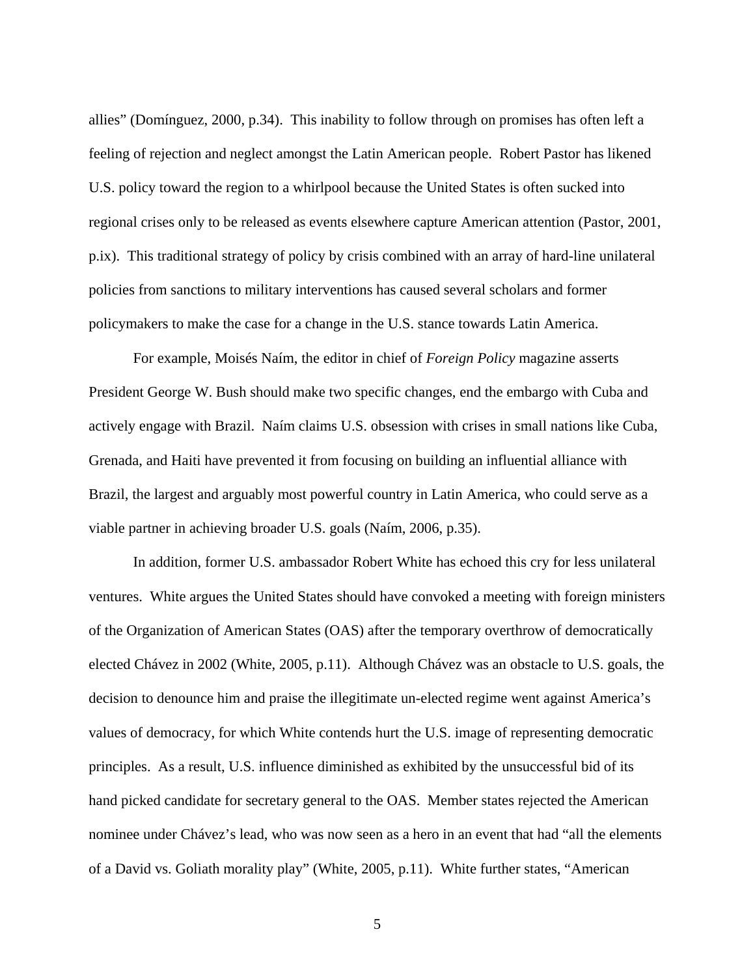allies" (Domínguez, 2000, p.34). This inability to follow through on promises has often left a feeling of rejection and neglect amongst the Latin American people. Robert Pastor has likened U.S. policy toward the region to a whirlpool because the United States is often sucked into regional crises only to be released as events elsewhere capture American attention (Pastor, 2001, p.ix). This traditional strategy of policy by crisis combined with an array of hard-line unilateral policies from sanctions to military interventions has caused several scholars and former policymakers to make the case for a change in the U.S. stance towards Latin America.

For example, Moisés Naím, the editor in chief of *Foreign Policy* magazine asserts President George W. Bush should make two specific changes, end the embargo with Cuba and actively engage with Brazil. Naím claims U.S. obsession with crises in small nations like Cuba, Grenada, and Haiti have prevented it from focusing on building an influential alliance with Brazil, the largest and arguably most powerful country in Latin America, who could serve as a viable partner in achieving broader U.S. goals (Naím, 2006, p.35).

In addition, former U.S. ambassador Robert White has echoed this cry for less unilateral ventures. White argues the United States should have convoked a meeting with foreign ministers of the Organization of American States (OAS) after the temporary overthrow of democratically elected Chávez in 2002 (White, 2005, p.11). Although Chávez was an obstacle to U.S. goals, the decision to denounce him and praise the illegitimate un-elected regime went against America's values of democracy, for which White contends hurt the U.S. image of representing democratic principles. As a result, U.S. influence diminished as exhibited by the unsuccessful bid of its hand picked candidate for secretary general to the OAS. Member states rejected the American nominee under Chávez's lead, who was now seen as a hero in an event that had "all the elements of a David vs. Goliath morality play" (White, 2005, p.11). White further states, "American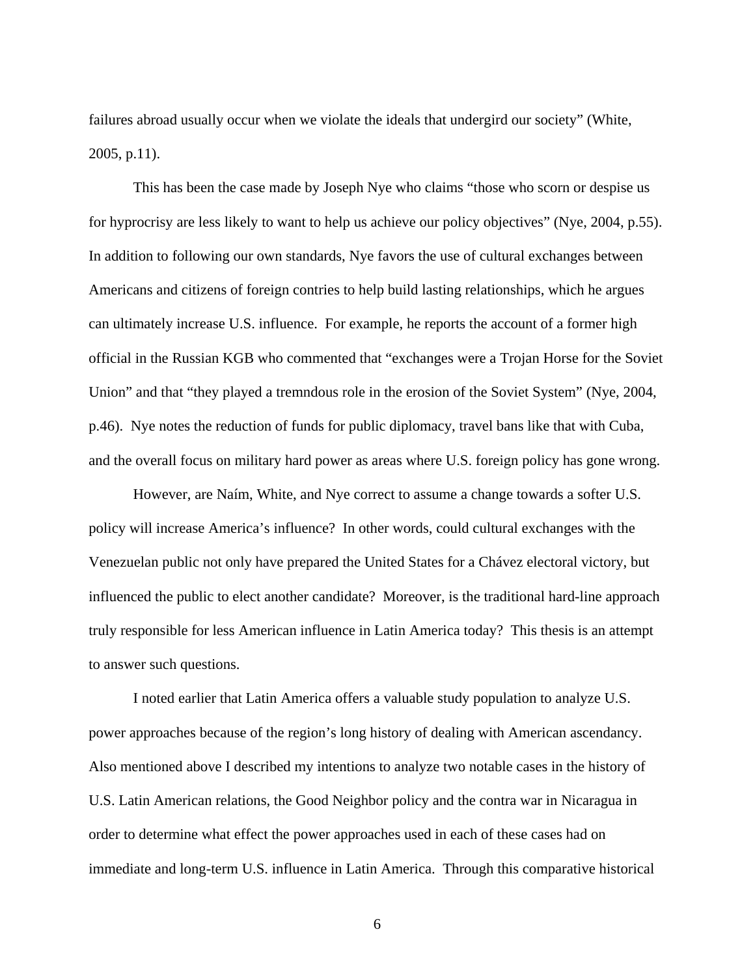failures abroad usually occur when we violate the ideals that undergird our society" (White, 2005, p.11).

This has been the case made by Joseph Nye who claims "those who scorn or despise us for hyprocrisy are less likely to want to help us achieve our policy objectives" (Nye, 2004, p.55). In addition to following our own standards, Nye favors the use of cultural exchanges between Americans and citizens of foreign contries to help build lasting relationships, which he argues can ultimately increase U.S. influence. For example, he reports the account of a former high official in the Russian KGB who commented that "exchanges were a Trojan Horse for the Soviet Union" and that "they played a tremndous role in the erosion of the Soviet System" (Nye, 2004, p.46). Nye notes the reduction of funds for public diplomacy, travel bans like that with Cuba, and the overall focus on military hard power as areas where U.S. foreign policy has gone wrong.

However, are Naím, White, and Nye correct to assume a change towards a softer U.S. policy will increase America's influence? In other words, could cultural exchanges with the Venezuelan public not only have prepared the United States for a Chávez electoral victory, but influenced the public to elect another candidate? Moreover, is the traditional hard-line approach truly responsible for less American influence in Latin America today? This thesis is an attempt to answer such questions.

I noted earlier that Latin America offers a valuable study population to analyze U.S. power approaches because of the region's long history of dealing with American ascendancy. Also mentioned above I described my intentions to analyze two notable cases in the history of U.S. Latin American relations, the Good Neighbor policy and the contra war in Nicaragua in order to determine what effect the power approaches used in each of these cases had on immediate and long-term U.S. influence in Latin America. Through this comparative historical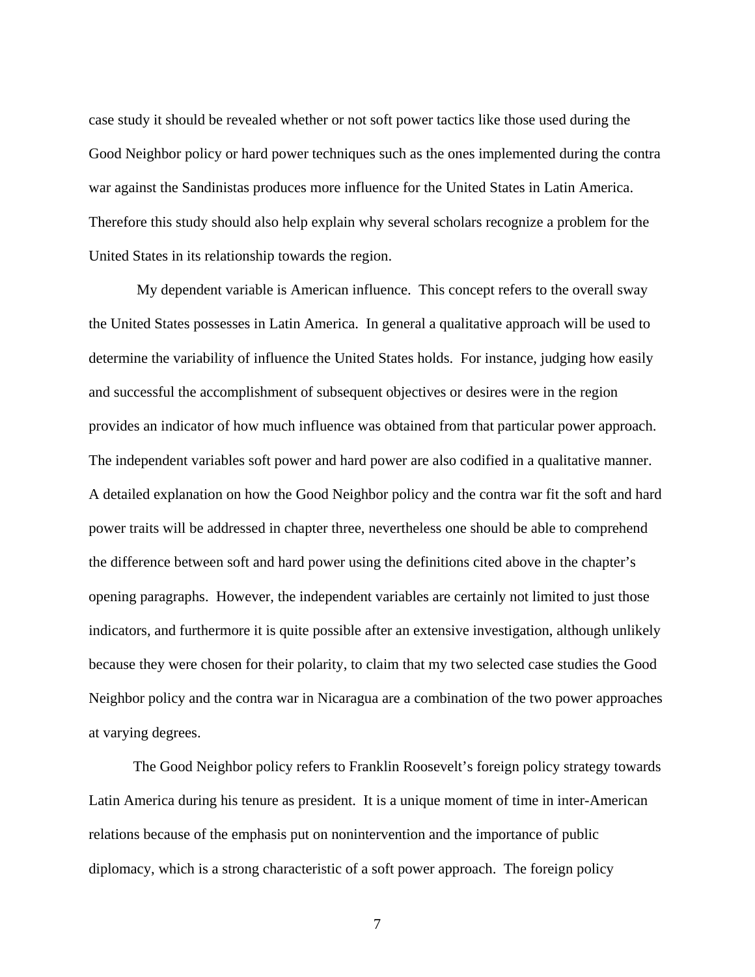case study it should be revealed whether or not soft power tactics like those used during the Good Neighbor policy or hard power techniques such as the ones implemented during the contra war against the Sandinistas produces more influence for the United States in Latin America. Therefore this study should also help explain why several scholars recognize a problem for the United States in its relationship towards the region.

My dependent variable is American influence. This concept refers to the overall sway the United States possesses in Latin America. In general a qualitative approach will be used to determine the variability of influence the United States holds. For instance, judging how easily and successful the accomplishment of subsequent objectives or desires were in the region provides an indicator of how much influence was obtained from that particular power approach. The independent variables soft power and hard power are also codified in a qualitative manner. A detailed explanation on how the Good Neighbor policy and the contra war fit the soft and hard power traits will be addressed in chapter three, nevertheless one should be able to comprehend the difference between soft and hard power using the definitions cited above in the chapter's opening paragraphs. However, the independent variables are certainly not limited to just those indicators, and furthermore it is quite possible after an extensive investigation, although unlikely because they were chosen for their polarity, to claim that my two selected case studies the Good Neighbor policy and the contra war in Nicaragua are a combination of the two power approaches at varying degrees.

The Good Neighbor policy refers to Franklin Roosevelt's foreign policy strategy towards Latin America during his tenure as president. It is a unique moment of time in inter-American relations because of the emphasis put on nonintervention and the importance of public diplomacy, which is a strong characteristic of a soft power approach. The foreign policy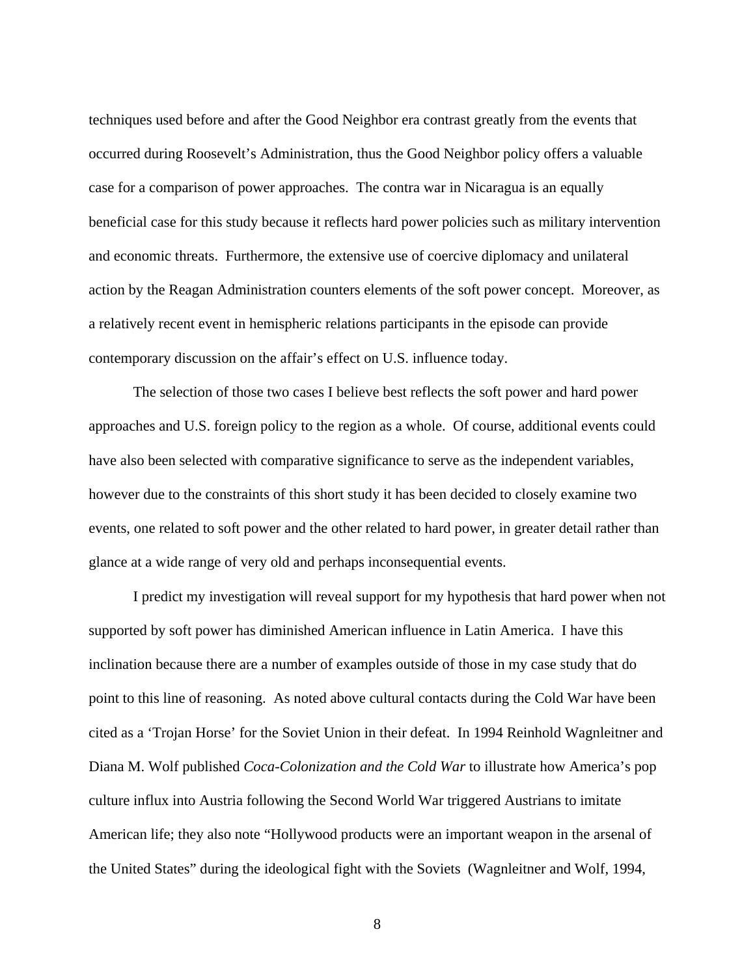techniques used before and after the Good Neighbor era contrast greatly from the events that occurred during Roosevelt's Administration, thus the Good Neighbor policy offers a valuable case for a comparison of power approaches. The contra war in Nicaragua is an equally beneficial case for this study because it reflects hard power policies such as military intervention and economic threats. Furthermore, the extensive use of coercive diplomacy and unilateral action by the Reagan Administration counters elements of the soft power concept. Moreover, as a relatively recent event in hemispheric relations participants in the episode can provide contemporary discussion on the affair's effect on U.S. influence today.

The selection of those two cases I believe best reflects the soft power and hard power approaches and U.S. foreign policy to the region as a whole. Of course, additional events could have also been selected with comparative significance to serve as the independent variables, however due to the constraints of this short study it has been decided to closely examine two events, one related to soft power and the other related to hard power, in greater detail rather than glance at a wide range of very old and perhaps inconsequential events.

I predict my investigation will reveal support for my hypothesis that hard power when not supported by soft power has diminished American influence in Latin America. I have this inclination because there are a number of examples outside of those in my case study that do point to this line of reasoning. As noted above cultural contacts during the Cold War have been cited as a 'Trojan Horse' for the Soviet Union in their defeat. In 1994 Reinhold Wagnleitner and Diana M. Wolf published *Coca-Colonization and the Cold War* to illustrate how America's pop culture influx into Austria following the Second World War triggered Austrians to imitate American life; they also note "Hollywood products were an important weapon in the arsenal of the United States" during the ideological fight with the Soviets (Wagnleitner and Wolf, 1994,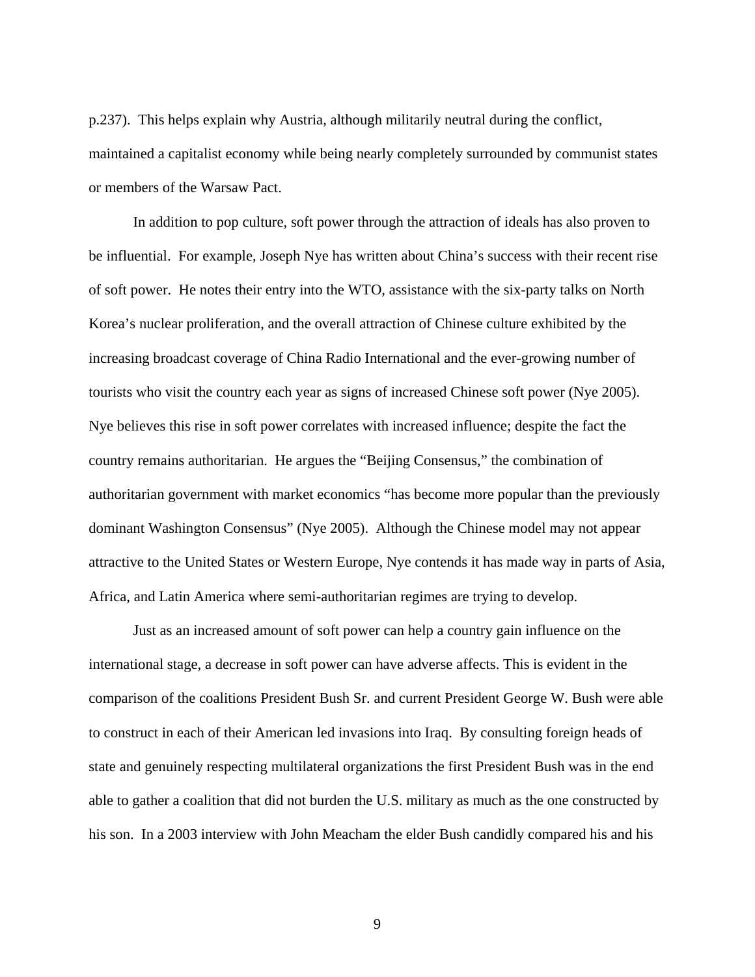p.237). This helps explain why Austria, although militarily neutral during the conflict, maintained a capitalist economy while being nearly completely surrounded by communist states or members of the Warsaw Pact.

In addition to pop culture, soft power through the attraction of ideals has also proven to be influential. For example, Joseph Nye has written about China's success with their recent rise of soft power. He notes their entry into the WTO, assistance with the six-party talks on North Korea's nuclear proliferation, and the overall attraction of Chinese culture exhibited by the increasing broadcast coverage of China Radio International and the ever-growing number of tourists who visit the country each year as signs of increased Chinese soft power (Nye 2005). Nye believes this rise in soft power correlates with increased influence; despite the fact the country remains authoritarian. He argues the "Beijing Consensus," the combination of authoritarian government with market economics "has become more popular than the previously dominant Washington Consensus" (Nye 2005). Although the Chinese model may not appear attractive to the United States or Western Europe, Nye contends it has made way in parts of Asia, Africa, and Latin America where semi-authoritarian regimes are trying to develop.

Just as an increased amount of soft power can help a country gain influence on the international stage, a decrease in soft power can have adverse affects. This is evident in the comparison of the coalitions President Bush Sr. and current President George W. Bush were able to construct in each of their American led invasions into Iraq. By consulting foreign heads of state and genuinely respecting multilateral organizations the first President Bush was in the end able to gather a coalition that did not burden the U.S. military as much as the one constructed by his son. In a 2003 interview with John Meacham the elder Bush candidly compared his and his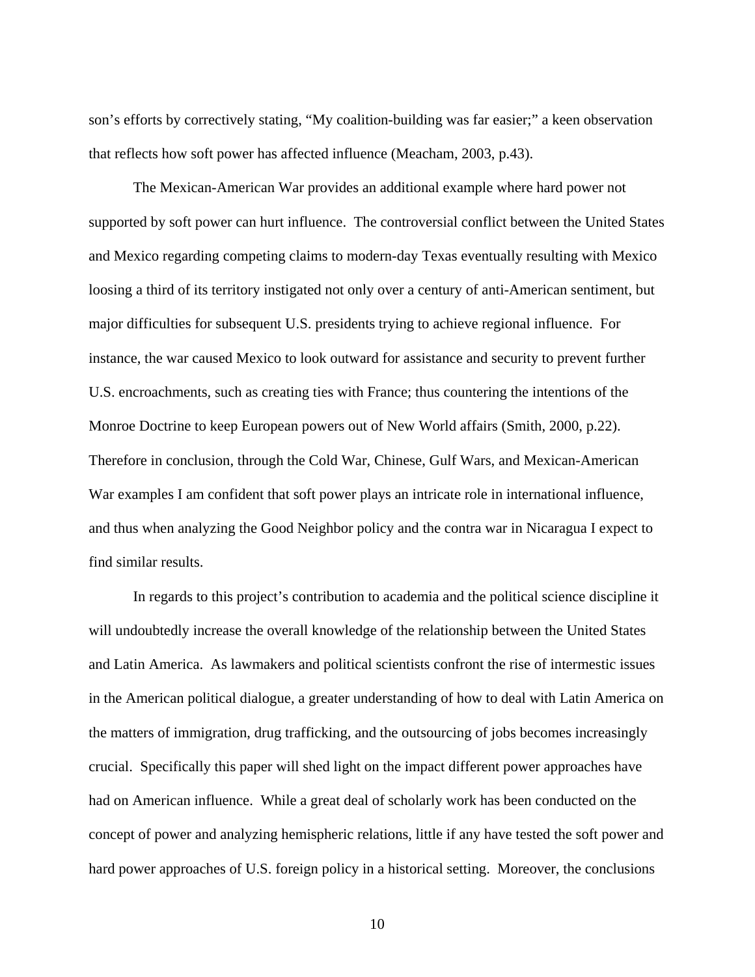son's efforts by correctively stating, "My coalition*-*building was far easier;" a keen observation that reflects how soft power has affected influence (Meacham, 2003, p.43).

The Mexican-American War provides an additional example where hard power not supported by soft power can hurt influence. The controversial conflict between the United States and Mexico regarding competing claims to modern-day Texas eventually resulting with Mexico loosing a third of its territory instigated not only over a century of anti-American sentiment, but major difficulties for subsequent U.S. presidents trying to achieve regional influence. For instance, the war caused Mexico to look outward for assistance and security to prevent further U.S. encroachments, such as creating ties with France; thus countering the intentions of the Monroe Doctrine to keep European powers out of New World affairs (Smith, 2000, p.22). Therefore in conclusion, through the Cold War, Chinese, Gulf Wars, and Mexican-American War examples I am confident that soft power plays an intricate role in international influence, and thus when analyzing the Good Neighbor policy and the contra war in Nicaragua I expect to find similar results.

In regards to this project's contribution to academia and the political science discipline it will undoubtedly increase the overall knowledge of the relationship between the United States and Latin America. As lawmakers and political scientists confront the rise of intermestic issues in the American political dialogue, a greater understanding of how to deal with Latin America on the matters of immigration, drug trafficking, and the outsourcing of jobs becomes increasingly crucial. Specifically this paper will shed light on the impact different power approaches have had on American influence. While a great deal of scholarly work has been conducted on the concept of power and analyzing hemispheric relations, little if any have tested the soft power and hard power approaches of U.S. foreign policy in a historical setting. Moreover, the conclusions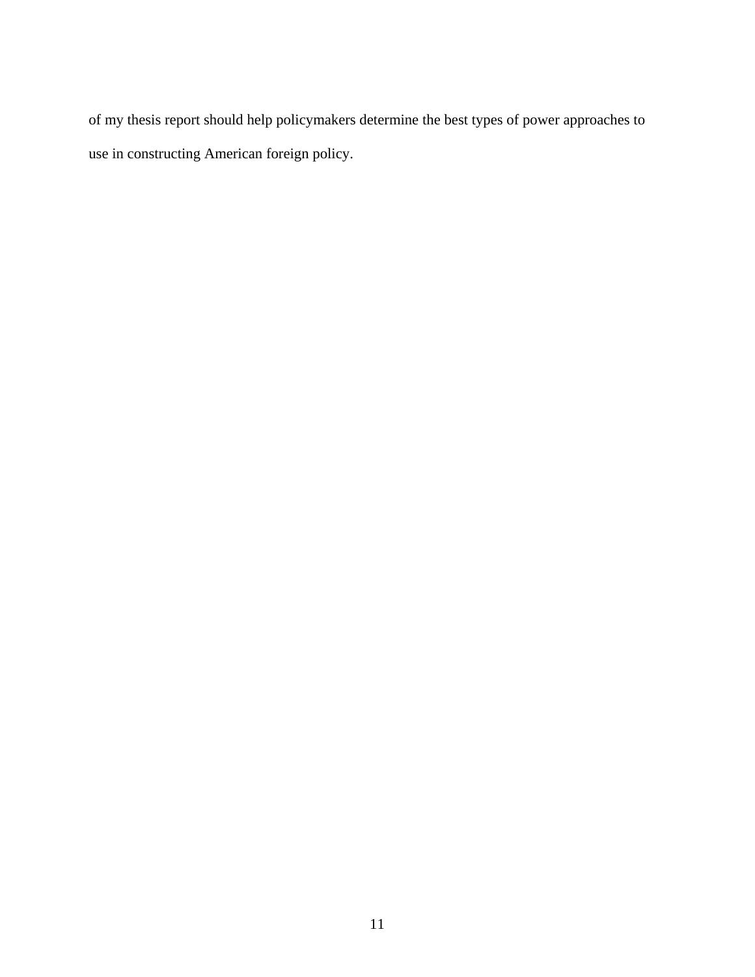of my thesis report should help policymakers determine the best types of power approaches to use in constructing American foreign policy.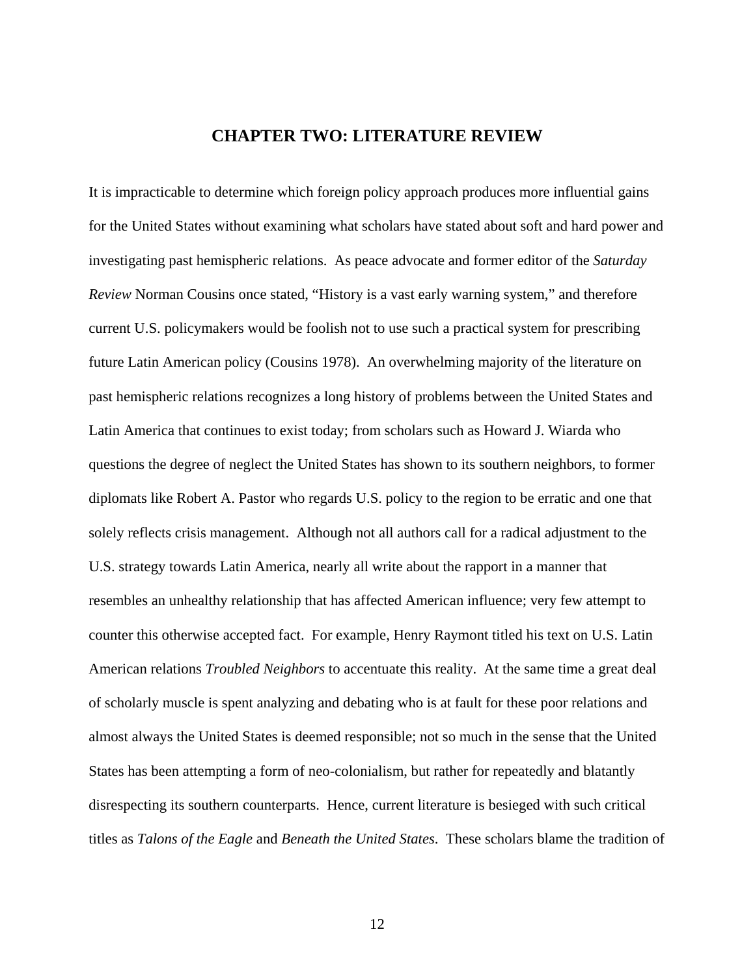# **CHAPTER TWO: LITERATURE REVIEW**

<span id="page-18-0"></span>It is impracticable to determine which foreign policy approach produces more influential gains for the United States without examining what scholars have stated about soft and hard power and investigating past hemispheric relations. As peace advocate and former editor of the *Saturday Review* Norman Cousins once stated, "History is a vast early warning system," and therefore current U.S. policymakers would be foolish not to use such a practical system for prescribing future Latin American policy (Cousins 1978). An overwhelming majority of the literature on past hemispheric relations recognizes a long history of problems between the United States and Latin America that continues to exist today; from scholars such as Howard J. Wiarda who questions the degree of neglect the United States has shown to its southern neighbors, to former diplomats like Robert A. Pastor who regards U.S. policy to the region to be erratic and one that solely reflects crisis management. Although not all authors call for a radical adjustment to the U.S. strategy towards Latin America, nearly all write about the rapport in a manner that resembles an unhealthy relationship that has affected American influence; very few attempt to counter this otherwise accepted fact. For example, Henry Raymont titled his text on U.S. Latin American relations *Troubled Neighbors* to accentuate this reality. At the same time a great deal of scholarly muscle is spent analyzing and debating who is at fault for these poor relations and almost always the United States is deemed responsible; not so much in the sense that the United States has been attempting a form of neo-colonialism, but rather for repeatedly and blatantly disrespecting its southern counterparts. Hence, current literature is besieged with such critical titles as *Talons of the Eagle* and *Beneath the United States*. These scholars blame the tradition of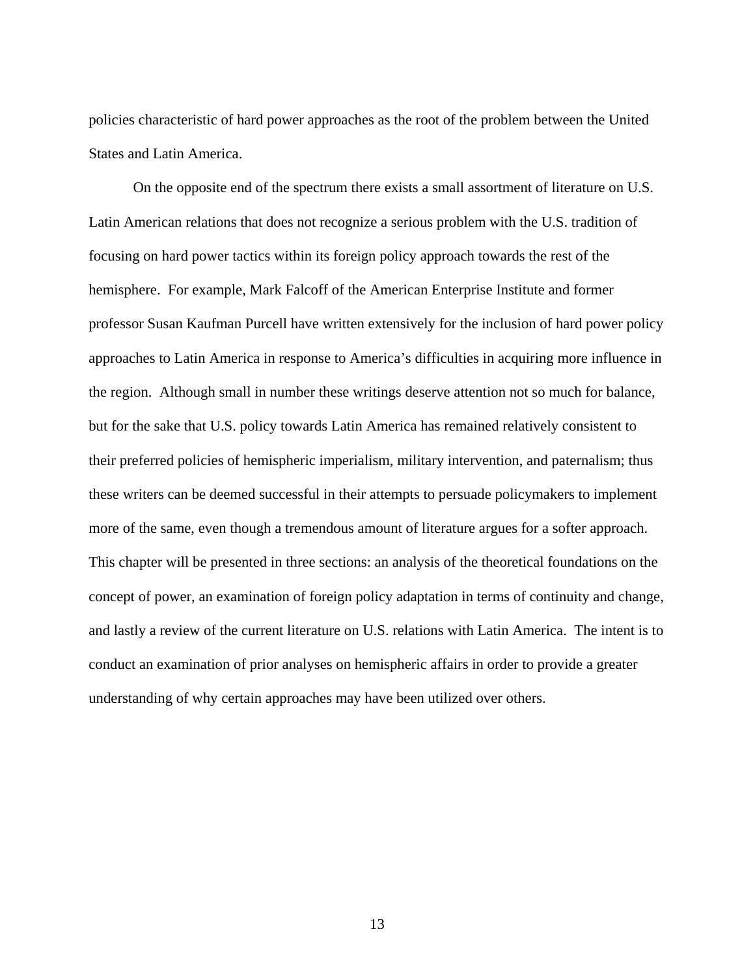policies characteristic of hard power approaches as the root of the problem between the United States and Latin America.

On the opposite end of the spectrum there exists a small assortment of literature on U.S. Latin American relations that does not recognize a serious problem with the U.S. tradition of focusing on hard power tactics within its foreign policy approach towards the rest of the hemisphere. For example, Mark Falcoff of the American Enterprise Institute and former professor Susan Kaufman Purcell have written extensively for the inclusion of hard power policy approaches to Latin America in response to America's difficulties in acquiring more influence in the region. Although small in number these writings deserve attention not so much for balance, but for the sake that U.S. policy towards Latin America has remained relatively consistent to their preferred policies of hemispheric imperialism, military intervention, and paternalism; thus these writers can be deemed successful in their attempts to persuade policymakers to implement more of the same, even though a tremendous amount of literature argues for a softer approach. This chapter will be presented in three sections: an analysis of the theoretical foundations on the concept of power, an examination of foreign policy adaptation in terms of continuity and change, and lastly a review of the current literature on U.S. relations with Latin America. The intent is to conduct an examination of prior analyses on hemispheric affairs in order to provide a greater understanding of why certain approaches may have been utilized over others.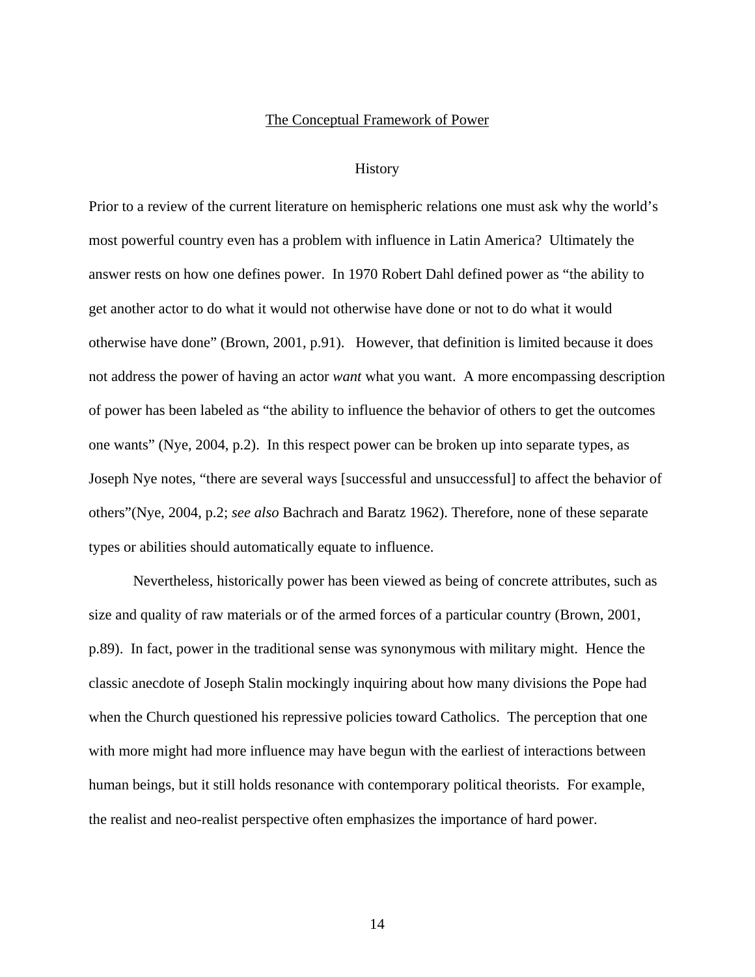#### The Conceptual Framework of Power

#### History

<span id="page-20-0"></span>Prior to a review of the current literature on hemispheric relations one must ask why the world's most powerful country even has a problem with influence in Latin America? Ultimately the answer rests on how one defines power. In 1970 Robert Dahl defined power as "the ability to get another actor to do what it would not otherwise have done or not to do what it would otherwise have done" (Brown, 2001, p.91). However, that definition is limited because it does not address the power of having an actor *want* what you want. A more encompassing description of power has been labeled as "the ability to influence the behavior of others to get the outcomes one wants" (Nye, 2004, p.2). In this respect power can be broken up into separate types, as Joseph Nye notes, "there are several ways [successful and unsuccessful] to affect the behavior of others"(Nye, 2004, p.2; *see also* Bachrach and Baratz 1962). Therefore, none of these separate types or abilities should automatically equate to influence.

Nevertheless, historically power has been viewed as being of concrete attributes, such as size and quality of raw materials or of the armed forces of a particular country (Brown, 2001, p.89). In fact, power in the traditional sense was synonymous with military might. Hence the classic anecdote of Joseph Stalin mockingly inquiring about how many divisions the Pope had when the Church questioned his repressive policies toward Catholics. The perception that one with more might had more influence may have begun with the earliest of interactions between human beings, but it still holds resonance with contemporary political theorists. For example, the realist and neo-realist perspective often emphasizes the importance of hard power.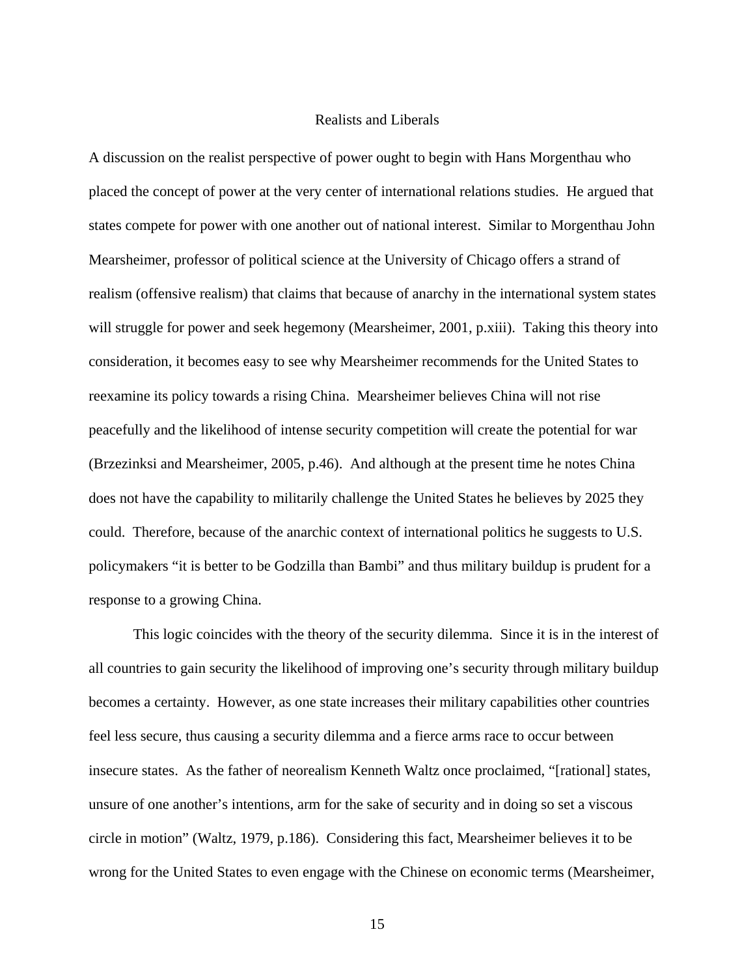#### Realists and Liberals

A discussion on the realist perspective of power ought to begin with Hans Morgenthau who placed the concept of power at the very center of international relations studies. He argued that states compete for power with one another out of national interest. Similar to Morgenthau John Mearsheimer, professor of political science at the University of Chicago offers a strand of realism (offensive realism) that claims that because of anarchy in the international system states will struggle for power and seek hegemony (Mearsheimer, 2001, p.xiii). Taking this theory into consideration, it becomes easy to see why Mearsheimer recommends for the United States to reexamine its policy towards a rising China. Mearsheimer believes China will not rise peacefully and the likelihood of intense security competition will create the potential for war (Brzezinksi and Mearsheimer, 2005, p.46). And although at the present time he notes China does not have the capability to militarily challenge the United States he believes by 2025 they could. Therefore, because of the anarchic context of international politics he suggests to U.S. policymakers "it is better to be Godzilla than Bambi" and thus military buildup is prudent for a response to a growing China.

This logic coincides with the theory of the security dilemma. Since it is in the interest of all countries to gain security the likelihood of improving one's security through military buildup becomes a certainty. However, as one state increases their military capabilities other countries feel less secure, thus causing a security dilemma and a fierce arms race to occur between insecure states. As the father of neorealism Kenneth Waltz once proclaimed, "[rational] states, unsure of one another's intentions, arm for the sake of security and in doing so set a viscous circle in motion" (Waltz, 1979, p.186). Considering this fact, Mearsheimer believes it to be wrong for the United States to even engage with the Chinese on economic terms (Mearsheimer,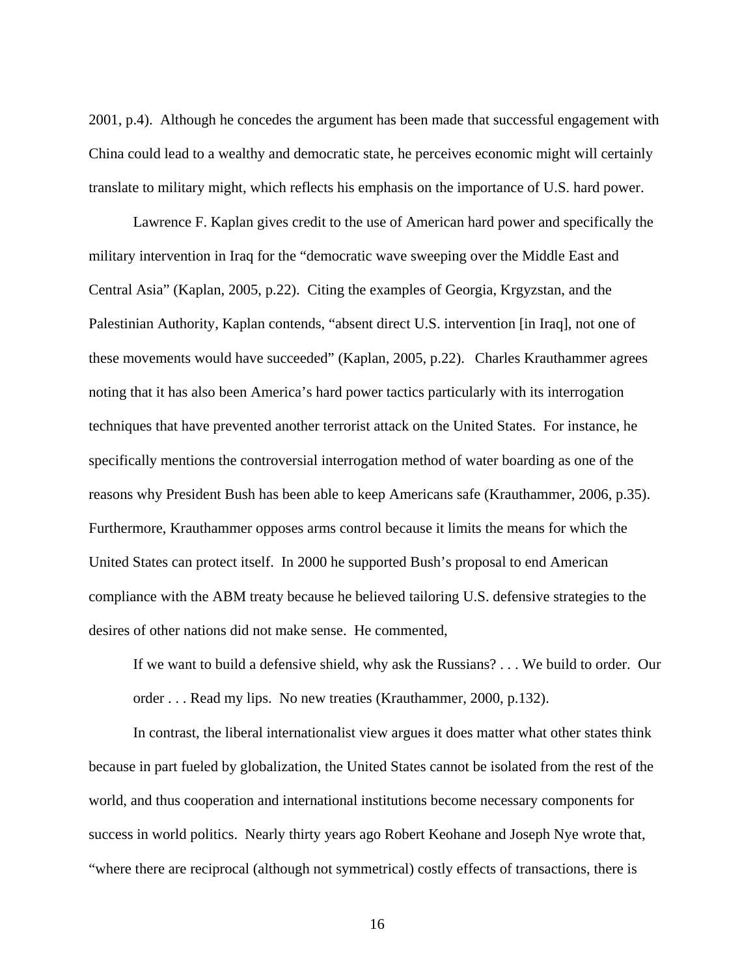2001, p.4). Although he concedes the argument has been made that successful engagement with China could lead to a wealthy and democratic state, he perceives economic might will certainly translate to military might, which reflects his emphasis on the importance of U.S. hard power.

Lawrence F. Kaplan gives credit to the use of American hard power and specifically the military intervention in Iraq for the "democratic wave sweeping over the Middle East and Central Asia" (Kaplan, 2005, p.22). Citing the examples of Georgia, Krgyzstan, and the Palestinian Authority, Kaplan contends, "absent direct U.S. intervention [in Iraq], not one of these movements would have succeeded" (Kaplan, 2005, p.22). Charles Krauthammer agrees noting that it has also been America's hard power tactics particularly with its interrogation techniques that have prevented another terrorist attack on the United States. For instance, he specifically mentions the controversial interrogation method of water boarding as one of the reasons why President Bush has been able to keep Americans safe (Krauthammer, 2006, p.35). Furthermore, Krauthammer opposes arms control because it limits the means for which the United States can protect itself. In 2000 he supported Bush's proposal to end American compliance with the ABM treaty because he believed tailoring U.S. defensive strategies to the desires of other nations did not make sense. He commented,

If we want to build a defensive shield, why ask the Russians? . . . We build to order. Our order . . . Read my lips. No new treaties (Krauthammer, 2000, p.132).

In contrast, the liberal internationalist view argues it does matter what other states think because in part fueled by globalization, the United States cannot be isolated from the rest of the world, and thus cooperation and international institutions become necessary components for success in world politics. Nearly thirty years ago Robert Keohane and Joseph Nye wrote that, "where there are reciprocal (although not symmetrical) costly effects of transactions, there is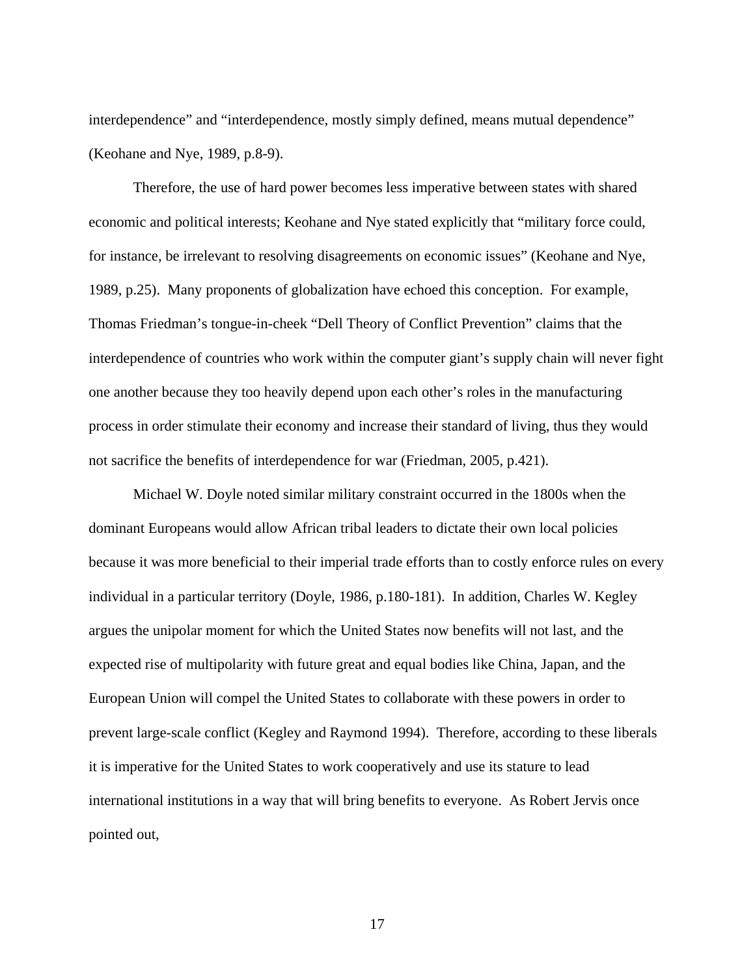interdependence" and "interdependence, mostly simply defined, means mutual dependence" (Keohane and Nye, 1989, p.8-9).

Therefore, the use of hard power becomes less imperative between states with shared economic and political interests; Keohane and Nye stated explicitly that "military force could, for instance, be irrelevant to resolving disagreements on economic issues" (Keohane and Nye, 1989, p.25). Many proponents of globalization have echoed this conception. For example, Thomas Friedman's tongue-in-cheek "Dell Theory of Conflict Prevention" claims that the interdependence of countries who work within the computer giant's supply chain will never fight one another because they too heavily depend upon each other's roles in the manufacturing process in order stimulate their economy and increase their standard of living, thus they would not sacrifice the benefits of interdependence for war (Friedman, 2005, p.421).

Michael W. Doyle noted similar military constraint occurred in the 1800s when the dominant Europeans would allow African tribal leaders to dictate their own local policies because it was more beneficial to their imperial trade efforts than to costly enforce rules on every individual in a particular territory (Doyle, 1986, p.180-181). In addition, Charles W. Kegley argues the unipolar moment for which the United States now benefits will not last, and the expected rise of multipolarity with future great and equal bodies like China, Japan, and the European Union will compel the United States to collaborate with these powers in order to prevent large-scale conflict (Kegley and Raymond 1994). Therefore, according to these liberals it is imperative for the United States to work cooperatively and use its stature to lead international institutions in a way that will bring benefits to everyone. As Robert Jervis once pointed out,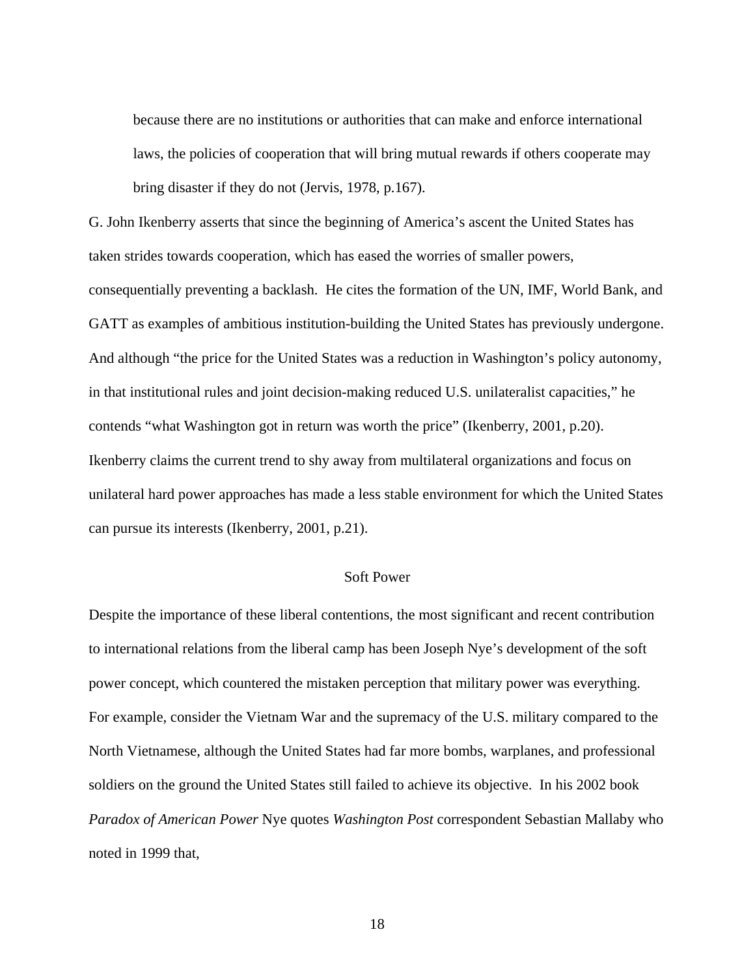because there are no institutions or authorities that can make and enforce international laws, the policies of cooperation that will bring mutual rewards if others cooperate may bring disaster if they do not (Jervis, 1978, p.167).

G. John Ikenberry asserts that since the beginning of America's ascent the United States has taken strides towards cooperation, which has eased the worries of smaller powers, consequentially preventing a backlash. He cites the formation of the UN, IMF, World Bank, and GATT as examples of ambitious institution-building the United States has previously undergone. And although "the price for the United States was a reduction in Washington's policy autonomy, in that institutional rules and joint decision-making reduced U.S. unilateralist capacities," he contends "what Washington got in return was worth the price" (Ikenberry, 2001, p.20). Ikenberry claims the current trend to shy away from multilateral organizations and focus on unilateral hard power approaches has made a less stable environment for which the United States can pursue its interests (Ikenberry, 2001, p.21).

#### Soft Power

Despite the importance of these liberal contentions, the most significant and recent contribution to international relations from the liberal camp has been Joseph Nye's development of the soft power concept, which countered the mistaken perception that military power was everything. For example, consider the Vietnam War and the supremacy of the U.S. military compared to the North Vietnamese, although the United States had far more bombs, warplanes, and professional soldiers on the ground the United States still failed to achieve its objective. In his 2002 book *Paradox of American Power* Nye quotes *Washington Post* correspondent Sebastian Mallaby who noted in 1999 that,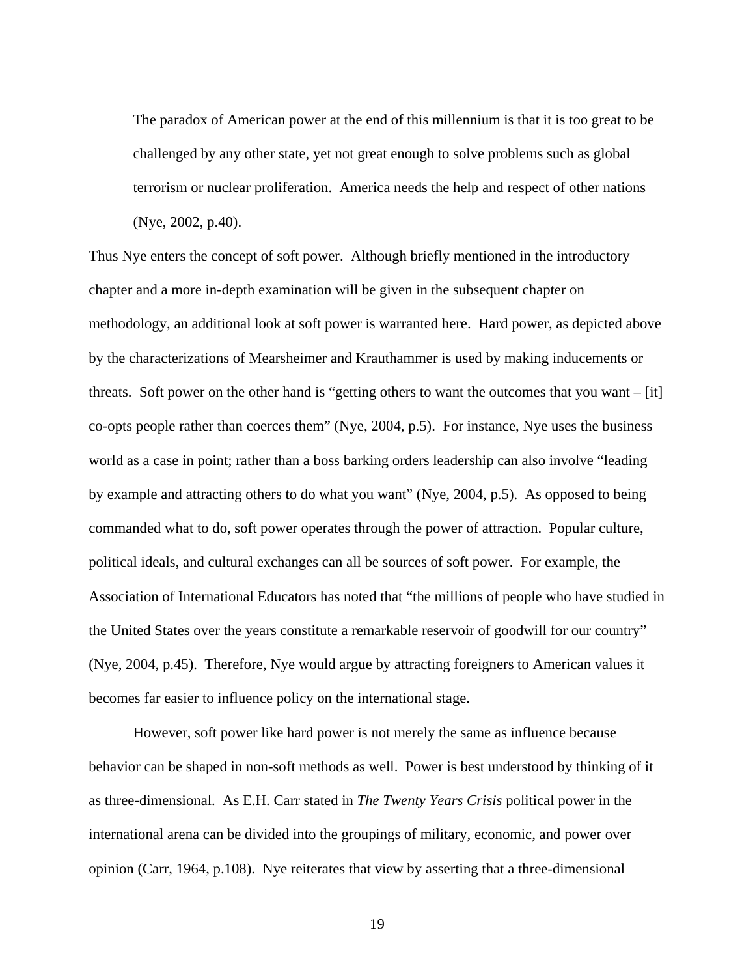The paradox of American power at the end of this millennium is that it is too great to be challenged by any other state, yet not great enough to solve problems such as global terrorism or nuclear proliferation. America needs the help and respect of other nations (Nye, 2002, p.40).

Thus Nye enters the concept of soft power. Although briefly mentioned in the introductory chapter and a more in-depth examination will be given in the subsequent chapter on methodology, an additional look at soft power is warranted here. Hard power, as depicted above by the characterizations of Mearsheimer and Krauthammer is used by making inducements or threats. Soft power on the other hand is "getting others to want the outcomes that you want – [it] co-opts people rather than coerces them" (Nye, 2004, p.5). For instance, Nye uses the business world as a case in point; rather than a boss barking orders leadership can also involve "leading by example and attracting others to do what you want" (Nye, 2004, p.5). As opposed to being commanded what to do, soft power operates through the power of attraction. Popular culture, political ideals, and cultural exchanges can all be sources of soft power. For example, the Association of International Educators has noted that "the millions of people who have studied in the United States over the years constitute a remarkable reservoir of goodwill for our country" (Nye, 2004, p.45). Therefore, Nye would argue by attracting foreigners to American values it becomes far easier to influence policy on the international stage.

However, soft power like hard power is not merely the same as influence because behavior can be shaped in non-soft methods as well. Power is best understood by thinking of it as three-dimensional. As E.H. Carr stated in *The Twenty Years Crisis* political power in the international arena can be divided into the groupings of military, economic, and power over opinion (Carr, 1964, p.108). Nye reiterates that view by asserting that a three-dimensional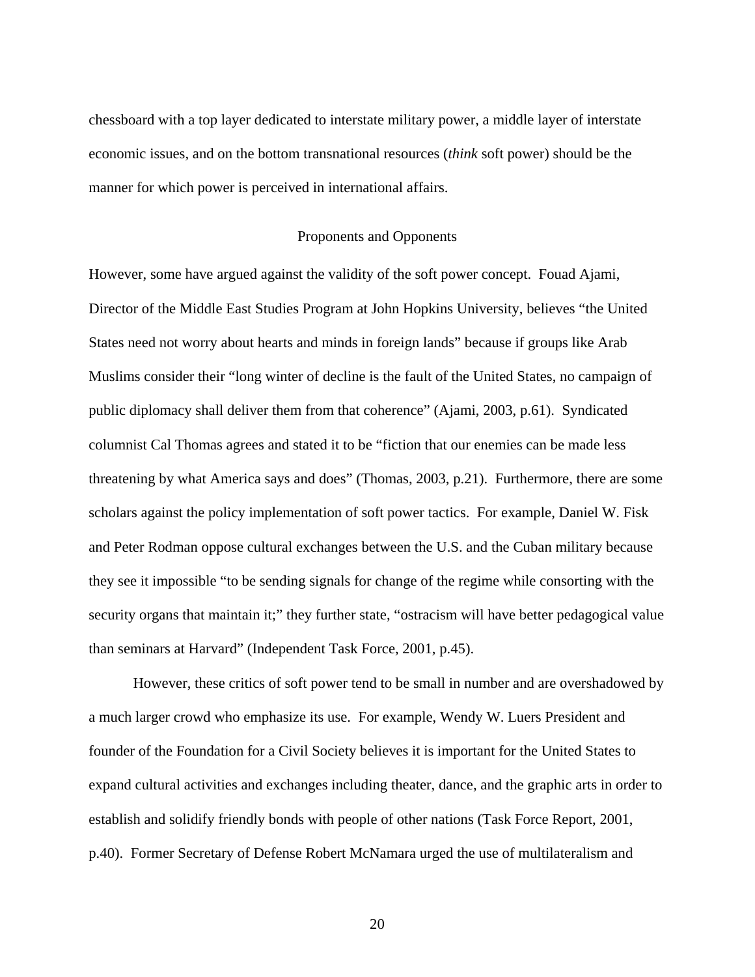chessboard with a top layer dedicated to interstate military power, a middle layer of interstate economic issues, and on the bottom transnational resources (*think* soft power) should be the manner for which power is perceived in international affairs.

#### Proponents and Opponents

However, some have argued against the validity of the soft power concept. Fouad Ajami, Director of the Middle East Studies Program at John Hopkins University, believes "the United States need not worry about hearts and minds in foreign lands" because if groups like Arab Muslims consider their "long winter of decline is the fault of the United States, no campaign of public diplomacy shall deliver them from that coherence" (Ajami, 2003, p.61). Syndicated columnist Cal Thomas agrees and stated it to be "fiction that our enemies can be made less threatening by what America says and does" (Thomas, 2003, p.21). Furthermore, there are some scholars against the policy implementation of soft power tactics. For example, Daniel W. Fisk and Peter Rodman oppose cultural exchanges between the U.S. and the Cuban military because they see it impossible "to be sending signals for change of the regime while consorting with the security organs that maintain it;" they further state, "ostracism will have better pedagogical value than seminars at Harvard" (Independent Task Force, 2001, p.45).

However, these critics of soft power tend to be small in number and are overshadowed by a much larger crowd who emphasize its use. For example, Wendy W. Luers President and founder of the Foundation for a Civil Society believes it is important for the United States to expand cultural activities and exchanges including theater, dance, and the graphic arts in order to establish and solidify friendly bonds with people of other nations (Task Force Report, 2001, p.40). Former Secretary of Defense Robert McNamara urged the use of multilateralism and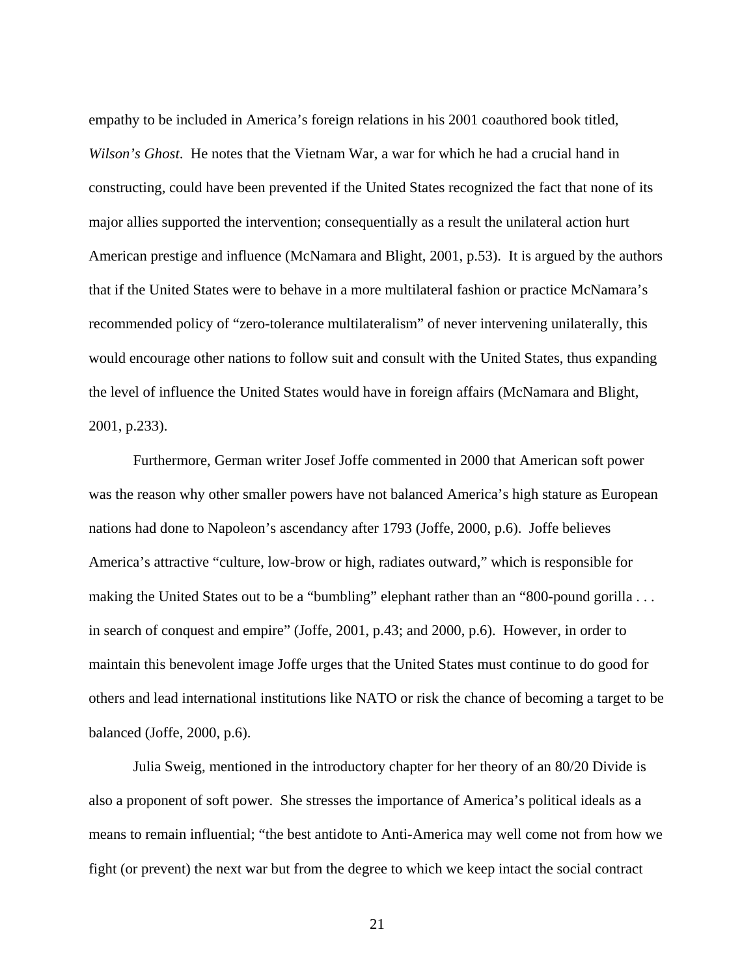empathy to be included in America's foreign relations in his 2001 coauthored book titled, *Wilson's Ghost*. He notes that the Vietnam War, a war for which he had a crucial hand in constructing, could have been prevented if the United States recognized the fact that none of its major allies supported the intervention; consequentially as a result the unilateral action hurt American prestige and influence (McNamara and Blight, 2001, p.53). It is argued by the authors that if the United States were to behave in a more multilateral fashion or practice McNamara's recommended policy of "zero-tolerance multilateralism" of never intervening unilaterally, this would encourage other nations to follow suit and consult with the United States, thus expanding the level of influence the United States would have in foreign affairs (McNamara and Blight, 2001, p.233).

Furthermore, German writer Josef Joffe commented in 2000 that American soft power was the reason why other smaller powers have not balanced America's high stature as European nations had done to Napoleon's ascendancy after 1793 (Joffe, 2000, p.6). Joffe believes America's attractive "culture, low-brow or high, radiates outward," which is responsible for making the United States out to be a "bumbling" elephant rather than an "800-pound gorilla . . . in search of conquest and empire" (Joffe, 2001, p.43; and 2000, p.6). However, in order to maintain this benevolent image Joffe urges that the United States must continue to do good for others and lead international institutions like NATO or risk the chance of becoming a target to be balanced (Joffe, 2000, p.6).

Julia Sweig, mentioned in the introductory chapter for her theory of an 80/20 Divide is also a proponent of soft power. She stresses the importance of America's political ideals as a means to remain influential; "the best antidote to Anti-America may well come not from how we fight (or prevent) the next war but from the degree to which we keep intact the social contract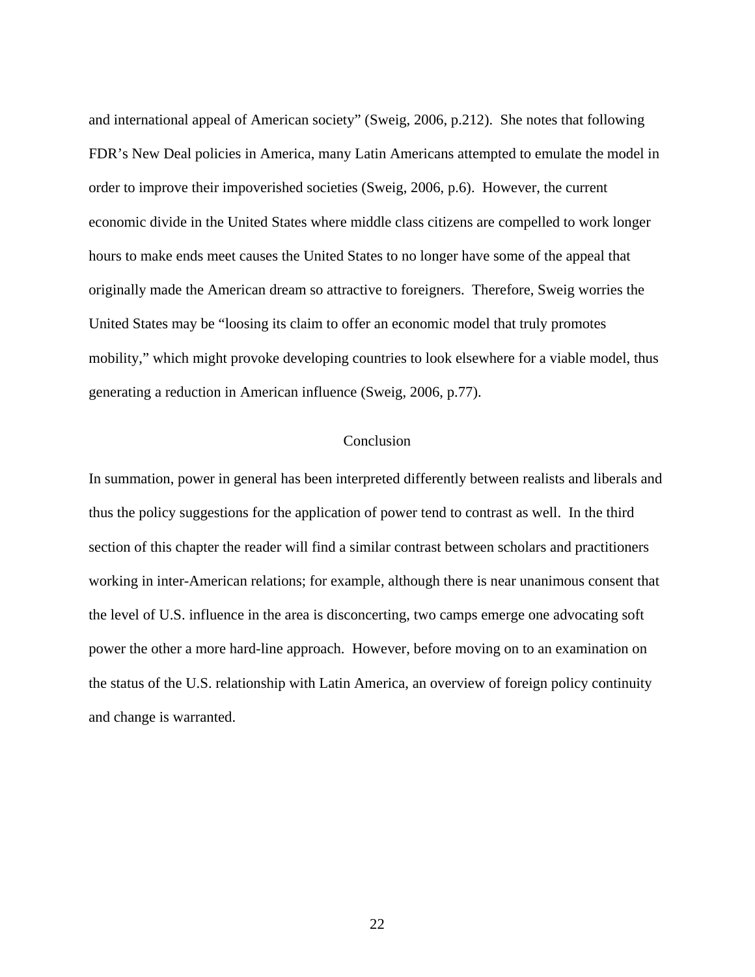and international appeal of American society" (Sweig, 2006, p.212). She notes that following FDR's New Deal policies in America, many Latin Americans attempted to emulate the model in order to improve their impoverished societies (Sweig, 2006, p.6). However, the current economic divide in the United States where middle class citizens are compelled to work longer hours to make ends meet causes the United States to no longer have some of the appeal that originally made the American dream so attractive to foreigners. Therefore, Sweig worries the United States may be "loosing its claim to offer an economic model that truly promotes mobility," which might provoke developing countries to look elsewhere for a viable model, thus generating a reduction in American influence (Sweig, 2006, p.77).

#### Conclusion

In summation, power in general has been interpreted differently between realists and liberals and thus the policy suggestions for the application of power tend to contrast as well. In the third section of this chapter the reader will find a similar contrast between scholars and practitioners working in inter-American relations; for example, although there is near unanimous consent that the level of U.S. influence in the area is disconcerting, two camps emerge one advocating soft power the other a more hard-line approach. However, before moving on to an examination on the status of the U.S. relationship with Latin America, an overview of foreign policy continuity and change is warranted.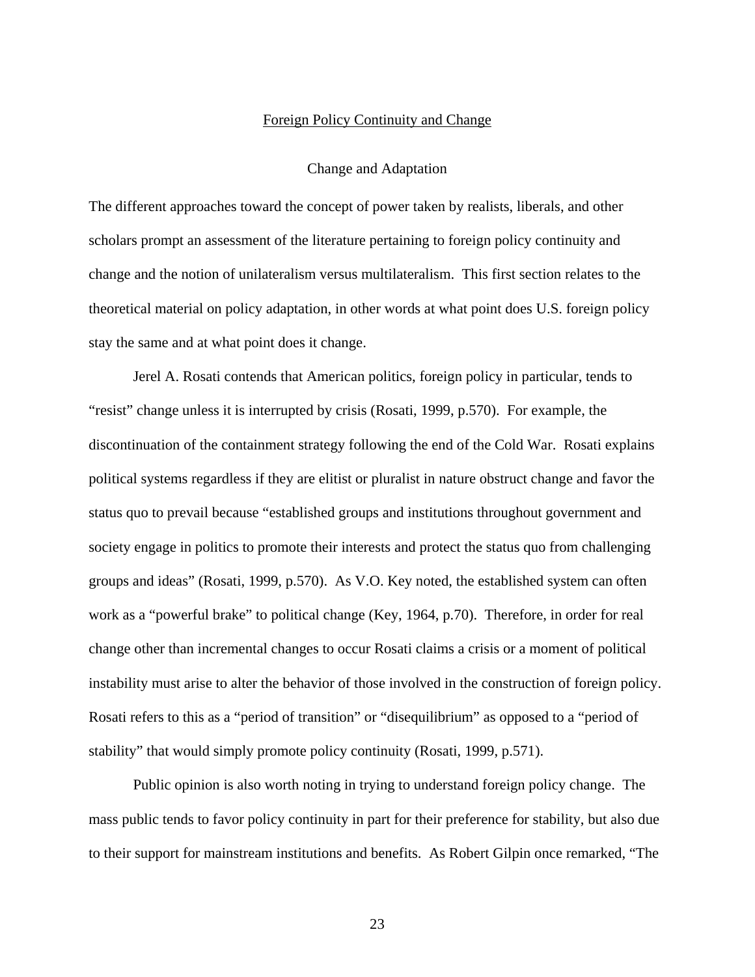#### Foreign Policy Continuity and Change

#### Change and Adaptation

<span id="page-29-0"></span>The different approaches toward the concept of power taken by realists, liberals, and other scholars prompt an assessment of the literature pertaining to foreign policy continuity and change and the notion of unilateralism versus multilateralism. This first section relates to the theoretical material on policy adaptation, in other words at what point does U.S. foreign policy stay the same and at what point does it change.

Jerel A. Rosati contends that American politics, foreign policy in particular, tends to "resist" change unless it is interrupted by crisis (Rosati, 1999, p.570). For example, the discontinuation of the containment strategy following the end of the Cold War. Rosati explains political systems regardless if they are elitist or pluralist in nature obstruct change and favor the status quo to prevail because "established groups and institutions throughout government and society engage in politics to promote their interests and protect the status quo from challenging groups and ideas" (Rosati, 1999, p.570). As V.O. Key noted, the established system can often work as a "powerful brake" to political change (Key, 1964, p.70). Therefore, in order for real change other than incremental changes to occur Rosati claims a crisis or a moment of political instability must arise to alter the behavior of those involved in the construction of foreign policy. Rosati refers to this as a "period of transition" or "disequilibrium" as opposed to a "period of stability" that would simply promote policy continuity (Rosati, 1999, p.571).

Public opinion is also worth noting in trying to understand foreign policy change. The mass public tends to favor policy continuity in part for their preference for stability, but also due to their support for mainstream institutions and benefits. As Robert Gilpin once remarked, "The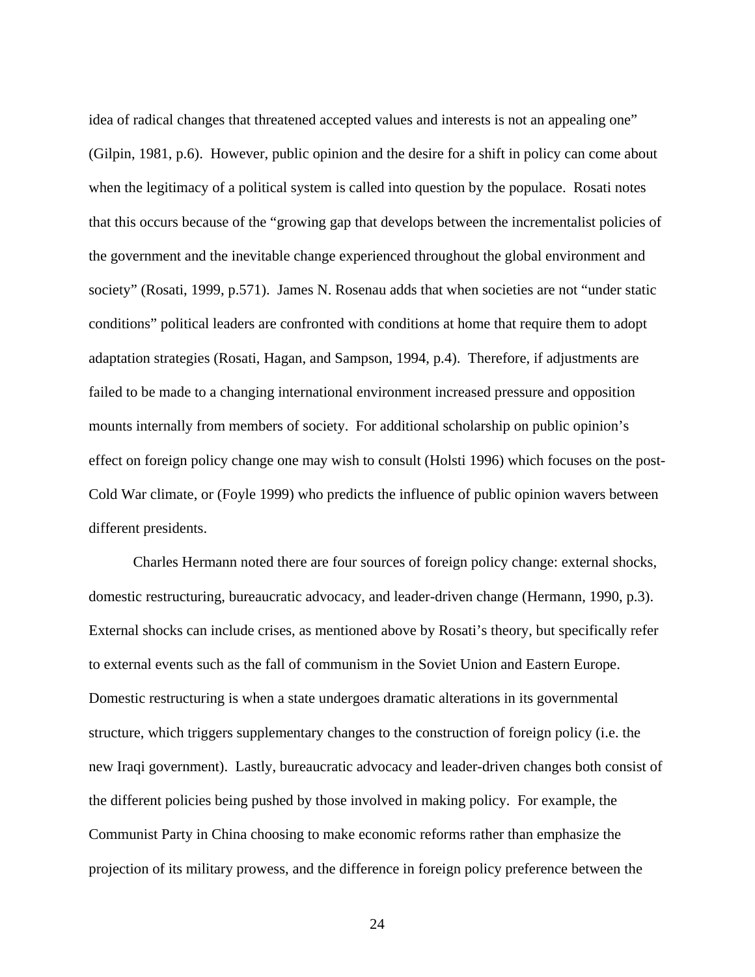idea of radical changes that threatened accepted values and interests is not an appealing one" (Gilpin, 1981, p.6). However, public opinion and the desire for a shift in policy can come about when the legitimacy of a political system is called into question by the populace. Rosati notes that this occurs because of the "growing gap that develops between the incrementalist policies of the government and the inevitable change experienced throughout the global environment and society" (Rosati, 1999, p.571). James N. Rosenau adds that when societies are not "under static conditions" political leaders are confronted with conditions at home that require them to adopt adaptation strategies (Rosati, Hagan, and Sampson, 1994, p.4). Therefore, if adjustments are failed to be made to a changing international environment increased pressure and opposition mounts internally from members of society. For additional scholarship on public opinion's effect on foreign policy change one may wish to consult (Holsti 1996) which focuses on the post-Cold War climate, or (Foyle 1999) who predicts the influence of public opinion wavers between different presidents.

Charles Hermann noted there are four sources of foreign policy change: external shocks, domestic restructuring, bureaucratic advocacy, and leader-driven change (Hermann, 1990, p.3). External shocks can include crises, as mentioned above by Rosati's theory, but specifically refer to external events such as the fall of communism in the Soviet Union and Eastern Europe. Domestic restructuring is when a state undergoes dramatic alterations in its governmental structure, which triggers supplementary changes to the construction of foreign policy (i.e. the new Iraqi government). Lastly, bureaucratic advocacy and leader-driven changes both consist of the different policies being pushed by those involved in making policy. For example, the Communist Party in China choosing to make economic reforms rather than emphasize the projection of its military prowess, and the difference in foreign policy preference between the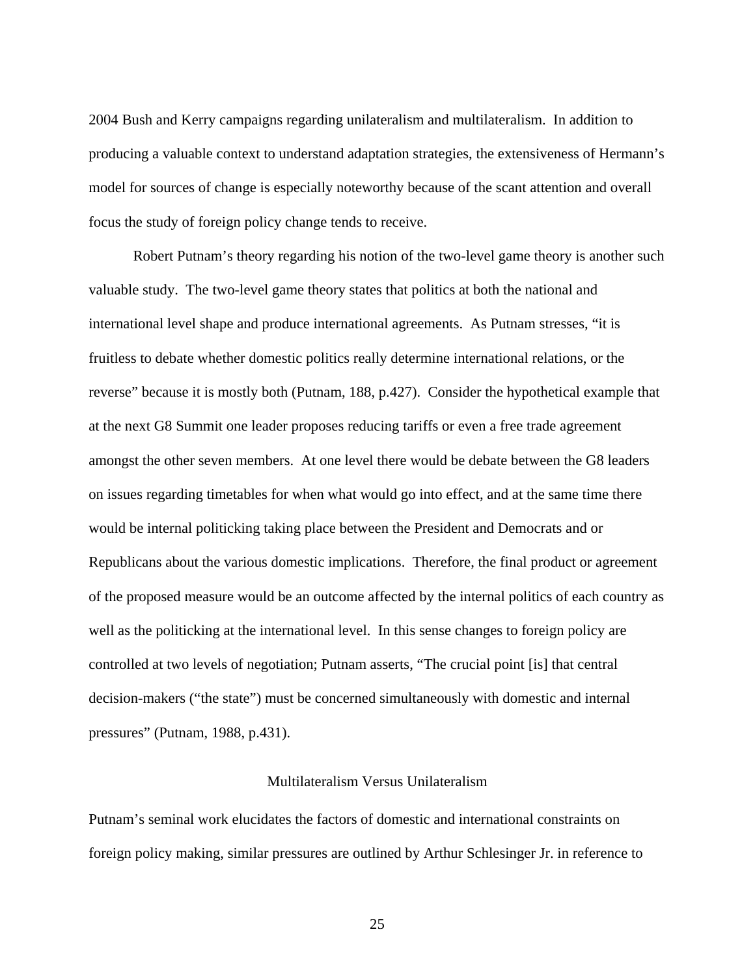2004 Bush and Kerry campaigns regarding unilateralism and multilateralism. In addition to producing a valuable context to understand adaptation strategies, the extensiveness of Hermann's model for sources of change is especially noteworthy because of the scant attention and overall focus the study of foreign policy change tends to receive.

Robert Putnam's theory regarding his notion of the two-level game theory is another such valuable study. The two-level game theory states that politics at both the national and international level shape and produce international agreements. As Putnam stresses, "it is fruitless to debate whether domestic politics really determine international relations, or the reverse" because it is mostly both (Putnam, 188, p.427). Consider the hypothetical example that at the next G8 Summit one leader proposes reducing tariffs or even a free trade agreement amongst the other seven members. At one level there would be debate between the G8 leaders on issues regarding timetables for when what would go into effect, and at the same time there would be internal politicking taking place between the President and Democrats and or Republicans about the various domestic implications. Therefore, the final product or agreement of the proposed measure would be an outcome affected by the internal politics of each country as well as the politicking at the international level. In this sense changes to foreign policy are controlled at two levels of negotiation; Putnam asserts, "The crucial point [is] that central decision-makers ("the state") must be concerned simultaneously with domestic and internal pressures" (Putnam, 1988, p.431).

#### Multilateralism Versus Unilateralism

Putnam's seminal work elucidates the factors of domestic and international constraints on foreign policy making, similar pressures are outlined by Arthur Schlesinger Jr. in reference to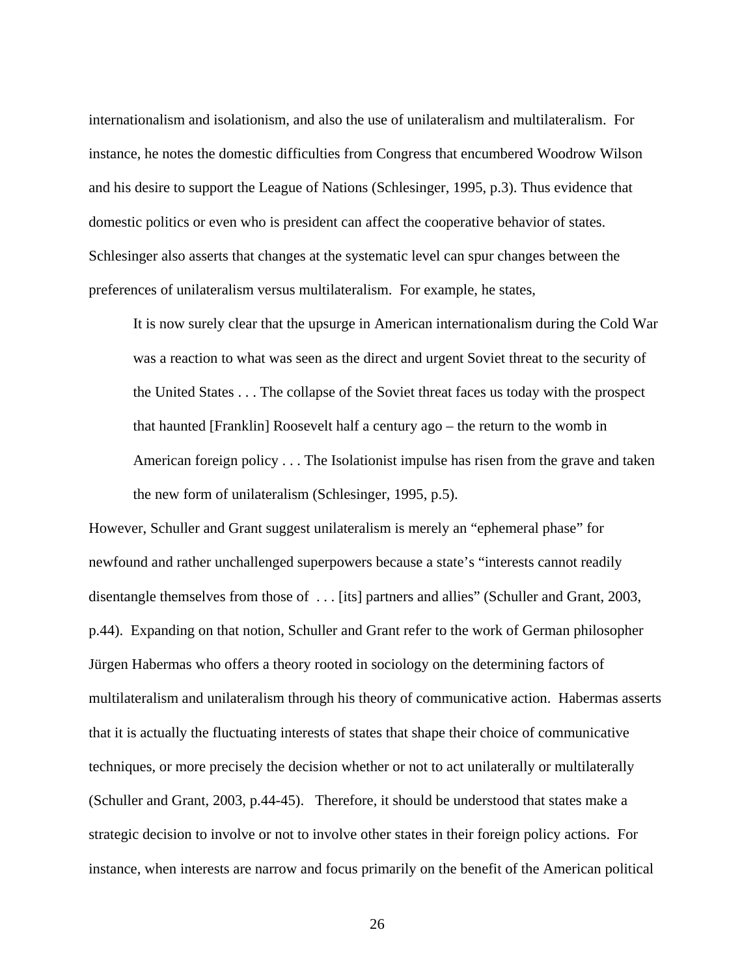internationalism and isolationism, and also the use of unilateralism and multilateralism. For instance, he notes the domestic difficulties from Congress that encumbered Woodrow Wilson and his desire to support the League of Nations (Schlesinger, 1995, p.3). Thus evidence that domestic politics or even who is president can affect the cooperative behavior of states. Schlesinger also asserts that changes at the systematic level can spur changes between the preferences of unilateralism versus multilateralism. For example, he states,

It is now surely clear that the upsurge in American internationalism during the Cold War was a reaction to what was seen as the direct and urgent Soviet threat to the security of the United States . . . The collapse of the Soviet threat faces us today with the prospect that haunted [Franklin] Roosevelt half a century ago – the return to the womb in American foreign policy . . . The Isolationist impulse has risen from the grave and taken the new form of unilateralism (Schlesinger, 1995, p.5).

However, Schuller and Grant suggest unilateralism is merely an "ephemeral phase" for newfound and rather unchallenged superpowers because a state's "interests cannot readily disentangle themselves from those of . . . [its] partners and allies" (Schuller and Grant, 2003, p.44). Expanding on that notion, Schuller and Grant refer to the work of German philosopher Jürgen Habermas who offers a theory rooted in sociology on the determining factors of multilateralism and unilateralism through his theory of communicative action. Habermas asserts that it is actually the fluctuating interests of states that shape their choice of communicative techniques, or more precisely the decision whether or not to act unilaterally or multilaterally (Schuller and Grant, 2003, p.44-45). Therefore, it should be understood that states make a strategic decision to involve or not to involve other states in their foreign policy actions. For instance, when interests are narrow and focus primarily on the benefit of the American political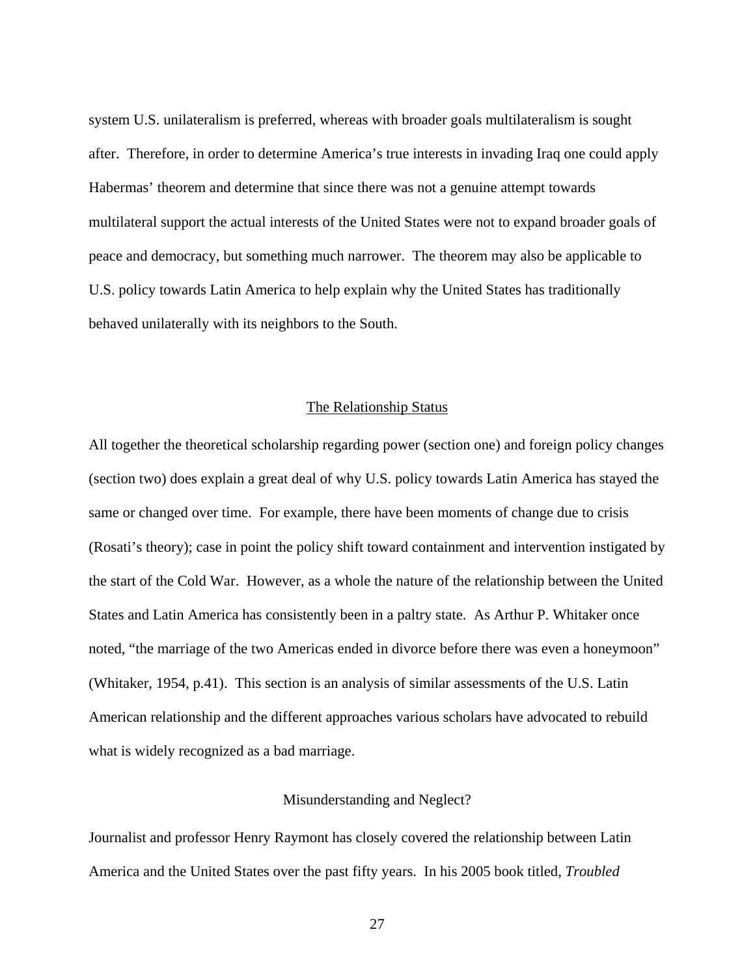<span id="page-33-0"></span>system U.S. unilateralism is preferred, whereas with broader goals multilateralism is sought after. Therefore, in order to determine America's true interests in invading Iraq one could apply Habermas' theorem and determine that since there was not a genuine attempt towards multilateral support the actual interests of the United States were not to expand broader goals of peace and democracy, but something much narrower. The theorem may also be applicable to U.S. policy towards Latin America to help explain why the United States has traditionally behaved unilaterally with its neighbors to the South.

#### The Relationship Status

All together the theoretical scholarship regarding power (section one) and foreign policy changes (section two) does explain a great deal of why U.S. policy towards Latin America has stayed the same or changed over time. For example, there have been moments of change due to crisis (Rosati's theory); case in point the policy shift toward containment and intervention instigated by the start of the Cold War. However, as a whole the nature of the relationship between the United States and Latin America has consistently been in a paltry state. As Arthur P. Whitaker once noted, "the marriage of the two Americas ended in divorce before there was even a honeymoon" (Whitaker, 1954, p.41). This section is an analysis of similar assessments of the U.S. Latin American relationship and the different approaches various scholars have advocated to rebuild what is widely recognized as a bad marriage.

#### Misunderstanding and Neglect?

Journalist and professor Henry Raymont has closely covered the relationship between Latin America and the United States over the past fifty years. In his 2005 book titled, *Troubled*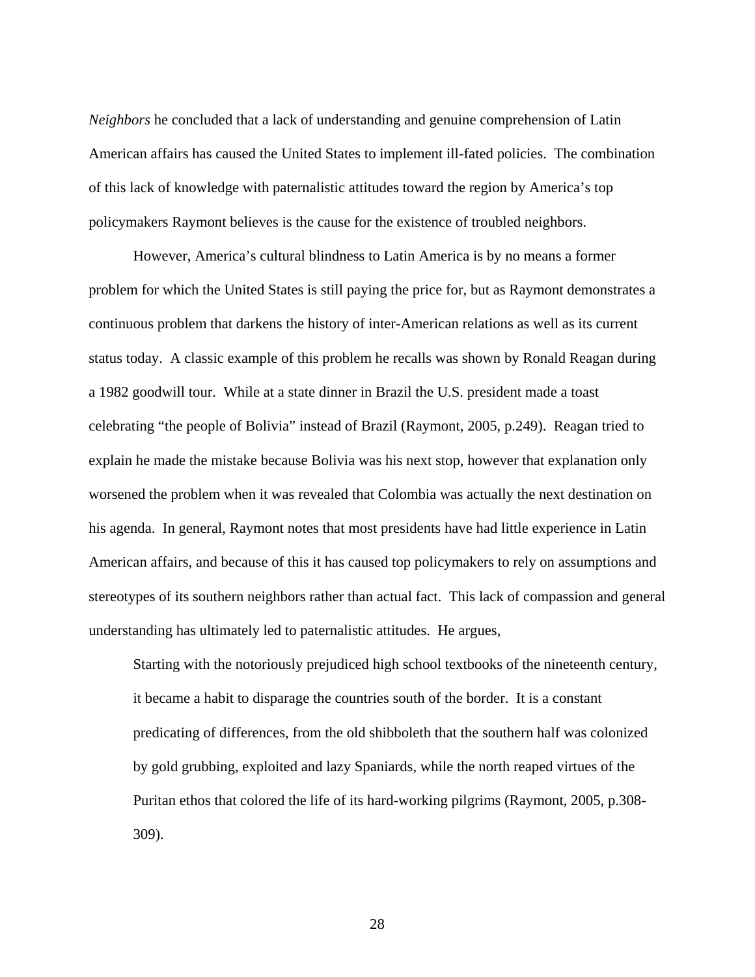*Neighbors* he concluded that a lack of understanding and genuine comprehension of Latin American affairs has caused the United States to implement ill-fated policies. The combination of this lack of knowledge with paternalistic attitudes toward the region by America's top policymakers Raymont believes is the cause for the existence of troubled neighbors.

However, America's cultural blindness to Latin America is by no means a former problem for which the United States is still paying the price for, but as Raymont demonstrates a continuous problem that darkens the history of inter-American relations as well as its current status today. A classic example of this problem he recalls was shown by Ronald Reagan during a 1982 goodwill tour. While at a state dinner in Brazil the U.S. president made a toast celebrating "the people of Bolivia" instead of Brazil (Raymont, 2005, p.249). Reagan tried to explain he made the mistake because Bolivia was his next stop, however that explanation only worsened the problem when it was revealed that Colombia was actually the next destination on his agenda. In general, Raymont notes that most presidents have had little experience in Latin American affairs, and because of this it has caused top policymakers to rely on assumptions and stereotypes of its southern neighbors rather than actual fact. This lack of compassion and general understanding has ultimately led to paternalistic attitudes. He argues,

Starting with the notoriously prejudiced high school textbooks of the nineteenth century, it became a habit to disparage the countries south of the border. It is a constant predicating of differences, from the old shibboleth that the southern half was colonized by gold grubbing, exploited and lazy Spaniards, while the north reaped virtues of the Puritan ethos that colored the life of its hard-working pilgrims (Raymont, 2005, p.308- 309).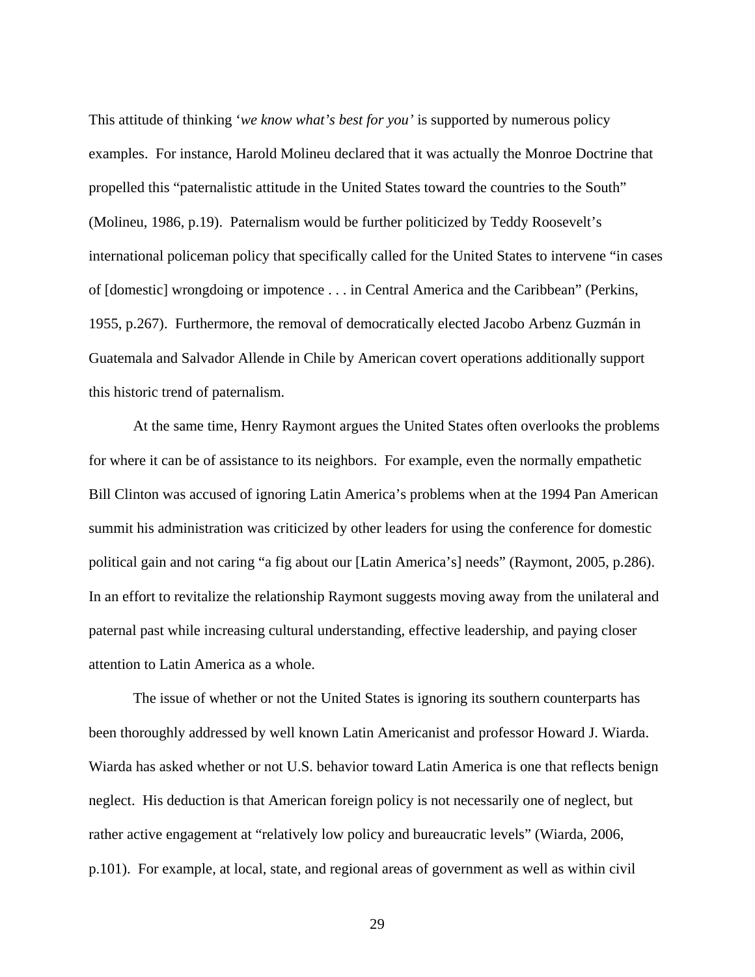This attitude of thinking '*we know what's best for you'* is supported by numerous policy examples. For instance, Harold Molineu declared that it was actually the Monroe Doctrine that propelled this "paternalistic attitude in the United States toward the countries to the South" (Molineu, 1986, p.19). Paternalism would be further politicized by Teddy Roosevelt's international policeman policy that specifically called for the United States to intervene "in cases of [domestic] wrongdoing or impotence . . . in Central America and the Caribbean" (Perkins, 1955, p.267). Furthermore, the removal of democratically elected Jacobo Arbenz Guzmán in Guatemala and Salvador Allende in Chile by American covert operations additionally support this historic trend of paternalism.

At the same time, Henry Raymont argues the United States often overlooks the problems for where it can be of assistance to its neighbors. For example, even the normally empathetic Bill Clinton was accused of ignoring Latin America's problems when at the 1994 Pan American summit his administration was criticized by other leaders for using the conference for domestic political gain and not caring "a fig about our [Latin America's] needs" (Raymont, 2005, p.286). In an effort to revitalize the relationship Raymont suggests moving away from the unilateral and paternal past while increasing cultural understanding, effective leadership, and paying closer attention to Latin America as a whole.

The issue of whether or not the United States is ignoring its southern counterparts has been thoroughly addressed by well known Latin Americanist and professor Howard J. Wiarda. Wiarda has asked whether or not U.S. behavior toward Latin America is one that reflects benign neglect. His deduction is that American foreign policy is not necessarily one of neglect, but rather active engagement at "relatively low policy and bureaucratic levels" (Wiarda, 2006, p.101). For example, at local, state, and regional areas of government as well as within civil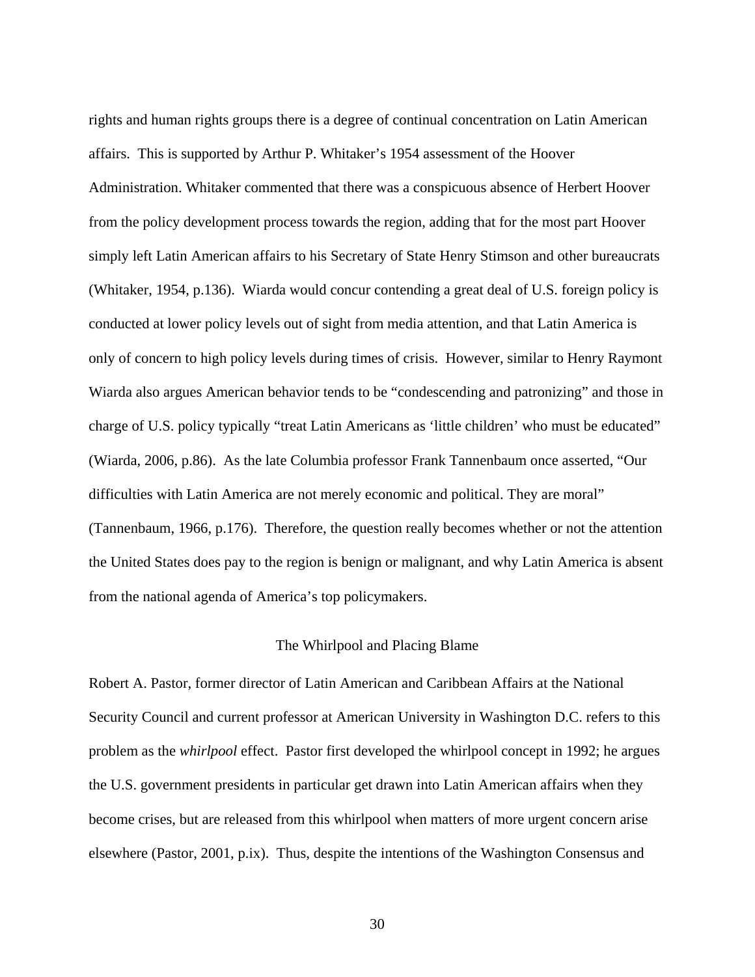rights and human rights groups there is a degree of continual concentration on Latin American affairs. This is supported by Arthur P. Whitaker's 1954 assessment of the Hoover Administration. Whitaker commented that there was a conspicuous absence of Herbert Hoover from the policy development process towards the region, adding that for the most part Hoover simply left Latin American affairs to his Secretary of State Henry Stimson and other bureaucrats (Whitaker, 1954, p.136). Wiarda would concur contending a great deal of U.S. foreign policy is conducted at lower policy levels out of sight from media attention, and that Latin America is only of concern to high policy levels during times of crisis. However, similar to Henry Raymont Wiarda also argues American behavior tends to be "condescending and patronizing" and those in charge of U.S. policy typically "treat Latin Americans as 'little children' who must be educated" (Wiarda, 2006, p.86). As the late Columbia professor Frank Tannenbaum once asserted, "Our difficulties with Latin America are not merely economic and political. They are moral" (Tannenbaum, 1966, p.176). Therefore, the question really becomes whether or not the attention the United States does pay to the region is benign or malignant, and why Latin America is absent from the national agenda of America's top policymakers.

### The Whirlpool and Placing Blame

Robert A. Pastor, former director of Latin American and Caribbean Affairs at the National Security Council and current professor at American University in Washington D.C. refers to this problem as the *whirlpool* effect. Pastor first developed the whirlpool concept in 1992; he argues the U.S. government presidents in particular get drawn into Latin American affairs when they become crises, but are released from this whirlpool when matters of more urgent concern arise elsewhere (Pastor, 2001, p.ix). Thus, despite the intentions of the Washington Consensus and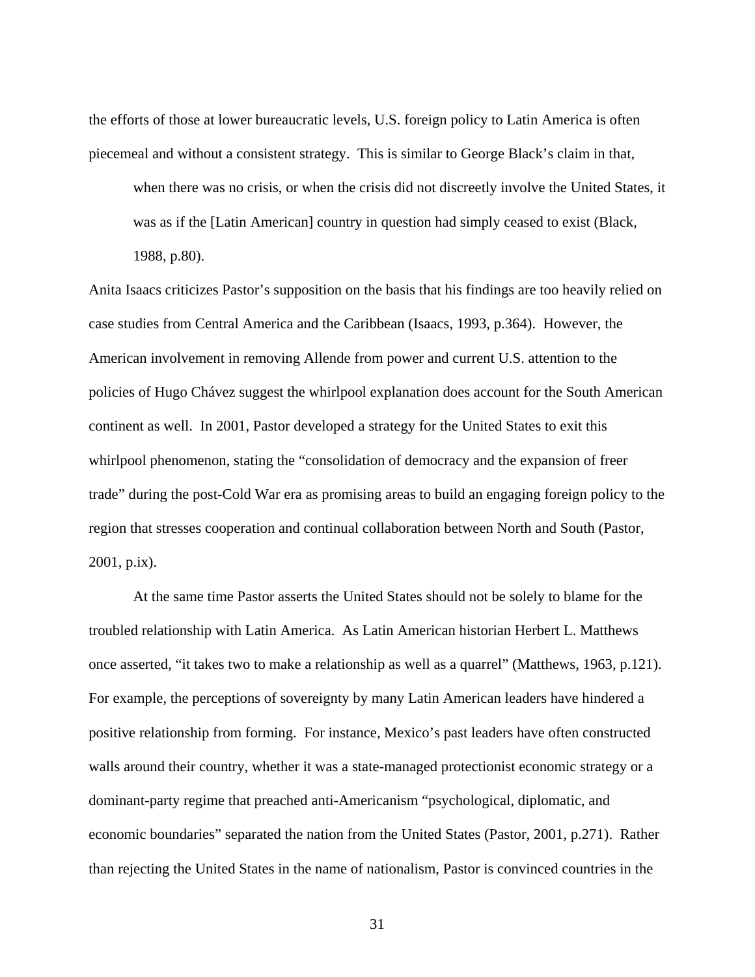the efforts of those at lower bureaucratic levels, U.S. foreign policy to Latin America is often piecemeal and without a consistent strategy. This is similar to George Black's claim in that,

when there was no crisis, or when the crisis did not discreetly involve the United States, it was as if the [Latin American] country in question had simply ceased to exist (Black, 1988, p.80).

Anita Isaacs criticizes Pastor's supposition on the basis that his findings are too heavily relied on case studies from Central America and the Caribbean (Isaacs, 1993, p.364). However, the American involvement in removing Allende from power and current U.S. attention to the policies of Hugo Chávez suggest the whirlpool explanation does account for the South American continent as well. In 2001, Pastor developed a strategy for the United States to exit this whirlpool phenomenon, stating the "consolidation of democracy and the expansion of freer trade" during the post-Cold War era as promising areas to build an engaging foreign policy to the region that stresses cooperation and continual collaboration between North and South (Pastor, 2001, p.ix).

At the same time Pastor asserts the United States should not be solely to blame for the troubled relationship with Latin America. As Latin American historian Herbert L. Matthews once asserted, "it takes two to make a relationship as well as a quarrel" (Matthews, 1963, p.121). For example, the perceptions of sovereignty by many Latin American leaders have hindered a positive relationship from forming. For instance, Mexico's past leaders have often constructed walls around their country, whether it was a state-managed protectionist economic strategy or a dominant-party regime that preached anti-Americanism "psychological, diplomatic, and economic boundaries" separated the nation from the United States (Pastor, 2001, p.271). Rather than rejecting the United States in the name of nationalism, Pastor is convinced countries in the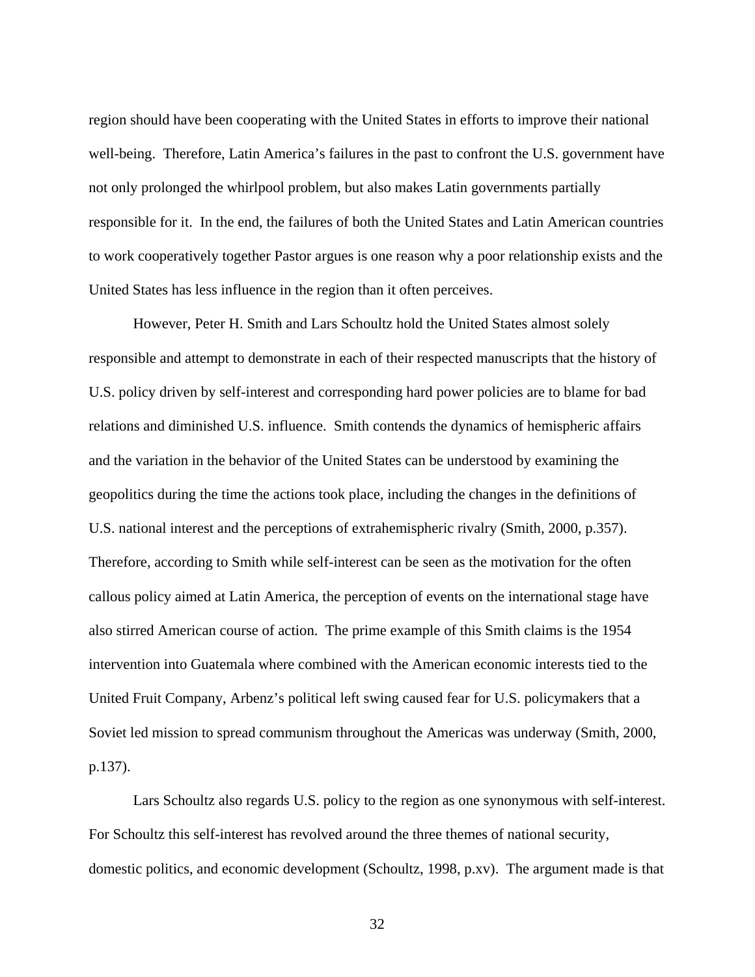region should have been cooperating with the United States in efforts to improve their national well-being. Therefore, Latin America's failures in the past to confront the U.S. government have not only prolonged the whirlpool problem, but also makes Latin governments partially responsible for it. In the end, the failures of both the United States and Latin American countries to work cooperatively together Pastor argues is one reason why a poor relationship exists and the United States has less influence in the region than it often perceives.

However, Peter H. Smith and Lars Schoultz hold the United States almost solely responsible and attempt to demonstrate in each of their respected manuscripts that the history of U.S. policy driven by self-interest and corresponding hard power policies are to blame for bad relations and diminished U.S. influence. Smith contends the dynamics of hemispheric affairs and the variation in the behavior of the United States can be understood by examining the geopolitics during the time the actions took place, including the changes in the definitions of U.S. national interest and the perceptions of extrahemispheric rivalry (Smith, 2000, p.357). Therefore, according to Smith while self-interest can be seen as the motivation for the often callous policy aimed at Latin America, the perception of events on the international stage have also stirred American course of action. The prime example of this Smith claims is the 1954 intervention into Guatemala where combined with the American economic interests tied to the United Fruit Company, Arbenz's political left swing caused fear for U.S. policymakers that a Soviet led mission to spread communism throughout the Americas was underway (Smith, 2000, p.137).

Lars Schoultz also regards U.S. policy to the region as one synonymous with self-interest. For Schoultz this self-interest has revolved around the three themes of national security, domestic politics, and economic development (Schoultz, 1998, p.xv). The argument made is that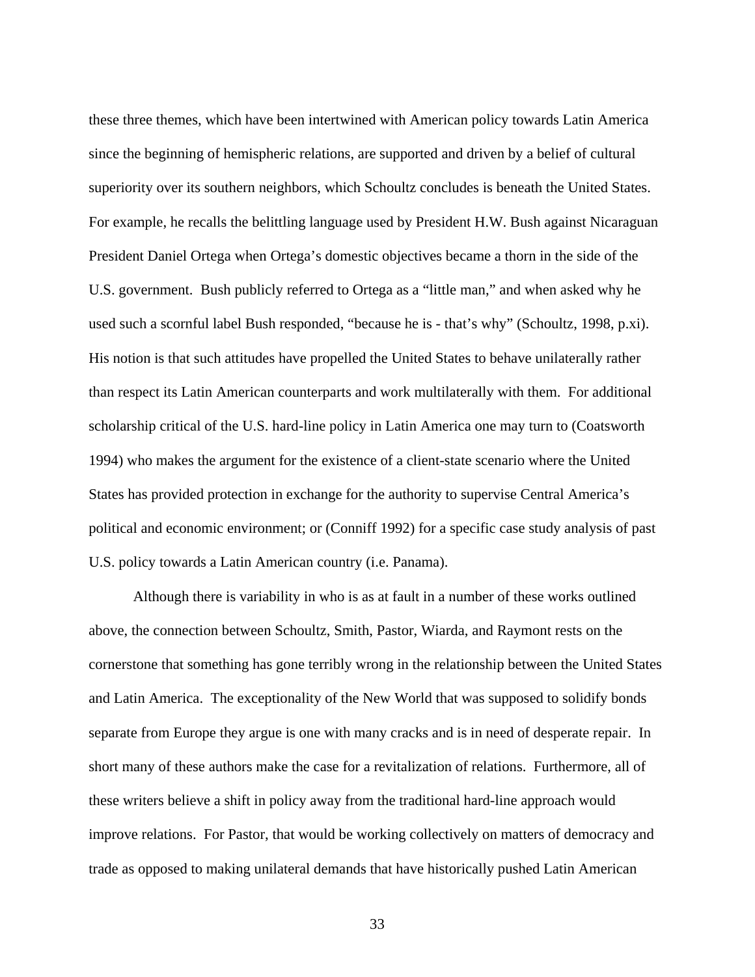these three themes, which have been intertwined with American policy towards Latin America since the beginning of hemispheric relations, are supported and driven by a belief of cultural superiority over its southern neighbors, which Schoultz concludes is beneath the United States. For example, he recalls the belittling language used by President H.W. Bush against Nicaraguan President Daniel Ortega when Ortega's domestic objectives became a thorn in the side of the U.S. government. Bush publicly referred to Ortega as a "little man," and when asked why he used such a scornful label Bush responded, "because he is - that's why" (Schoultz, 1998, p.xi). His notion is that such attitudes have propelled the United States to behave unilaterally rather than respect its Latin American counterparts and work multilaterally with them. For additional scholarship critical of the U.S. hard-line policy in Latin America one may turn to (Coatsworth 1994) who makes the argument for the existence of a client-state scenario where the United States has provided protection in exchange for the authority to supervise Central America's political and economic environment; or (Conniff 1992) for a specific case study analysis of past U.S. policy towards a Latin American country (i.e. Panama).

Although there is variability in who is as at fault in a number of these works outlined above, the connection between Schoultz, Smith, Pastor, Wiarda, and Raymont rests on the cornerstone that something has gone terribly wrong in the relationship between the United States and Latin America. The exceptionality of the New World that was supposed to solidify bonds separate from Europe they argue is one with many cracks and is in need of desperate repair. In short many of these authors make the case for a revitalization of relations. Furthermore, all of these writers believe a shift in policy away from the traditional hard-line approach would improve relations. For Pastor, that would be working collectively on matters of democracy and trade as opposed to making unilateral demands that have historically pushed Latin American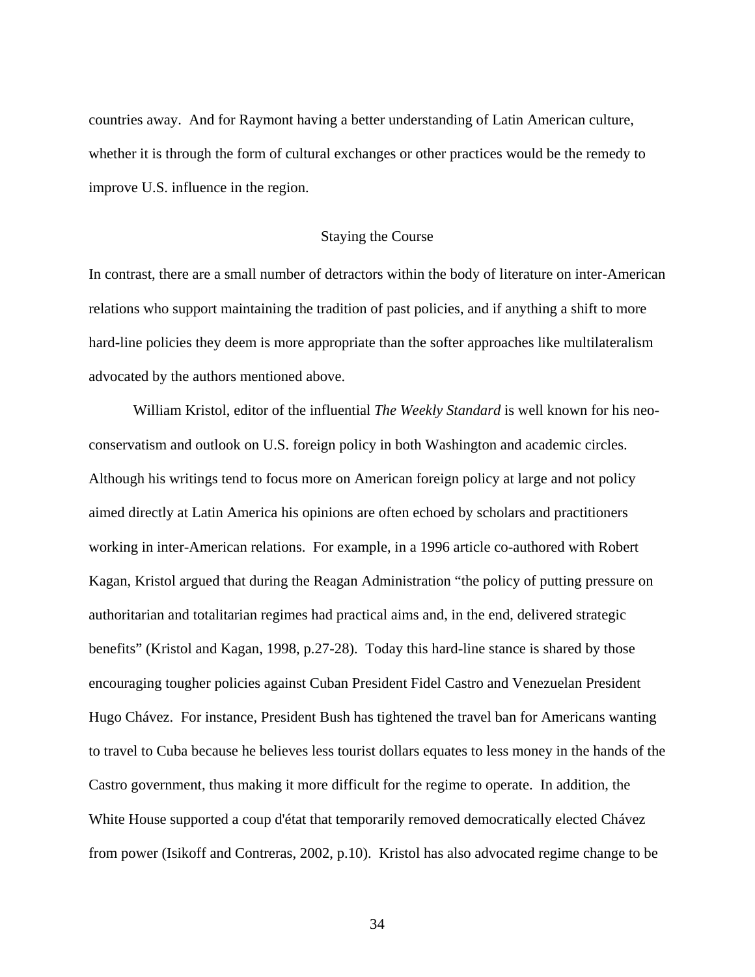countries away. And for Raymont having a better understanding of Latin American culture, whether it is through the form of cultural exchanges or other practices would be the remedy to improve U.S. influence in the region.

## Staying the Course

In contrast, there are a small number of detractors within the body of literature on inter-American relations who support maintaining the tradition of past policies, and if anything a shift to more hard-line policies they deem is more appropriate than the softer approaches like multilateralism advocated by the authors mentioned above.

William Kristol, editor of the influential *The Weekly Standard* is well known for his neoconservatism and outlook on U.S. foreign policy in both Washington and academic circles. Although his writings tend to focus more on American foreign policy at large and not policy aimed directly at Latin America his opinions are often echoed by scholars and practitioners working in inter-American relations. For example, in a 1996 article co-authored with Robert Kagan, Kristol argued that during the Reagan Administration "the policy of putting pressure on authoritarian and totalitarian regimes had practical aims and, in the end, delivered strategic benefits" (Kristol and Kagan, 1998, p.27-28). Today this hard-line stance is shared by those encouraging tougher policies against Cuban President Fidel Castro and Venezuelan President Hugo Chávez. For instance, President Bush has tightened the travel ban for Americans wanting to travel to Cuba because he believes less tourist dollars equates to less money in the hands of the Castro government, thus making it more difficult for the regime to operate. In addition, the White House supported a coup d'état that temporarily removed democratically elected Chávez from power (Isikoff and Contreras, 2002, p.10). Kristol has also advocated regime change to be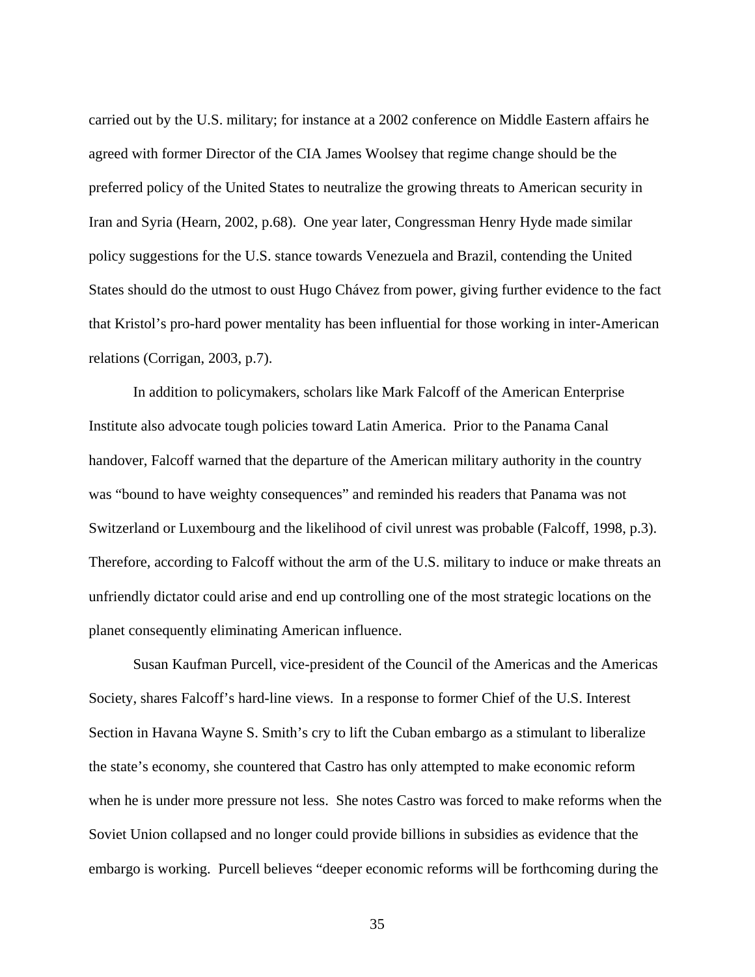carried out by the U.S. military; for instance at a 2002 conference on Middle Eastern affairs he agreed with former Director of the CIA James Woolsey that regime change should be the preferred policy of the United States to neutralize the growing threats to American security in Iran and Syria (Hearn, 2002, p.68). One year later, Congressman Henry Hyde made similar policy suggestions for the U.S. stance towards Venezuela and Brazil, contending the United States should do the utmost to oust Hugo Chávez from power, giving further evidence to the fact that Kristol's pro-hard power mentality has been influential for those working in inter-American relations (Corrigan, 2003, p.7).

In addition to policymakers, scholars like Mark Falcoff of the American Enterprise Institute also advocate tough policies toward Latin America. Prior to the Panama Canal handover, Falcoff warned that the departure of the American military authority in the country was "bound to have weighty consequences" and reminded his readers that Panama was not Switzerland or Luxembourg and the likelihood of civil unrest was probable (Falcoff, 1998, p.3). Therefore, according to Falcoff without the arm of the U.S. military to induce or make threats an unfriendly dictator could arise and end up controlling one of the most strategic locations on the planet consequently eliminating American influence.

Susan Kaufman Purcell, vice-president of the Council of the Americas and the Americas Society, shares Falcoff's hard-line views. In a response to former Chief of the U.S. Interest Section in Havana Wayne S. Smith's cry to lift the Cuban embargo as a stimulant to liberalize the state's economy, she countered that Castro has only attempted to make economic reform when he is under more pressure not less. She notes Castro was forced to make reforms when the Soviet Union collapsed and no longer could provide billions in subsidies as evidence that the embargo is working. Purcell believes "deeper economic reforms will be forthcoming during the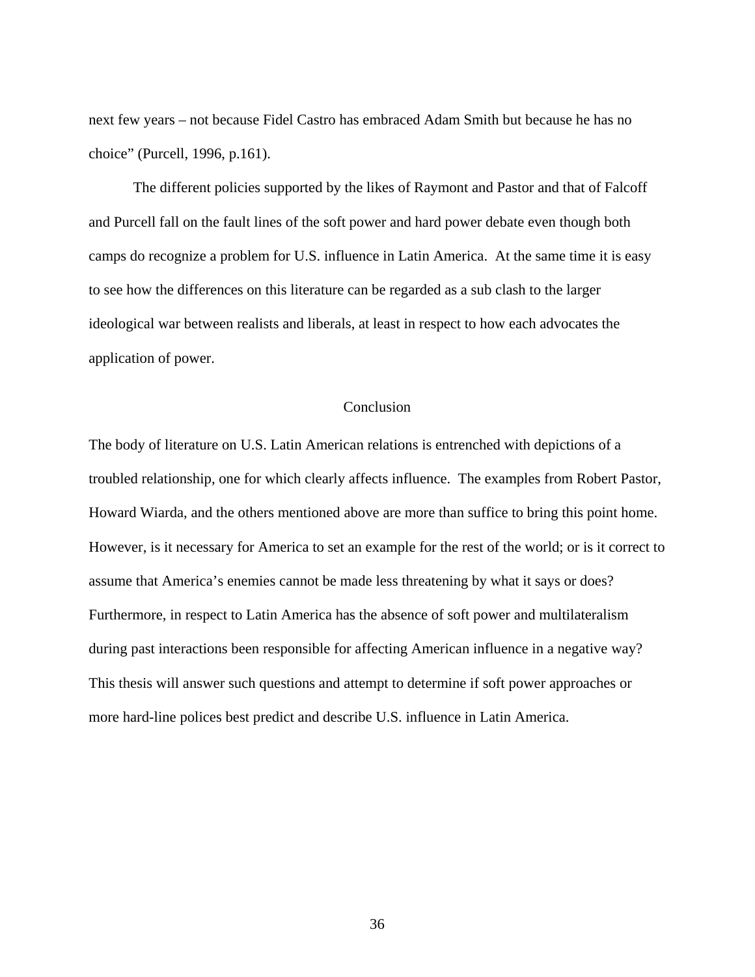next few years – not because Fidel Castro has embraced Adam Smith but because he has no choice" (Purcell, 1996, p.161).

The different policies supported by the likes of Raymont and Pastor and that of Falcoff and Purcell fall on the fault lines of the soft power and hard power debate even though both camps do recognize a problem for U.S. influence in Latin America. At the same time it is easy to see how the differences on this literature can be regarded as a sub clash to the larger ideological war between realists and liberals, at least in respect to how each advocates the application of power.

## Conclusion

The body of literature on U.S. Latin American relations is entrenched with depictions of a troubled relationship, one for which clearly affects influence. The examples from Robert Pastor, Howard Wiarda, and the others mentioned above are more than suffice to bring this point home. However, is it necessary for America to set an example for the rest of the world; or is it correct to assume that America's enemies cannot be made less threatening by what it says or does? Furthermore, in respect to Latin America has the absence of soft power and multilateralism during past interactions been responsible for affecting American influence in a negative way? This thesis will answer such questions and attempt to determine if soft power approaches or more hard-line polices best predict and describe U.S. influence in Latin America.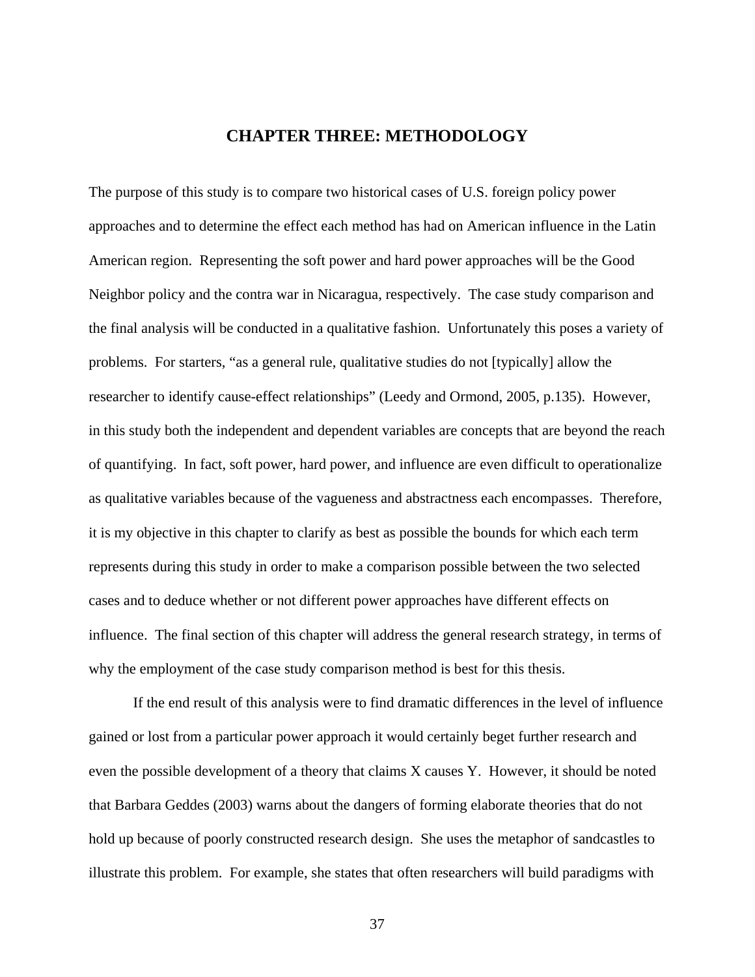# **CHAPTER THREE: METHODOLOGY**

The purpose of this study is to compare two historical cases of U.S. foreign policy power approaches and to determine the effect each method has had on American influence in the Latin American region. Representing the soft power and hard power approaches will be the Good Neighbor policy and the contra war in Nicaragua, respectively. The case study comparison and the final analysis will be conducted in a qualitative fashion. Unfortunately this poses a variety of problems. For starters, "as a general rule, qualitative studies do not [typically] allow the researcher to identify cause-effect relationships" (Leedy and Ormond, 2005, p.135). However, in this study both the independent and dependent variables are concepts that are beyond the reach of quantifying. In fact, soft power, hard power, and influence are even difficult to operationalize as qualitative variables because of the vagueness and abstractness each encompasses. Therefore, it is my objective in this chapter to clarify as best as possible the bounds for which each term represents during this study in order to make a comparison possible between the two selected cases and to deduce whether or not different power approaches have different effects on influence. The final section of this chapter will address the general research strategy, in terms of why the employment of the case study comparison method is best for this thesis.

If the end result of this analysis were to find dramatic differences in the level of influence gained or lost from a particular power approach it would certainly beget further research and even the possible development of a theory that claims X causes Y. However, it should be noted that Barbara Geddes (2003) warns about the dangers of forming elaborate theories that do not hold up because of poorly constructed research design. She uses the metaphor of sandcastles to illustrate this problem. For example, she states that often researchers will build paradigms with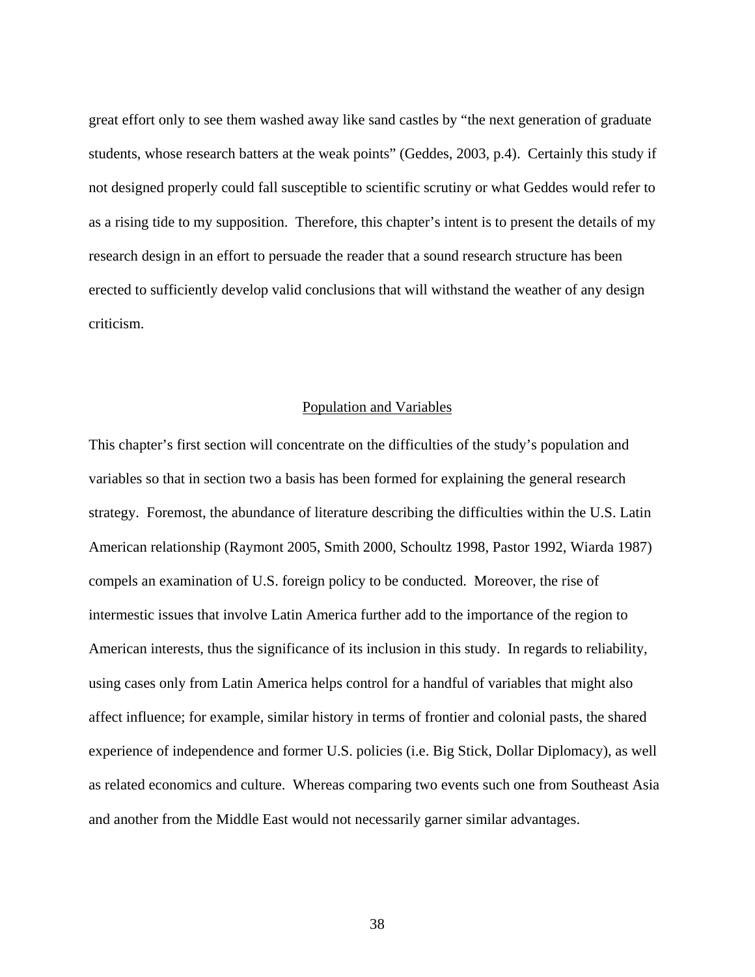great effort only to see them washed away like sand castles by "the next generation of graduate students, whose research batters at the weak points" (Geddes, 2003, p.4). Certainly this study if not designed properly could fall susceptible to scientific scrutiny or what Geddes would refer to as a rising tide to my supposition. Therefore, this chapter's intent is to present the details of my research design in an effort to persuade the reader that a sound research structure has been erected to sufficiently develop valid conclusions that will withstand the weather of any design criticism.

#### Population and Variables

This chapter's first section will concentrate on the difficulties of the study's population and variables so that in section two a basis has been formed for explaining the general research strategy. Foremost, the abundance of literature describing the difficulties within the U.S. Latin American relationship (Raymont 2005, Smith 2000, Schoultz 1998, Pastor 1992, Wiarda 1987) compels an examination of U.S. foreign policy to be conducted. Moreover, the rise of intermestic issues that involve Latin America further add to the importance of the region to American interests, thus the significance of its inclusion in this study. In regards to reliability, using cases only from Latin America helps control for a handful of variables that might also affect influence; for example, similar history in terms of frontier and colonial pasts, the shared experience of independence and former U.S. policies (i.e. Big Stick, Dollar Diplomacy), as well as related economics and culture. Whereas comparing two events such one from Southeast Asia and another from the Middle East would not necessarily garner similar advantages.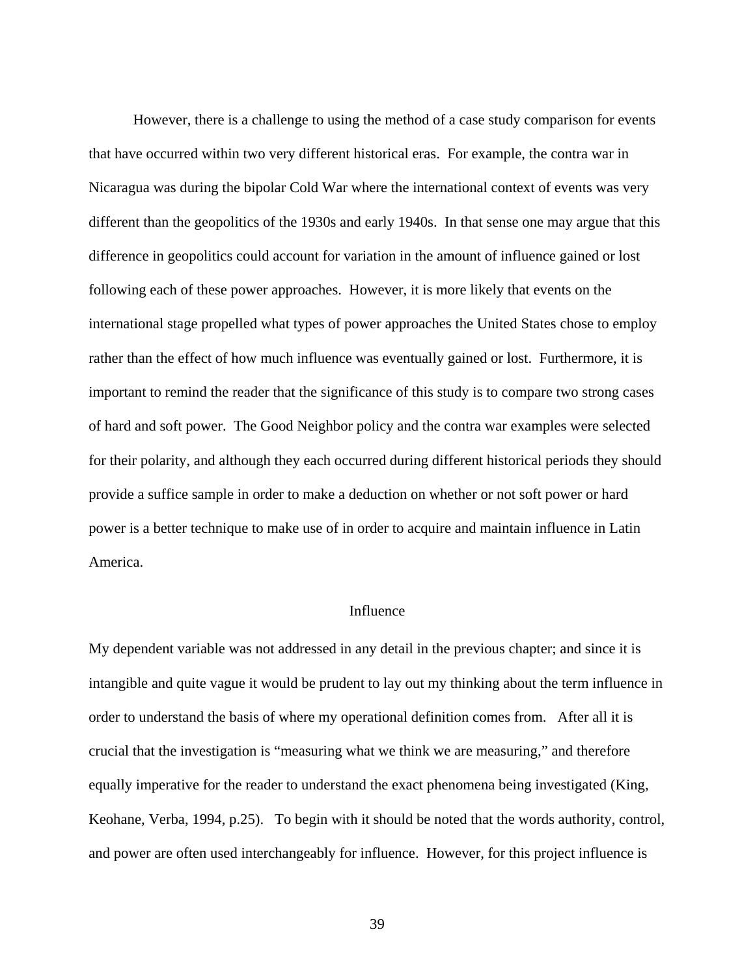However, there is a challenge to using the method of a case study comparison for events that have occurred within two very different historical eras. For example, the contra war in Nicaragua was during the bipolar Cold War where the international context of events was very different than the geopolitics of the 1930s and early 1940s. In that sense one may argue that this difference in geopolitics could account for variation in the amount of influence gained or lost following each of these power approaches. However, it is more likely that events on the international stage propelled what types of power approaches the United States chose to employ rather than the effect of how much influence was eventually gained or lost. Furthermore, it is important to remind the reader that the significance of this study is to compare two strong cases of hard and soft power. The Good Neighbor policy and the contra war examples were selected for their polarity, and although they each occurred during different historical periods they should provide a suffice sample in order to make a deduction on whether or not soft power or hard power is a better technique to make use of in order to acquire and maintain influence in Latin America.

## Influence

My dependent variable was not addressed in any detail in the previous chapter; and since it is intangible and quite vague it would be prudent to lay out my thinking about the term influence in order to understand the basis of where my operational definition comes from. After all it is crucial that the investigation is "measuring what we think we are measuring," and therefore equally imperative for the reader to understand the exact phenomena being investigated (King, Keohane, Verba, 1994, p.25). To begin with it should be noted that the words authority, control, and power are often used interchangeably for influence. However, for this project influence is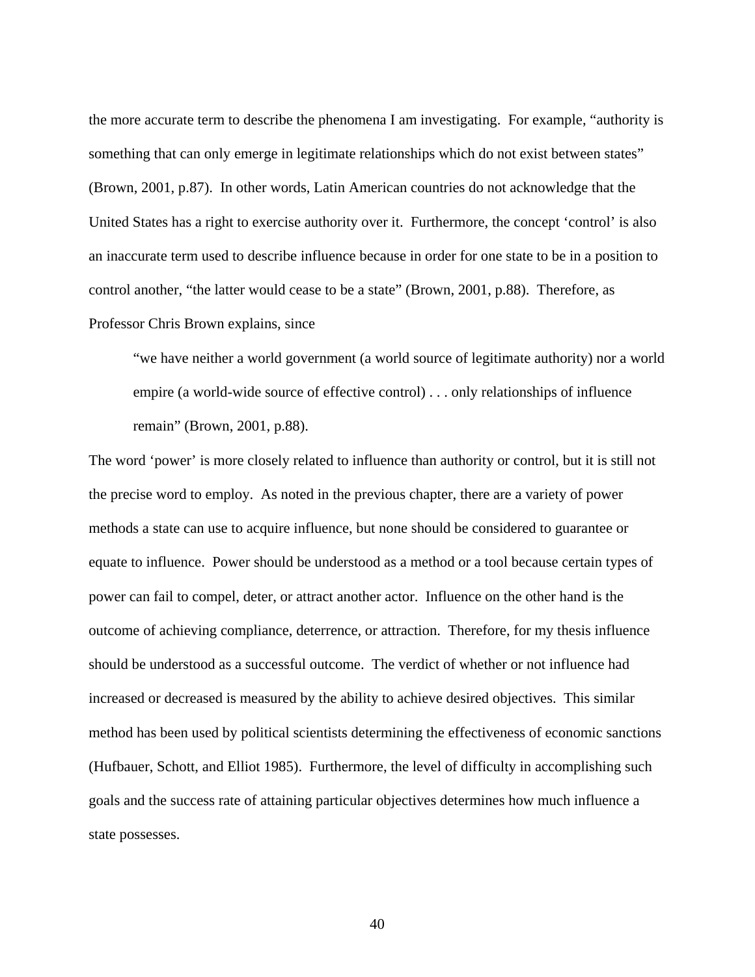the more accurate term to describe the phenomena I am investigating. For example, "authority is something that can only emerge in legitimate relationships which do not exist between states" (Brown, 2001, p.87). In other words, Latin American countries do not acknowledge that the United States has a right to exercise authority over it. Furthermore, the concept 'control' is also an inaccurate term used to describe influence because in order for one state to be in a position to control another, "the latter would cease to be a state" (Brown, 2001, p.88). Therefore, as Professor Chris Brown explains, since

"we have neither a world government (a world source of legitimate authority) nor a world empire (a world-wide source of effective control) . . . only relationships of influence remain" (Brown, 2001, p.88).

The word 'power' is more closely related to influence than authority or control, but it is still not the precise word to employ. As noted in the previous chapter, there are a variety of power methods a state can use to acquire influence, but none should be considered to guarantee or equate to influence. Power should be understood as a method or a tool because certain types of power can fail to compel, deter, or attract another actor. Influence on the other hand is the outcome of achieving compliance, deterrence, or attraction. Therefore, for my thesis influence should be understood as a successful outcome. The verdict of whether or not influence had increased or decreased is measured by the ability to achieve desired objectives. This similar method has been used by political scientists determining the effectiveness of economic sanctions (Hufbauer, Schott, and Elliot 1985). Furthermore, the level of difficulty in accomplishing such goals and the success rate of attaining particular objectives determines how much influence a state possesses.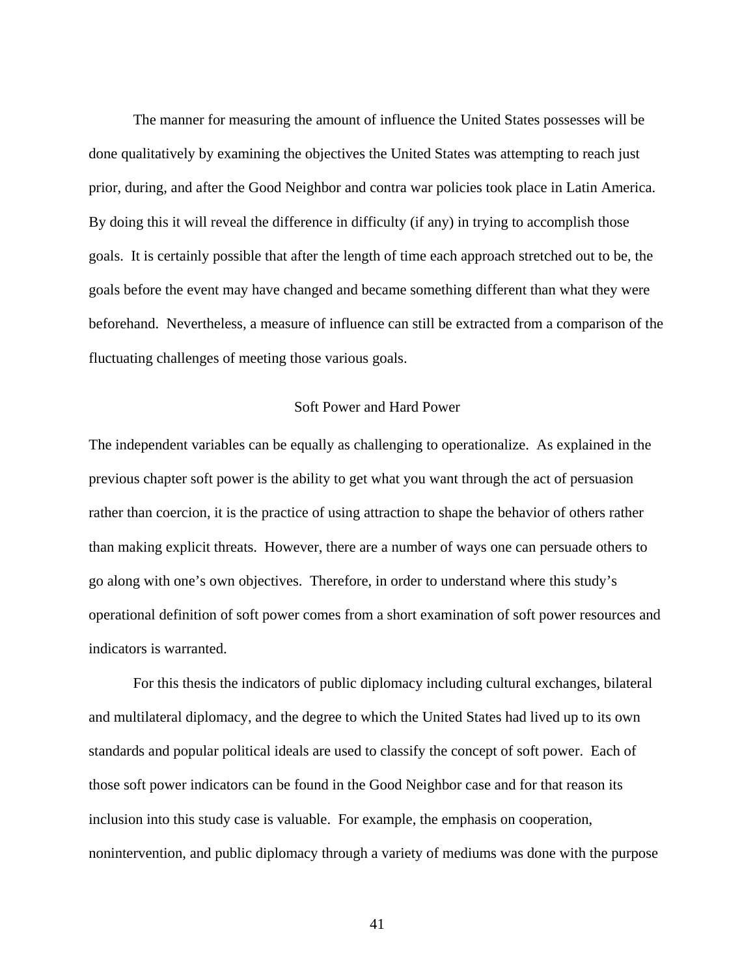The manner for measuring the amount of influence the United States possesses will be done qualitatively by examining the objectives the United States was attempting to reach just prior, during, and after the Good Neighbor and contra war policies took place in Latin America. By doing this it will reveal the difference in difficulty (if any) in trying to accomplish those goals. It is certainly possible that after the length of time each approach stretched out to be, the goals before the event may have changed and became something different than what they were beforehand. Nevertheless, a measure of influence can still be extracted from a comparison of the fluctuating challenges of meeting those various goals.

# Soft Power and Hard Power

The independent variables can be equally as challenging to operationalize. As explained in the previous chapter soft power is the ability to get what you want through the act of persuasion rather than coercion, it is the practice of using attraction to shape the behavior of others rather than making explicit threats. However, there are a number of ways one can persuade others to go along with one's own objectives. Therefore, in order to understand where this study's operational definition of soft power comes from a short examination of soft power resources and indicators is warranted.

For this thesis the indicators of public diplomacy including cultural exchanges, bilateral and multilateral diplomacy, and the degree to which the United States had lived up to its own standards and popular political ideals are used to classify the concept of soft power. Each of those soft power indicators can be found in the Good Neighbor case and for that reason its inclusion into this study case is valuable. For example, the emphasis on cooperation, nonintervention, and public diplomacy through a variety of mediums was done with the purpose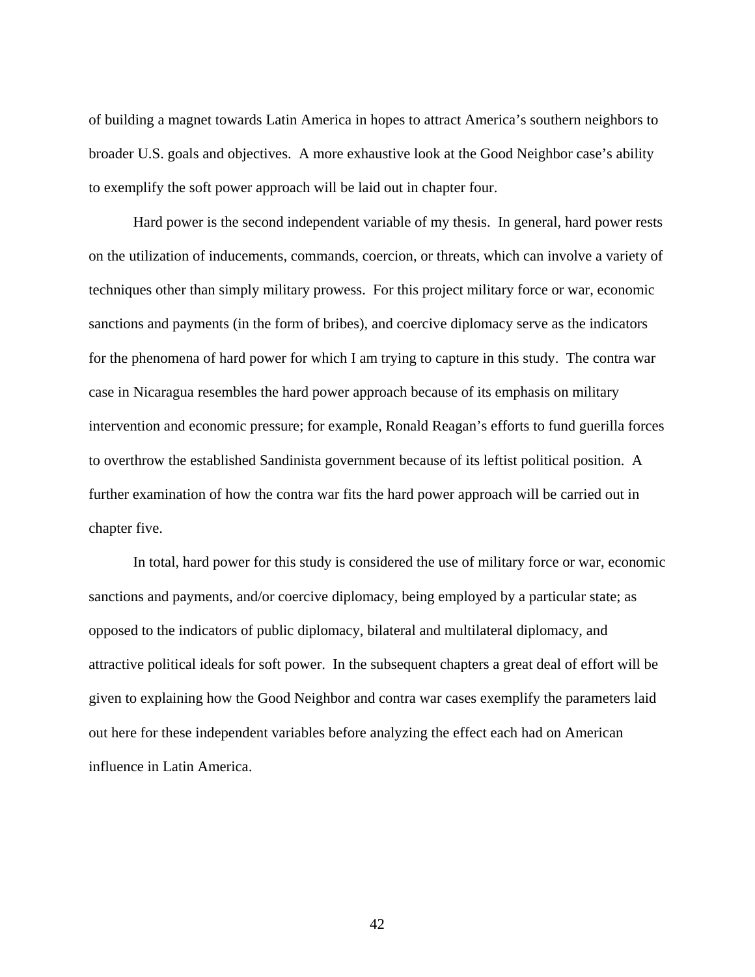of building a magnet towards Latin America in hopes to attract America's southern neighbors to broader U.S. goals and objectives. A more exhaustive look at the Good Neighbor case's ability to exemplify the soft power approach will be laid out in chapter four.

Hard power is the second independent variable of my thesis. In general, hard power rests on the utilization of inducements, commands, coercion, or threats, which can involve a variety of techniques other than simply military prowess. For this project military force or war, economic sanctions and payments (in the form of bribes), and coercive diplomacy serve as the indicators for the phenomena of hard power for which I am trying to capture in this study. The contra war case in Nicaragua resembles the hard power approach because of its emphasis on military intervention and economic pressure; for example, Ronald Reagan's efforts to fund guerilla forces to overthrow the established Sandinista government because of its leftist political position. A further examination of how the contra war fits the hard power approach will be carried out in chapter five.

In total, hard power for this study is considered the use of military force or war, economic sanctions and payments, and/or coercive diplomacy, being employed by a particular state; as opposed to the indicators of public diplomacy, bilateral and multilateral diplomacy, and attractive political ideals for soft power. In the subsequent chapters a great deal of effort will be given to explaining how the Good Neighbor and contra war cases exemplify the parameters laid out here for these independent variables before analyzing the effect each had on American influence in Latin America.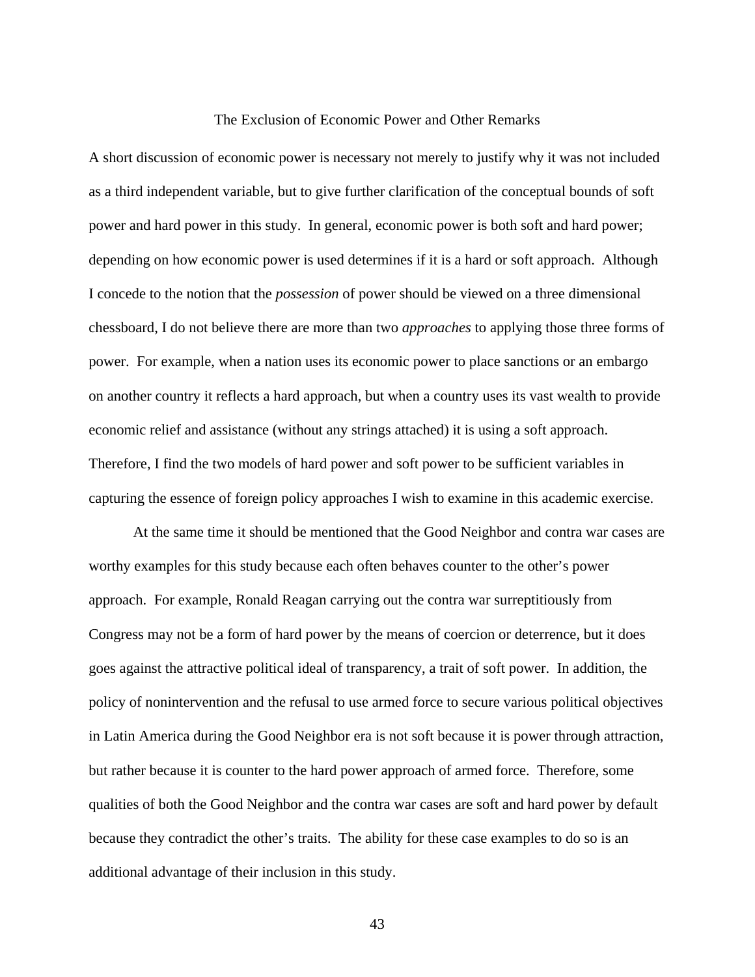#### The Exclusion of Economic Power and Other Remarks

A short discussion of economic power is necessary not merely to justify why it was not included as a third independent variable, but to give further clarification of the conceptual bounds of soft power and hard power in this study. In general, economic power is both soft and hard power; depending on how economic power is used determines if it is a hard or soft approach. Although I concede to the notion that the *possession* of power should be viewed on a three dimensional chessboard, I do not believe there are more than two *approaches* to applying those three forms of power. For example, when a nation uses its economic power to place sanctions or an embargo on another country it reflects a hard approach, but when a country uses its vast wealth to provide economic relief and assistance (without any strings attached) it is using a soft approach. Therefore, I find the two models of hard power and soft power to be sufficient variables in capturing the essence of foreign policy approaches I wish to examine in this academic exercise.

At the same time it should be mentioned that the Good Neighbor and contra war cases are worthy examples for this study because each often behaves counter to the other's power approach. For example, Ronald Reagan carrying out the contra war surreptitiously from Congress may not be a form of hard power by the means of coercion or deterrence, but it does goes against the attractive political ideal of transparency, a trait of soft power. In addition, the policy of nonintervention and the refusal to use armed force to secure various political objectives in Latin America during the Good Neighbor era is not soft because it is power through attraction, but rather because it is counter to the hard power approach of armed force. Therefore, some qualities of both the Good Neighbor and the contra war cases are soft and hard power by default because they contradict the other's traits. The ability for these case examples to do so is an additional advantage of their inclusion in this study.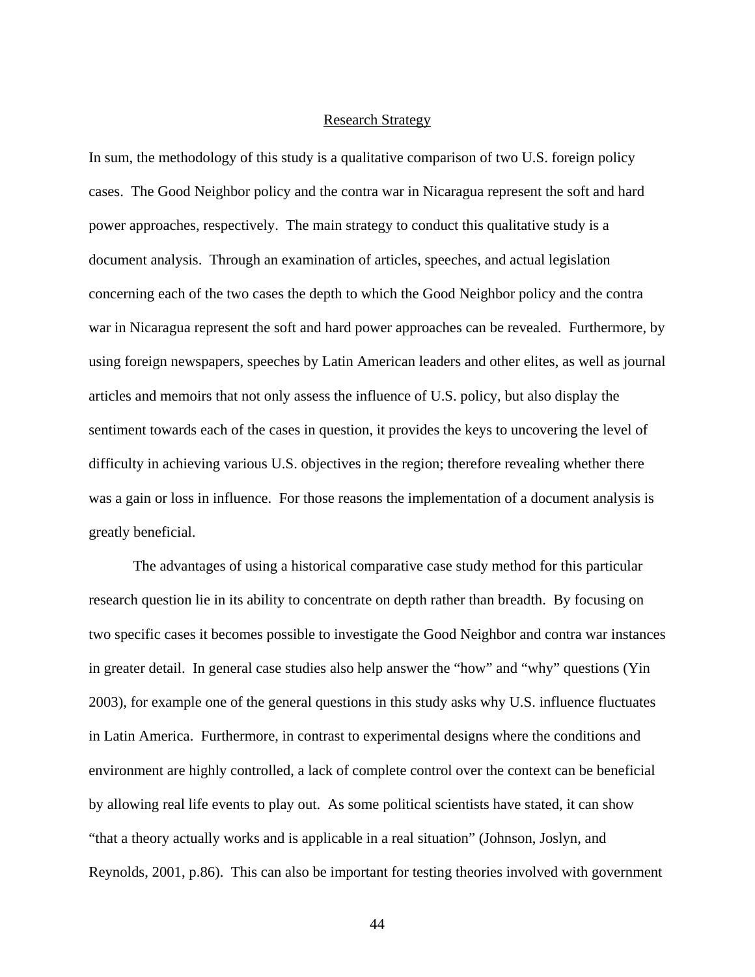#### **Research Strategy**

In sum, the methodology of this study is a qualitative comparison of two U.S. foreign policy cases. The Good Neighbor policy and the contra war in Nicaragua represent the soft and hard power approaches, respectively. The main strategy to conduct this qualitative study is a document analysis. Through an examination of articles, speeches, and actual legislation concerning each of the two cases the depth to which the Good Neighbor policy and the contra war in Nicaragua represent the soft and hard power approaches can be revealed. Furthermore, by using foreign newspapers, speeches by Latin American leaders and other elites, as well as journal articles and memoirs that not only assess the influence of U.S. policy, but also display the sentiment towards each of the cases in question, it provides the keys to uncovering the level of difficulty in achieving various U.S. objectives in the region; therefore revealing whether there was a gain or loss in influence. For those reasons the implementation of a document analysis is greatly beneficial.

The advantages of using a historical comparative case study method for this particular research question lie in its ability to concentrate on depth rather than breadth. By focusing on two specific cases it becomes possible to investigate the Good Neighbor and contra war instances in greater detail. In general case studies also help answer the "how" and "why" questions (Yin 2003), for example one of the general questions in this study asks why U.S. influence fluctuates in Latin America. Furthermore, in contrast to experimental designs where the conditions and environment are highly controlled, a lack of complete control over the context can be beneficial by allowing real life events to play out. As some political scientists have stated, it can show "that a theory actually works and is applicable in a real situation" (Johnson, Joslyn, and Reynolds, 2001, p.86). This can also be important for testing theories involved with government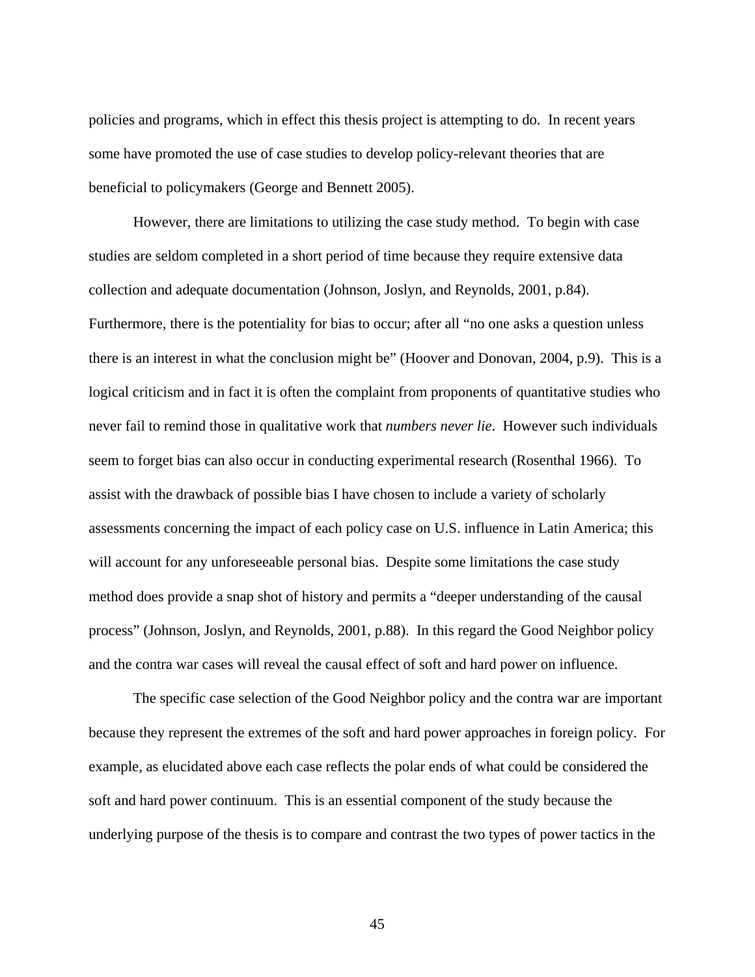policies and programs, which in effect this thesis project is attempting to do. In recent years some have promoted the use of case studies to develop policy-relevant theories that are beneficial to policymakers (George and Bennett 2005).

However, there are limitations to utilizing the case study method. To begin with case studies are seldom completed in a short period of time because they require extensive data collection and adequate documentation (Johnson, Joslyn, and Reynolds, 2001, p.84). Furthermore, there is the potentiality for bias to occur; after all "no one asks a question unless there is an interest in what the conclusion might be" (Hoover and Donovan, 2004, p.9). This is a logical criticism and in fact it is often the complaint from proponents of quantitative studies who never fail to remind those in qualitative work that *numbers never lie*. However such individuals seem to forget bias can also occur in conducting experimental research (Rosenthal 1966). To assist with the drawback of possible bias I have chosen to include a variety of scholarly assessments concerning the impact of each policy case on U.S. influence in Latin America; this will account for any unforeseeable personal bias. Despite some limitations the case study method does provide a snap shot of history and permits a "deeper understanding of the causal process" (Johnson, Joslyn, and Reynolds, 2001, p.88). In this regard the Good Neighbor policy and the contra war cases will reveal the causal effect of soft and hard power on influence.

The specific case selection of the Good Neighbor policy and the contra war are important because they represent the extremes of the soft and hard power approaches in foreign policy. For example, as elucidated above each case reflects the polar ends of what could be considered the soft and hard power continuum. This is an essential component of the study because the underlying purpose of the thesis is to compare and contrast the two types of power tactics in the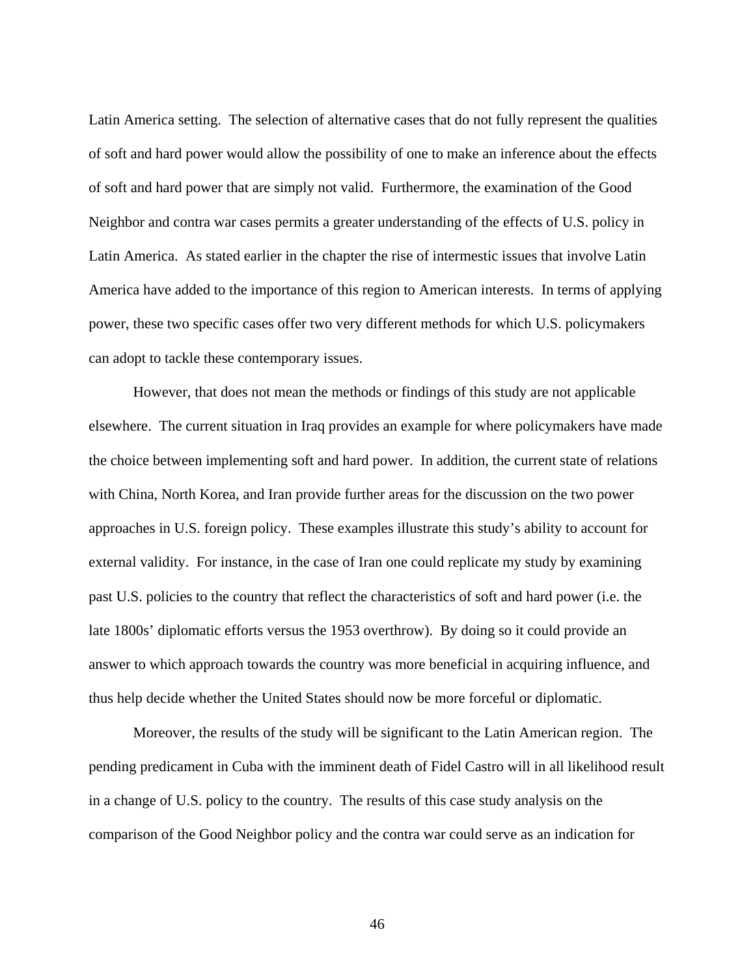Latin America setting. The selection of alternative cases that do not fully represent the qualities of soft and hard power would allow the possibility of one to make an inference about the effects of soft and hard power that are simply not valid. Furthermore, the examination of the Good Neighbor and contra war cases permits a greater understanding of the effects of U.S. policy in Latin America. As stated earlier in the chapter the rise of intermestic issues that involve Latin America have added to the importance of this region to American interests. In terms of applying power, these two specific cases offer two very different methods for which U.S. policymakers can adopt to tackle these contemporary issues.

However, that does not mean the methods or findings of this study are not applicable elsewhere. The current situation in Iraq provides an example for where policymakers have made the choice between implementing soft and hard power. In addition, the current state of relations with China, North Korea, and Iran provide further areas for the discussion on the two power approaches in U.S. foreign policy. These examples illustrate this study's ability to account for external validity. For instance, in the case of Iran one could replicate my study by examining past U.S. policies to the country that reflect the characteristics of soft and hard power (i.e. the late 1800s' diplomatic efforts versus the 1953 overthrow). By doing so it could provide an answer to which approach towards the country was more beneficial in acquiring influence, and thus help decide whether the United States should now be more forceful or diplomatic.

Moreover, the results of the study will be significant to the Latin American region. The pending predicament in Cuba with the imminent death of Fidel Castro will in all likelihood result in a change of U.S. policy to the country. The results of this case study analysis on the comparison of the Good Neighbor policy and the contra war could serve as an indication for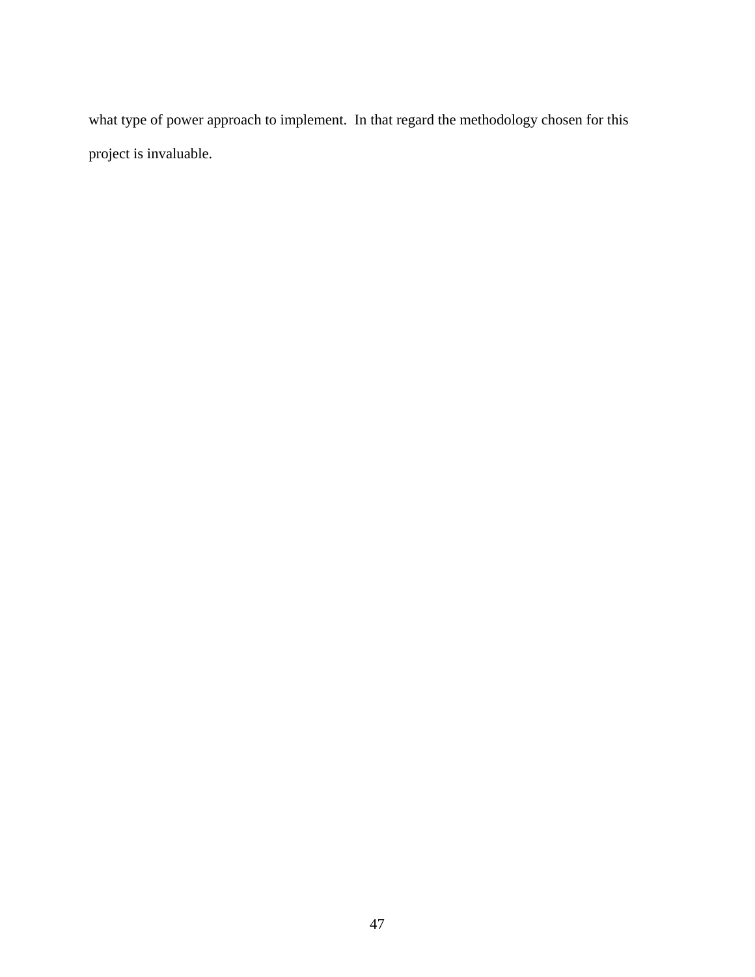what type of power approach to implement. In that regard the methodology chosen for this project is invaluable.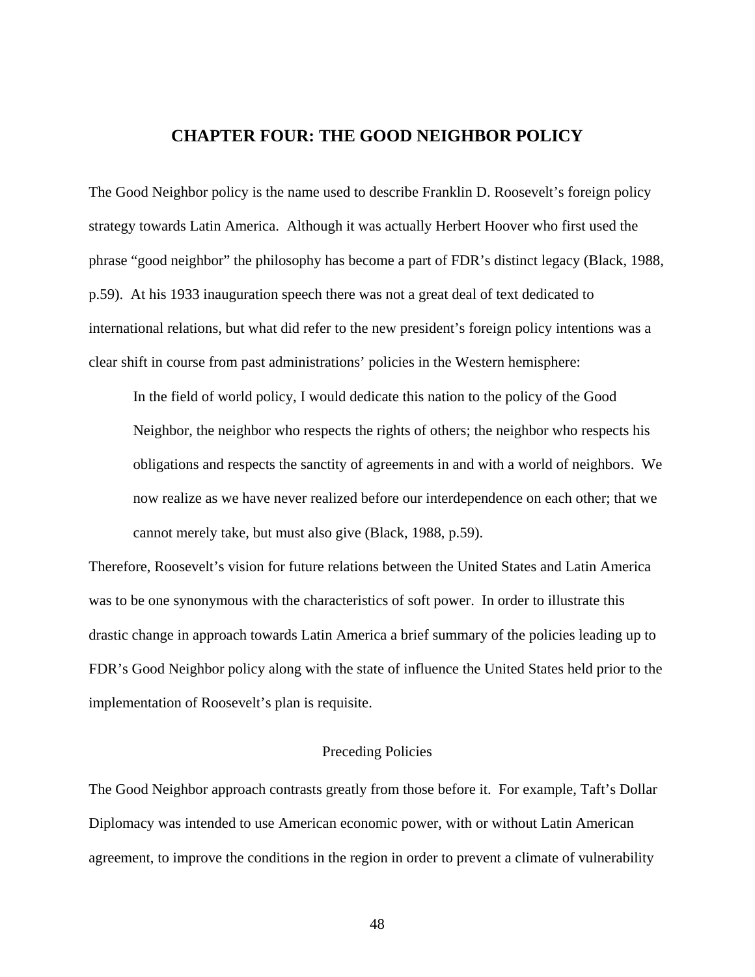# **CHAPTER FOUR: THE GOOD NEIGHBOR POLICY**

The Good Neighbor policy is the name used to describe Franklin D. Roosevelt's foreign policy strategy towards Latin America. Although it was actually Herbert Hoover who first used the phrase "good neighbor" the philosophy has become a part of FDR's distinct legacy (Black, 1988, p.59). At his 1933 inauguration speech there was not a great deal of text dedicated to international relations, but what did refer to the new president's foreign policy intentions was a clear shift in course from past administrations' policies in the Western hemisphere:

In the field of world policy, I would dedicate this nation to the policy of the Good Neighbor, the neighbor who respects the rights of others; the neighbor who respects his obligations and respects the sanctity of agreements in and with a world of neighbors. We now realize as we have never realized before our interdependence on each other; that we cannot merely take, but must also give (Black, 1988, p.59).

Therefore, Roosevelt's vision for future relations between the United States and Latin America was to be one synonymous with the characteristics of soft power. In order to illustrate this drastic change in approach towards Latin America a brief summary of the policies leading up to FDR's Good Neighbor policy along with the state of influence the United States held prior to the implementation of Roosevelt's plan is requisite.

## Preceding Policies

The Good Neighbor approach contrasts greatly from those before it. For example, Taft's Dollar Diplomacy was intended to use American economic power, with or without Latin American agreement, to improve the conditions in the region in order to prevent a climate of vulnerability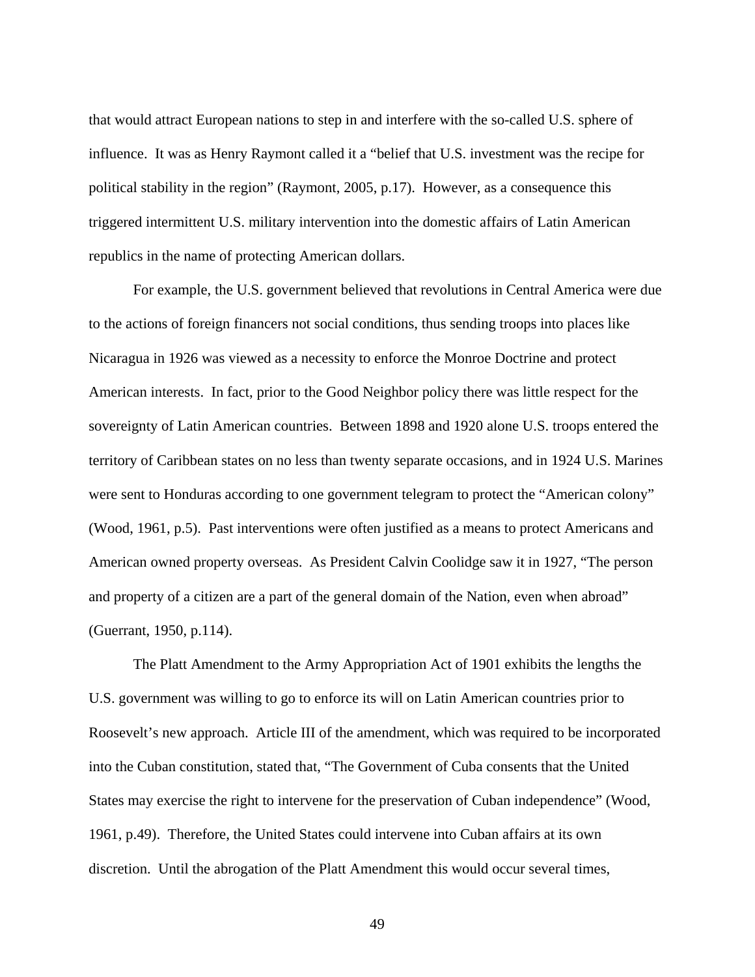that would attract European nations to step in and interfere with the so-called U.S. sphere of influence. It was as Henry Raymont called it a "belief that U.S. investment was the recipe for political stability in the region" (Raymont, 2005, p.17). However, as a consequence this triggered intermittent U.S. military intervention into the domestic affairs of Latin American republics in the name of protecting American dollars.

For example, the U.S. government believed that revolutions in Central America were due to the actions of foreign financers not social conditions, thus sending troops into places like Nicaragua in 1926 was viewed as a necessity to enforce the Monroe Doctrine and protect American interests. In fact, prior to the Good Neighbor policy there was little respect for the sovereignty of Latin American countries. Between 1898 and 1920 alone U.S. troops entered the territory of Caribbean states on no less than twenty separate occasions, and in 1924 U.S. Marines were sent to Honduras according to one government telegram to protect the "American colony" (Wood, 1961, p.5). Past interventions were often justified as a means to protect Americans and American owned property overseas. As President Calvin Coolidge saw it in 1927, "The person and property of a citizen are a part of the general domain of the Nation, even when abroad" (Guerrant, 1950, p.114).

The Platt Amendment to the Army Appropriation Act of 1901 exhibits the lengths the U.S. government was willing to go to enforce its will on Latin American countries prior to Roosevelt's new approach. Article III of the amendment, which was required to be incorporated into the Cuban constitution, stated that, "The Government of Cuba consents that the United States may exercise the right to intervene for the preservation of Cuban independence" (Wood, 1961, p.49). Therefore, the United States could intervene into Cuban affairs at its own discretion. Until the abrogation of the Platt Amendment this would occur several times,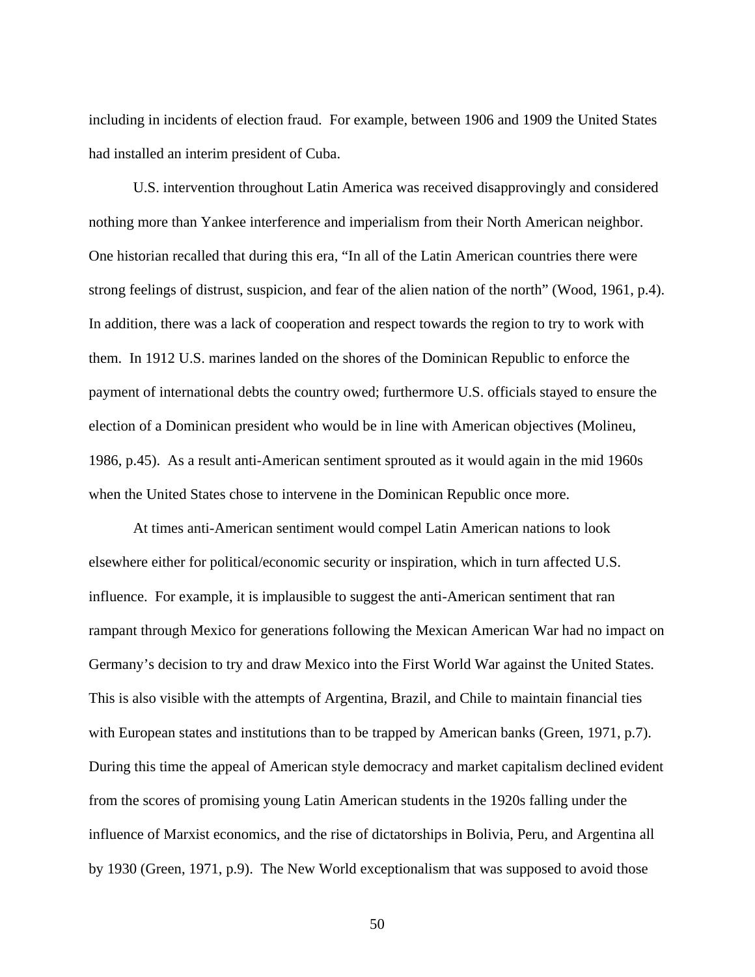including in incidents of election fraud. For example, between 1906 and 1909 the United States had installed an interim president of Cuba.

U.S. intervention throughout Latin America was received disapprovingly and considered nothing more than Yankee interference and imperialism from their North American neighbor. One historian recalled that during this era, "In all of the Latin American countries there were strong feelings of distrust, suspicion, and fear of the alien nation of the north" (Wood, 1961, p.4). In addition, there was a lack of cooperation and respect towards the region to try to work with them. In 1912 U.S. marines landed on the shores of the Dominican Republic to enforce the payment of international debts the country owed; furthermore U.S. officials stayed to ensure the election of a Dominican president who would be in line with American objectives (Molineu, 1986, p.45). As a result anti-American sentiment sprouted as it would again in the mid 1960s when the United States chose to intervene in the Dominican Republic once more.

At times anti-American sentiment would compel Latin American nations to look elsewhere either for political/economic security or inspiration, which in turn affected U.S. influence. For example, it is implausible to suggest the anti-American sentiment that ran rampant through Mexico for generations following the Mexican American War had no impact on Germany's decision to try and draw Mexico into the First World War against the United States. This is also visible with the attempts of Argentina, Brazil, and Chile to maintain financial ties with European states and institutions than to be trapped by American banks (Green, 1971, p.7). During this time the appeal of American style democracy and market capitalism declined evident from the scores of promising young Latin American students in the 1920s falling under the influence of Marxist economics, and the rise of dictatorships in Bolivia, Peru, and Argentina all by 1930 (Green, 1971, p.9). The New World exceptionalism that was supposed to avoid those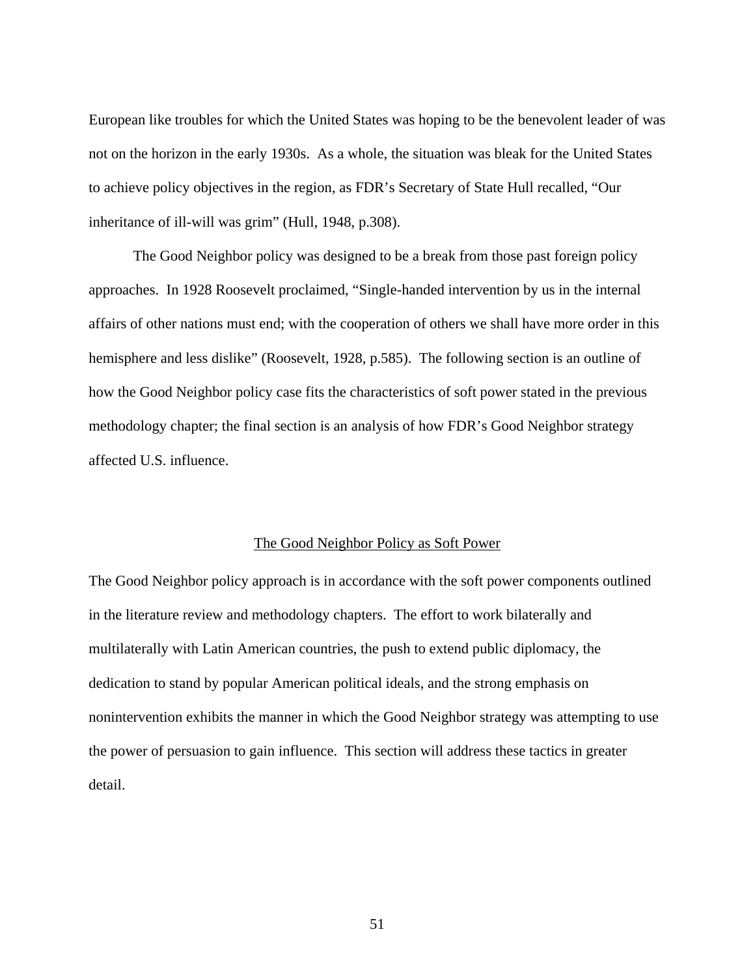European like troubles for which the United States was hoping to be the benevolent leader of was not on the horizon in the early 1930s. As a whole, the situation was bleak for the United States to achieve policy objectives in the region, as FDR's Secretary of State Hull recalled, "Our inheritance of ill-will was grim" (Hull, 1948, p.308).

The Good Neighbor policy was designed to be a break from those past foreign policy approaches. In 1928 Roosevelt proclaimed, "Single-handed intervention by us in the internal affairs of other nations must end; with the cooperation of others we shall have more order in this hemisphere and less dislike" (Roosevelt, 1928, p.585). The following section is an outline of how the Good Neighbor policy case fits the characteristics of soft power stated in the previous methodology chapter; the final section is an analysis of how FDR's Good Neighbor strategy affected U.S. influence.

### The Good Neighbor Policy as Soft Power

The Good Neighbor policy approach is in accordance with the soft power components outlined in the literature review and methodology chapters. The effort to work bilaterally and multilaterally with Latin American countries, the push to extend public diplomacy, the dedication to stand by popular American political ideals, and the strong emphasis on nonintervention exhibits the manner in which the Good Neighbor strategy was attempting to use the power of persuasion to gain influence. This section will address these tactics in greater detail.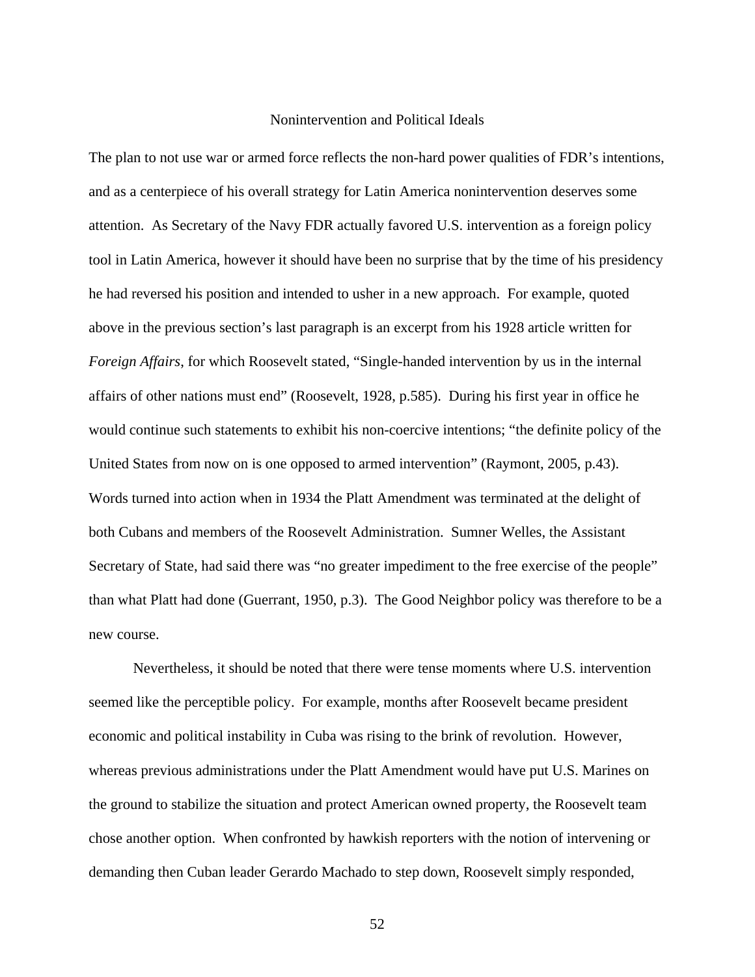#### Nonintervention and Political Ideals

The plan to not use war or armed force reflects the non-hard power qualities of FDR's intentions, and as a centerpiece of his overall strategy for Latin America nonintervention deserves some attention. As Secretary of the Navy FDR actually favored U.S. intervention as a foreign policy tool in Latin America, however it should have been no surprise that by the time of his presidency he had reversed his position and intended to usher in a new approach. For example, quoted above in the previous section's last paragraph is an excerpt from his 1928 article written for *Foreign Affairs*, for which Roosevelt stated, "Single-handed intervention by us in the internal affairs of other nations must end" (Roosevelt, 1928, p.585). During his first year in office he would continue such statements to exhibit his non-coercive intentions; "the definite policy of the United States from now on is one opposed to armed intervention" (Raymont, 2005, p.43). Words turned into action when in 1934 the Platt Amendment was terminated at the delight of both Cubans and members of the Roosevelt Administration. Sumner Welles, the Assistant Secretary of State, had said there was "no greater impediment to the free exercise of the people" than what Platt had done (Guerrant, 1950, p.3). The Good Neighbor policy was therefore to be a new course.

Nevertheless, it should be noted that there were tense moments where U.S. intervention seemed like the perceptible policy. For example, months after Roosevelt became president economic and political instability in Cuba was rising to the brink of revolution. However, whereas previous administrations under the Platt Amendment would have put U.S. Marines on the ground to stabilize the situation and protect American owned property, the Roosevelt team chose another option. When confronted by hawkish reporters with the notion of intervening or demanding then Cuban leader Gerardo Machado to step down, Roosevelt simply responded,

<sup>52</sup>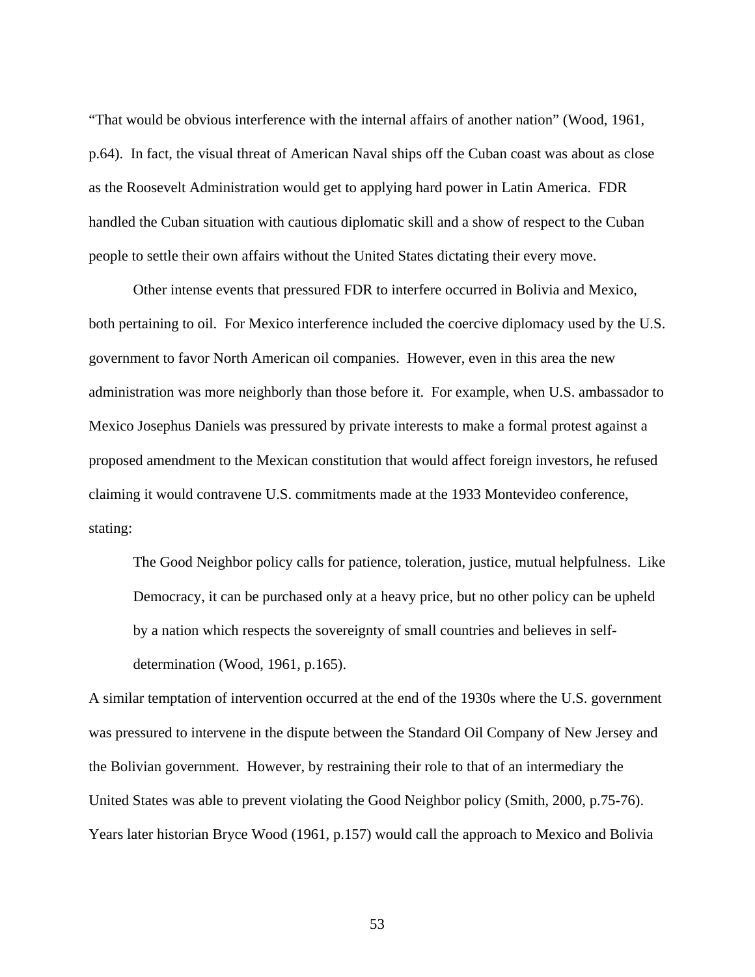"That would be obvious interference with the internal affairs of another nation" (Wood, 1961, p.64). In fact, the visual threat of American Naval ships off the Cuban coast was about as close as the Roosevelt Administration would get to applying hard power in Latin America. FDR handled the Cuban situation with cautious diplomatic skill and a show of respect to the Cuban people to settle their own affairs without the United States dictating their every move.

Other intense events that pressured FDR to interfere occurred in Bolivia and Mexico, both pertaining to oil. For Mexico interference included the coercive diplomacy used by the U.S. government to favor North American oil companies. However, even in this area the new administration was more neighborly than those before it. For example, when U.S. ambassador to Mexico Josephus Daniels was pressured by private interests to make a formal protest against a proposed amendment to the Mexican constitution that would affect foreign investors, he refused claiming it would contravene U.S. commitments made at the 1933 Montevideo conference, stating:

The Good Neighbor policy calls for patience, toleration, justice, mutual helpfulness. Like Democracy, it can be purchased only at a heavy price, but no other policy can be upheld by a nation which respects the sovereignty of small countries and believes in selfdetermination (Wood, 1961, p.165).

A similar temptation of intervention occurred at the end of the 1930s where the U.S. government was pressured to intervene in the dispute between the Standard Oil Company of New Jersey and the Bolivian government. However, by restraining their role to that of an intermediary the United States was able to prevent violating the Good Neighbor policy (Smith, 2000, p.75-76). Years later historian Bryce Wood (1961, p.157) would call the approach to Mexico and Bolivia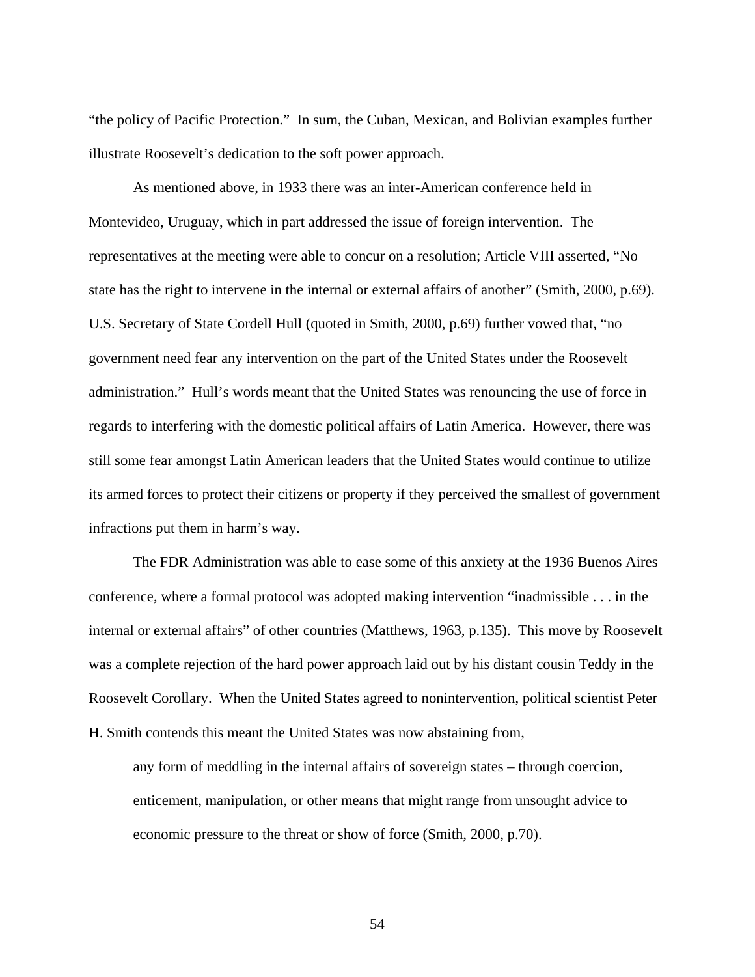"the policy of Pacific Protection." In sum, the Cuban, Mexican, and Bolivian examples further illustrate Roosevelt's dedication to the soft power approach.

As mentioned above, in 1933 there was an inter-American conference held in Montevideo, Uruguay, which in part addressed the issue of foreign intervention. The representatives at the meeting were able to concur on a resolution; Article VIII asserted, "No state has the right to intervene in the internal or external affairs of another" (Smith, 2000, p.69). U.S. Secretary of State Cordell Hull (quoted in Smith, 2000, p.69) further vowed that, "no government need fear any intervention on the part of the United States under the Roosevelt administration." Hull's words meant that the United States was renouncing the use of force in regards to interfering with the domestic political affairs of Latin America. However, there was still some fear amongst Latin American leaders that the United States would continue to utilize its armed forces to protect their citizens or property if they perceived the smallest of government infractions put them in harm's way.

The FDR Administration was able to ease some of this anxiety at the 1936 Buenos Aires conference, where a formal protocol was adopted making intervention "inadmissible . . . in the internal or external affairs" of other countries (Matthews, 1963, p.135). This move by Roosevelt was a complete rejection of the hard power approach laid out by his distant cousin Teddy in the Roosevelt Corollary. When the United States agreed to nonintervention, political scientist Peter H. Smith contends this meant the United States was now abstaining from,

any form of meddling in the internal affairs of sovereign states – through coercion, enticement, manipulation, or other means that might range from unsought advice to economic pressure to the threat or show of force (Smith, 2000, p.70).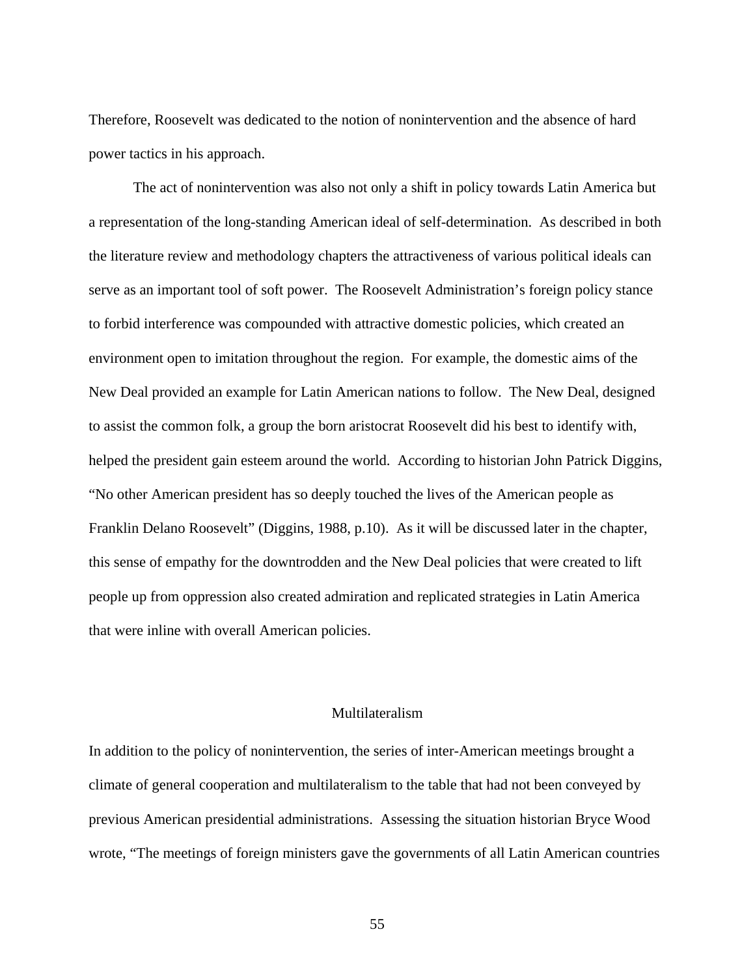Therefore, Roosevelt was dedicated to the notion of nonintervention and the absence of hard power tactics in his approach.

The act of nonintervention was also not only a shift in policy towards Latin America but a representation of the long-standing American ideal of self-determination. As described in both the literature review and methodology chapters the attractiveness of various political ideals can serve as an important tool of soft power. The Roosevelt Administration's foreign policy stance to forbid interference was compounded with attractive domestic policies, which created an environment open to imitation throughout the region. For example, the domestic aims of the New Deal provided an example for Latin American nations to follow. The New Deal, designed to assist the common folk, a group the born aristocrat Roosevelt did his best to identify with, helped the president gain esteem around the world. According to historian John Patrick Diggins, "No other American president has so deeply touched the lives of the American people as Franklin Delano Roosevelt" (Diggins, 1988, p.10). As it will be discussed later in the chapter, this sense of empathy for the downtrodden and the New Deal policies that were created to lift people up from oppression also created admiration and replicated strategies in Latin America that were inline with overall American policies.

## Multilateralism

In addition to the policy of nonintervention, the series of inter-American meetings brought a climate of general cooperation and multilateralism to the table that had not been conveyed by previous American presidential administrations. Assessing the situation historian Bryce Wood wrote, "The meetings of foreign ministers gave the governments of all Latin American countries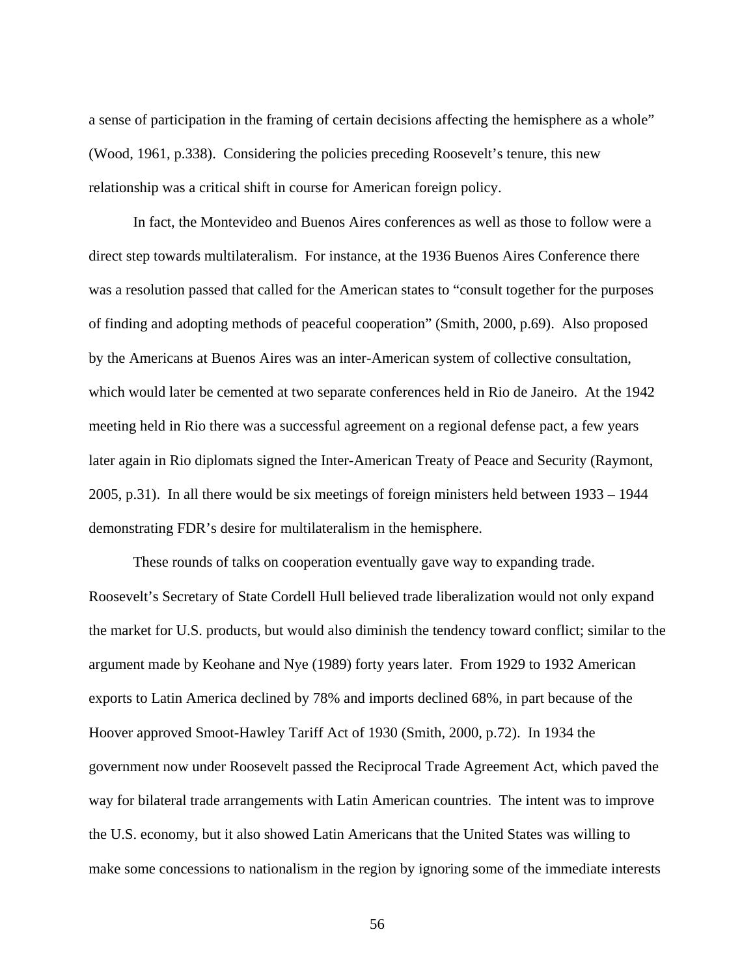a sense of participation in the framing of certain decisions affecting the hemisphere as a whole" (Wood, 1961, p.338). Considering the policies preceding Roosevelt's tenure, this new relationship was a critical shift in course for American foreign policy.

In fact, the Montevideo and Buenos Aires conferences as well as those to follow were a direct step towards multilateralism. For instance, at the 1936 Buenos Aires Conference there was a resolution passed that called for the American states to "consult together for the purposes of finding and adopting methods of peaceful cooperation" (Smith, 2000, p.69). Also proposed by the Americans at Buenos Aires was an inter-American system of collective consultation, which would later be cemented at two separate conferences held in Rio de Janeiro. At the 1942 meeting held in Rio there was a successful agreement on a regional defense pact, a few years later again in Rio diplomats signed the Inter-American Treaty of Peace and Security (Raymont, 2005, p.31). In all there would be six meetings of foreign ministers held between 1933 – 1944 demonstrating FDR's desire for multilateralism in the hemisphere.

These rounds of talks on cooperation eventually gave way to expanding trade. Roosevelt's Secretary of State Cordell Hull believed trade liberalization would not only expand the market for U.S. products, but would also diminish the tendency toward conflict; similar to the argument made by Keohane and Nye (1989) forty years later. From 1929 to 1932 American exports to Latin America declined by 78% and imports declined 68%, in part because of the Hoover approved Smoot-Hawley Tariff Act of 1930 (Smith, 2000, p.72). In 1934 the government now under Roosevelt passed the Reciprocal Trade Agreement Act, which paved the way for bilateral trade arrangements with Latin American countries. The intent was to improve the U.S. economy, but it also showed Latin Americans that the United States was willing to make some concessions to nationalism in the region by ignoring some of the immediate interests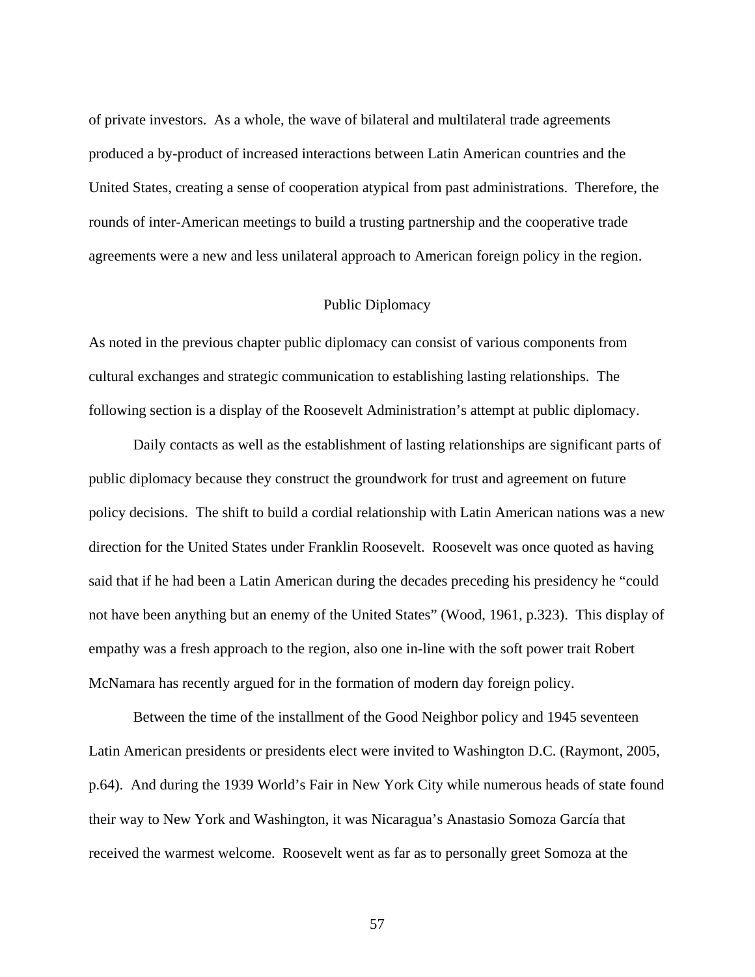of private investors. As a whole, the wave of bilateral and multilateral trade agreements produced a by-product of increased interactions between Latin American countries and the United States, creating a sense of cooperation atypical from past administrations. Therefore, the rounds of inter-American meetings to build a trusting partnership and the cooperative trade agreements were a new and less unilateral approach to American foreign policy in the region.

### Public Diplomacy

As noted in the previous chapter public diplomacy can consist of various components from cultural exchanges and strategic communication to establishing lasting relationships. The following section is a display of the Roosevelt Administration's attempt at public diplomacy.

Daily contacts as well as the establishment of lasting relationships are significant parts of public diplomacy because they construct the groundwork for trust and agreement on future policy decisions. The shift to build a cordial relationship with Latin American nations was a new direction for the United States under Franklin Roosevelt. Roosevelt was once quoted as having said that if he had been a Latin American during the decades preceding his presidency he "could not have been anything but an enemy of the United States" (Wood, 1961, p.323). This display of empathy was a fresh approach to the region, also one in-line with the soft power trait Robert McNamara has recently argued for in the formation of modern day foreign policy.

Between the time of the installment of the Good Neighbor policy and 1945 seventeen Latin American presidents or presidents elect were invited to Washington D.C. (Raymont, 2005, p.64). And during the 1939 World's Fair in New York City while numerous heads of state found their way to New York and Washington, it was Nicaragua's Anastasio Somoza García that received the warmest welcome. Roosevelt went as far as to personally greet Somoza at the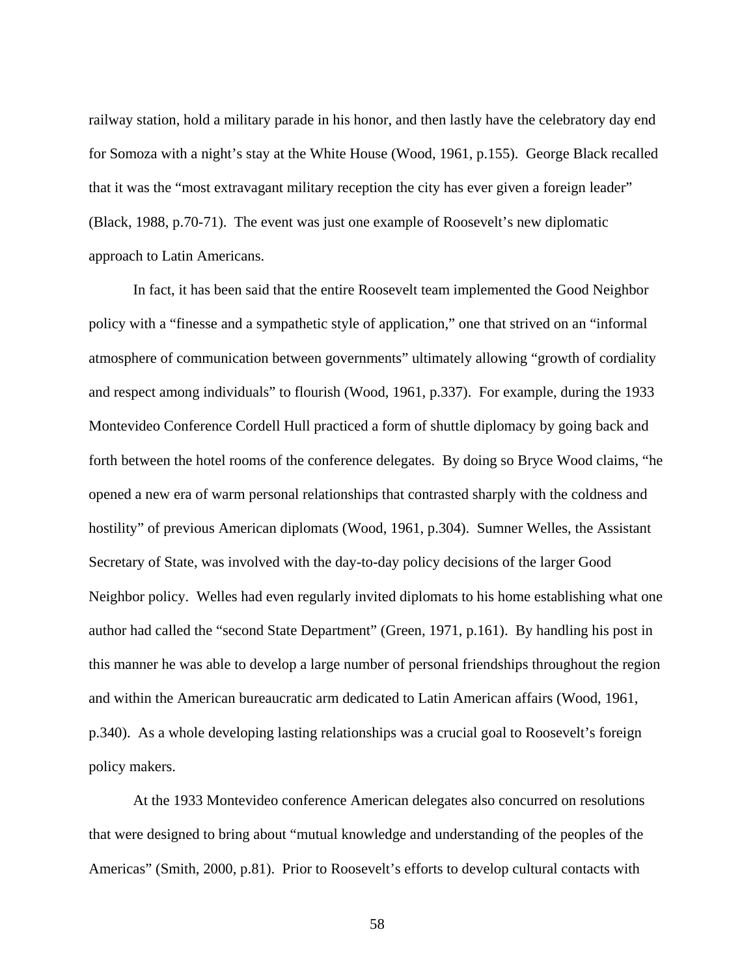railway station, hold a military parade in his honor, and then lastly have the celebratory day end for Somoza with a night's stay at the White House (Wood, 1961, p.155). George Black recalled that it was the "most extravagant military reception the city has ever given a foreign leader" (Black, 1988, p.70-71). The event was just one example of Roosevelt's new diplomatic approach to Latin Americans.

In fact, it has been said that the entire Roosevelt team implemented the Good Neighbor policy with a "finesse and a sympathetic style of application," one that strived on an "informal atmosphere of communication between governments" ultimately allowing "growth of cordiality and respect among individuals" to flourish (Wood, 1961, p.337). For example, during the 1933 Montevideo Conference Cordell Hull practiced a form of shuttle diplomacy by going back and forth between the hotel rooms of the conference delegates. By doing so Bryce Wood claims, "he opened a new era of warm personal relationships that contrasted sharply with the coldness and hostility" of previous American diplomats (Wood, 1961, p.304). Sumner Welles, the Assistant Secretary of State, was involved with the day-to-day policy decisions of the larger Good Neighbor policy. Welles had even regularly invited diplomats to his home establishing what one author had called the "second State Department" (Green, 1971, p.161). By handling his post in this manner he was able to develop a large number of personal friendships throughout the region and within the American bureaucratic arm dedicated to Latin American affairs (Wood, 1961, p.340). As a whole developing lasting relationships was a crucial goal to Roosevelt's foreign policy makers.

At the 1933 Montevideo conference American delegates also concurred on resolutions that were designed to bring about "mutual knowledge and understanding of the peoples of the Americas" (Smith, 2000, p.81). Prior to Roosevelt's efforts to develop cultural contacts with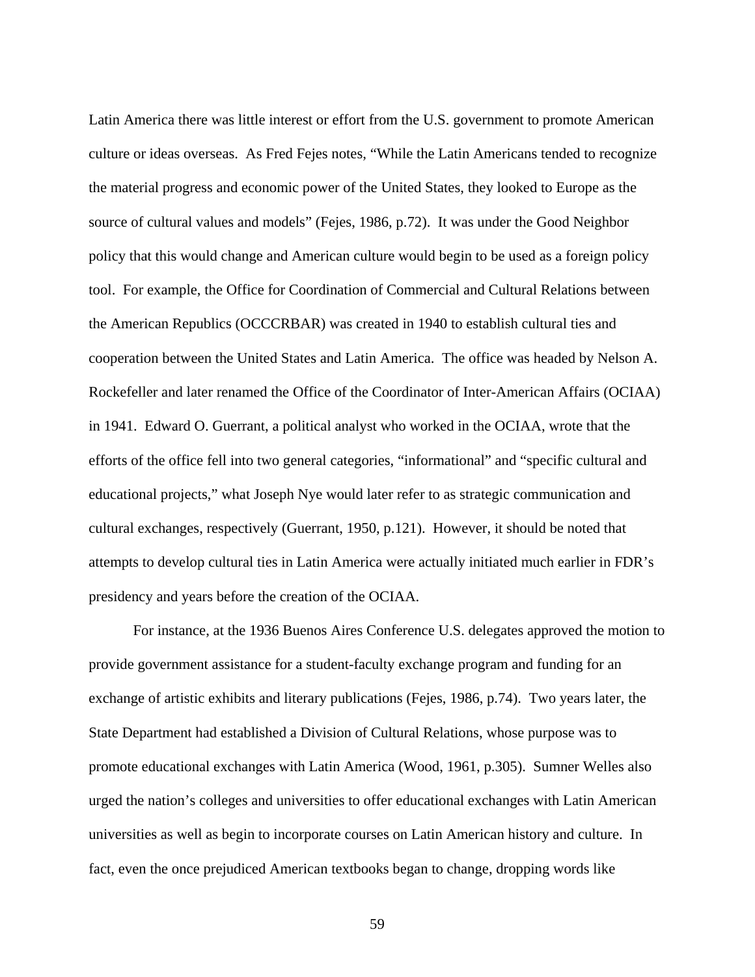Latin America there was little interest or effort from the U.S. government to promote American culture or ideas overseas. As Fred Fejes notes, "While the Latin Americans tended to recognize the material progress and economic power of the United States, they looked to Europe as the source of cultural values and models" (Fejes, 1986, p.72). It was under the Good Neighbor policy that this would change and American culture would begin to be used as a foreign policy tool. For example, the Office for Coordination of Commercial and Cultural Relations between the American Republics (OCCCRBAR) was created in 1940 to establish cultural ties and cooperation between the United States and Latin America. The office was headed by Nelson A. Rockefeller and later renamed the Office of the Coordinator of Inter-American Affairs (OCIAA) in 1941. Edward O. Guerrant, a political analyst who worked in the OCIAA, wrote that the efforts of the office fell into two general categories, "informational" and "specific cultural and educational projects," what Joseph Nye would later refer to as strategic communication and cultural exchanges, respectively (Guerrant, 1950, p.121). However, it should be noted that attempts to develop cultural ties in Latin America were actually initiated much earlier in FDR's presidency and years before the creation of the OCIAA.

For instance, at the 1936 Buenos Aires Conference U.S. delegates approved the motion to provide government assistance for a student-faculty exchange program and funding for an exchange of artistic exhibits and literary publications (Fejes, 1986, p.74). Two years later, the State Department had established a Division of Cultural Relations, whose purpose was to promote educational exchanges with Latin America (Wood, 1961, p.305). Sumner Welles also urged the nation's colleges and universities to offer educational exchanges with Latin American universities as well as begin to incorporate courses on Latin American history and culture. In fact, even the once prejudiced American textbooks began to change, dropping words like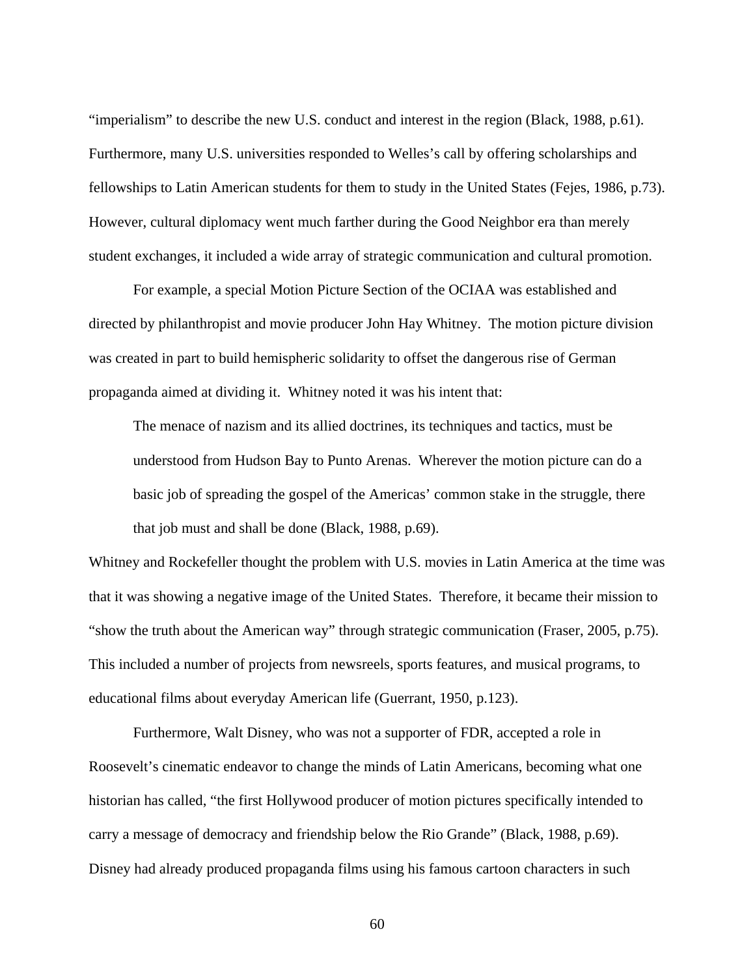"imperialism" to describe the new U.S. conduct and interest in the region (Black, 1988, p.61). Furthermore, many U.S. universities responded to Welles's call by offering scholarships and fellowships to Latin American students for them to study in the United States (Fejes, 1986, p.73). However, cultural diplomacy went much farther during the Good Neighbor era than merely student exchanges, it included a wide array of strategic communication and cultural promotion.

For example, a special Motion Picture Section of the OCIAA was established and directed by philanthropist and movie producer John Hay Whitney. The motion picture division was created in part to build hemispheric solidarity to offset the dangerous rise of German propaganda aimed at dividing it. Whitney noted it was his intent that:

The menace of nazism and its allied doctrines, its techniques and tactics, must be understood from Hudson Bay to Punto Arenas. Wherever the motion picture can do a basic job of spreading the gospel of the Americas' common stake in the struggle, there that job must and shall be done (Black, 1988, p.69).

Whitney and Rockefeller thought the problem with U.S. movies in Latin America at the time was that it was showing a negative image of the United States. Therefore, it became their mission to "show the truth about the American way" through strategic communication (Fraser, 2005, p.75). This included a number of projects from newsreels, sports features, and musical programs, to educational films about everyday American life (Guerrant, 1950, p.123).

Furthermore, Walt Disney, who was not a supporter of FDR, accepted a role in Roosevelt's cinematic endeavor to change the minds of Latin Americans, becoming what one historian has called, "the first Hollywood producer of motion pictures specifically intended to carry a message of democracy and friendship below the Rio Grande" (Black, 1988, p.69). Disney had already produced propaganda films using his famous cartoon characters in such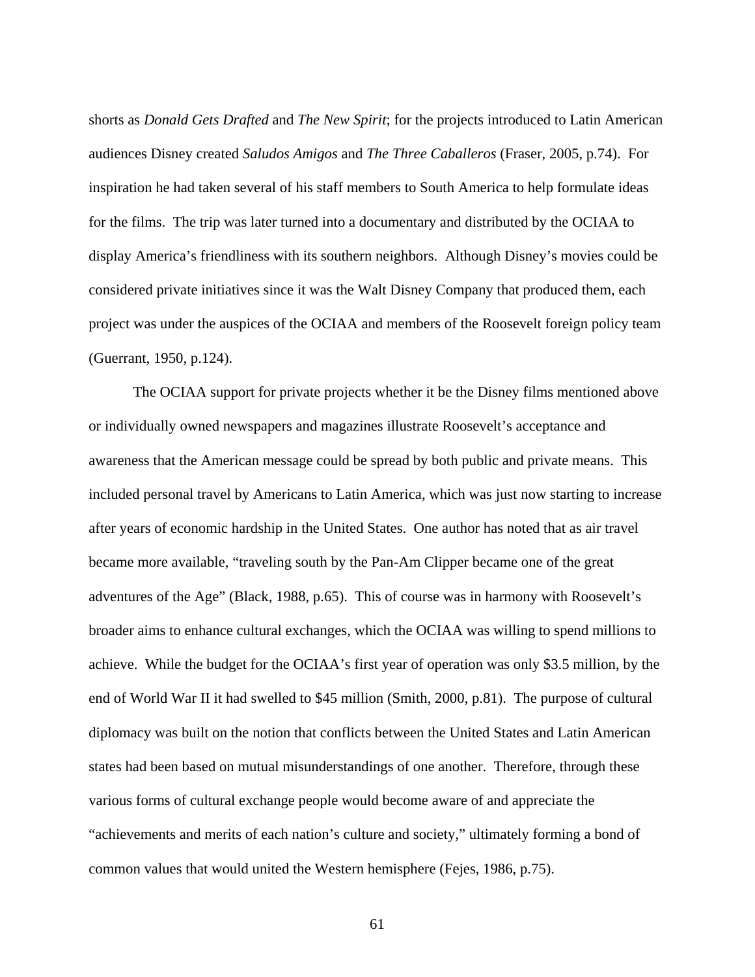shorts as *Donald Gets Drafted* and *The New Spirit*; for the projects introduced to Latin American audiences Disney created *Saludos Amigos* and *The Three Caballeros* (Fraser, 2005, p.74). For inspiration he had taken several of his staff members to South America to help formulate ideas for the films. The trip was later turned into a documentary and distributed by the OCIAA to display America's friendliness with its southern neighbors. Although Disney's movies could be considered private initiatives since it was the Walt Disney Company that produced them, each project was under the auspices of the OCIAA and members of the Roosevelt foreign policy team (Guerrant, 1950, p.124).

The OCIAA support for private projects whether it be the Disney films mentioned above or individually owned newspapers and magazines illustrate Roosevelt's acceptance and awareness that the American message could be spread by both public and private means. This included personal travel by Americans to Latin America, which was just now starting to increase after years of economic hardship in the United States. One author has noted that as air travel became more available, "traveling south by the Pan-Am Clipper became one of the great adventures of the Age" (Black, 1988, p.65). This of course was in harmony with Roosevelt's broader aims to enhance cultural exchanges, which the OCIAA was willing to spend millions to achieve. While the budget for the OCIAA's first year of operation was only \$3.5 million, by the end of World War II it had swelled to \$45 million (Smith, 2000, p.81). The purpose of cultural diplomacy was built on the notion that conflicts between the United States and Latin American states had been based on mutual misunderstandings of one another. Therefore, through these various forms of cultural exchange people would become aware of and appreciate the "achievements and merits of each nation's culture and society," ultimately forming a bond of common values that would united the Western hemisphere (Fejes, 1986, p.75).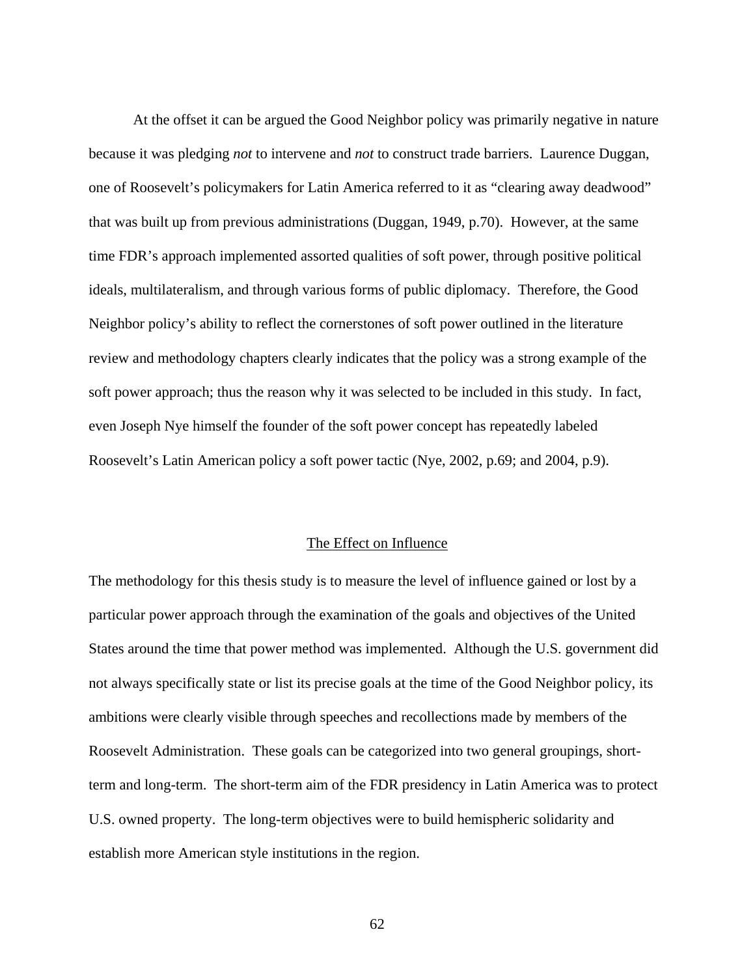At the offset it can be argued the Good Neighbor policy was primarily negative in nature because it was pledging *not* to intervene and *not* to construct trade barriers. Laurence Duggan, one of Roosevelt's policymakers for Latin America referred to it as "clearing away deadwood" that was built up from previous administrations (Duggan, 1949, p.70). However, at the same time FDR's approach implemented assorted qualities of soft power, through positive political ideals, multilateralism, and through various forms of public diplomacy. Therefore, the Good Neighbor policy's ability to reflect the cornerstones of soft power outlined in the literature review and methodology chapters clearly indicates that the policy was a strong example of the soft power approach; thus the reason why it was selected to be included in this study. In fact, even Joseph Nye himself the founder of the soft power concept has repeatedly labeled Roosevelt's Latin American policy a soft power tactic (Nye, 2002, p.69; and 2004, p.9).

# The Effect on Influence

The methodology for this thesis study is to measure the level of influence gained or lost by a particular power approach through the examination of the goals and objectives of the United States around the time that power method was implemented. Although the U.S. government did not always specifically state or list its precise goals at the time of the Good Neighbor policy, its ambitions were clearly visible through speeches and recollections made by members of the Roosevelt Administration. These goals can be categorized into two general groupings, shortterm and long-term. The short-term aim of the FDR presidency in Latin America was to protect U.S. owned property. The long-term objectives were to build hemispheric solidarity and establish more American style institutions in the region.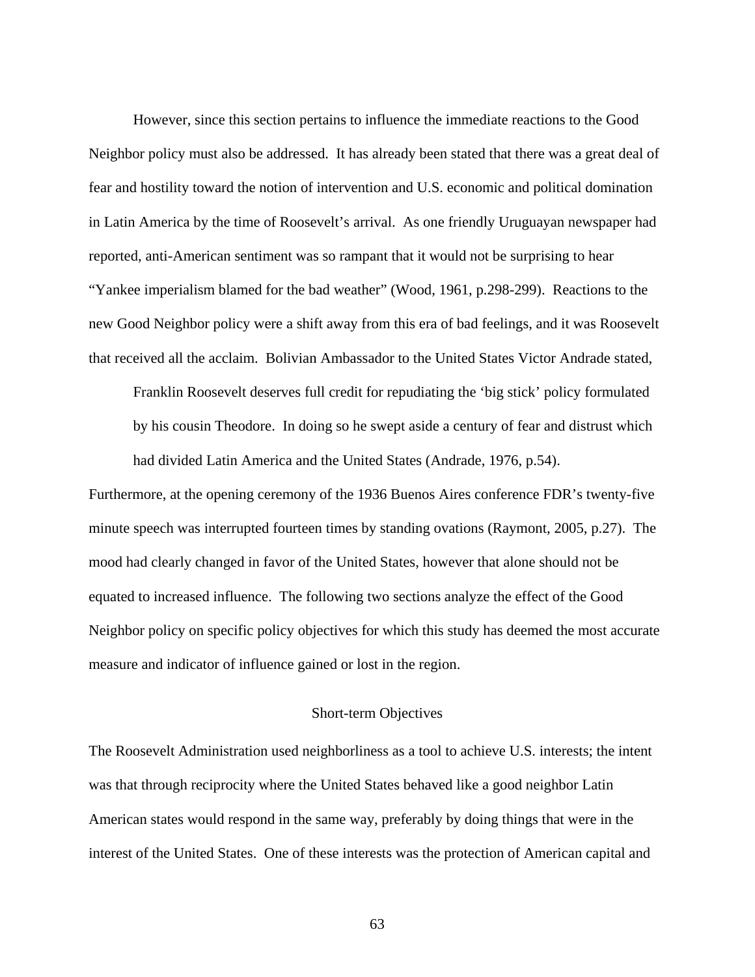However, since this section pertains to influence the immediate reactions to the Good Neighbor policy must also be addressed. It has already been stated that there was a great deal of fear and hostility toward the notion of intervention and U.S. economic and political domination in Latin America by the time of Roosevelt's arrival. As one friendly Uruguayan newspaper had reported, anti-American sentiment was so rampant that it would not be surprising to hear "Yankee imperialism blamed for the bad weather" (Wood, 1961, p.298-299). Reactions to the new Good Neighbor policy were a shift away from this era of bad feelings, and it was Roosevelt that received all the acclaim. Bolivian Ambassador to the United States Victor Andrade stated,

Franklin Roosevelt deserves full credit for repudiating the 'big stick' policy formulated by his cousin Theodore. In doing so he swept aside a century of fear and distrust which had divided Latin America and the United States (Andrade, 1976, p.54).

Furthermore, at the opening ceremony of the 1936 Buenos Aires conference FDR's twenty-five minute speech was interrupted fourteen times by standing ovations (Raymont, 2005, p.27). The mood had clearly changed in favor of the United States, however that alone should not be equated to increased influence. The following two sections analyze the effect of the Good Neighbor policy on specific policy objectives for which this study has deemed the most accurate measure and indicator of influence gained or lost in the region.

## Short-term Objectives

The Roosevelt Administration used neighborliness as a tool to achieve U.S. interests; the intent was that through reciprocity where the United States behaved like a good neighbor Latin American states would respond in the same way, preferably by doing things that were in the interest of the United States. One of these interests was the protection of American capital and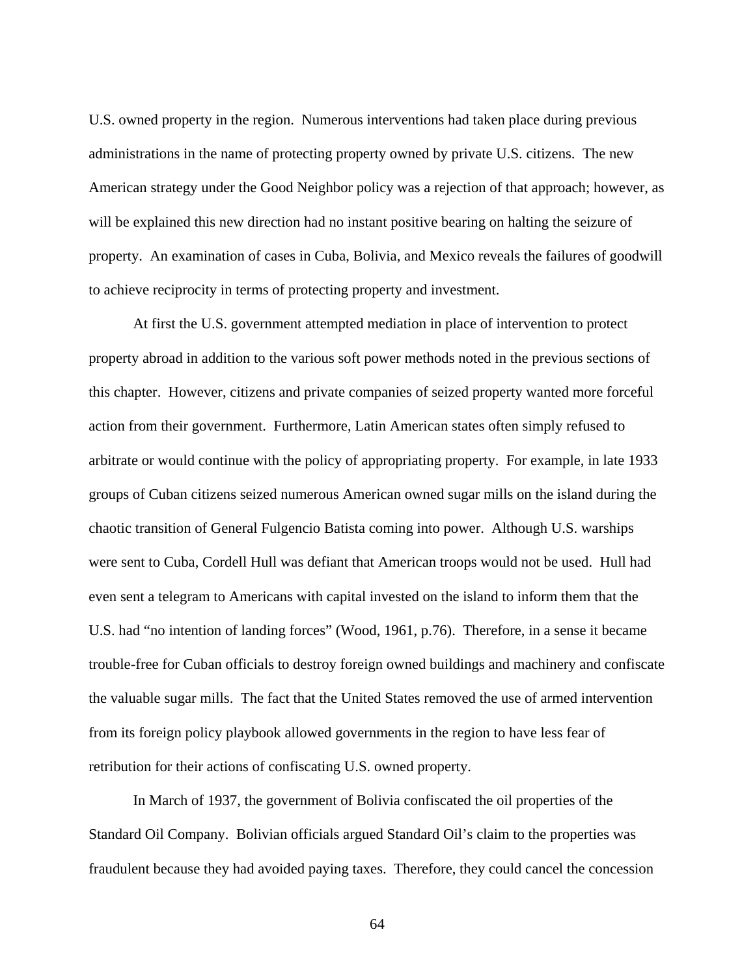U.S. owned property in the region. Numerous interventions had taken place during previous administrations in the name of protecting property owned by private U.S. citizens. The new American strategy under the Good Neighbor policy was a rejection of that approach; however, as will be explained this new direction had no instant positive bearing on halting the seizure of property. An examination of cases in Cuba, Bolivia, and Mexico reveals the failures of goodwill to achieve reciprocity in terms of protecting property and investment.

At first the U.S. government attempted mediation in place of intervention to protect property abroad in addition to the various soft power methods noted in the previous sections of this chapter. However, citizens and private companies of seized property wanted more forceful action from their government. Furthermore, Latin American states often simply refused to arbitrate or would continue with the policy of appropriating property. For example, in late 1933 groups of Cuban citizens seized numerous American owned sugar mills on the island during the chaotic transition of General Fulgencio Batista coming into power. Although U.S. warships were sent to Cuba, Cordell Hull was defiant that American troops would not be used. Hull had even sent a telegram to Americans with capital invested on the island to inform them that the U.S. had "no intention of landing forces" (Wood, 1961, p.76). Therefore, in a sense it became trouble-free for Cuban officials to destroy foreign owned buildings and machinery and confiscate the valuable sugar mills. The fact that the United States removed the use of armed intervention from its foreign policy playbook allowed governments in the region to have less fear of retribution for their actions of confiscating U.S. owned property.

In March of 1937, the government of Bolivia confiscated the oil properties of the Standard Oil Company. Bolivian officials argued Standard Oil's claim to the properties was fraudulent because they had avoided paying taxes. Therefore, they could cancel the concession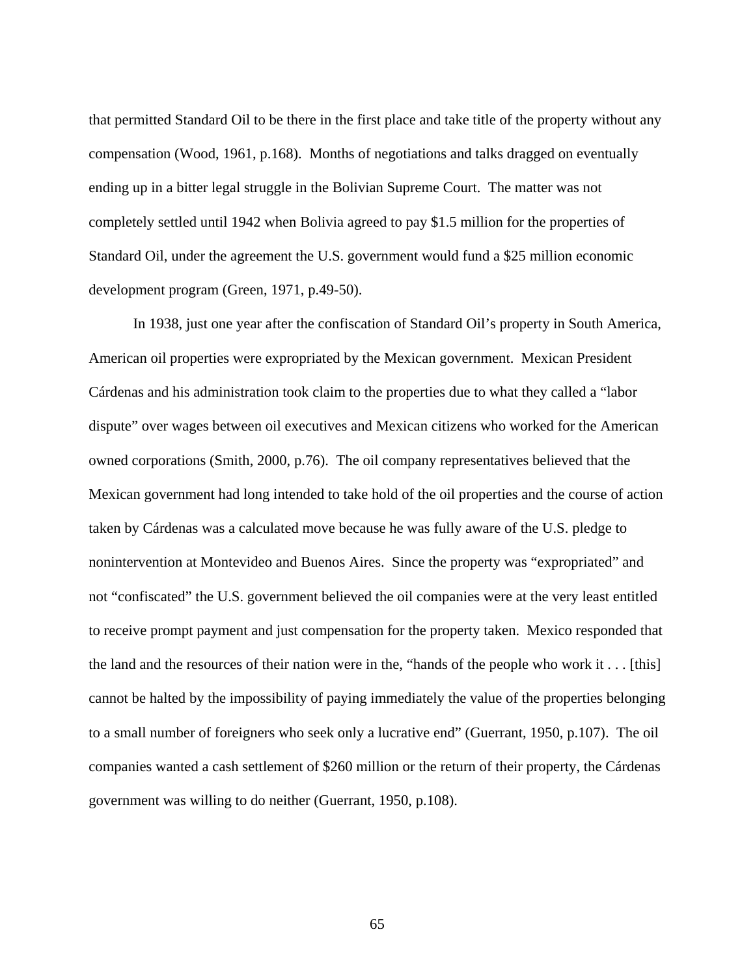that permitted Standard Oil to be there in the first place and take title of the property without any compensation (Wood, 1961, p.168). Months of negotiations and talks dragged on eventually ending up in a bitter legal struggle in the Bolivian Supreme Court. The matter was not completely settled until 1942 when Bolivia agreed to pay \$1.5 million for the properties of Standard Oil, under the agreement the U.S. government would fund a \$25 million economic development program (Green, 1971, p.49-50).

In 1938, just one year after the confiscation of Standard Oil's property in South America, American oil properties were expropriated by the Mexican government. Mexican President Cárdenas and his administration took claim to the properties due to what they called a "labor dispute" over wages between oil executives and Mexican citizens who worked for the American owned corporations (Smith, 2000, p.76). The oil company representatives believed that the Mexican government had long intended to take hold of the oil properties and the course of action taken by Cárdenas was a calculated move because he was fully aware of the U.S. pledge to nonintervention at Montevideo and Buenos Aires. Since the property was "expropriated" and not "confiscated" the U.S. government believed the oil companies were at the very least entitled to receive prompt payment and just compensation for the property taken. Mexico responded that the land and the resources of their nation were in the, "hands of the people who work it . . . [this] cannot be halted by the impossibility of paying immediately the value of the properties belonging to a small number of foreigners who seek only a lucrative end" (Guerrant, 1950, p.107). The oil companies wanted a cash settlement of \$260 million or the return of their property, the Cárdenas government was willing to do neither (Guerrant, 1950, p.108).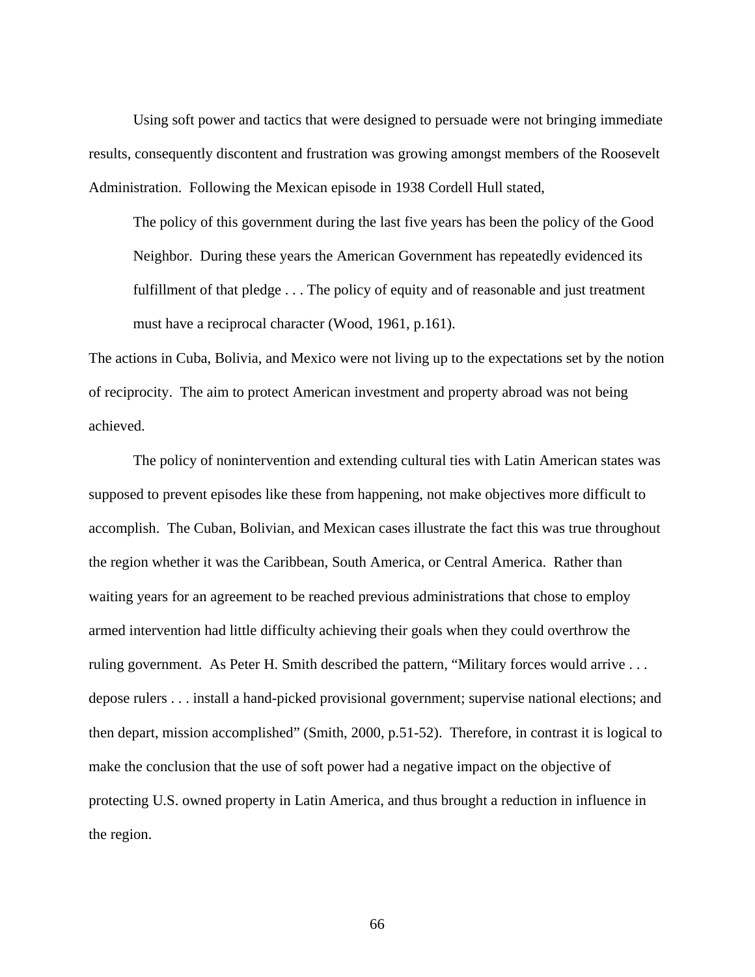Using soft power and tactics that were designed to persuade were not bringing immediate results, consequently discontent and frustration was growing amongst members of the Roosevelt Administration. Following the Mexican episode in 1938 Cordell Hull stated,

The policy of this government during the last five years has been the policy of the Good Neighbor. During these years the American Government has repeatedly evidenced its fulfillment of that pledge . . . The policy of equity and of reasonable and just treatment must have a reciprocal character (Wood, 1961, p.161).

The actions in Cuba, Bolivia, and Mexico were not living up to the expectations set by the notion of reciprocity. The aim to protect American investment and property abroad was not being achieved.

The policy of nonintervention and extending cultural ties with Latin American states was supposed to prevent episodes like these from happening, not make objectives more difficult to accomplish. The Cuban, Bolivian, and Mexican cases illustrate the fact this was true throughout the region whether it was the Caribbean, South America, or Central America. Rather than waiting years for an agreement to be reached previous administrations that chose to employ armed intervention had little difficulty achieving their goals when they could overthrow the ruling government. As Peter H. Smith described the pattern, "Military forces would arrive . . . depose rulers . . . install a hand-picked provisional government; supervise national elections; and then depart, mission accomplished" (Smith, 2000, p.51-52). Therefore, in contrast it is logical to make the conclusion that the use of soft power had a negative impact on the objective of protecting U.S. owned property in Latin America, and thus brought a reduction in influence in the region.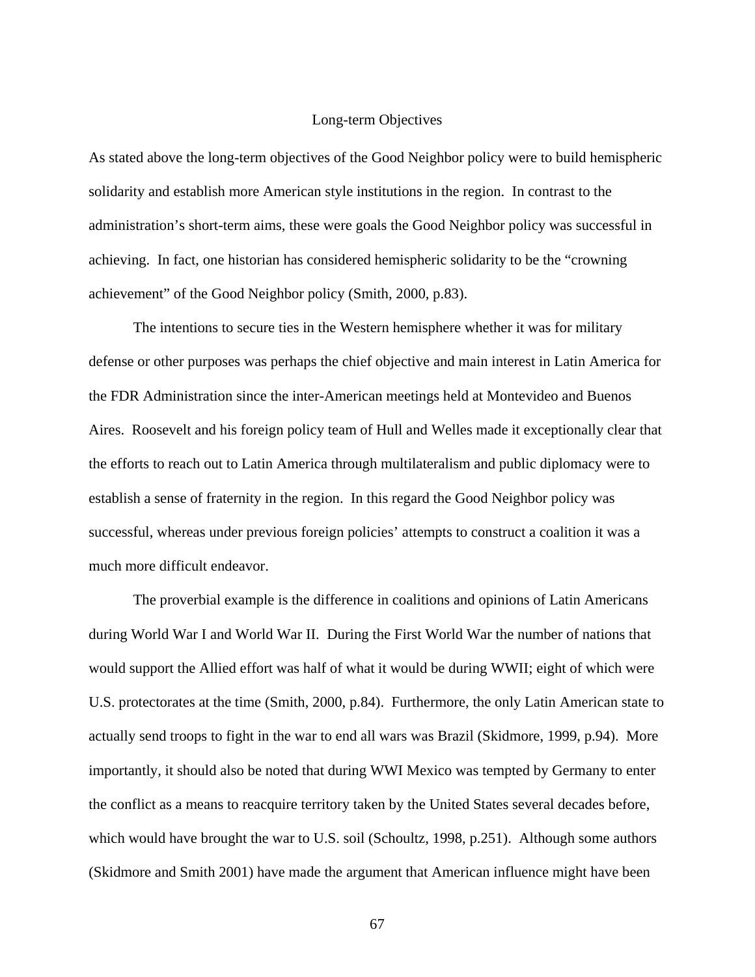#### Long-term Objectives

As stated above the long-term objectives of the Good Neighbor policy were to build hemispheric solidarity and establish more American style institutions in the region. In contrast to the administration's short-term aims, these were goals the Good Neighbor policy was successful in achieving. In fact, one historian has considered hemispheric solidarity to be the "crowning achievement" of the Good Neighbor policy (Smith, 2000, p.83).

The intentions to secure ties in the Western hemisphere whether it was for military defense or other purposes was perhaps the chief objective and main interest in Latin America for the FDR Administration since the inter-American meetings held at Montevideo and Buenos Aires. Roosevelt and his foreign policy team of Hull and Welles made it exceptionally clear that the efforts to reach out to Latin America through multilateralism and public diplomacy were to establish a sense of fraternity in the region. In this regard the Good Neighbor policy was successful, whereas under previous foreign policies' attempts to construct a coalition it was a much more difficult endeavor.

The proverbial example is the difference in coalitions and opinions of Latin Americans during World War I and World War II. During the First World War the number of nations that would support the Allied effort was half of what it would be during WWII; eight of which were U.S. protectorates at the time (Smith, 2000, p.84). Furthermore, the only Latin American state to actually send troops to fight in the war to end all wars was Brazil (Skidmore, 1999, p.94). More importantly, it should also be noted that during WWI Mexico was tempted by Germany to enter the conflict as a means to reacquire territory taken by the United States several decades before, which would have brought the war to U.S. soil (Schoultz, 1998, p.251). Although some authors (Skidmore and Smith 2001) have made the argument that American influence might have been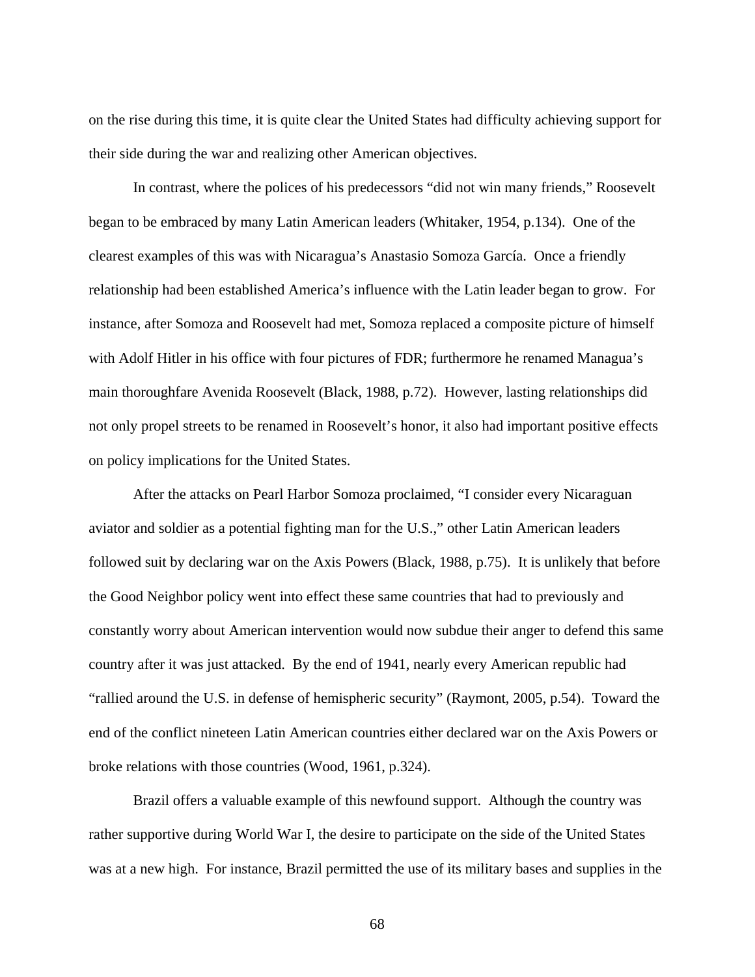on the rise during this time, it is quite clear the United States had difficulty achieving support for their side during the war and realizing other American objectives.

In contrast, where the polices of his predecessors "did not win many friends," Roosevelt began to be embraced by many Latin American leaders (Whitaker, 1954, p.134). One of the clearest examples of this was with Nicaragua's Anastasio Somoza García. Once a friendly relationship had been established America's influence with the Latin leader began to grow. For instance, after Somoza and Roosevelt had met, Somoza replaced a composite picture of himself with Adolf Hitler in his office with four pictures of FDR; furthermore he renamed Managua's main thoroughfare Avenida Roosevelt (Black, 1988, p.72). However, lasting relationships did not only propel streets to be renamed in Roosevelt's honor, it also had important positive effects on policy implications for the United States.

After the attacks on Pearl Harbor Somoza proclaimed, "I consider every Nicaraguan aviator and soldier as a potential fighting man for the U.S.," other Latin American leaders followed suit by declaring war on the Axis Powers (Black, 1988, p.75). It is unlikely that before the Good Neighbor policy went into effect these same countries that had to previously and constantly worry about American intervention would now subdue their anger to defend this same country after it was just attacked. By the end of 1941, nearly every American republic had "rallied around the U.S. in defense of hemispheric security" (Raymont, 2005, p.54). Toward the end of the conflict nineteen Latin American countries either declared war on the Axis Powers or broke relations with those countries (Wood, 1961, p.324).

Brazil offers a valuable example of this newfound support. Although the country was rather supportive during World War I, the desire to participate on the side of the United States was at a new high. For instance, Brazil permitted the use of its military bases and supplies in the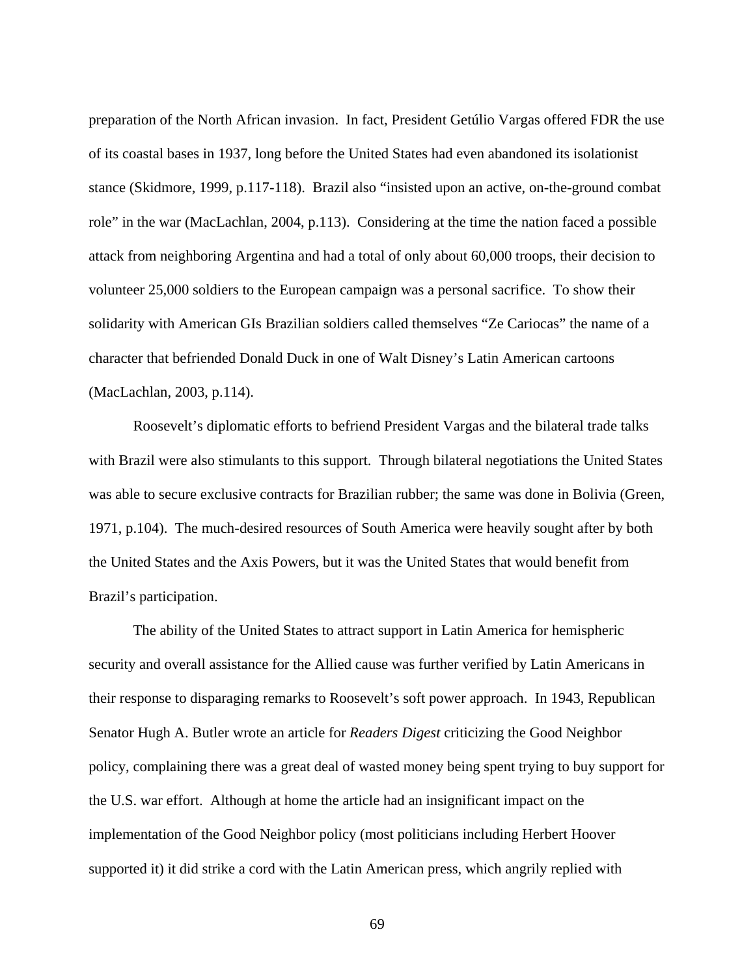preparation of the North African invasion. In fact, President Getúlio Vargas offered FDR the use of its coastal bases in 1937, long before the United States had even abandoned its isolationist stance (Skidmore, 1999, p.117-118). Brazil also "insisted upon an active, on-the-ground combat role" in the war (MacLachlan, 2004, p.113). Considering at the time the nation faced a possible attack from neighboring Argentina and had a total of only about 60,000 troops, their decision to volunteer 25,000 soldiers to the European campaign was a personal sacrifice. To show their solidarity with American GIs Brazilian soldiers called themselves "Ze Cariocas" the name of a character that befriended Donald Duck in one of Walt Disney's Latin American cartoons (MacLachlan, 2003, p.114).

Roosevelt's diplomatic efforts to befriend President Vargas and the bilateral trade talks with Brazil were also stimulants to this support. Through bilateral negotiations the United States was able to secure exclusive contracts for Brazilian rubber; the same was done in Bolivia (Green, 1971, p.104). The much-desired resources of South America were heavily sought after by both the United States and the Axis Powers, but it was the United States that would benefit from Brazil's participation.

The ability of the United States to attract support in Latin America for hemispheric security and overall assistance for the Allied cause was further verified by Latin Americans in their response to disparaging remarks to Roosevelt's soft power approach. In 1943, Republican Senator Hugh A. Butler wrote an article for *Readers Digest* criticizing the Good Neighbor policy, complaining there was a great deal of wasted money being spent trying to buy support for the U.S. war effort. Although at home the article had an insignificant impact on the implementation of the Good Neighbor policy (most politicians including Herbert Hoover supported it) it did strike a cord with the Latin American press, which angrily replied with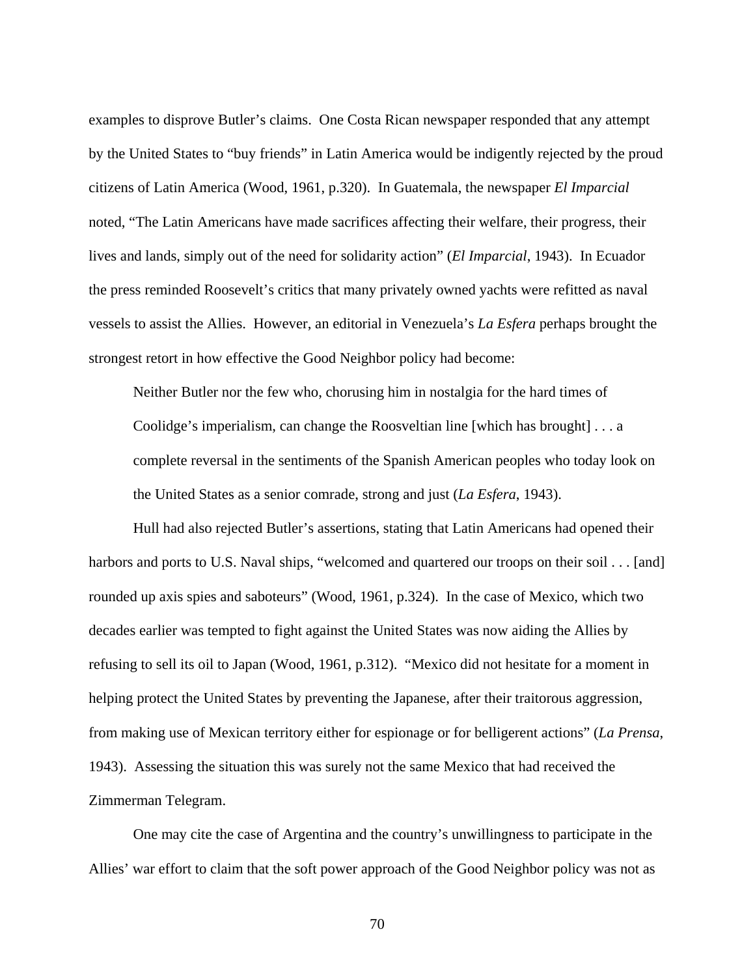examples to disprove Butler's claims. One Costa Rican newspaper responded that any attempt by the United States to "buy friends" in Latin America would be indigently rejected by the proud citizens of Latin America (Wood, 1961, p.320). In Guatemala, the newspaper *El Imparcial* noted, "The Latin Americans have made sacrifices affecting their welfare, their progress, their lives and lands, simply out of the need for solidarity action" (*El Imparcial*, 1943). In Ecuador the press reminded Roosevelt's critics that many privately owned yachts were refitted as naval vessels to assist the Allies. However, an editorial in Venezuela's *La Esfera* perhaps brought the strongest retort in how effective the Good Neighbor policy had become:

Neither Butler nor the few who, chorusing him in nostalgia for the hard times of Coolidge's imperialism, can change the Roosveltian line [which has brought] . . . a complete reversal in the sentiments of the Spanish American peoples who today look on the United States as a senior comrade, strong and just (*La Esfera*, 1943).

Hull had also rejected Butler's assertions, stating that Latin Americans had opened their harbors and ports to U.S. Naval ships, "welcomed and quartered our troops on their soil . . . [and] rounded up axis spies and saboteurs" (Wood, 1961, p.324). In the case of Mexico, which two decades earlier was tempted to fight against the United States was now aiding the Allies by refusing to sell its oil to Japan (Wood, 1961, p.312). "Mexico did not hesitate for a moment in helping protect the United States by preventing the Japanese, after their traitorous aggression, from making use of Mexican territory either for espionage or for belligerent actions" (*La Prensa*, 1943). Assessing the situation this was surely not the same Mexico that had received the Zimmerman Telegram.

One may cite the case of Argentina and the country's unwillingness to participate in the Allies' war effort to claim that the soft power approach of the Good Neighbor policy was not as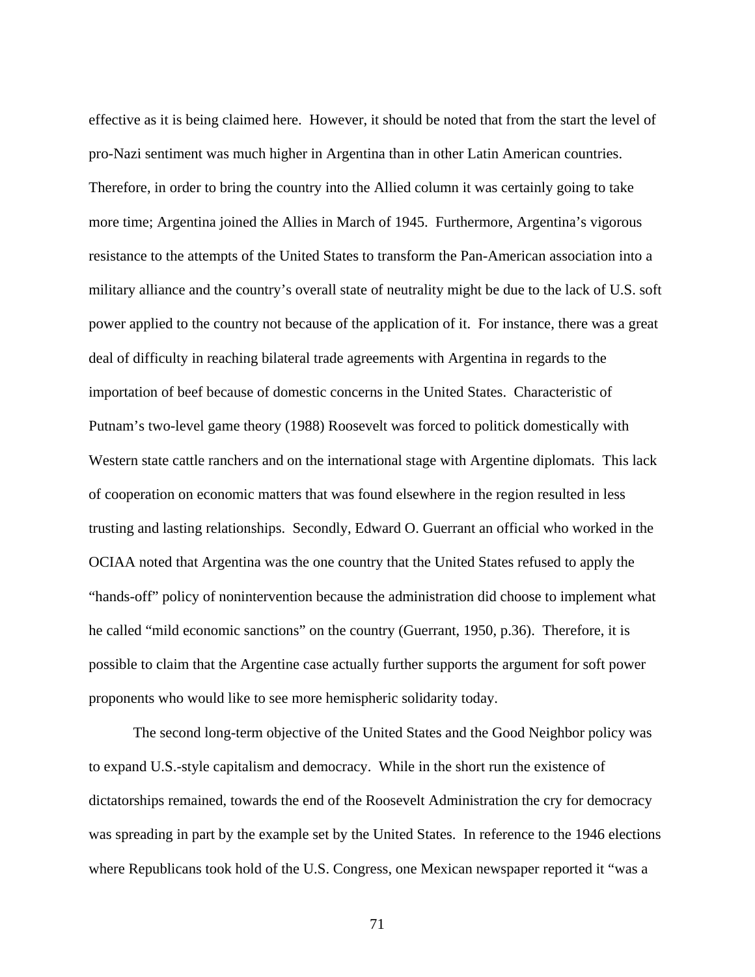effective as it is being claimed here. However, it should be noted that from the start the level of pro-Nazi sentiment was much higher in Argentina than in other Latin American countries. Therefore, in order to bring the country into the Allied column it was certainly going to take more time; Argentina joined the Allies in March of 1945. Furthermore, Argentina's vigorous resistance to the attempts of the United States to transform the Pan-American association into a military alliance and the country's overall state of neutrality might be due to the lack of U.S. soft power applied to the country not because of the application of it. For instance, there was a great deal of difficulty in reaching bilateral trade agreements with Argentina in regards to the importation of beef because of domestic concerns in the United States. Characteristic of Putnam's two-level game theory (1988) Roosevelt was forced to politick domestically with Western state cattle ranchers and on the international stage with Argentine diplomats. This lack of cooperation on economic matters that was found elsewhere in the region resulted in less trusting and lasting relationships. Secondly, Edward O. Guerrant an official who worked in the OCIAA noted that Argentina was the one country that the United States refused to apply the "hands-off" policy of nonintervention because the administration did choose to implement what he called "mild economic sanctions" on the country (Guerrant, 1950, p.36). Therefore, it is possible to claim that the Argentine case actually further supports the argument for soft power proponents who would like to see more hemispheric solidarity today.

The second long-term objective of the United States and the Good Neighbor policy was to expand U.S.-style capitalism and democracy. While in the short run the existence of dictatorships remained, towards the end of the Roosevelt Administration the cry for democracy was spreading in part by the example set by the United States. In reference to the 1946 elections where Republicans took hold of the U.S. Congress, one Mexican newspaper reported it "was a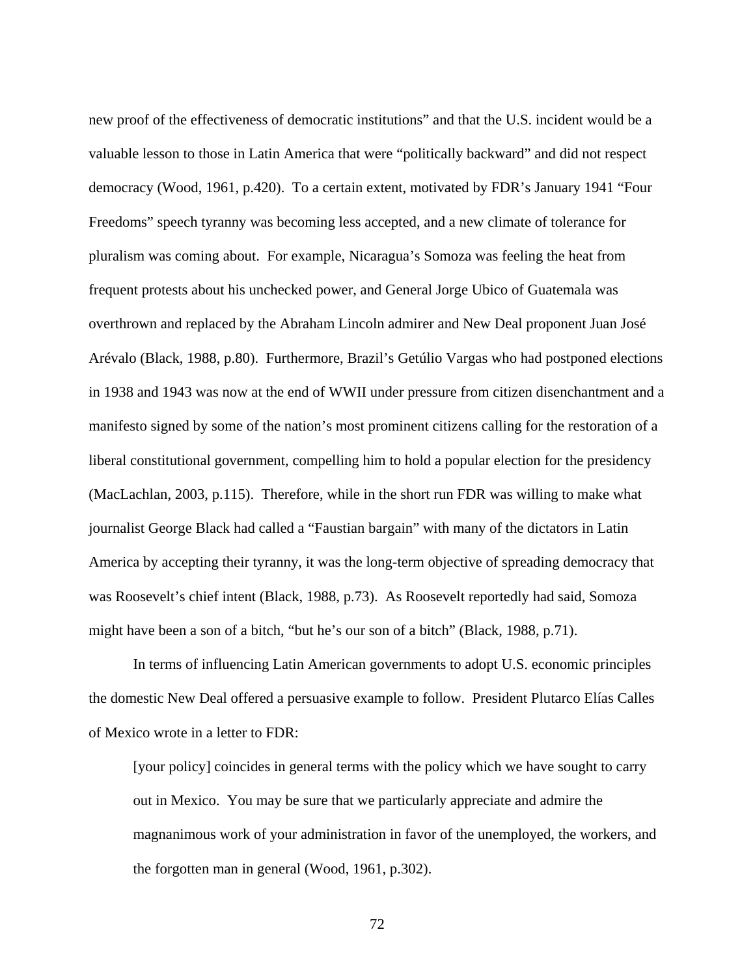new proof of the effectiveness of democratic institutions" and that the U.S. incident would be a valuable lesson to those in Latin America that were "politically backward" and did not respect democracy (Wood, 1961, p.420). To a certain extent, motivated by FDR's January 1941 "Four Freedoms" speech tyranny was becoming less accepted, and a new climate of tolerance for pluralism was coming about. For example, Nicaragua's Somoza was feeling the heat from frequent protests about his unchecked power, and General Jorge Ubico of Guatemala was overthrown and replaced by the Abraham Lincoln admirer and New Deal proponent Juan José Arévalo (Black, 1988, p.80). Furthermore, Brazil's Getúlio Vargas who had postponed elections in 1938 and 1943 was now at the end of WWII under pressure from citizen disenchantment and a manifesto signed by some of the nation's most prominent citizens calling for the restoration of a liberal constitutional government, compelling him to hold a popular election for the presidency (MacLachlan, 2003, p.115). Therefore, while in the short run FDR was willing to make what journalist George Black had called a "Faustian bargain" with many of the dictators in Latin America by accepting their tyranny, it was the long-term objective of spreading democracy that was Roosevelt's chief intent (Black, 1988, p.73). As Roosevelt reportedly had said, Somoza might have been a son of a bitch, "but he's our son of a bitch" (Black, 1988, p.71).

In terms of influencing Latin American governments to adopt U.S. economic principles the domestic New Deal offered a persuasive example to follow. President Plutarco Elías Calles of Mexico wrote in a letter to FDR:

[your policy] coincides in general terms with the policy which we have sought to carry out in Mexico. You may be sure that we particularly appreciate and admire the magnanimous work of your administration in favor of the unemployed, the workers, and the forgotten man in general (Wood, 1961, p.302).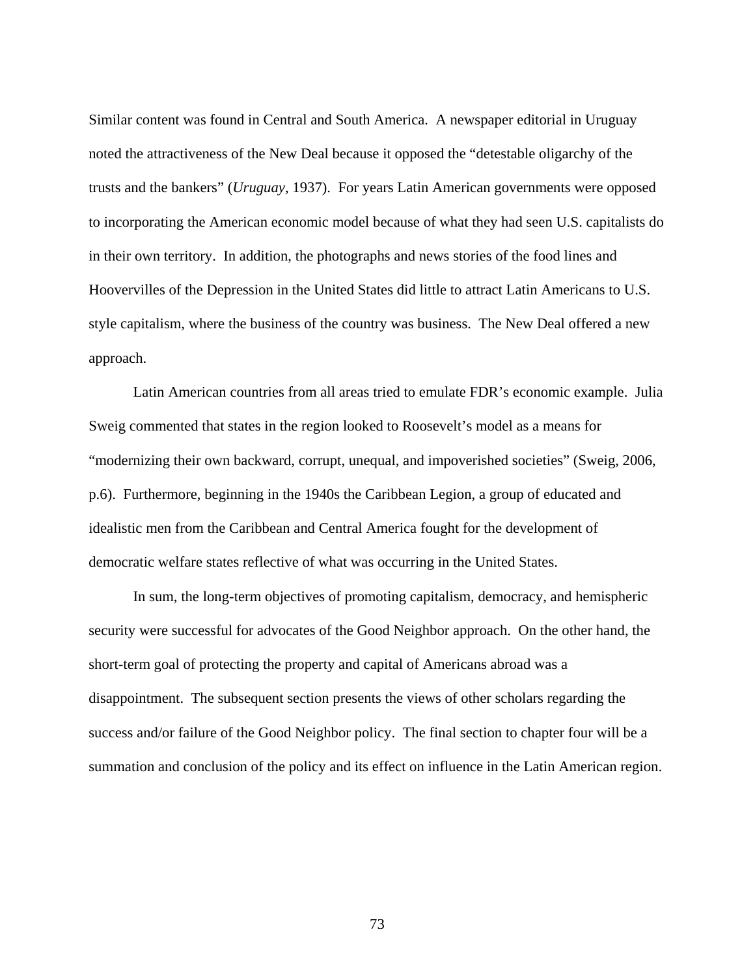Similar content was found in Central and South America. A newspaper editorial in Uruguay noted the attractiveness of the New Deal because it opposed the "detestable oligarchy of the trusts and the bankers" (*Uruguay*, 1937). For years Latin American governments were opposed to incorporating the American economic model because of what they had seen U.S. capitalists do in their own territory. In addition, the photographs and news stories of the food lines and Hoovervilles of the Depression in the United States did little to attract Latin Americans to U.S. style capitalism, where the business of the country was business. The New Deal offered a new approach.

Latin American countries from all areas tried to emulate FDR's economic example. Julia Sweig commented that states in the region looked to Roosevelt's model as a means for "modernizing their own backward, corrupt, unequal, and impoverished societies" (Sweig, 2006, p.6). Furthermore, beginning in the 1940s the Caribbean Legion, a group of educated and idealistic men from the Caribbean and Central America fought for the development of democratic welfare states reflective of what was occurring in the United States.

In sum, the long-term objectives of promoting capitalism, democracy, and hemispheric security were successful for advocates of the Good Neighbor approach. On the other hand, the short-term goal of protecting the property and capital of Americans abroad was a disappointment. The subsequent section presents the views of other scholars regarding the success and/or failure of the Good Neighbor policy. The final section to chapter four will be a summation and conclusion of the policy and its effect on influence in the Latin American region.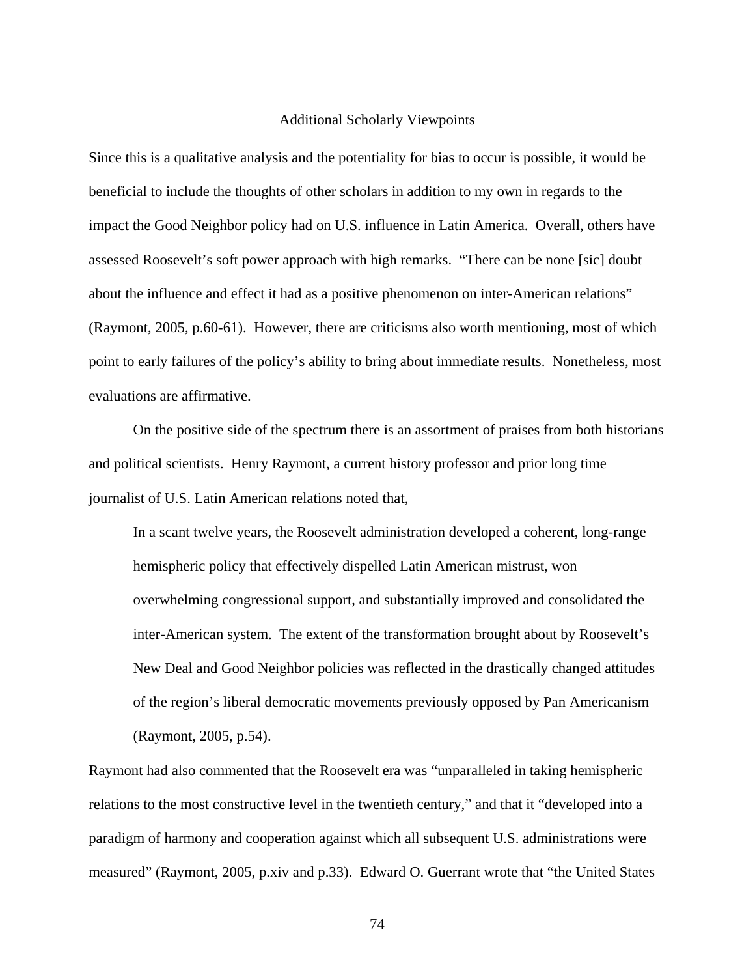#### Additional Scholarly Viewpoints

Since this is a qualitative analysis and the potentiality for bias to occur is possible, it would be beneficial to include the thoughts of other scholars in addition to my own in regards to the impact the Good Neighbor policy had on U.S. influence in Latin America. Overall, others have assessed Roosevelt's soft power approach with high remarks. "There can be none [sic] doubt about the influence and effect it had as a positive phenomenon on inter-American relations" (Raymont, 2005, p.60-61). However, there are criticisms also worth mentioning, most of which point to early failures of the policy's ability to bring about immediate results. Nonetheless, most evaluations are affirmative.

On the positive side of the spectrum there is an assortment of praises from both historians and political scientists. Henry Raymont, a current history professor and prior long time journalist of U.S. Latin American relations noted that,

In a scant twelve years, the Roosevelt administration developed a coherent, long-range hemispheric policy that effectively dispelled Latin American mistrust, won overwhelming congressional support, and substantially improved and consolidated the inter-American system. The extent of the transformation brought about by Roosevelt's New Deal and Good Neighbor policies was reflected in the drastically changed attitudes of the region's liberal democratic movements previously opposed by Pan Americanism (Raymont, 2005, p.54).

Raymont had also commented that the Roosevelt era was "unparalleled in taking hemispheric relations to the most constructive level in the twentieth century," and that it "developed into a paradigm of harmony and cooperation against which all subsequent U.S. administrations were measured" (Raymont, 2005, p.xiv and p.33). Edward O. Guerrant wrote that "the United States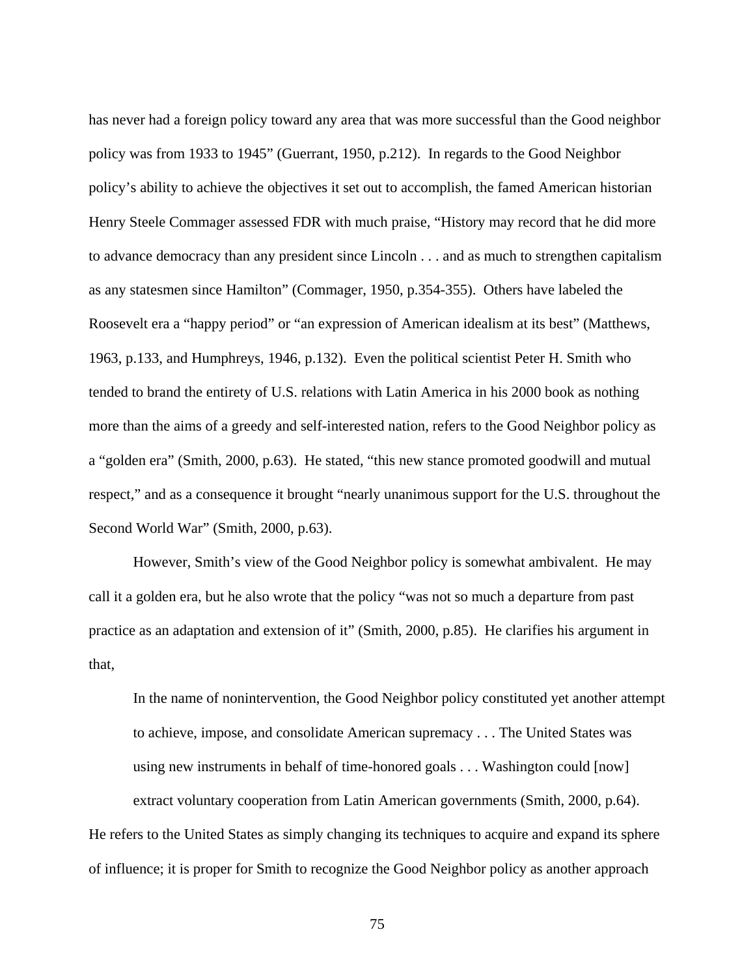has never had a foreign policy toward any area that was more successful than the Good neighbor policy was from 1933 to 1945" (Guerrant, 1950, p.212). In regards to the Good Neighbor policy's ability to achieve the objectives it set out to accomplish, the famed American historian Henry Steele Commager assessed FDR with much praise, "History may record that he did more to advance democracy than any president since Lincoln . . . and as much to strengthen capitalism as any statesmen since Hamilton" (Commager, 1950, p.354-355). Others have labeled the Roosevelt era a "happy period" or "an expression of American idealism at its best" (Matthews, 1963, p.133, and Humphreys, 1946, p.132). Even the political scientist Peter H. Smith who tended to brand the entirety of U.S. relations with Latin America in his 2000 book as nothing more than the aims of a greedy and self-interested nation, refers to the Good Neighbor policy as a "golden era" (Smith, 2000, p.63). He stated, "this new stance promoted goodwill and mutual respect," and as a consequence it brought "nearly unanimous support for the U.S. throughout the Second World War" (Smith, 2000, p.63).

However, Smith's view of the Good Neighbor policy is somewhat ambivalent. He may call it a golden era, but he also wrote that the policy "was not so much a departure from past practice as an adaptation and extension of it" (Smith, 2000, p.85). He clarifies his argument in that,

In the name of nonintervention, the Good Neighbor policy constituted yet another attempt to achieve, impose, and consolidate American supremacy . . . The United States was using new instruments in behalf of time-honored goals . . . Washington could [now] extract voluntary cooperation from Latin American governments (Smith, 2000, p.64). He refers to the United States as simply changing its techniques to acquire and expand its sphere of influence; it is proper for Smith to recognize the Good Neighbor policy as another approach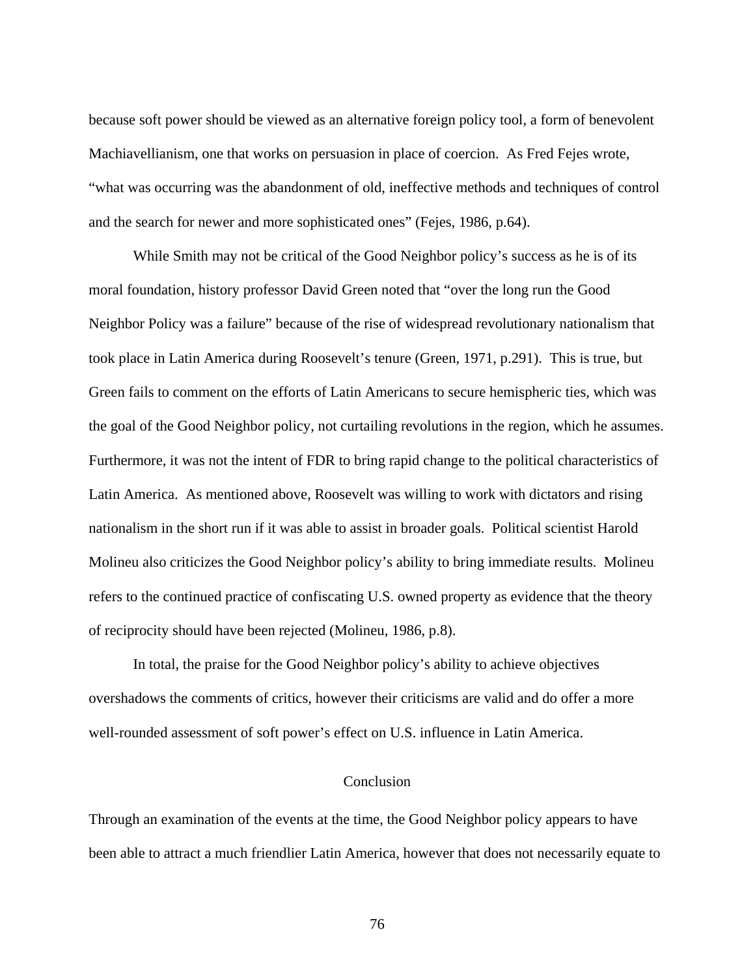because soft power should be viewed as an alternative foreign policy tool, a form of benevolent Machiavellianism, one that works on persuasion in place of coercion. As Fred Fejes wrote, "what was occurring was the abandonment of old, ineffective methods and techniques of control and the search for newer and more sophisticated ones" (Fejes, 1986, p.64).

While Smith may not be critical of the Good Neighbor policy's success as he is of its moral foundation, history professor David Green noted that "over the long run the Good Neighbor Policy was a failure" because of the rise of widespread revolutionary nationalism that took place in Latin America during Roosevelt's tenure (Green, 1971, p.291). This is true, but Green fails to comment on the efforts of Latin Americans to secure hemispheric ties, which was the goal of the Good Neighbor policy, not curtailing revolutions in the region, which he assumes. Furthermore, it was not the intent of FDR to bring rapid change to the political characteristics of Latin America. As mentioned above, Roosevelt was willing to work with dictators and rising nationalism in the short run if it was able to assist in broader goals. Political scientist Harold Molineu also criticizes the Good Neighbor policy's ability to bring immediate results. Molineu refers to the continued practice of confiscating U.S. owned property as evidence that the theory of reciprocity should have been rejected (Molineu, 1986, p.8).

In total, the praise for the Good Neighbor policy's ability to achieve objectives overshadows the comments of critics, however their criticisms are valid and do offer a more well-rounded assessment of soft power's effect on U.S. influence in Latin America.

### Conclusion

Through an examination of the events at the time, the Good Neighbor policy appears to have been able to attract a much friendlier Latin America, however that does not necessarily equate to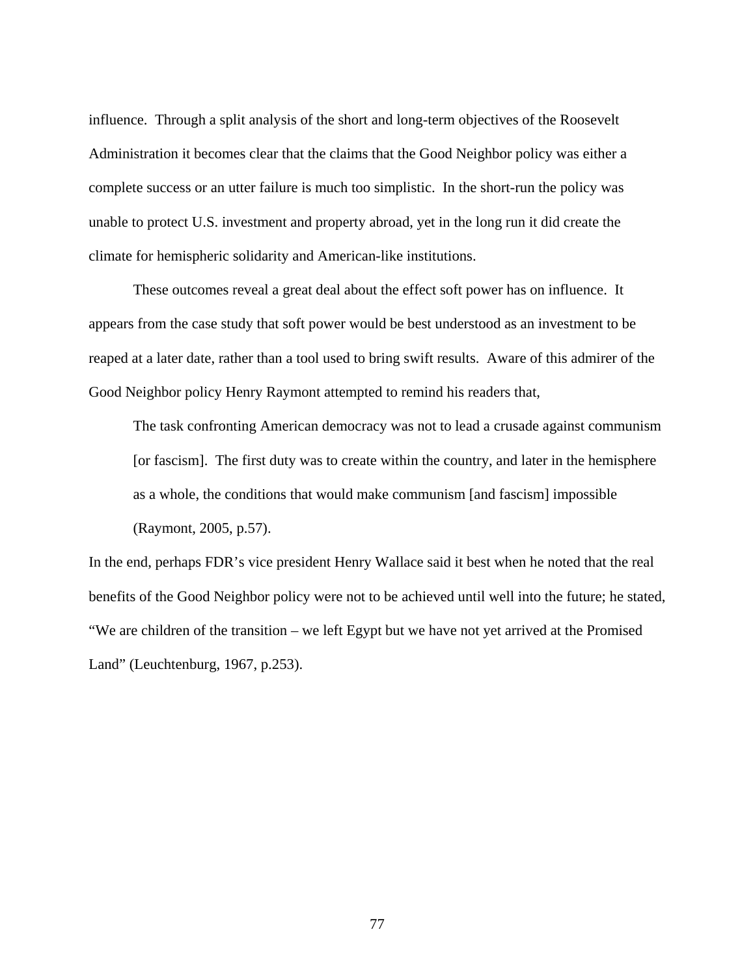influence. Through a split analysis of the short and long-term objectives of the Roosevelt Administration it becomes clear that the claims that the Good Neighbor policy was either a complete success or an utter failure is much too simplistic. In the short-run the policy was unable to protect U.S. investment and property abroad, yet in the long run it did create the climate for hemispheric solidarity and American-like institutions.

These outcomes reveal a great deal about the effect soft power has on influence. It appears from the case study that soft power would be best understood as an investment to be reaped at a later date, rather than a tool used to bring swift results. Aware of this admirer of the Good Neighbor policy Henry Raymont attempted to remind his readers that,

The task confronting American democracy was not to lead a crusade against communism [or fascism]. The first duty was to create within the country, and later in the hemisphere as a whole, the conditions that would make communism [and fascism] impossible (Raymont, 2005, p.57).

In the end, perhaps FDR's vice president Henry Wallace said it best when he noted that the real benefits of the Good Neighbor policy were not to be achieved until well into the future; he stated, "We are children of the transition – we left Egypt but we have not yet arrived at the Promised Land" (Leuchtenburg, 1967, p.253).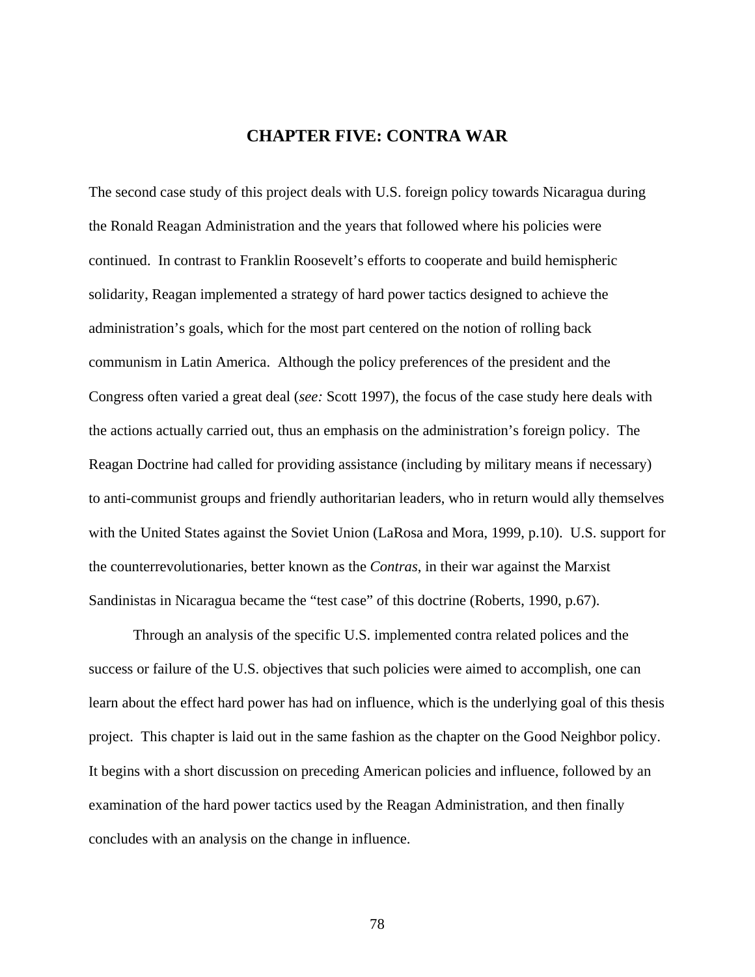# **CHAPTER FIVE: CONTRA WAR**

The second case study of this project deals with U.S. foreign policy towards Nicaragua during the Ronald Reagan Administration and the years that followed where his policies were continued. In contrast to Franklin Roosevelt's efforts to cooperate and build hemispheric solidarity, Reagan implemented a strategy of hard power tactics designed to achieve the administration's goals, which for the most part centered on the notion of rolling back communism in Latin America. Although the policy preferences of the president and the Congress often varied a great deal (*see:* Scott 1997), the focus of the case study here deals with the actions actually carried out, thus an emphasis on the administration's foreign policy. The Reagan Doctrine had called for providing assistance (including by military means if necessary) to anti-communist groups and friendly authoritarian leaders, who in return would ally themselves with the United States against the Soviet Union (LaRosa and Mora, 1999, p.10). U.S. support for the counterrevolutionaries, better known as the *Contras*, in their war against the Marxist Sandinistas in Nicaragua became the "test case" of this doctrine (Roberts, 1990, p.67).

Through an analysis of the specific U.S. implemented contra related polices and the success or failure of the U.S. objectives that such policies were aimed to accomplish, one can learn about the effect hard power has had on influence, which is the underlying goal of this thesis project. This chapter is laid out in the same fashion as the chapter on the Good Neighbor policy. It begins with a short discussion on preceding American policies and influence, followed by an examination of the hard power tactics used by the Reagan Administration, and then finally concludes with an analysis on the change in influence.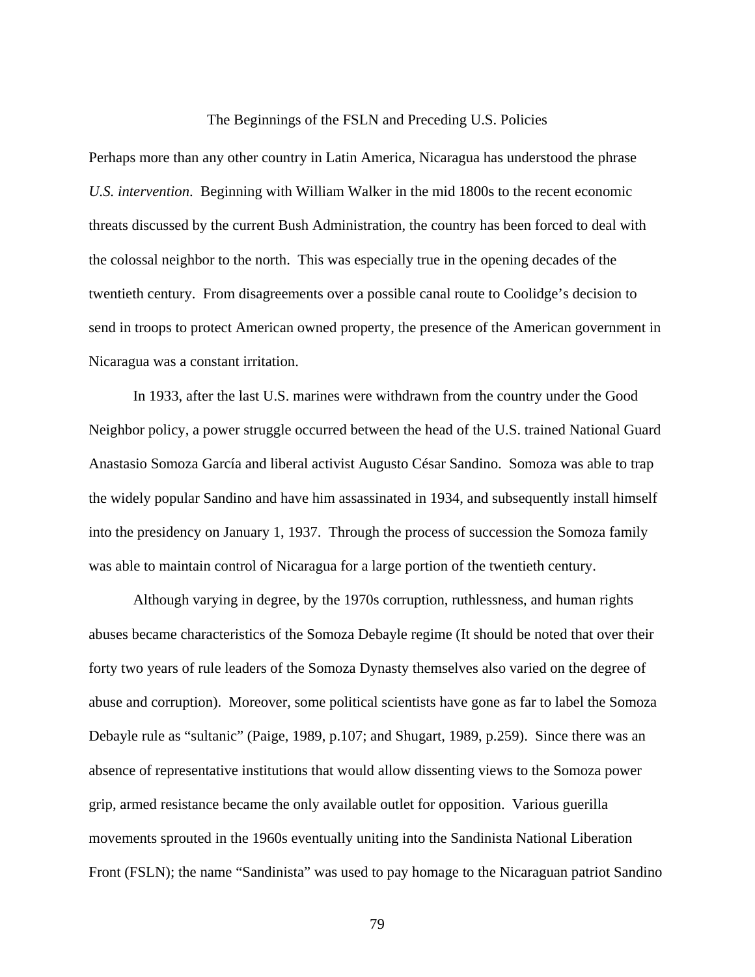#### The Beginnings of the FSLN and Preceding U.S. Policies

Perhaps more than any other country in Latin America, Nicaragua has understood the phrase *U.S. intervention*. Beginning with William Walker in the mid 1800s to the recent economic threats discussed by the current Bush Administration, the country has been forced to deal with the colossal neighbor to the north. This was especially true in the opening decades of the twentieth century. From disagreements over a possible canal route to Coolidge's decision to send in troops to protect American owned property, the presence of the American government in Nicaragua was a constant irritation.

In 1933, after the last U.S. marines were withdrawn from the country under the Good Neighbor policy, a power struggle occurred between the head of the U.S. trained National Guard Anastasio Somoza García and liberal activist Augusto César Sandino. Somoza was able to trap the widely popular Sandino and have him assassinated in 1934, and subsequently install himself into the presidency on January 1, 1937. Through the process of succession the Somoza family was able to maintain control of Nicaragua for a large portion of the twentieth century.

Although varying in degree, by the 1970s corruption, ruthlessness, and human rights abuses became characteristics of the Somoza Debayle regime (It should be noted that over their forty two years of rule leaders of the Somoza Dynasty themselves also varied on the degree of abuse and corruption). Moreover, some political scientists have gone as far to label the Somoza Debayle rule as "sultanic" (Paige, 1989, p.107; and Shugart, 1989, p.259). Since there was an absence of representative institutions that would allow dissenting views to the Somoza power grip, armed resistance became the only available outlet for opposition. Various guerilla movements sprouted in the 1960s eventually uniting into the Sandinista National Liberation Front (FSLN); the name "Sandinista" was used to pay homage to the Nicaraguan patriot Sandino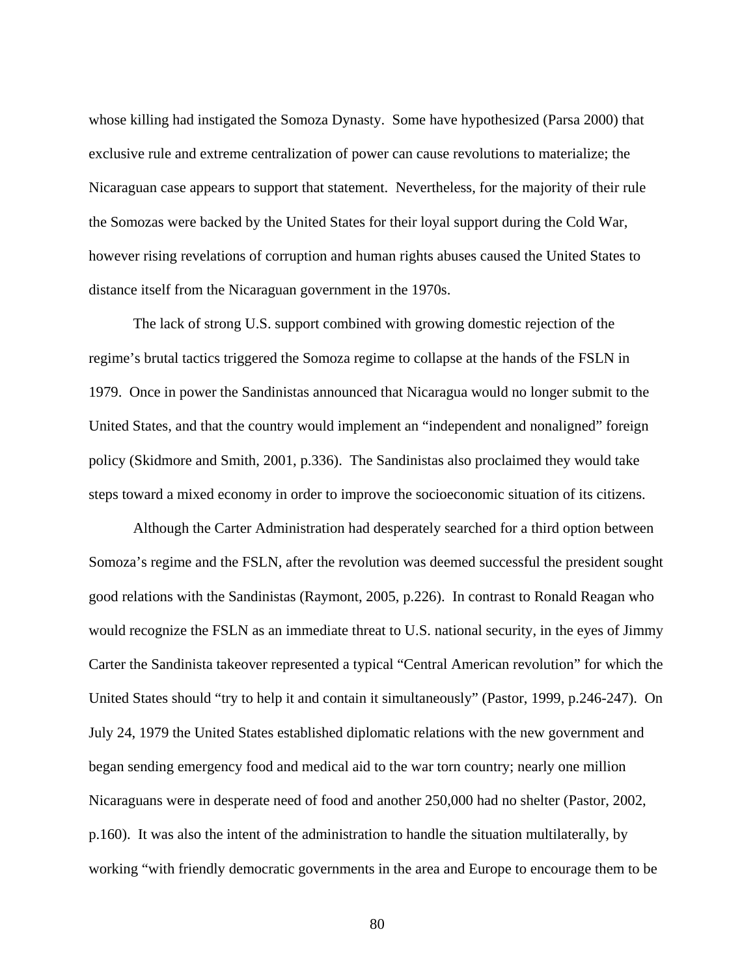whose killing had instigated the Somoza Dynasty. Some have hypothesized (Parsa 2000) that exclusive rule and extreme centralization of power can cause revolutions to materialize; the Nicaraguan case appears to support that statement. Nevertheless, for the majority of their rule the Somozas were backed by the United States for their loyal support during the Cold War, however rising revelations of corruption and human rights abuses caused the United States to distance itself from the Nicaraguan government in the 1970s.

The lack of strong U.S. support combined with growing domestic rejection of the regime's brutal tactics triggered the Somoza regime to collapse at the hands of the FSLN in 1979. Once in power the Sandinistas announced that Nicaragua would no longer submit to the United States, and that the country would implement an "independent and nonaligned" foreign policy (Skidmore and Smith, 2001, p.336). The Sandinistas also proclaimed they would take steps toward a mixed economy in order to improve the socioeconomic situation of its citizens.

Although the Carter Administration had desperately searched for a third option between Somoza's regime and the FSLN, after the revolution was deemed successful the president sought good relations with the Sandinistas (Raymont, 2005, p.226). In contrast to Ronald Reagan who would recognize the FSLN as an immediate threat to U.S. national security, in the eyes of Jimmy Carter the Sandinista takeover represented a typical "Central American revolution" for which the United States should "try to help it and contain it simultaneously" (Pastor, 1999, p.246-247). On July 24, 1979 the United States established diplomatic relations with the new government and began sending emergency food and medical aid to the war torn country; nearly one million Nicaraguans were in desperate need of food and another 250,000 had no shelter (Pastor, 2002, p.160). It was also the intent of the administration to handle the situation multilaterally, by working "with friendly democratic governments in the area and Europe to encourage them to be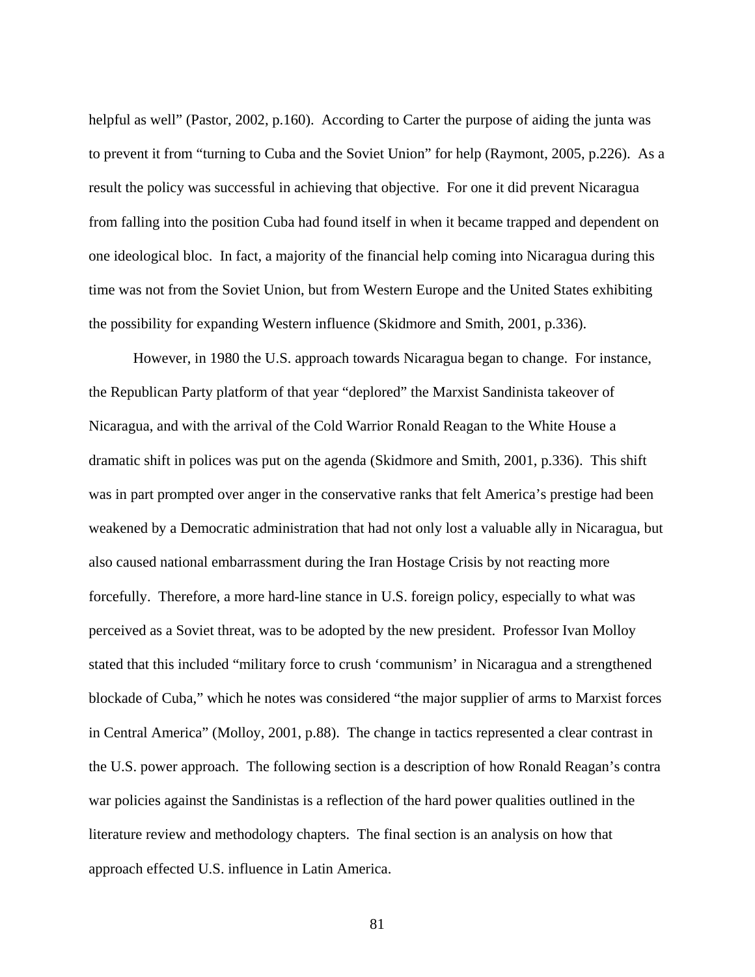helpful as well" (Pastor, 2002, p.160). According to Carter the purpose of aiding the junta was to prevent it from "turning to Cuba and the Soviet Union" for help (Raymont, 2005, p.226). As a result the policy was successful in achieving that objective. For one it did prevent Nicaragua from falling into the position Cuba had found itself in when it became trapped and dependent on one ideological bloc. In fact, a majority of the financial help coming into Nicaragua during this time was not from the Soviet Union, but from Western Europe and the United States exhibiting the possibility for expanding Western influence (Skidmore and Smith, 2001, p.336).

However, in 1980 the U.S. approach towards Nicaragua began to change. For instance, the Republican Party platform of that year "deplored" the Marxist Sandinista takeover of Nicaragua, and with the arrival of the Cold Warrior Ronald Reagan to the White House a dramatic shift in polices was put on the agenda (Skidmore and Smith, 2001, p.336). This shift was in part prompted over anger in the conservative ranks that felt America's prestige had been weakened by a Democratic administration that had not only lost a valuable ally in Nicaragua, but also caused national embarrassment during the Iran Hostage Crisis by not reacting more forcefully. Therefore, a more hard-line stance in U.S. foreign policy, especially to what was perceived as a Soviet threat, was to be adopted by the new president. Professor Ivan Molloy stated that this included "military force to crush 'communism' in Nicaragua and a strengthened blockade of Cuba," which he notes was considered "the major supplier of arms to Marxist forces in Central America" (Molloy, 2001, p.88). The change in tactics represented a clear contrast in the U.S. power approach. The following section is a description of how Ronald Reagan's contra war policies against the Sandinistas is a reflection of the hard power qualities outlined in the literature review and methodology chapters. The final section is an analysis on how that approach effected U.S. influence in Latin America.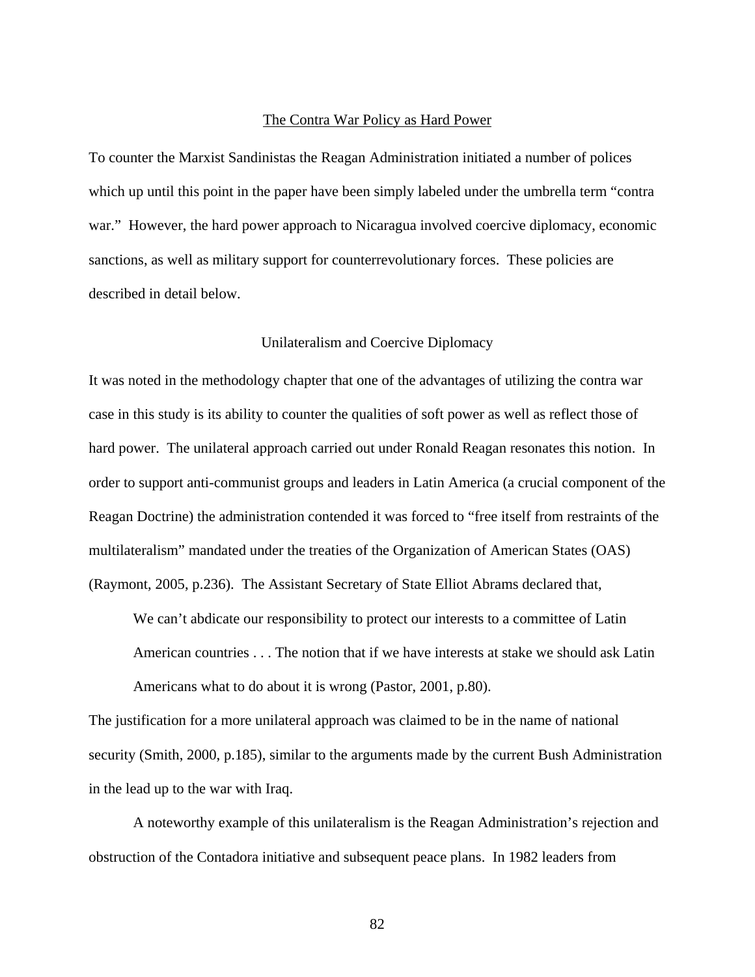#### The Contra War Policy as Hard Power

To counter the Marxist Sandinistas the Reagan Administration initiated a number of polices which up until this point in the paper have been simply labeled under the umbrella term "contra" war." However, the hard power approach to Nicaragua involved coercive diplomacy, economic sanctions, as well as military support for counterrevolutionary forces. These policies are described in detail below.

# Unilateralism and Coercive Diplomacy

It was noted in the methodology chapter that one of the advantages of utilizing the contra war case in this study is its ability to counter the qualities of soft power as well as reflect those of hard power. The unilateral approach carried out under Ronald Reagan resonates this notion. In order to support anti-communist groups and leaders in Latin America (a crucial component of the Reagan Doctrine) the administration contended it was forced to "free itself from restraints of the multilateralism" mandated under the treaties of the Organization of American States (OAS) (Raymont, 2005, p.236). The Assistant Secretary of State Elliot Abrams declared that,

We can't abdicate our responsibility to protect our interests to a committee of Latin American countries . . . The notion that if we have interests at stake we should ask Latin Americans what to do about it is wrong (Pastor, 2001, p.80).

The justification for a more unilateral approach was claimed to be in the name of national security (Smith, 2000, p.185), similar to the arguments made by the current Bush Administration in the lead up to the war with Iraq.

A noteworthy example of this unilateralism is the Reagan Administration's rejection and obstruction of the Contadora initiative and subsequent peace plans. In 1982 leaders from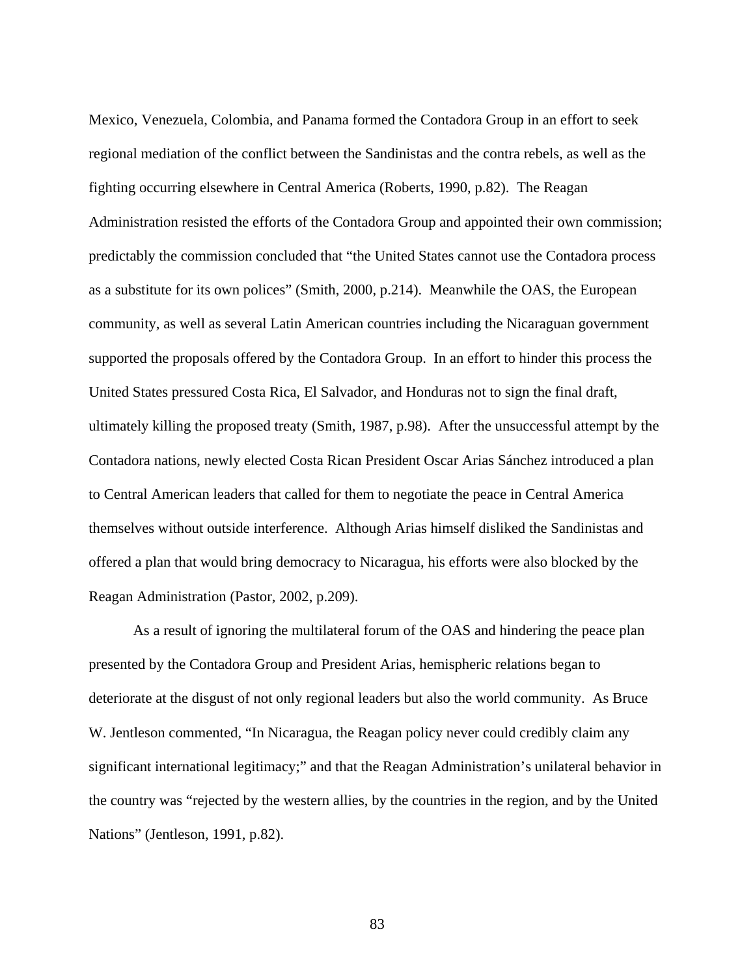Mexico, Venezuela, Colombia, and Panama formed the Contadora Group in an effort to seek regional mediation of the conflict between the Sandinistas and the contra rebels, as well as the fighting occurring elsewhere in Central America (Roberts, 1990, p.82). The Reagan Administration resisted the efforts of the Contadora Group and appointed their own commission; predictably the commission concluded that "the United States cannot use the Contadora process as a substitute for its own polices" (Smith, 2000, p.214). Meanwhile the OAS, the European community, as well as several Latin American countries including the Nicaraguan government supported the proposals offered by the Contadora Group. In an effort to hinder this process the United States pressured Costa Rica, El Salvador, and Honduras not to sign the final draft, ultimately killing the proposed treaty (Smith, 1987, p.98). After the unsuccessful attempt by the Contadora nations, newly elected Costa Rican President Oscar Arias Sánchez introduced a plan to Central American leaders that called for them to negotiate the peace in Central America themselves without outside interference. Although Arias himself disliked the Sandinistas and offered a plan that would bring democracy to Nicaragua, his efforts were also blocked by the Reagan Administration (Pastor, 2002, p.209).

As a result of ignoring the multilateral forum of the OAS and hindering the peace plan presented by the Contadora Group and President Arias, hemispheric relations began to deteriorate at the disgust of not only regional leaders but also the world community. As Bruce W. Jentleson commented, "In Nicaragua, the Reagan policy never could credibly claim any significant international legitimacy;" and that the Reagan Administration's unilateral behavior in the country was "rejected by the western allies, by the countries in the region, and by the United Nations" (Jentleson, 1991, p.82).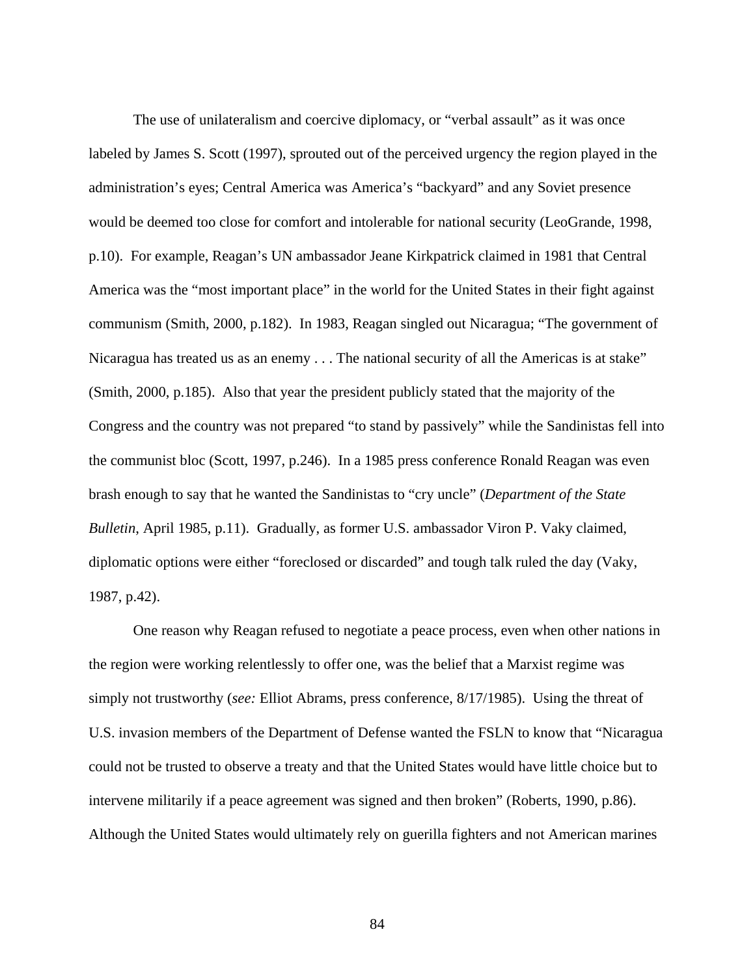The use of unilateralism and coercive diplomacy, or "verbal assault" as it was once labeled by James S. Scott (1997), sprouted out of the perceived urgency the region played in the administration's eyes; Central America was America's "backyard" and any Soviet presence would be deemed too close for comfort and intolerable for national security (LeoGrande, 1998, p.10). For example, Reagan's UN ambassador Jeane Kirkpatrick claimed in 1981 that Central America was the "most important place" in the world for the United States in their fight against communism (Smith, 2000, p.182). In 1983, Reagan singled out Nicaragua; "The government of Nicaragua has treated us as an enemy . . . The national security of all the Americas is at stake" (Smith, 2000, p.185). Also that year the president publicly stated that the majority of the Congress and the country was not prepared "to stand by passively" while the Sandinistas fell into the communist bloc (Scott, 1997, p.246). In a 1985 press conference Ronald Reagan was even brash enough to say that he wanted the Sandinistas to "cry uncle" (*Department of the State Bulletin*, April 1985, p.11). Gradually, as former U.S. ambassador Viron P. Vaky claimed, diplomatic options were either "foreclosed or discarded" and tough talk ruled the day (Vaky, 1987, p.42).

One reason why Reagan refused to negotiate a peace process, even when other nations in the region were working relentlessly to offer one, was the belief that a Marxist regime was simply not trustworthy (*see:* Elliot Abrams, press conference, 8/17/1985). Using the threat of U.S. invasion members of the Department of Defense wanted the FSLN to know that "Nicaragua could not be trusted to observe a treaty and that the United States would have little choice but to intervene militarily if a peace agreement was signed and then broken" (Roberts, 1990, p.86). Although the United States would ultimately rely on guerilla fighters and not American marines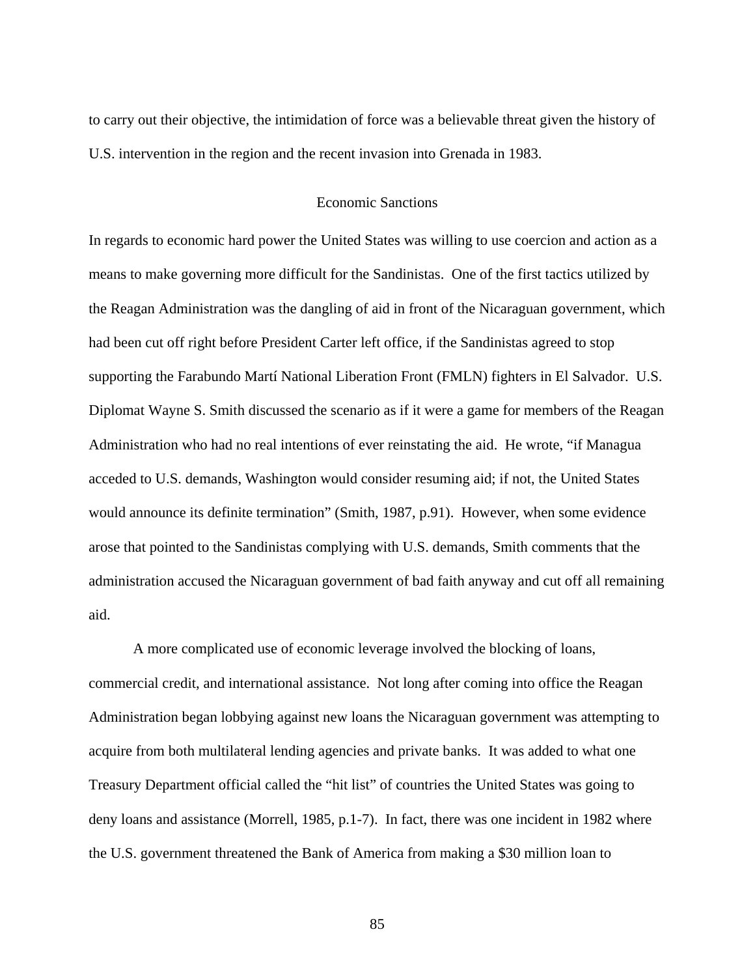to carry out their objective, the intimidation of force was a believable threat given the history of U.S. intervention in the region and the recent invasion into Grenada in 1983.

# Economic Sanctions

In regards to economic hard power the United States was willing to use coercion and action as a means to make governing more difficult for the Sandinistas. One of the first tactics utilized by the Reagan Administration was the dangling of aid in front of the Nicaraguan government, which had been cut off right before President Carter left office, if the Sandinistas agreed to stop supporting the Farabundo Martí National Liberation Front (FMLN) fighters in El Salvador. U.S. Diplomat Wayne S. Smith discussed the scenario as if it were a game for members of the Reagan Administration who had no real intentions of ever reinstating the aid. He wrote, "if Managua acceded to U.S. demands, Washington would consider resuming aid; if not, the United States would announce its definite termination" (Smith, 1987, p.91). However, when some evidence arose that pointed to the Sandinistas complying with U.S. demands, Smith comments that the administration accused the Nicaraguan government of bad faith anyway and cut off all remaining aid.

A more complicated use of economic leverage involved the blocking of loans, commercial credit, and international assistance. Not long after coming into office the Reagan Administration began lobbying against new loans the Nicaraguan government was attempting to acquire from both multilateral lending agencies and private banks. It was added to what one Treasury Department official called the "hit list" of countries the United States was going to deny loans and assistance (Morrell, 1985, p.1-7). In fact, there was one incident in 1982 where the U.S. government threatened the Bank of America from making a \$30 million loan to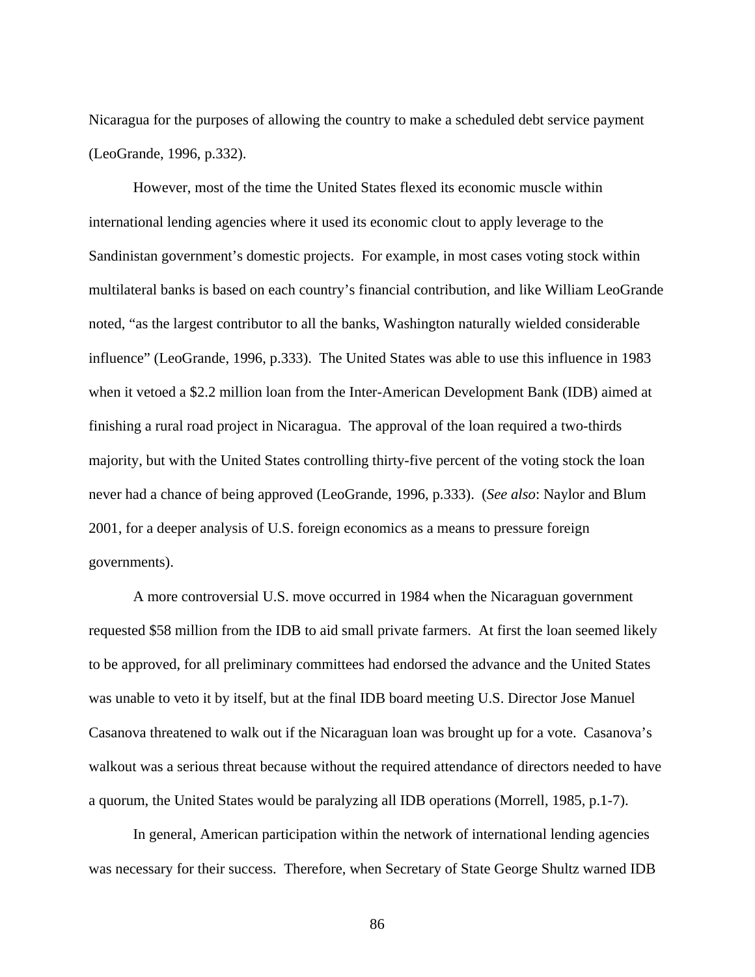Nicaragua for the purposes of allowing the country to make a scheduled debt service payment (LeoGrande, 1996, p.332).

However, most of the time the United States flexed its economic muscle within international lending agencies where it used its economic clout to apply leverage to the Sandinistan government's domestic projects. For example, in most cases voting stock within multilateral banks is based on each country's financial contribution, and like William LeoGrande noted, "as the largest contributor to all the banks, Washington naturally wielded considerable influence" (LeoGrande, 1996, p.333). The United States was able to use this influence in 1983 when it vetoed a \$2.2 million loan from the Inter-American Development Bank (IDB) aimed at finishing a rural road project in Nicaragua. The approval of the loan required a two-thirds majority, but with the United States controlling thirty-five percent of the voting stock the loan never had a chance of being approved (LeoGrande, 1996, p.333). (*See also*: Naylor and Blum 2001, for a deeper analysis of U.S. foreign economics as a means to pressure foreign governments).

A more controversial U.S. move occurred in 1984 when the Nicaraguan government requested \$58 million from the IDB to aid small private farmers. At first the loan seemed likely to be approved, for all preliminary committees had endorsed the advance and the United States was unable to veto it by itself, but at the final IDB board meeting U.S. Director Jose Manuel Casanova threatened to walk out if the Nicaraguan loan was brought up for a vote. Casanova's walkout was a serious threat because without the required attendance of directors needed to have a quorum, the United States would be paralyzing all IDB operations (Morrell, 1985, p.1-7).

In general, American participation within the network of international lending agencies was necessary for their success. Therefore, when Secretary of State George Shultz warned IDB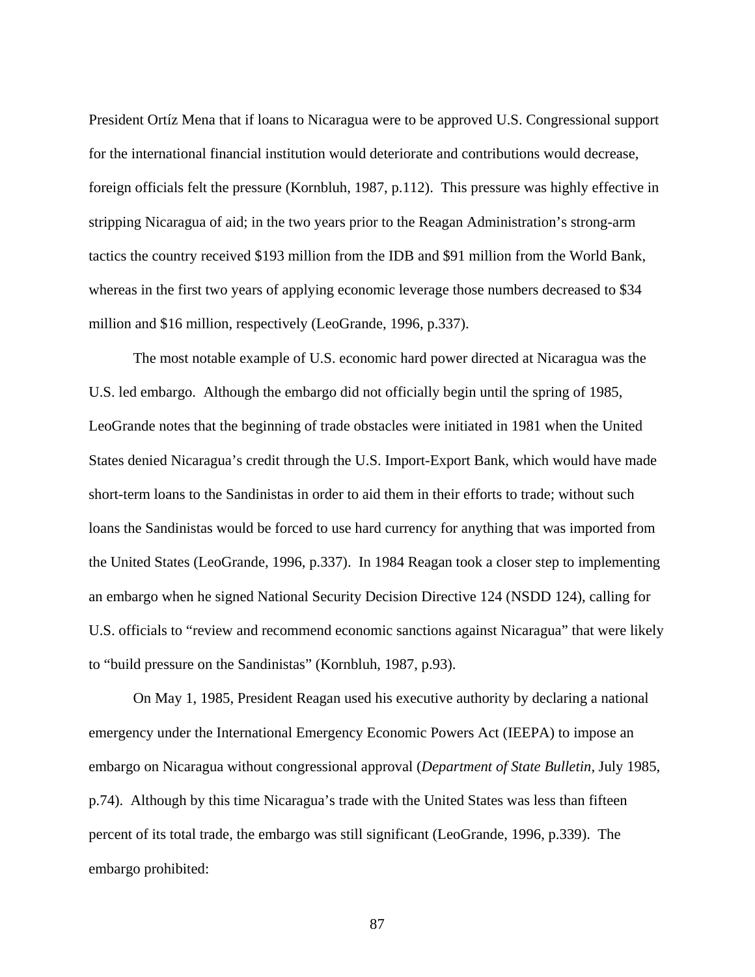President Ortíz Mena that if loans to Nicaragua were to be approved U.S. Congressional support for the international financial institution would deteriorate and contributions would decrease, foreign officials felt the pressure (Kornbluh, 1987, p.112). This pressure was highly effective in stripping Nicaragua of aid; in the two years prior to the Reagan Administration's strong-arm tactics the country received \$193 million from the IDB and \$91 million from the World Bank, whereas in the first two years of applying economic leverage those numbers decreased to \$34 million and \$16 million, respectively (LeoGrande, 1996, p.337).

The most notable example of U.S. economic hard power directed at Nicaragua was the U.S. led embargo. Although the embargo did not officially begin until the spring of 1985, LeoGrande notes that the beginning of trade obstacles were initiated in 1981 when the United States denied Nicaragua's credit through the U.S. Import-Export Bank, which would have made short-term loans to the Sandinistas in order to aid them in their efforts to trade; without such loans the Sandinistas would be forced to use hard currency for anything that was imported from the United States (LeoGrande, 1996, p.337). In 1984 Reagan took a closer step to implementing an embargo when he signed National Security Decision Directive 124 (NSDD 124), calling for U.S. officials to "review and recommend economic sanctions against Nicaragua" that were likely to "build pressure on the Sandinistas" (Kornbluh, 1987, p.93).

On May 1, 1985, President Reagan used his executive authority by declaring a national emergency under the International Emergency Economic Powers Act (IEEPA) to impose an embargo on Nicaragua without congressional approval (*Department of State Bulletin,* July 1985, p.74). Although by this time Nicaragua's trade with the United States was less than fifteen percent of its total trade, the embargo was still significant (LeoGrande, 1996, p.339). The embargo prohibited: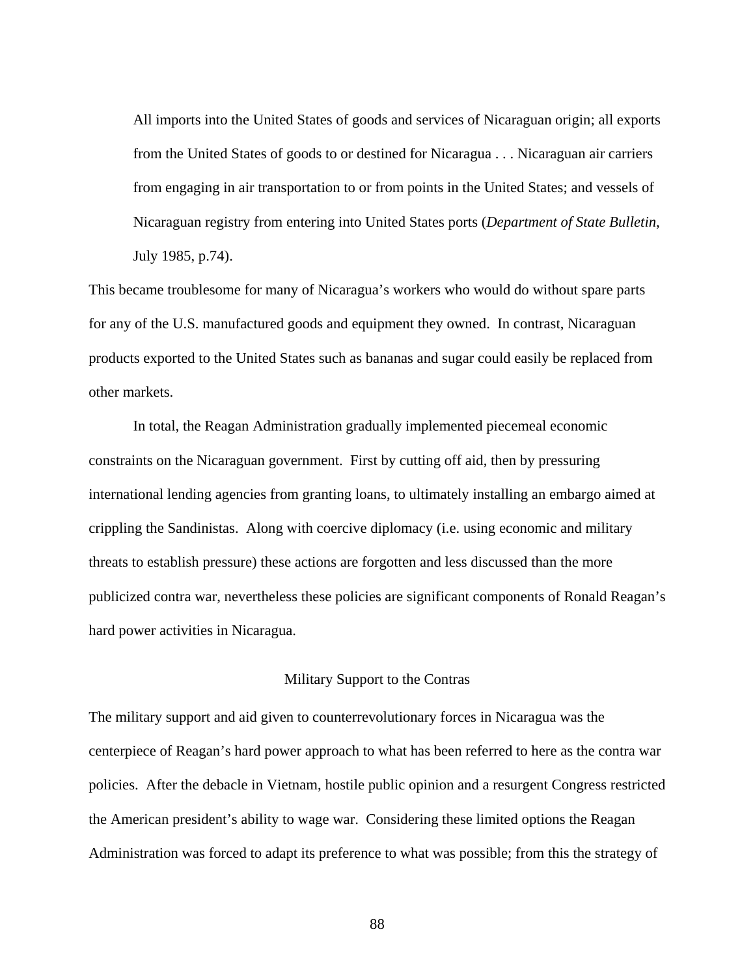All imports into the United States of goods and services of Nicaraguan origin; all exports from the United States of goods to or destined for Nicaragua . . . Nicaraguan air carriers from engaging in air transportation to or from points in the United States; and vessels of Nicaraguan registry from entering into United States ports (*Department of State Bulletin*, July 1985, p.74).

This became troublesome for many of Nicaragua's workers who would do without spare parts for any of the U.S. manufactured goods and equipment they owned. In contrast, Nicaraguan products exported to the United States such as bananas and sugar could easily be replaced from other markets.

In total, the Reagan Administration gradually implemented piecemeal economic constraints on the Nicaraguan government. First by cutting off aid, then by pressuring international lending agencies from granting loans, to ultimately installing an embargo aimed at crippling the Sandinistas. Along with coercive diplomacy (i.e. using economic and military threats to establish pressure) these actions are forgotten and less discussed than the more publicized contra war, nevertheless these policies are significant components of Ronald Reagan's hard power activities in Nicaragua.

### Military Support to the Contras

The military support and aid given to counterrevolutionary forces in Nicaragua was the centerpiece of Reagan's hard power approach to what has been referred to here as the contra war policies. After the debacle in Vietnam, hostile public opinion and a resurgent Congress restricted the American president's ability to wage war. Considering these limited options the Reagan Administration was forced to adapt its preference to what was possible; from this the strategy of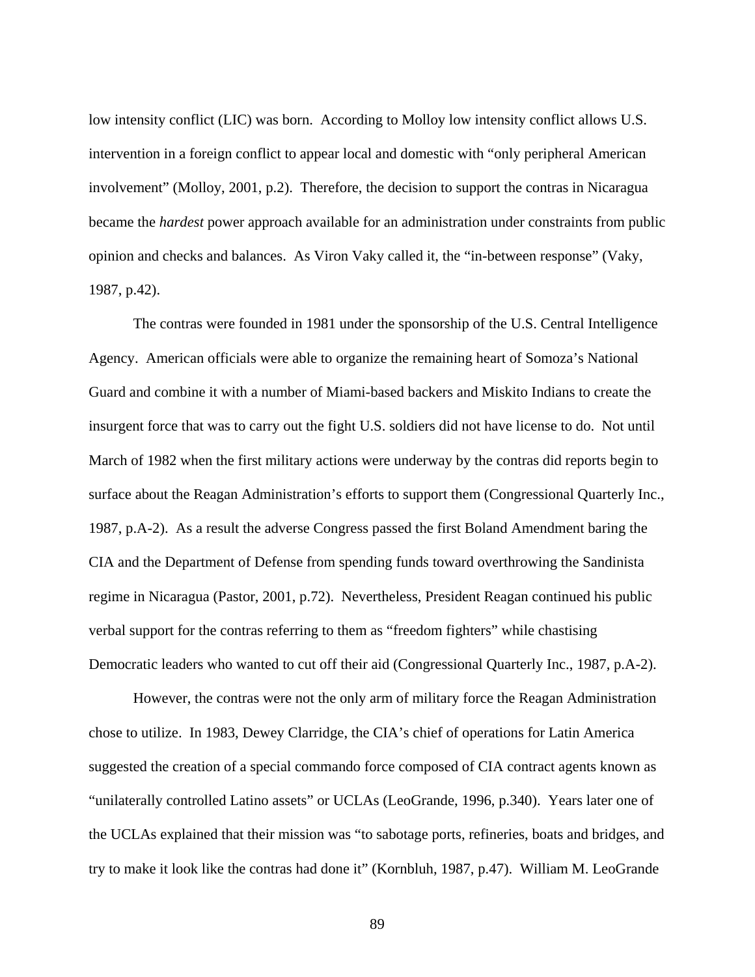low intensity conflict (LIC) was born. According to Molloy low intensity conflict allows U.S. intervention in a foreign conflict to appear local and domestic with "only peripheral American involvement" (Molloy, 2001, p.2). Therefore, the decision to support the contras in Nicaragua became the *hardest* power approach available for an administration under constraints from public opinion and checks and balances. As Viron Vaky called it, the "in-between response" (Vaky, 1987, p.42).

The contras were founded in 1981 under the sponsorship of the U.S. Central Intelligence Agency. American officials were able to organize the remaining heart of Somoza's National Guard and combine it with a number of Miami-based backers and Miskito Indians to create the insurgent force that was to carry out the fight U.S. soldiers did not have license to do. Not until March of 1982 when the first military actions were underway by the contras did reports begin to surface about the Reagan Administration's efforts to support them (Congressional Quarterly Inc., 1987, p.A-2). As a result the adverse Congress passed the first Boland Amendment baring the CIA and the Department of Defense from spending funds toward overthrowing the Sandinista regime in Nicaragua (Pastor, 2001, p.72). Nevertheless, President Reagan continued his public verbal support for the contras referring to them as "freedom fighters" while chastising Democratic leaders who wanted to cut off their aid (Congressional Quarterly Inc., 1987, p.A-2).

However, the contras were not the only arm of military force the Reagan Administration chose to utilize. In 1983, Dewey Clarridge, the CIA's chief of operations for Latin America suggested the creation of a special commando force composed of CIA contract agents known as "unilaterally controlled Latino assets" or UCLAs (LeoGrande, 1996, p.340). Years later one of the UCLAs explained that their mission was "to sabotage ports, refineries, boats and bridges, and try to make it look like the contras had done it" (Kornbluh, 1987, p.47). William M. LeoGrande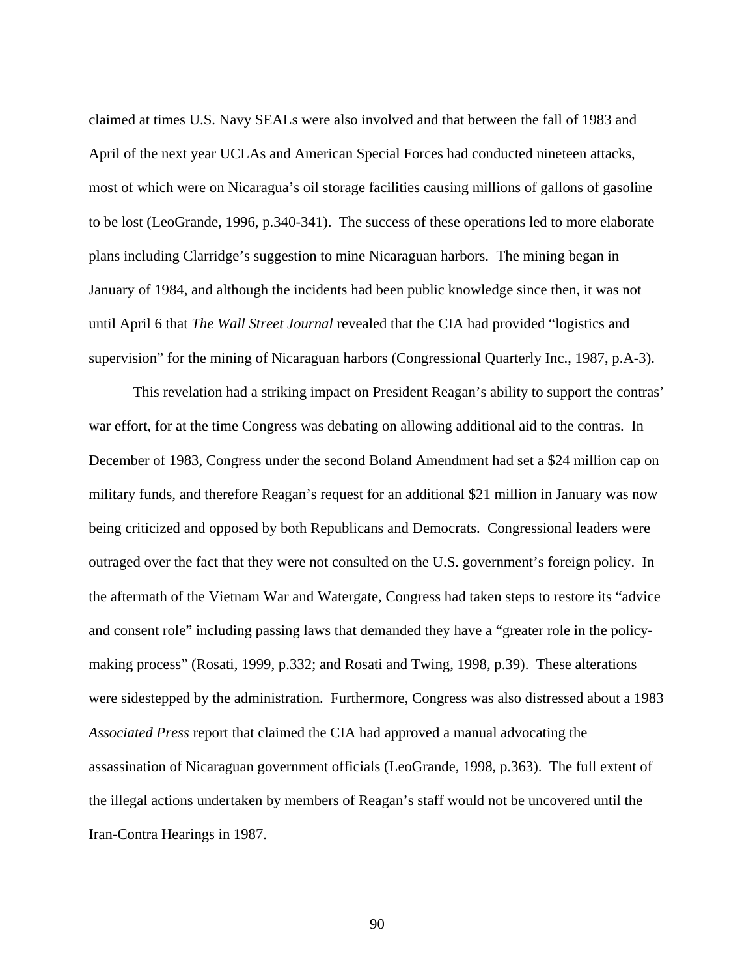claimed at times U.S. Navy SEALs were also involved and that between the fall of 1983 and April of the next year UCLAs and American Special Forces had conducted nineteen attacks, most of which were on Nicaragua's oil storage facilities causing millions of gallons of gasoline to be lost (LeoGrande, 1996, p.340-341). The success of these operations led to more elaborate plans including Clarridge's suggestion to mine Nicaraguan harbors. The mining began in January of 1984, and although the incidents had been public knowledge since then, it was not until April 6 that *The Wall Street Journal* revealed that the CIA had provided "logistics and supervision" for the mining of Nicaraguan harbors (Congressional Quarterly Inc., 1987, p.A-3).

This revelation had a striking impact on President Reagan's ability to support the contras' war effort, for at the time Congress was debating on allowing additional aid to the contras. In December of 1983, Congress under the second Boland Amendment had set a \$24 million cap on military funds, and therefore Reagan's request for an additional \$21 million in January was now being criticized and opposed by both Republicans and Democrats. Congressional leaders were outraged over the fact that they were not consulted on the U.S. government's foreign policy. In the aftermath of the Vietnam War and Watergate, Congress had taken steps to restore its "advice and consent role" including passing laws that demanded they have a "greater role in the policymaking process" (Rosati, 1999, p.332; and Rosati and Twing, 1998, p.39). These alterations were sidestepped by the administration. Furthermore, Congress was also distressed about a 1983 *Associated Press* report that claimed the CIA had approved a manual advocating the assassination of Nicaraguan government officials (LeoGrande, 1998, p.363). The full extent of the illegal actions undertaken by members of Reagan's staff would not be uncovered until the Iran-Contra Hearings in 1987.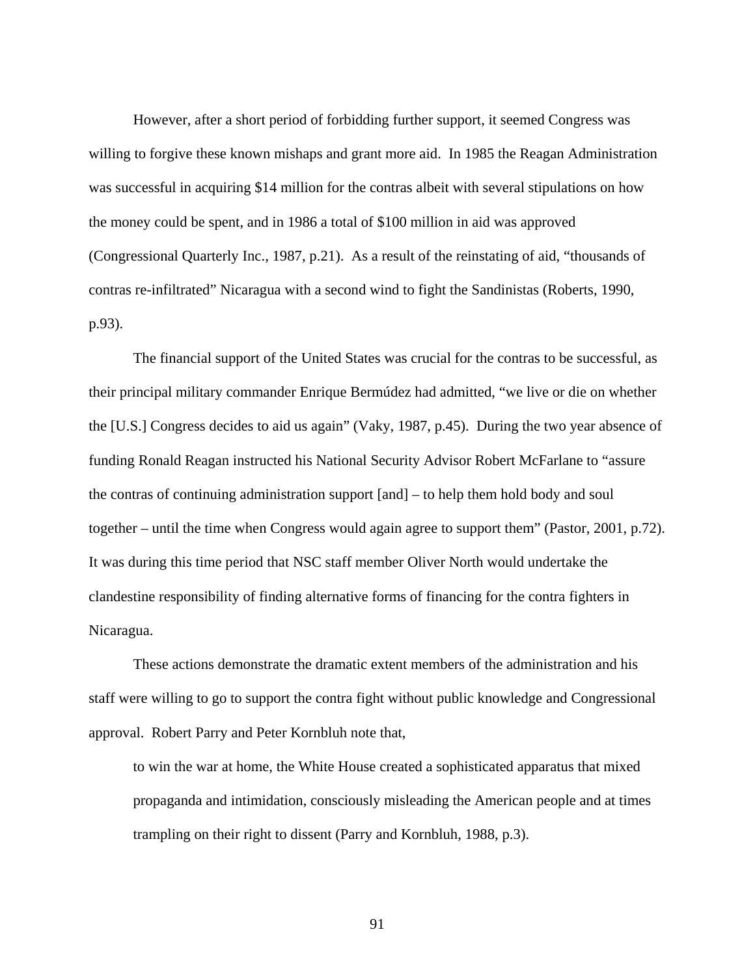However, after a short period of forbidding further support, it seemed Congress was willing to forgive these known mishaps and grant more aid. In 1985 the Reagan Administration was successful in acquiring \$14 million for the contras albeit with several stipulations on how the money could be spent, and in 1986 a total of \$100 million in aid was approved (Congressional Quarterly Inc., 1987, p.21). As a result of the reinstating of aid, "thousands of contras re-infiltrated" Nicaragua with a second wind to fight the Sandinistas (Roberts, 1990, p.93).

The financial support of the United States was crucial for the contras to be successful, as their principal military commander Enrique Bermúdez had admitted, "we live or die on whether the [U.S.] Congress decides to aid us again" (Vaky, 1987, p.45). During the two year absence of funding Ronald Reagan instructed his National Security Advisor Robert McFarlane to "assure the contras of continuing administration support [and] – to help them hold body and soul together – until the time when Congress would again agree to support them" (Pastor, 2001, p.72). It was during this time period that NSC staff member Oliver North would undertake the clandestine responsibility of finding alternative forms of financing for the contra fighters in Nicaragua.

These actions demonstrate the dramatic extent members of the administration and his staff were willing to go to support the contra fight without public knowledge and Congressional approval. Robert Parry and Peter Kornbluh note that,

to win the war at home, the White House created a sophisticated apparatus that mixed propaganda and intimidation, consciously misleading the American people and at times trampling on their right to dissent (Parry and Kornbluh, 1988, p.3).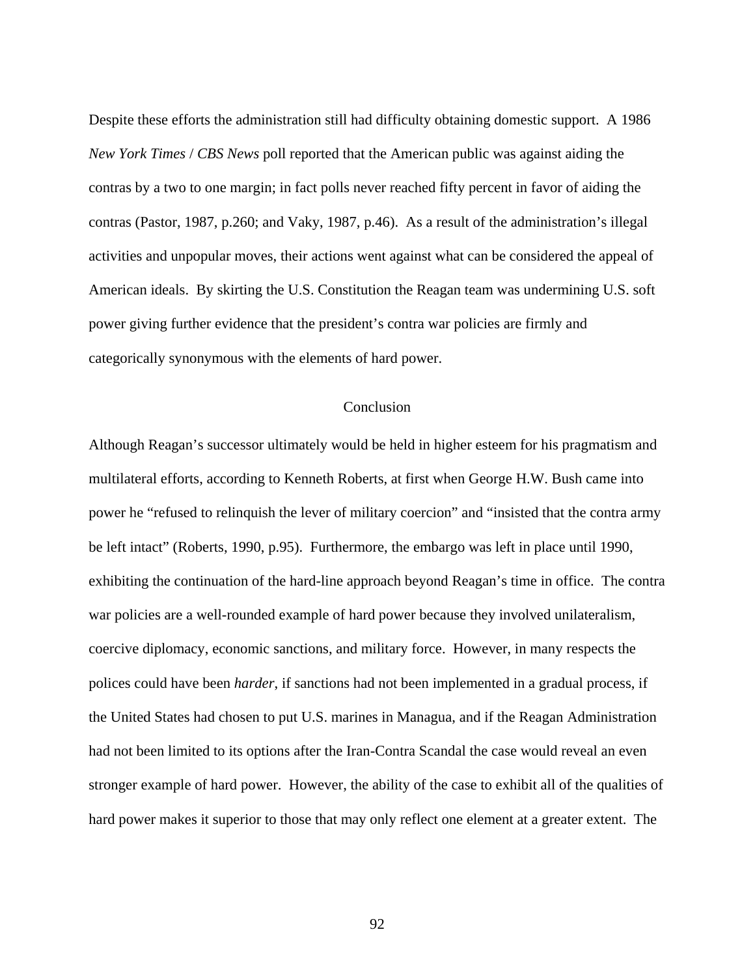Despite these efforts the administration still had difficulty obtaining domestic support. A 1986 *New York Times* / *CBS News* poll reported that the American public was against aiding the contras by a two to one margin; in fact polls never reached fifty percent in favor of aiding the contras (Pastor, 1987, p.260; and Vaky, 1987, p.46). As a result of the administration's illegal activities and unpopular moves, their actions went against what can be considered the appeal of American ideals. By skirting the U.S. Constitution the Reagan team was undermining U.S. soft power giving further evidence that the president's contra war policies are firmly and categorically synonymous with the elements of hard power.

# Conclusion

Although Reagan's successor ultimately would be held in higher esteem for his pragmatism and multilateral efforts, according to Kenneth Roberts, at first when George H.W. Bush came into power he "refused to relinquish the lever of military coercion" and "insisted that the contra army be left intact" (Roberts, 1990, p.95). Furthermore, the embargo was left in place until 1990, exhibiting the continuation of the hard-line approach beyond Reagan's time in office. The contra war policies are a well-rounded example of hard power because they involved unilateralism, coercive diplomacy, economic sanctions, and military force. However, in many respects the polices could have been *harder*, if sanctions had not been implemented in a gradual process, if the United States had chosen to put U.S. marines in Managua, and if the Reagan Administration had not been limited to its options after the Iran-Contra Scandal the case would reveal an even stronger example of hard power. However, the ability of the case to exhibit all of the qualities of hard power makes it superior to those that may only reflect one element at a greater extent. The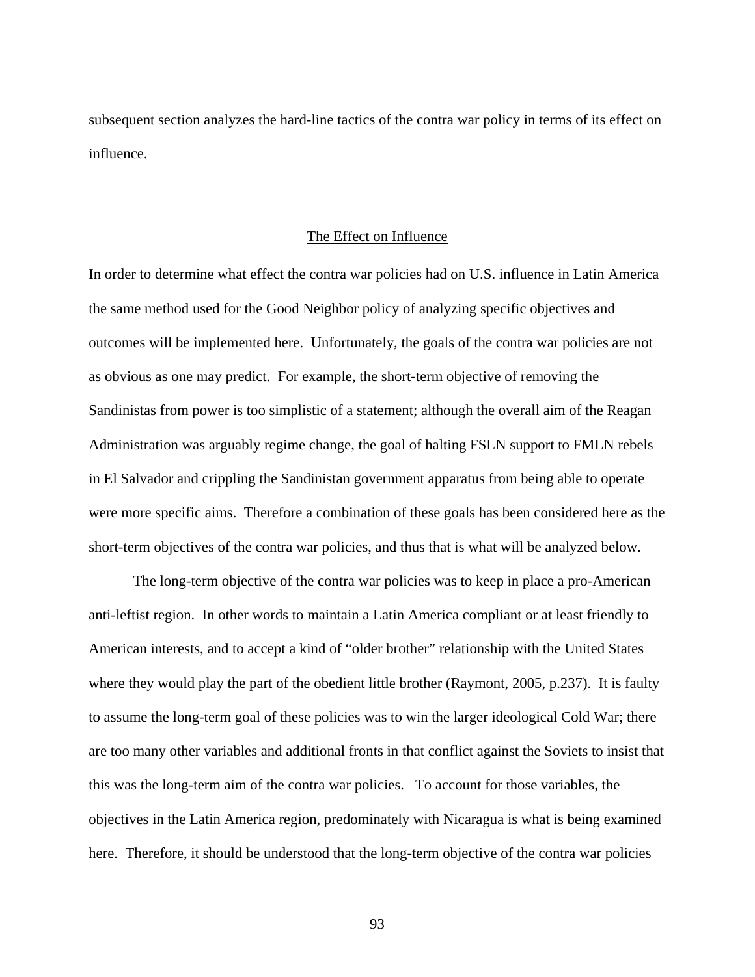subsequent section analyzes the hard-line tactics of the contra war policy in terms of its effect on influence.

### The Effect on Influence

In order to determine what effect the contra war policies had on U.S. influence in Latin America the same method used for the Good Neighbor policy of analyzing specific objectives and outcomes will be implemented here. Unfortunately, the goals of the contra war policies are not as obvious as one may predict. For example, the short-term objective of removing the Sandinistas from power is too simplistic of a statement; although the overall aim of the Reagan Administration was arguably regime change, the goal of halting FSLN support to FMLN rebels in El Salvador and crippling the Sandinistan government apparatus from being able to operate were more specific aims. Therefore a combination of these goals has been considered here as the short-term objectives of the contra war policies, and thus that is what will be analyzed below.

The long-term objective of the contra war policies was to keep in place a pro-American anti-leftist region. In other words to maintain a Latin America compliant or at least friendly to American interests, and to accept a kind of "older brother" relationship with the United States where they would play the part of the obedient little brother (Raymont, 2005, p.237). It is faulty to assume the long-term goal of these policies was to win the larger ideological Cold War; there are too many other variables and additional fronts in that conflict against the Soviets to insist that this was the long-term aim of the contra war policies. To account for those variables, the objectives in the Latin America region, predominately with Nicaragua is what is being examined here. Therefore, it should be understood that the long-term objective of the contra war policies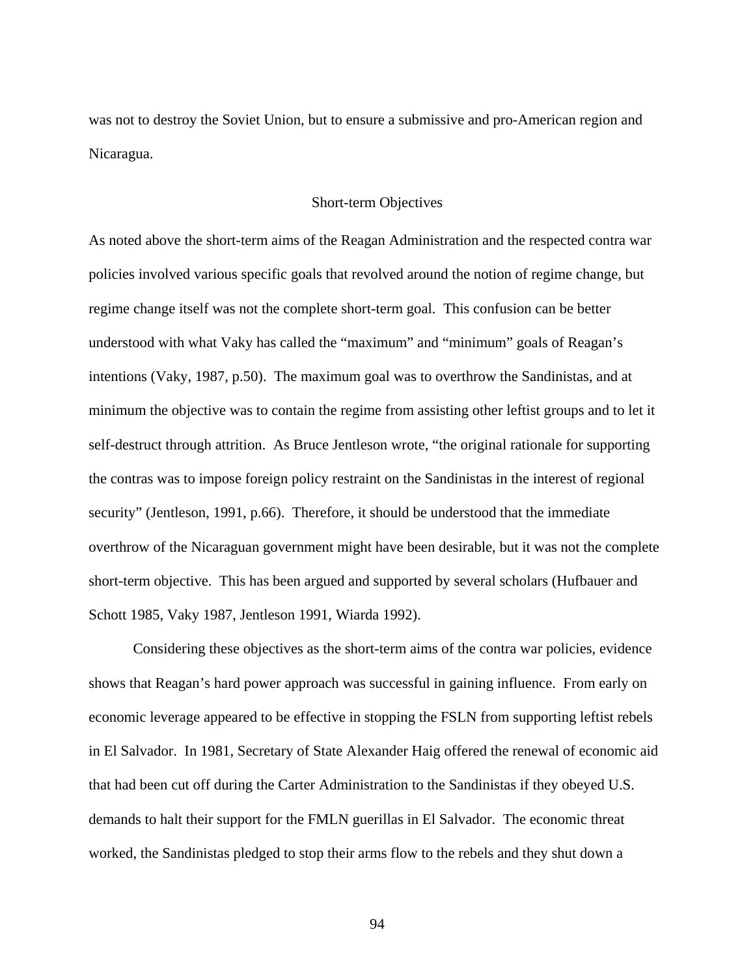was not to destroy the Soviet Union, but to ensure a submissive and pro-American region and Nicaragua.

## Short-term Objectives

As noted above the short-term aims of the Reagan Administration and the respected contra war policies involved various specific goals that revolved around the notion of regime change, but regime change itself was not the complete short-term goal. This confusion can be better understood with what Vaky has called the "maximum" and "minimum" goals of Reagan's intentions (Vaky, 1987, p.50). The maximum goal was to overthrow the Sandinistas, and at minimum the objective was to contain the regime from assisting other leftist groups and to let it self-destruct through attrition. As Bruce Jentleson wrote, "the original rationale for supporting the contras was to impose foreign policy restraint on the Sandinistas in the interest of regional security" (Jentleson, 1991, p.66). Therefore, it should be understood that the immediate overthrow of the Nicaraguan government might have been desirable, but it was not the complete short-term objective. This has been argued and supported by several scholars (Hufbauer and Schott 1985, Vaky 1987, Jentleson 1991, Wiarda 1992).

Considering these objectives as the short-term aims of the contra war policies, evidence shows that Reagan's hard power approach was successful in gaining influence. From early on economic leverage appeared to be effective in stopping the FSLN from supporting leftist rebels in El Salvador. In 1981, Secretary of State Alexander Haig offered the renewal of economic aid that had been cut off during the Carter Administration to the Sandinistas if they obeyed U.S. demands to halt their support for the FMLN guerillas in El Salvador. The economic threat worked, the Sandinistas pledged to stop their arms flow to the rebels and they shut down a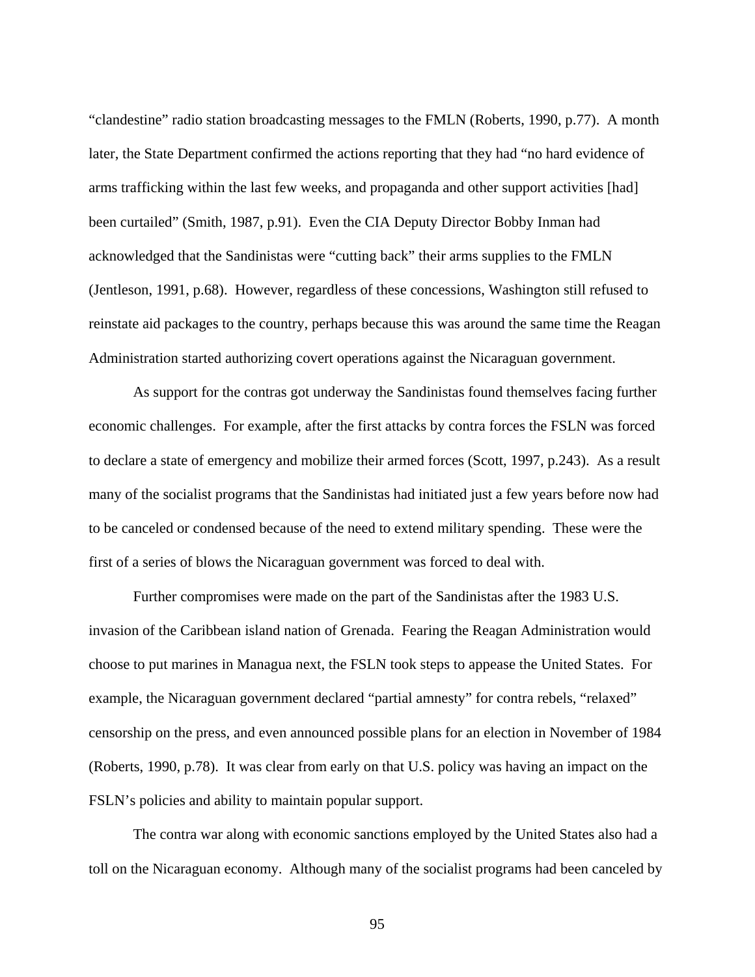"clandestine" radio station broadcasting messages to the FMLN (Roberts, 1990, p.77). A month later, the State Department confirmed the actions reporting that they had "no hard evidence of arms trafficking within the last few weeks, and propaganda and other support activities [had] been curtailed" (Smith, 1987, p.91). Even the CIA Deputy Director Bobby Inman had acknowledged that the Sandinistas were "cutting back" their arms supplies to the FMLN (Jentleson, 1991, p.68). However, regardless of these concessions, Washington still refused to reinstate aid packages to the country, perhaps because this was around the same time the Reagan Administration started authorizing covert operations against the Nicaraguan government.

As support for the contras got underway the Sandinistas found themselves facing further economic challenges. For example, after the first attacks by contra forces the FSLN was forced to declare a state of emergency and mobilize their armed forces (Scott, 1997, p.243). As a result many of the socialist programs that the Sandinistas had initiated just a few years before now had to be canceled or condensed because of the need to extend military spending. These were the first of a series of blows the Nicaraguan government was forced to deal with.

Further compromises were made on the part of the Sandinistas after the 1983 U.S. invasion of the Caribbean island nation of Grenada. Fearing the Reagan Administration would choose to put marines in Managua next, the FSLN took steps to appease the United States. For example, the Nicaraguan government declared "partial amnesty" for contra rebels, "relaxed" censorship on the press, and even announced possible plans for an election in November of 1984 (Roberts, 1990, p.78). It was clear from early on that U.S. policy was having an impact on the FSLN's policies and ability to maintain popular support.

The contra war along with economic sanctions employed by the United States also had a toll on the Nicaraguan economy. Although many of the socialist programs had been canceled by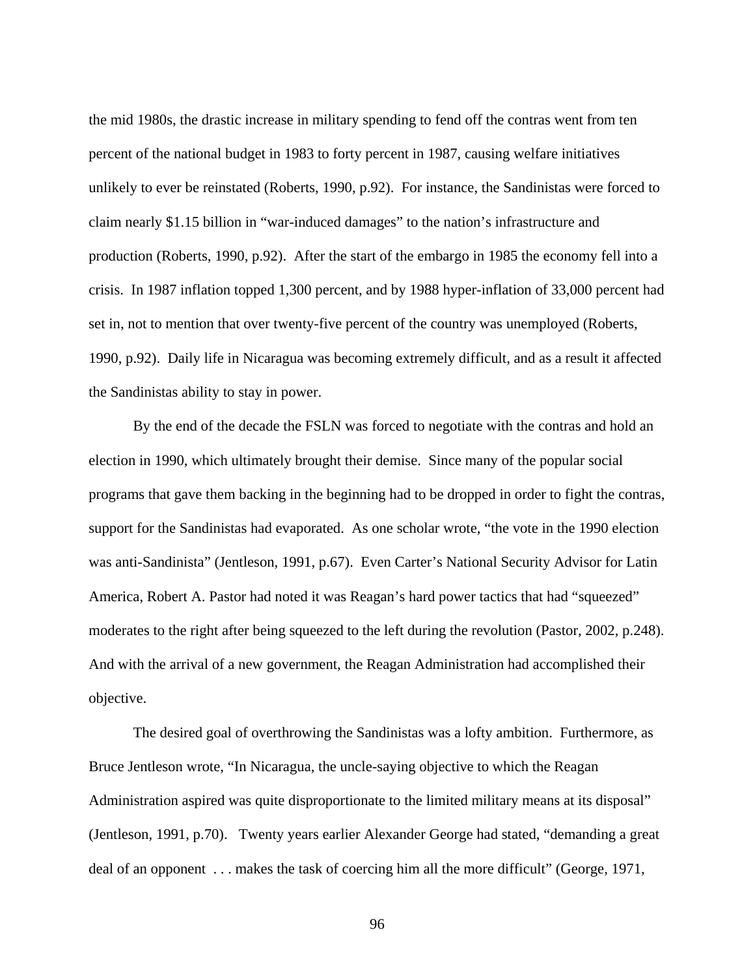the mid 1980s, the drastic increase in military spending to fend off the contras went from ten percent of the national budget in 1983 to forty percent in 1987, causing welfare initiatives unlikely to ever be reinstated (Roberts, 1990, p.92). For instance, the Sandinistas were forced to claim nearly \$1.15 billion in "war-induced damages" to the nation's infrastructure and production (Roberts, 1990, p.92). After the start of the embargo in 1985 the economy fell into a crisis. In 1987 inflation topped 1,300 percent, and by 1988 hyper-inflation of 33,000 percent had set in, not to mention that over twenty-five percent of the country was unemployed (Roberts, 1990, p.92). Daily life in Nicaragua was becoming extremely difficult, and as a result it affected the Sandinistas ability to stay in power.

By the end of the decade the FSLN was forced to negotiate with the contras and hold an election in 1990, which ultimately brought their demise. Since many of the popular social programs that gave them backing in the beginning had to be dropped in order to fight the contras, support for the Sandinistas had evaporated. As one scholar wrote, "the vote in the 1990 election was anti-Sandinista" (Jentleson, 1991, p.67). Even Carter's National Security Advisor for Latin America, Robert A. Pastor had noted it was Reagan's hard power tactics that had "squeezed" moderates to the right after being squeezed to the left during the revolution (Pastor, 2002, p.248). And with the arrival of a new government, the Reagan Administration had accomplished their objective.

The desired goal of overthrowing the Sandinistas was a lofty ambition. Furthermore, as Bruce Jentleson wrote, "In Nicaragua, the uncle-saying objective to which the Reagan Administration aspired was quite disproportionate to the limited military means at its disposal" (Jentleson, 1991, p.70). Twenty years earlier Alexander George had stated, "demanding a great deal of an opponent . . . makes the task of coercing him all the more difficult" (George, 1971,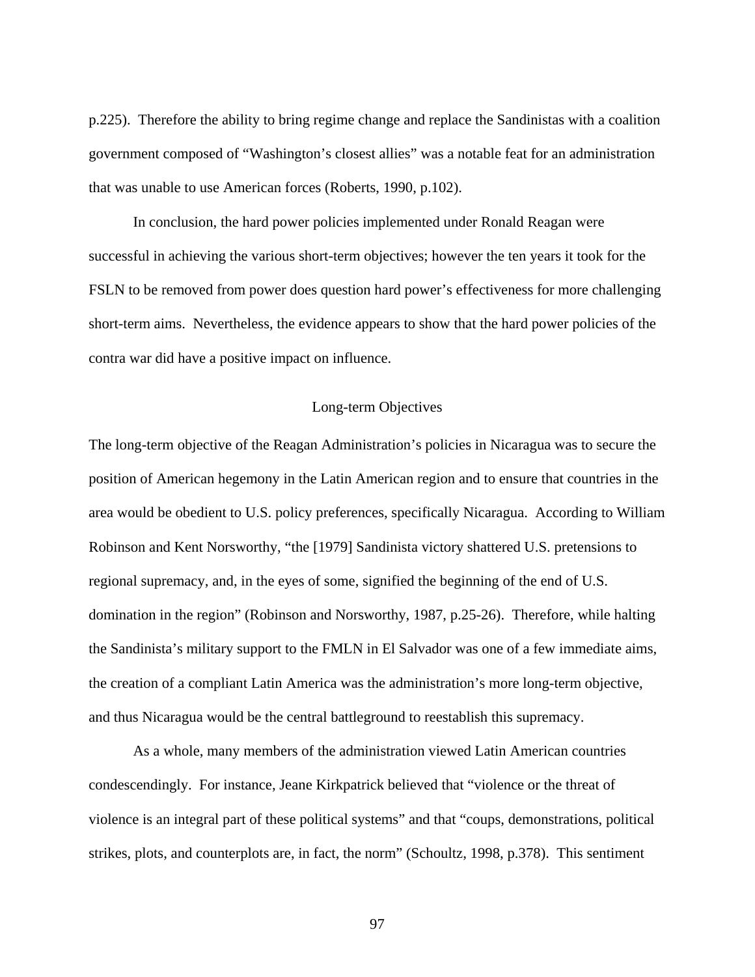p.225). Therefore the ability to bring regime change and replace the Sandinistas with a coalition government composed of "Washington's closest allies" was a notable feat for an administration that was unable to use American forces (Roberts, 1990, p.102).

In conclusion, the hard power policies implemented under Ronald Reagan were successful in achieving the various short-term objectives; however the ten years it took for the FSLN to be removed from power does question hard power's effectiveness for more challenging short-term aims. Nevertheless, the evidence appears to show that the hard power policies of the contra war did have a positive impact on influence.

# Long-term Objectives

The long-term objective of the Reagan Administration's policies in Nicaragua was to secure the position of American hegemony in the Latin American region and to ensure that countries in the area would be obedient to U.S. policy preferences, specifically Nicaragua. According to William Robinson and Kent Norsworthy, "the [1979] Sandinista victory shattered U.S. pretensions to regional supremacy, and, in the eyes of some, signified the beginning of the end of U.S. domination in the region" (Robinson and Norsworthy, 1987, p.25-26). Therefore, while halting the Sandinista's military support to the FMLN in El Salvador was one of a few immediate aims, the creation of a compliant Latin America was the administration's more long-term objective, and thus Nicaragua would be the central battleground to reestablish this supremacy.

As a whole, many members of the administration viewed Latin American countries condescendingly. For instance, Jeane Kirkpatrick believed that "violence or the threat of violence is an integral part of these political systems" and that "coups, demonstrations, political strikes, plots, and counterplots are, in fact, the norm" (Schoultz, 1998, p.378). This sentiment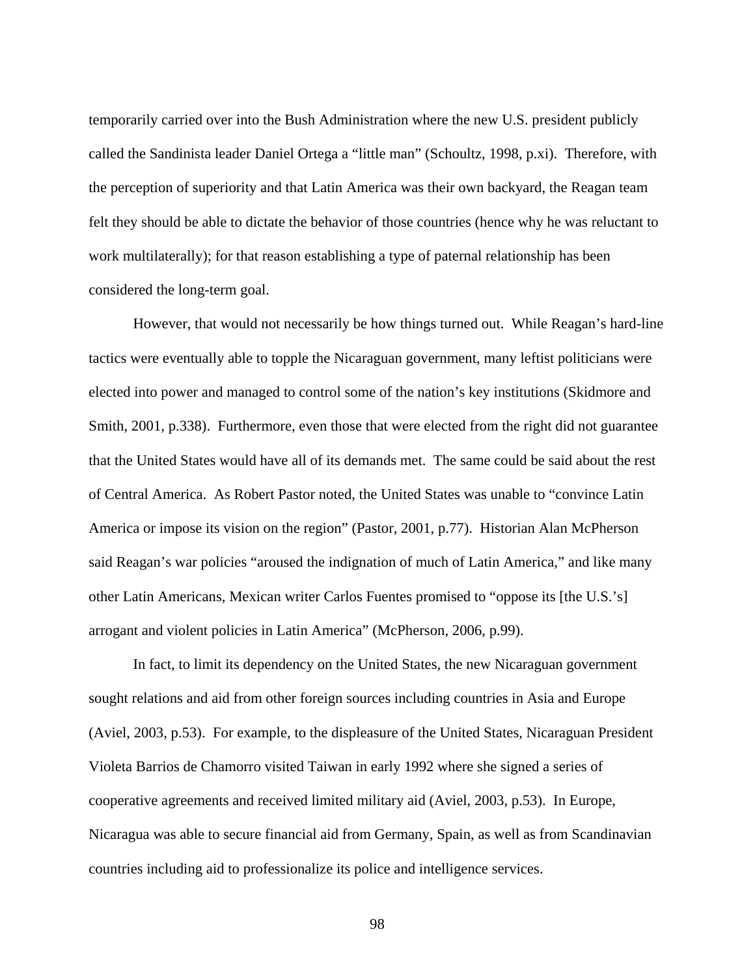temporarily carried over into the Bush Administration where the new U.S. president publicly called the Sandinista leader Daniel Ortega a "little man" (Schoultz, 1998, p.xi). Therefore, with the perception of superiority and that Latin America was their own backyard, the Reagan team felt they should be able to dictate the behavior of those countries (hence why he was reluctant to work multilaterally); for that reason establishing a type of paternal relationship has been considered the long-term goal.

However, that would not necessarily be how things turned out. While Reagan's hard-line tactics were eventually able to topple the Nicaraguan government, many leftist politicians were elected into power and managed to control some of the nation's key institutions (Skidmore and Smith, 2001, p.338). Furthermore, even those that were elected from the right did not guarantee that the United States would have all of its demands met. The same could be said about the rest of Central America. As Robert Pastor noted, the United States was unable to "convince Latin America or impose its vision on the region" (Pastor, 2001, p.77). Historian Alan McPherson said Reagan's war policies "aroused the indignation of much of Latin America," and like many other Latin Americans, Mexican writer Carlos Fuentes promised to "oppose its [the U.S.'s] arrogant and violent policies in Latin America" (McPherson, 2006, p.99).

In fact, to limit its dependency on the United States, the new Nicaraguan government sought relations and aid from other foreign sources including countries in Asia and Europe (Aviel, 2003, p.53). For example, to the displeasure of the United States, Nicaraguan President Violeta Barrios de Chamorro visited Taiwan in early 1992 where she signed a series of cooperative agreements and received limited military aid (Aviel, 2003, p.53). In Europe, Nicaragua was able to secure financial aid from Germany, Spain, as well as from Scandinavian countries including aid to professionalize its police and intelligence services.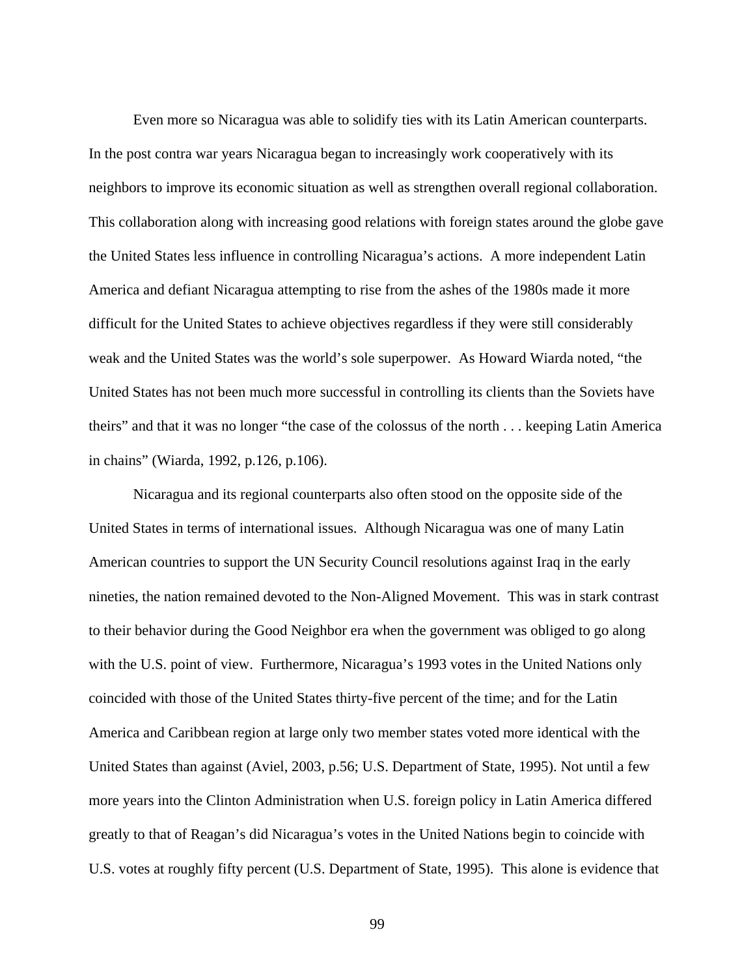Even more so Nicaragua was able to solidify ties with its Latin American counterparts. In the post contra war years Nicaragua began to increasingly work cooperatively with its neighbors to improve its economic situation as well as strengthen overall regional collaboration. This collaboration along with increasing good relations with foreign states around the globe gave the United States less influence in controlling Nicaragua's actions. A more independent Latin America and defiant Nicaragua attempting to rise from the ashes of the 1980s made it more difficult for the United States to achieve objectives regardless if they were still considerably weak and the United States was the world's sole superpower. As Howard Wiarda noted, "the United States has not been much more successful in controlling its clients than the Soviets have theirs" and that it was no longer "the case of the colossus of the north . . . keeping Latin America in chains" (Wiarda, 1992, p.126, p.106).

Nicaragua and its regional counterparts also often stood on the opposite side of the United States in terms of international issues. Although Nicaragua was one of many Latin American countries to support the UN Security Council resolutions against Iraq in the early nineties, the nation remained devoted to the Non-Aligned Movement. This was in stark contrast to their behavior during the Good Neighbor era when the government was obliged to go along with the U.S. point of view. Furthermore, Nicaragua's 1993 votes in the United Nations only coincided with those of the United States thirty-five percent of the time; and for the Latin America and Caribbean region at large only two member states voted more identical with the United States than against (Aviel, 2003, p.56; U.S. Department of State, 1995). Not until a few more years into the Clinton Administration when U.S. foreign policy in Latin America differed greatly to that of Reagan's did Nicaragua's votes in the United Nations begin to coincide with U.S. votes at roughly fifty percent (U.S. Department of State, 1995). This alone is evidence that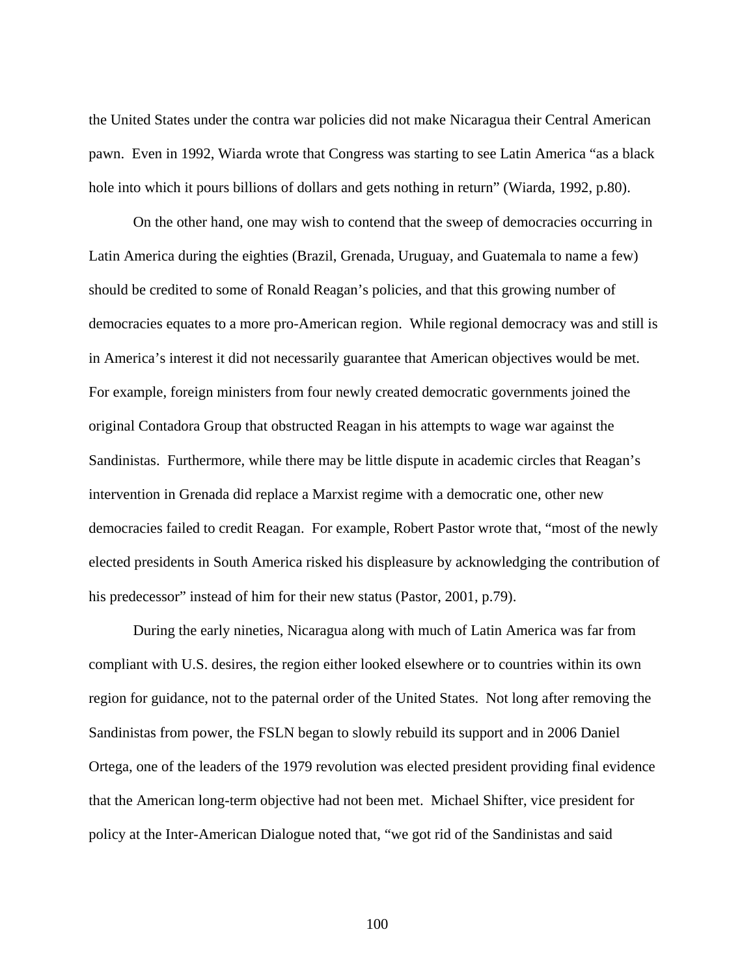the United States under the contra war policies did not make Nicaragua their Central American pawn. Even in 1992, Wiarda wrote that Congress was starting to see Latin America "as a black hole into which it pours billions of dollars and gets nothing in return" (Wiarda, 1992, p.80).

On the other hand, one may wish to contend that the sweep of democracies occurring in Latin America during the eighties (Brazil, Grenada, Uruguay, and Guatemala to name a few) should be credited to some of Ronald Reagan's policies, and that this growing number of democracies equates to a more pro-American region. While regional democracy was and still is in America's interest it did not necessarily guarantee that American objectives would be met. For example, foreign ministers from four newly created democratic governments joined the original Contadora Group that obstructed Reagan in his attempts to wage war against the Sandinistas. Furthermore, while there may be little dispute in academic circles that Reagan's intervention in Grenada did replace a Marxist regime with a democratic one, other new democracies failed to credit Reagan. For example, Robert Pastor wrote that, "most of the newly elected presidents in South America risked his displeasure by acknowledging the contribution of his predecessor" instead of him for their new status (Pastor, 2001, p.79).

During the early nineties, Nicaragua along with much of Latin America was far from compliant with U.S. desires, the region either looked elsewhere or to countries within its own region for guidance, not to the paternal order of the United States. Not long after removing the Sandinistas from power, the FSLN began to slowly rebuild its support and in 2006 Daniel Ortega, one of the leaders of the 1979 revolution was elected president providing final evidence that the American long-term objective had not been met. Michael Shifter, vice president for policy at the Inter-American Dialogue noted that, "we got rid of the Sandinistas and said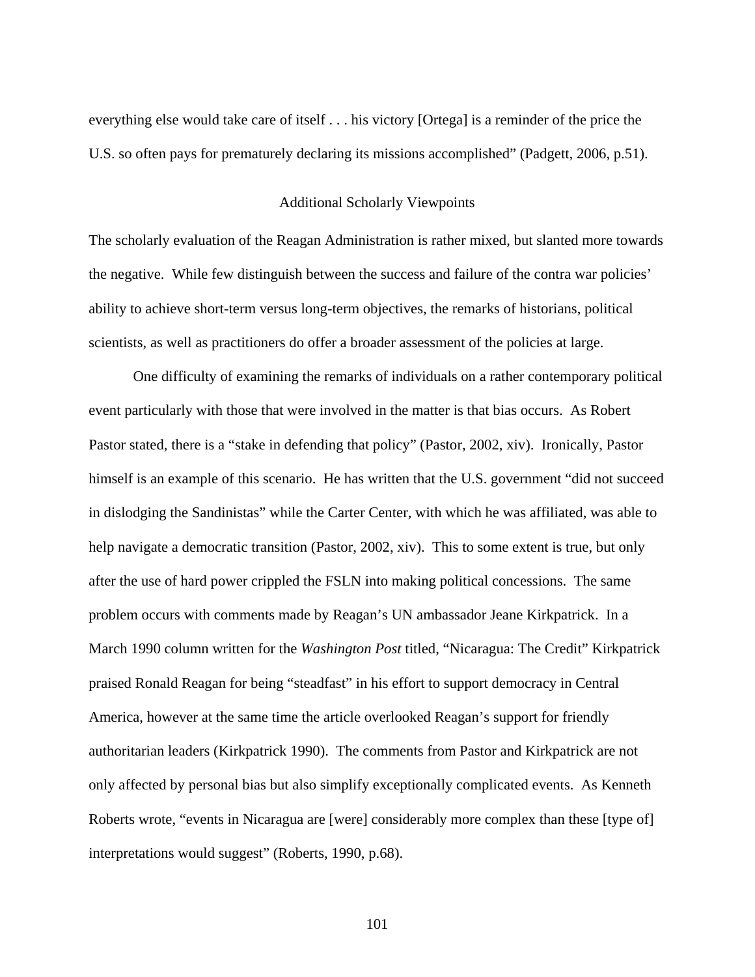everything else would take care of itself . . . his victory [Ortega] is a reminder of the price the U.S. so often pays for prematurely declaring its missions accomplished" (Padgett, 2006, p.51).

# Additional Scholarly Viewpoints

The scholarly evaluation of the Reagan Administration is rather mixed, but slanted more towards the negative. While few distinguish between the success and failure of the contra war policies' ability to achieve short-term versus long-term objectives, the remarks of historians, political scientists, as well as practitioners do offer a broader assessment of the policies at large.

One difficulty of examining the remarks of individuals on a rather contemporary political event particularly with those that were involved in the matter is that bias occurs. As Robert Pastor stated, there is a "stake in defending that policy" (Pastor, 2002, xiv). Ironically, Pastor himself is an example of this scenario. He has written that the U.S. government "did not succeed in dislodging the Sandinistas" while the Carter Center, with which he was affiliated, was able to help navigate a democratic transition (Pastor, 2002, xiv). This to some extent is true, but only after the use of hard power crippled the FSLN into making political concessions. The same problem occurs with comments made by Reagan's UN ambassador Jeane Kirkpatrick. In a March 1990 column written for the *Washington Post* titled, "Nicaragua: The Credit" Kirkpatrick praised Ronald Reagan for being "steadfast" in his effort to support democracy in Central America, however at the same time the article overlooked Reagan's support for friendly authoritarian leaders (Kirkpatrick 1990). The comments from Pastor and Kirkpatrick are not only affected by personal bias but also simplify exceptionally complicated events. As Kenneth Roberts wrote, "events in Nicaragua are [were] considerably more complex than these [type of] interpretations would suggest" (Roberts, 1990, p.68).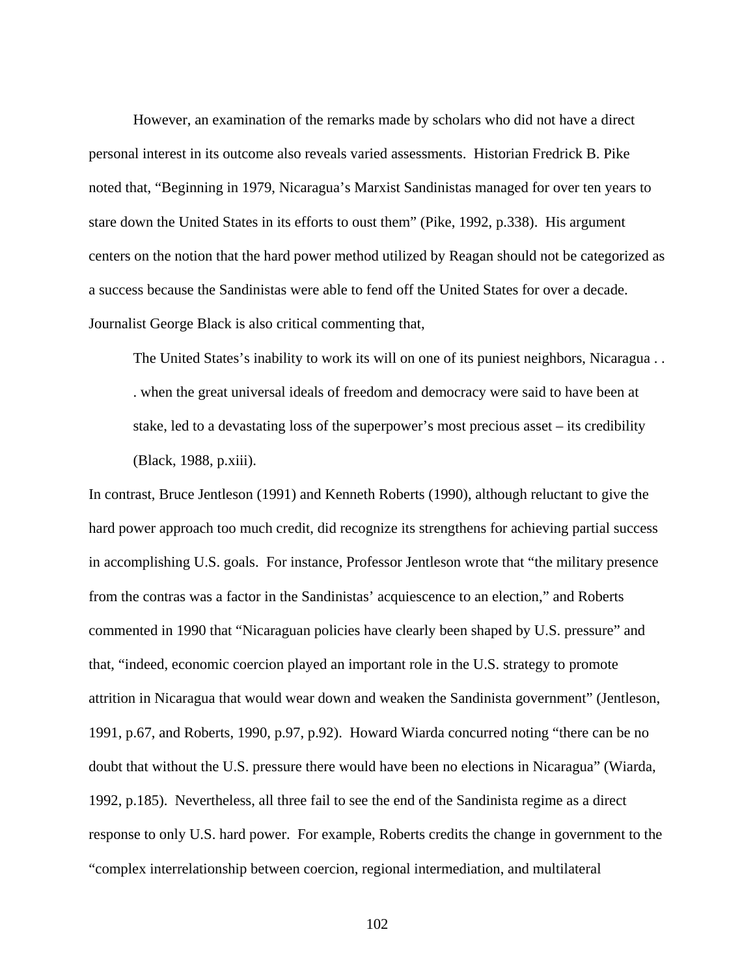However, an examination of the remarks made by scholars who did not have a direct personal interest in its outcome also reveals varied assessments. Historian Fredrick B. Pike noted that, "Beginning in 1979, Nicaragua's Marxist Sandinistas managed for over ten years to stare down the United States in its efforts to oust them" (Pike, 1992, p.338). His argument centers on the notion that the hard power method utilized by Reagan should not be categorized as a success because the Sandinistas were able to fend off the United States for over a decade. Journalist George Black is also critical commenting that,

The United States's inability to work its will on one of its puniest neighbors, Nicaragua . . . when the great universal ideals of freedom and democracy were said to have been at stake, led to a devastating loss of the superpower's most precious asset – its credibility (Black, 1988, p.xiii).

In contrast, Bruce Jentleson (1991) and Kenneth Roberts (1990), although reluctant to give the hard power approach too much credit, did recognize its strengthens for achieving partial success in accomplishing U.S. goals. For instance, Professor Jentleson wrote that "the military presence from the contras was a factor in the Sandinistas' acquiescence to an election," and Roberts commented in 1990 that "Nicaraguan policies have clearly been shaped by U.S. pressure" and that, "indeed, economic coercion played an important role in the U.S. strategy to promote attrition in Nicaragua that would wear down and weaken the Sandinista government" (Jentleson, 1991, p.67, and Roberts, 1990, p.97, p.92). Howard Wiarda concurred noting "there can be no doubt that without the U.S. pressure there would have been no elections in Nicaragua" (Wiarda, 1992, p.185). Nevertheless, all three fail to see the end of the Sandinista regime as a direct response to only U.S. hard power. For example, Roberts credits the change in government to the "complex interrelationship between coercion, regional intermediation, and multilateral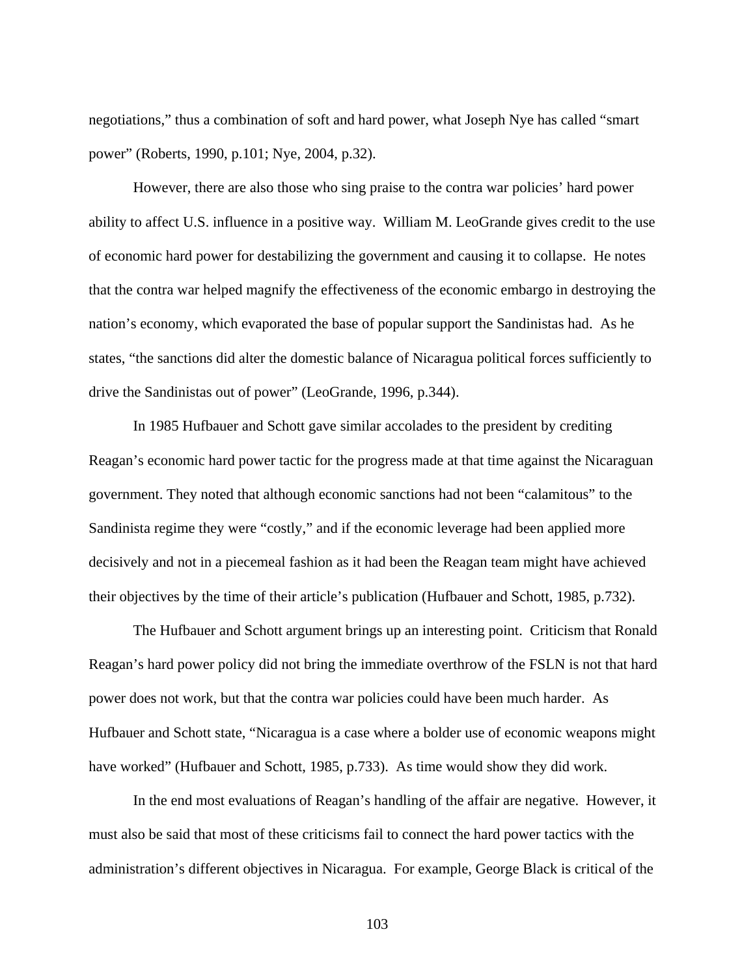negotiations," thus a combination of soft and hard power, what Joseph Nye has called "smart power" (Roberts, 1990, p.101; Nye, 2004, p.32).

However, there are also those who sing praise to the contra war policies' hard power ability to affect U.S. influence in a positive way. William M. LeoGrande gives credit to the use of economic hard power for destabilizing the government and causing it to collapse. He notes that the contra war helped magnify the effectiveness of the economic embargo in destroying the nation's economy, which evaporated the base of popular support the Sandinistas had. As he states, "the sanctions did alter the domestic balance of Nicaragua political forces sufficiently to drive the Sandinistas out of power" (LeoGrande, 1996, p.344).

In 1985 Hufbauer and Schott gave similar accolades to the president by crediting Reagan's economic hard power tactic for the progress made at that time against the Nicaraguan government. They noted that although economic sanctions had not been "calamitous" to the Sandinista regime they were "costly," and if the economic leverage had been applied more decisively and not in a piecemeal fashion as it had been the Reagan team might have achieved their objectives by the time of their article's publication (Hufbauer and Schott, 1985, p.732).

The Hufbauer and Schott argument brings up an interesting point. Criticism that Ronald Reagan's hard power policy did not bring the immediate overthrow of the FSLN is not that hard power does not work, but that the contra war policies could have been much harder. As Hufbauer and Schott state, "Nicaragua is a case where a bolder use of economic weapons might have worked" (Hufbauer and Schott, 1985, p.733). As time would show they did work.

In the end most evaluations of Reagan's handling of the affair are negative. However, it must also be said that most of these criticisms fail to connect the hard power tactics with the administration's different objectives in Nicaragua. For example, George Black is critical of the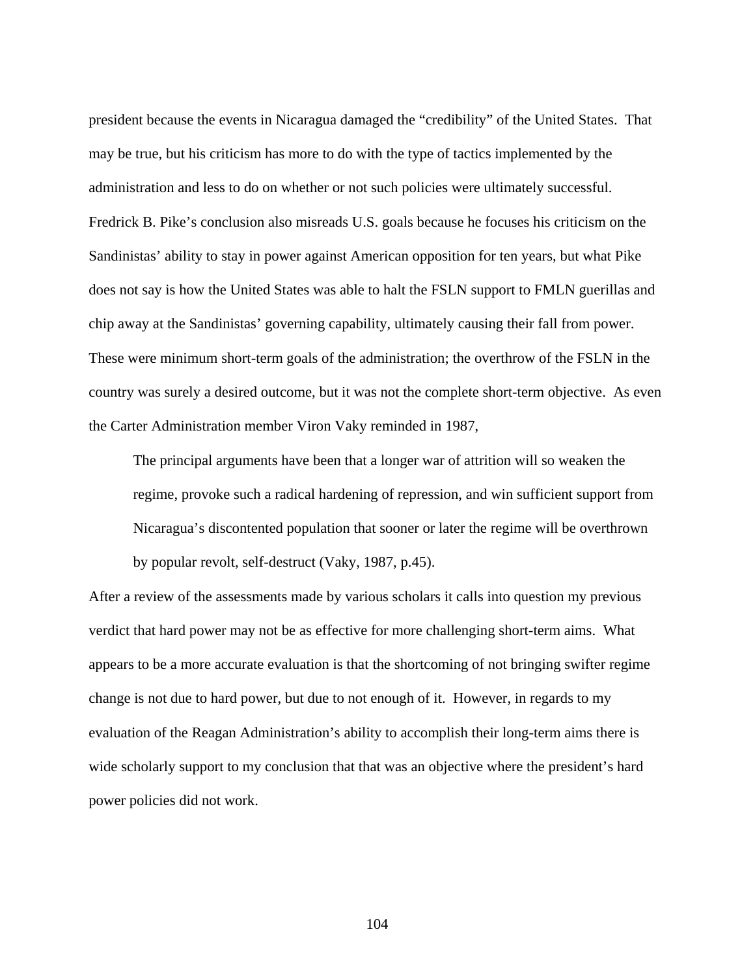president because the events in Nicaragua damaged the "credibility" of the United States. That may be true, but his criticism has more to do with the type of tactics implemented by the administration and less to do on whether or not such policies were ultimately successful. Fredrick B. Pike's conclusion also misreads U.S. goals because he focuses his criticism on the Sandinistas' ability to stay in power against American opposition for ten years, but what Pike does not say is how the United States was able to halt the FSLN support to FMLN guerillas and chip away at the Sandinistas' governing capability, ultimately causing their fall from power. These were minimum short-term goals of the administration; the overthrow of the FSLN in the country was surely a desired outcome, but it was not the complete short-term objective. As even the Carter Administration member Viron Vaky reminded in 1987,

The principal arguments have been that a longer war of attrition will so weaken the regime, provoke such a radical hardening of repression, and win sufficient support from Nicaragua's discontented population that sooner or later the regime will be overthrown by popular revolt, self-destruct (Vaky, 1987, p.45).

After a review of the assessments made by various scholars it calls into question my previous verdict that hard power may not be as effective for more challenging short-term aims. What appears to be a more accurate evaluation is that the shortcoming of not bringing swifter regime change is not due to hard power, but due to not enough of it. However, in regards to my evaluation of the Reagan Administration's ability to accomplish their long-term aims there is wide scholarly support to my conclusion that that was an objective where the president's hard power policies did not work.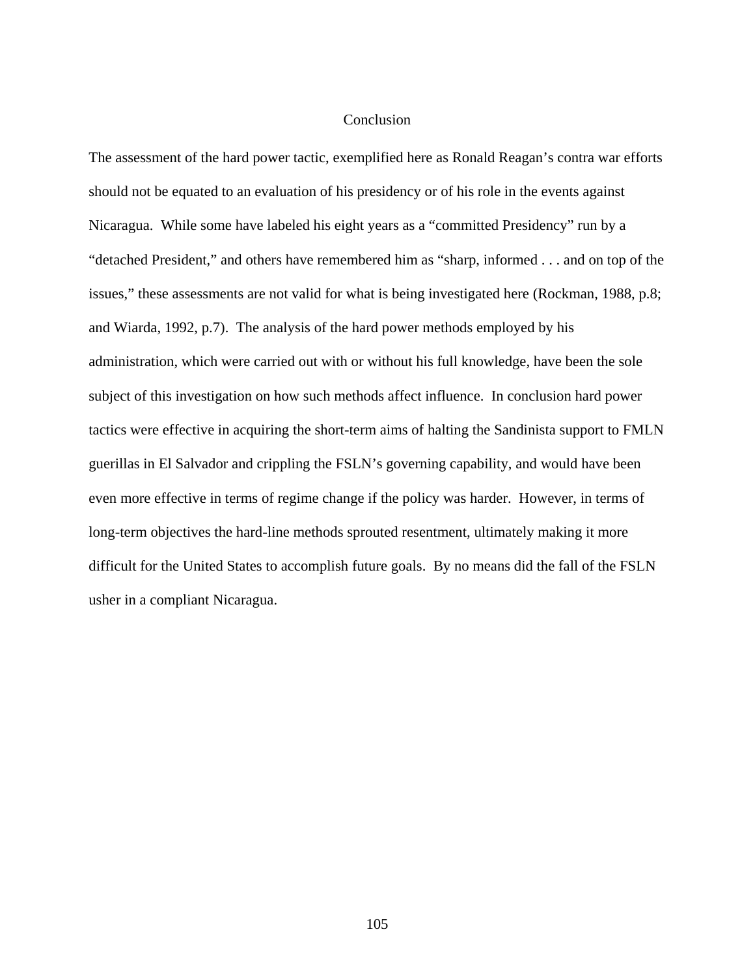#### Conclusion

The assessment of the hard power tactic, exemplified here as Ronald Reagan's contra war efforts should not be equated to an evaluation of his presidency or of his role in the events against Nicaragua. While some have labeled his eight years as a "committed Presidency" run by a "detached President," and others have remembered him as "sharp, informed . . . and on top of the issues," these assessments are not valid for what is being investigated here (Rockman, 1988, p.8; and Wiarda, 1992, p.7). The analysis of the hard power methods employed by his administration, which were carried out with or without his full knowledge, have been the sole subject of this investigation on how such methods affect influence. In conclusion hard power tactics were effective in acquiring the short-term aims of halting the Sandinista support to FMLN guerillas in El Salvador and crippling the FSLN's governing capability, and would have been even more effective in terms of regime change if the policy was harder. However, in terms of long-term objectives the hard-line methods sprouted resentment, ultimately making it more difficult for the United States to accomplish future goals. By no means did the fall of the FSLN usher in a compliant Nicaragua.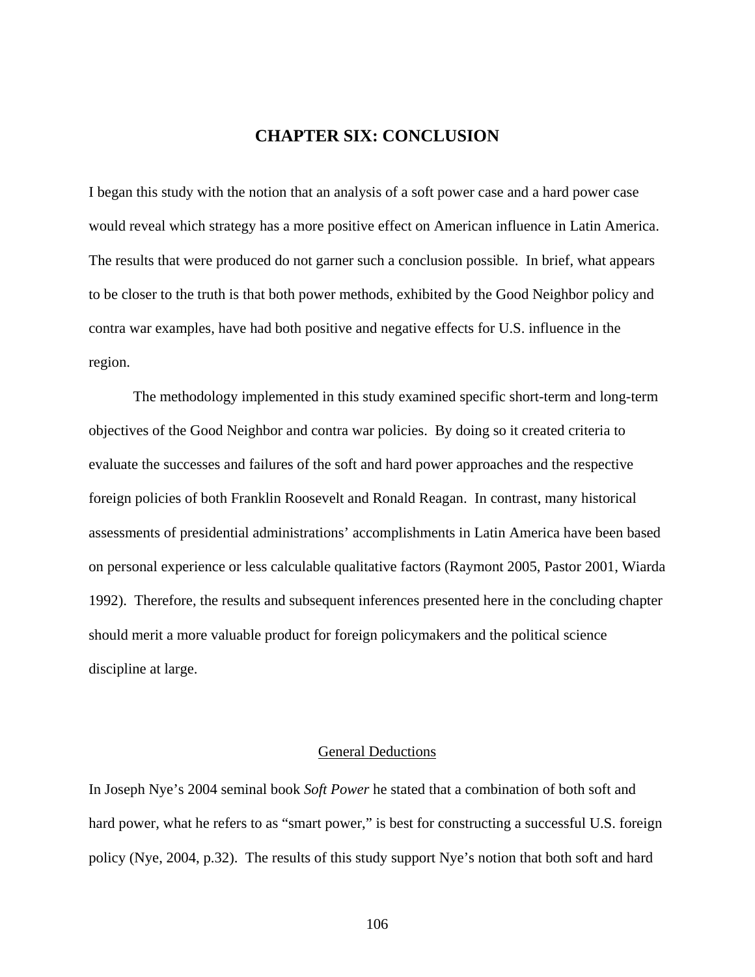# **CHAPTER SIX: CONCLUSION**

I began this study with the notion that an analysis of a soft power case and a hard power case would reveal which strategy has a more positive effect on American influence in Latin America. The results that were produced do not garner such a conclusion possible. In brief, what appears to be closer to the truth is that both power methods, exhibited by the Good Neighbor policy and contra war examples, have had both positive and negative effects for U.S. influence in the region.

The methodology implemented in this study examined specific short-term and long-term objectives of the Good Neighbor and contra war policies. By doing so it created criteria to evaluate the successes and failures of the soft and hard power approaches and the respective foreign policies of both Franklin Roosevelt and Ronald Reagan. In contrast, many historical assessments of presidential administrations' accomplishments in Latin America have been based on personal experience or less calculable qualitative factors (Raymont 2005, Pastor 2001, Wiarda 1992). Therefore, the results and subsequent inferences presented here in the concluding chapter should merit a more valuable product for foreign policymakers and the political science discipline at large.

#### General Deductions

In Joseph Nye's 2004 seminal book *Soft Power* he stated that a combination of both soft and hard power, what he refers to as "smart power," is best for constructing a successful U.S. foreign policy (Nye, 2004, p.32). The results of this study support Nye's notion that both soft and hard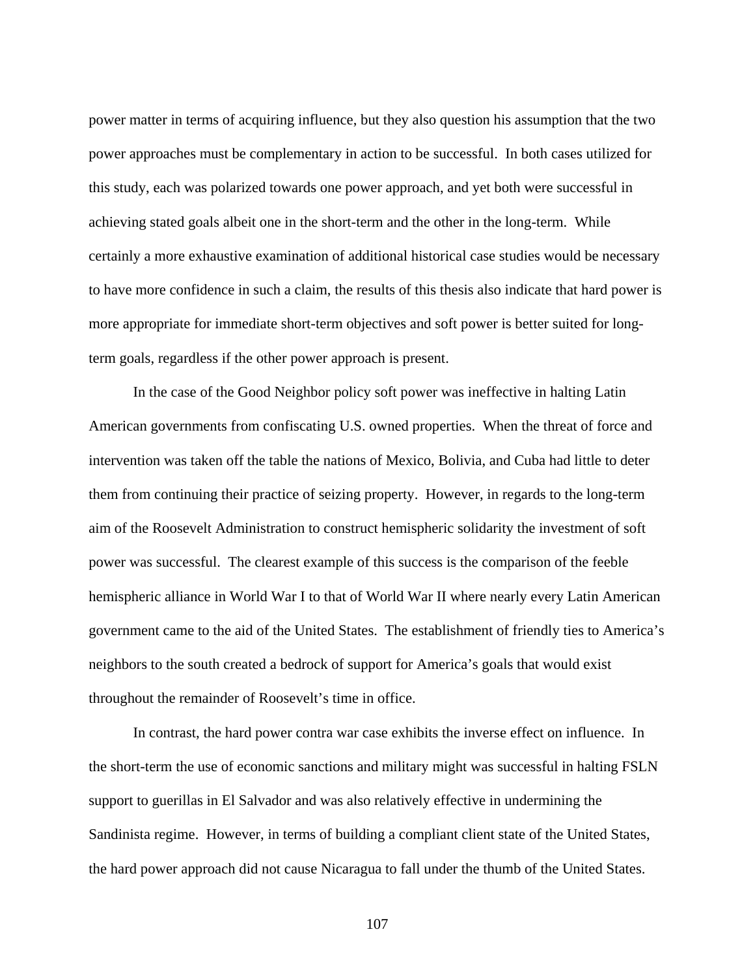power matter in terms of acquiring influence, but they also question his assumption that the two power approaches must be complementary in action to be successful. In both cases utilized for this study, each was polarized towards one power approach, and yet both were successful in achieving stated goals albeit one in the short-term and the other in the long-term. While certainly a more exhaustive examination of additional historical case studies would be necessary to have more confidence in such a claim, the results of this thesis also indicate that hard power is more appropriate for immediate short-term objectives and soft power is better suited for longterm goals, regardless if the other power approach is present.

In the case of the Good Neighbor policy soft power was ineffective in halting Latin American governments from confiscating U.S. owned properties. When the threat of force and intervention was taken off the table the nations of Mexico, Bolivia, and Cuba had little to deter them from continuing their practice of seizing property. However, in regards to the long-term aim of the Roosevelt Administration to construct hemispheric solidarity the investment of soft power was successful. The clearest example of this success is the comparison of the feeble hemispheric alliance in World War I to that of World War II where nearly every Latin American government came to the aid of the United States. The establishment of friendly ties to America's neighbors to the south created a bedrock of support for America's goals that would exist throughout the remainder of Roosevelt's time in office.

In contrast, the hard power contra war case exhibits the inverse effect on influence. In the short-term the use of economic sanctions and military might was successful in halting FSLN support to guerillas in El Salvador and was also relatively effective in undermining the Sandinista regime. However, in terms of building a compliant client state of the United States, the hard power approach did not cause Nicaragua to fall under the thumb of the United States.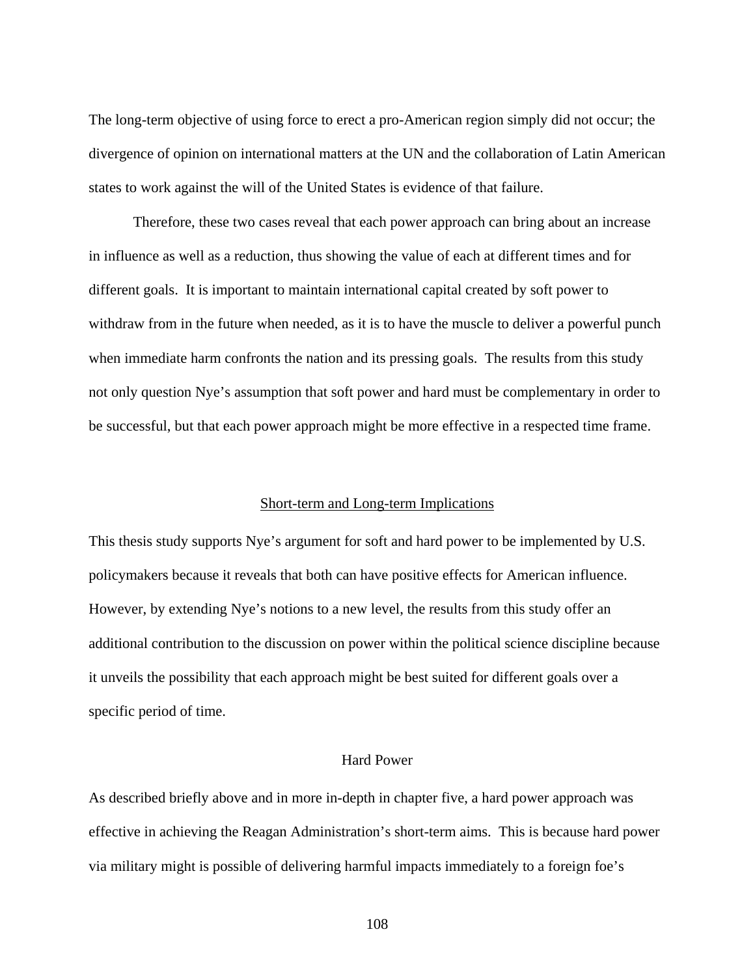The long-term objective of using force to erect a pro-American region simply did not occur; the divergence of opinion on international matters at the UN and the collaboration of Latin American states to work against the will of the United States is evidence of that failure.

Therefore, these two cases reveal that each power approach can bring about an increase in influence as well as a reduction, thus showing the value of each at different times and for different goals. It is important to maintain international capital created by soft power to withdraw from in the future when needed, as it is to have the muscle to deliver a powerful punch when immediate harm confronts the nation and its pressing goals. The results from this study not only question Nye's assumption that soft power and hard must be complementary in order to be successful, but that each power approach might be more effective in a respected time frame.

# Short-term and Long-term Implications

This thesis study supports Nye's argument for soft and hard power to be implemented by U.S. policymakers because it reveals that both can have positive effects for American influence. However, by extending Nye's notions to a new level, the results from this study offer an additional contribution to the discussion on power within the political science discipline because it unveils the possibility that each approach might be best suited for different goals over a specific period of time.

## Hard Power

As described briefly above and in more in-depth in chapter five, a hard power approach was effective in achieving the Reagan Administration's short-term aims. This is because hard power via military might is possible of delivering harmful impacts immediately to a foreign foe's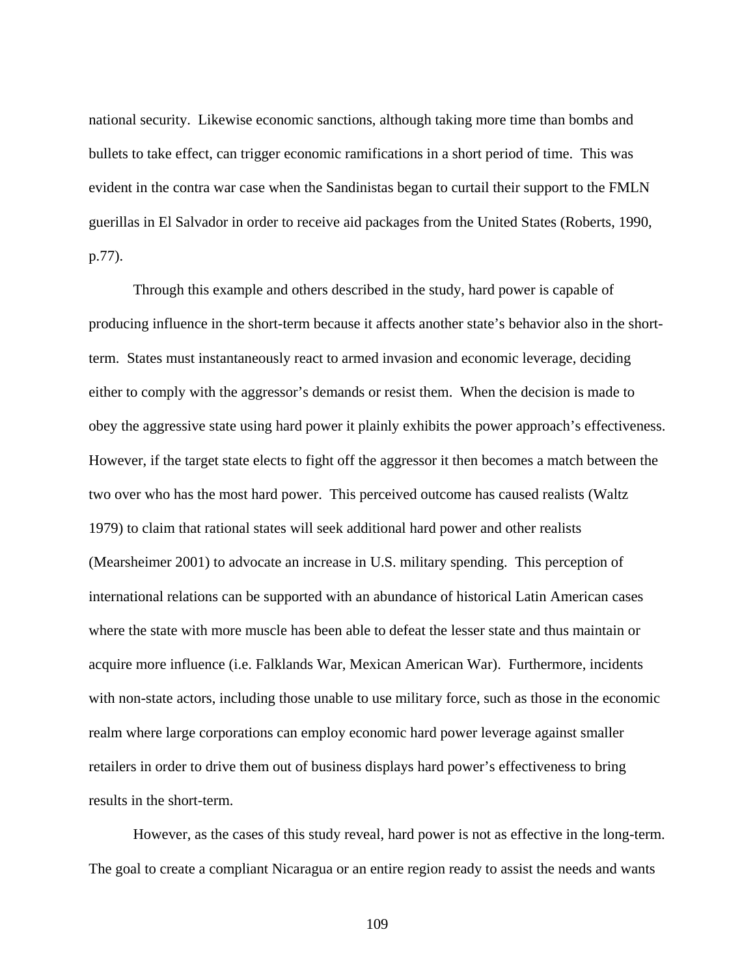national security. Likewise economic sanctions, although taking more time than bombs and bullets to take effect, can trigger economic ramifications in a short period of time. This was evident in the contra war case when the Sandinistas began to curtail their support to the FMLN guerillas in El Salvador in order to receive aid packages from the United States (Roberts, 1990, p.77).

Through this example and others described in the study, hard power is capable of producing influence in the short-term because it affects another state's behavior also in the shortterm. States must instantaneously react to armed invasion and economic leverage, deciding either to comply with the aggressor's demands or resist them. When the decision is made to obey the aggressive state using hard power it plainly exhibits the power approach's effectiveness. However, if the target state elects to fight off the aggressor it then becomes a match between the two over who has the most hard power. This perceived outcome has caused realists (Waltz 1979) to claim that rational states will seek additional hard power and other realists (Mearsheimer 2001) to advocate an increase in U.S. military spending. This perception of international relations can be supported with an abundance of historical Latin American cases where the state with more muscle has been able to defeat the lesser state and thus maintain or acquire more influence (i.e. Falklands War, Mexican American War). Furthermore, incidents with non-state actors, including those unable to use military force, such as those in the economic realm where large corporations can employ economic hard power leverage against smaller retailers in order to drive them out of business displays hard power's effectiveness to bring results in the short-term.

However, as the cases of this study reveal, hard power is not as effective in the long-term. The goal to create a compliant Nicaragua or an entire region ready to assist the needs and wants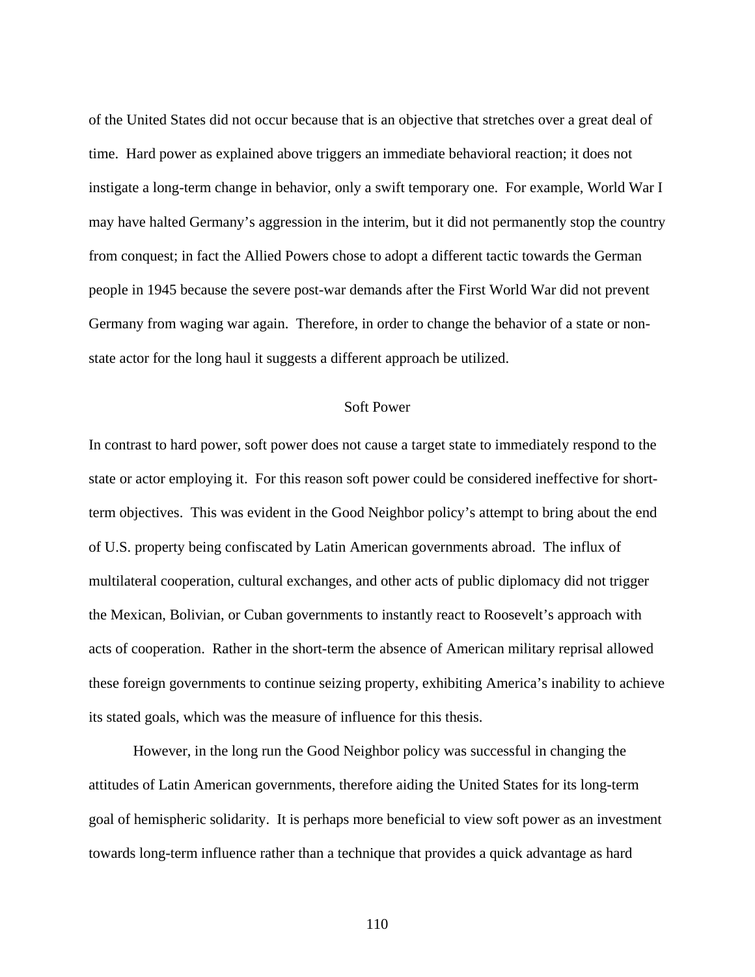of the United States did not occur because that is an objective that stretches over a great deal of time. Hard power as explained above triggers an immediate behavioral reaction; it does not instigate a long-term change in behavior, only a swift temporary one. For example, World War I may have halted Germany's aggression in the interim, but it did not permanently stop the country from conquest; in fact the Allied Powers chose to adopt a different tactic towards the German people in 1945 because the severe post-war demands after the First World War did not prevent Germany from waging war again. Therefore, in order to change the behavior of a state or nonstate actor for the long haul it suggests a different approach be utilized.

# Soft Power

In contrast to hard power, soft power does not cause a target state to immediately respond to the state or actor employing it. For this reason soft power could be considered ineffective for shortterm objectives. This was evident in the Good Neighbor policy's attempt to bring about the end of U.S. property being confiscated by Latin American governments abroad. The influx of multilateral cooperation, cultural exchanges, and other acts of public diplomacy did not trigger the Mexican, Bolivian, or Cuban governments to instantly react to Roosevelt's approach with acts of cooperation. Rather in the short-term the absence of American military reprisal allowed these foreign governments to continue seizing property, exhibiting America's inability to achieve its stated goals, which was the measure of influence for this thesis.

However, in the long run the Good Neighbor policy was successful in changing the attitudes of Latin American governments, therefore aiding the United States for its long-term goal of hemispheric solidarity. It is perhaps more beneficial to view soft power as an investment towards long-term influence rather than a technique that provides a quick advantage as hard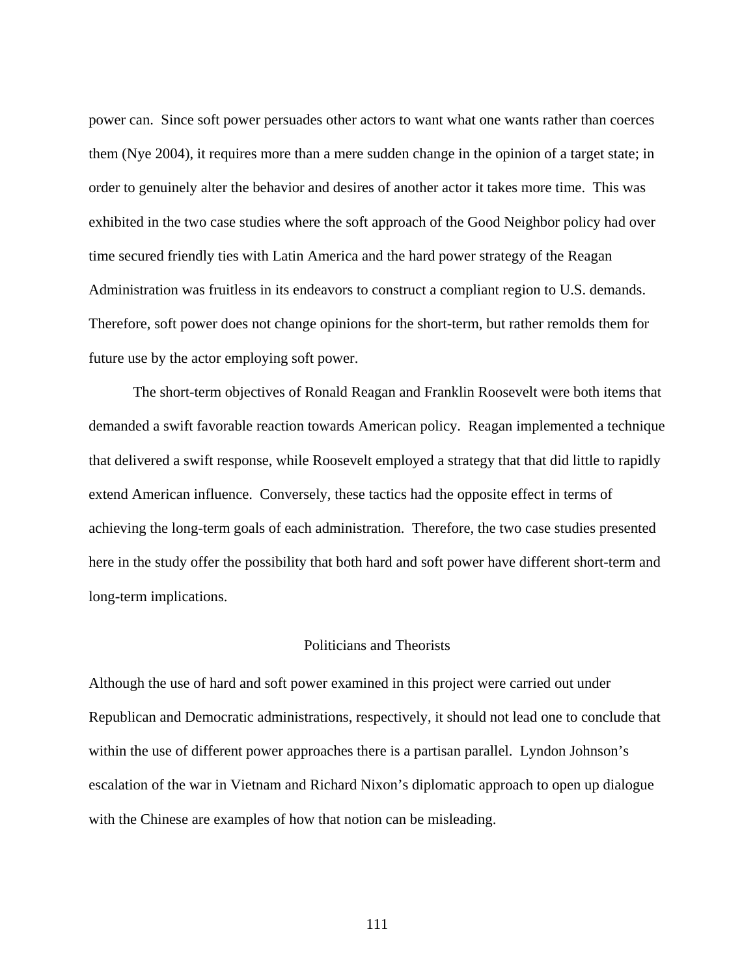power can. Since soft power persuades other actors to want what one wants rather than coerces them (Nye 2004), it requires more than a mere sudden change in the opinion of a target state; in order to genuinely alter the behavior and desires of another actor it takes more time. This was exhibited in the two case studies where the soft approach of the Good Neighbor policy had over time secured friendly ties with Latin America and the hard power strategy of the Reagan Administration was fruitless in its endeavors to construct a compliant region to U.S. demands. Therefore, soft power does not change opinions for the short-term, but rather remolds them for future use by the actor employing soft power.

The short-term objectives of Ronald Reagan and Franklin Roosevelt were both items that demanded a swift favorable reaction towards American policy. Reagan implemented a technique that delivered a swift response, while Roosevelt employed a strategy that that did little to rapidly extend American influence. Conversely, these tactics had the opposite effect in terms of achieving the long-term goals of each administration. Therefore, the two case studies presented here in the study offer the possibility that both hard and soft power have different short-term and long-term implications.

#### Politicians and Theorists

Although the use of hard and soft power examined in this project were carried out under Republican and Democratic administrations, respectively, it should not lead one to conclude that within the use of different power approaches there is a partisan parallel. Lyndon Johnson's escalation of the war in Vietnam and Richard Nixon's diplomatic approach to open up dialogue with the Chinese are examples of how that notion can be misleading.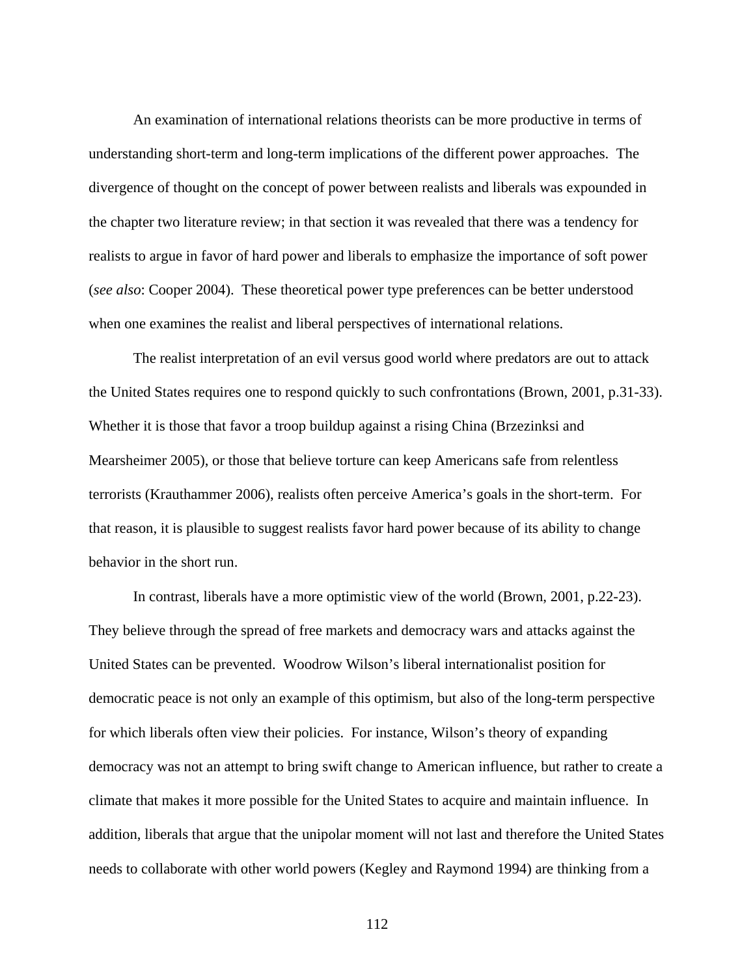An examination of international relations theorists can be more productive in terms of understanding short-term and long-term implications of the different power approaches. The divergence of thought on the concept of power between realists and liberals was expounded in the chapter two literature review; in that section it was revealed that there was a tendency for realists to argue in favor of hard power and liberals to emphasize the importance of soft power (*see also*: Cooper 2004). These theoretical power type preferences can be better understood when one examines the realist and liberal perspectives of international relations.

The realist interpretation of an evil versus good world where predators are out to attack the United States requires one to respond quickly to such confrontations (Brown, 2001, p.31-33). Whether it is those that favor a troop buildup against a rising China (Brzezinksi and Mearsheimer 2005), or those that believe torture can keep Americans safe from relentless terrorists (Krauthammer 2006), realists often perceive America's goals in the short-term. For that reason, it is plausible to suggest realists favor hard power because of its ability to change behavior in the short run.

In contrast, liberals have a more optimistic view of the world (Brown, 2001, p.22-23). They believe through the spread of free markets and democracy wars and attacks against the United States can be prevented. Woodrow Wilson's liberal internationalist position for democratic peace is not only an example of this optimism, but also of the long-term perspective for which liberals often view their policies. For instance, Wilson's theory of expanding democracy was not an attempt to bring swift change to American influence, but rather to create a climate that makes it more possible for the United States to acquire and maintain influence. In addition, liberals that argue that the unipolar moment will not last and therefore the United States needs to collaborate with other world powers (Kegley and Raymond 1994) are thinking from a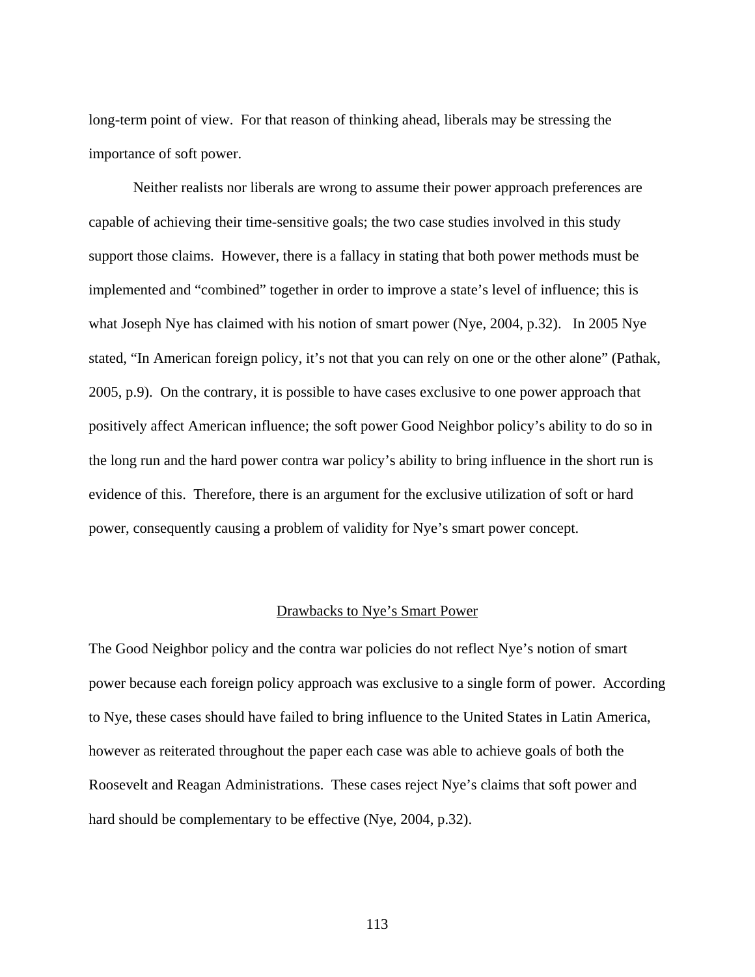long-term point of view. For that reason of thinking ahead, liberals may be stressing the importance of soft power.

Neither realists nor liberals are wrong to assume their power approach preferences are capable of achieving their time-sensitive goals; the two case studies involved in this study support those claims. However, there is a fallacy in stating that both power methods must be implemented and "combined" together in order to improve a state's level of influence; this is what Joseph Nye has claimed with his notion of smart power (Nye, 2004, p.32). In 2005 Nye stated, "In American foreign policy, it's not that you can rely on one or the other alone" (Pathak, 2005, p.9). On the contrary, it is possible to have cases exclusive to one power approach that positively affect American influence; the soft power Good Neighbor policy's ability to do so in the long run and the hard power contra war policy's ability to bring influence in the short run is evidence of this. Therefore, there is an argument for the exclusive utilization of soft or hard power, consequently causing a problem of validity for Nye's smart power concept.

### Drawbacks to Nye's Smart Power

The Good Neighbor policy and the contra war policies do not reflect Nye's notion of smart power because each foreign policy approach was exclusive to a single form of power. According to Nye, these cases should have failed to bring influence to the United States in Latin America, however as reiterated throughout the paper each case was able to achieve goals of both the Roosevelt and Reagan Administrations. These cases reject Nye's claims that soft power and hard should be complementary to be effective (Nye, 2004, p.32).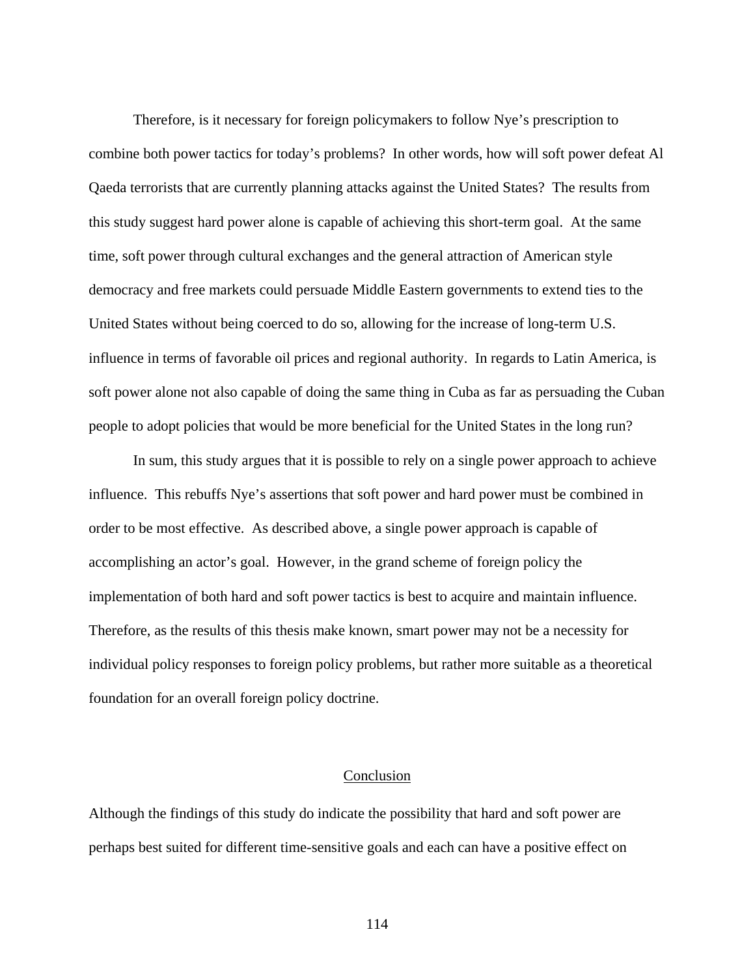Therefore, is it necessary for foreign policymakers to follow Nye's prescription to combine both power tactics for today's problems? In other words, how will soft power defeat Al Qaeda terrorists that are currently planning attacks against the United States? The results from this study suggest hard power alone is capable of achieving this short-term goal. At the same time, soft power through cultural exchanges and the general attraction of American style democracy and free markets could persuade Middle Eastern governments to extend ties to the United States without being coerced to do so, allowing for the increase of long-term U.S. influence in terms of favorable oil prices and regional authority. In regards to Latin America, is soft power alone not also capable of doing the same thing in Cuba as far as persuading the Cuban people to adopt policies that would be more beneficial for the United States in the long run?

In sum, this study argues that it is possible to rely on a single power approach to achieve influence. This rebuffs Nye's assertions that soft power and hard power must be combined in order to be most effective. As described above, a single power approach is capable of accomplishing an actor's goal. However, in the grand scheme of foreign policy the implementation of both hard and soft power tactics is best to acquire and maintain influence. Therefore, as the results of this thesis make known, smart power may not be a necessity for individual policy responses to foreign policy problems, but rather more suitable as a theoretical foundation for an overall foreign policy doctrine.

#### Conclusion

Although the findings of this study do indicate the possibility that hard and soft power are perhaps best suited for different time-sensitive goals and each can have a positive effect on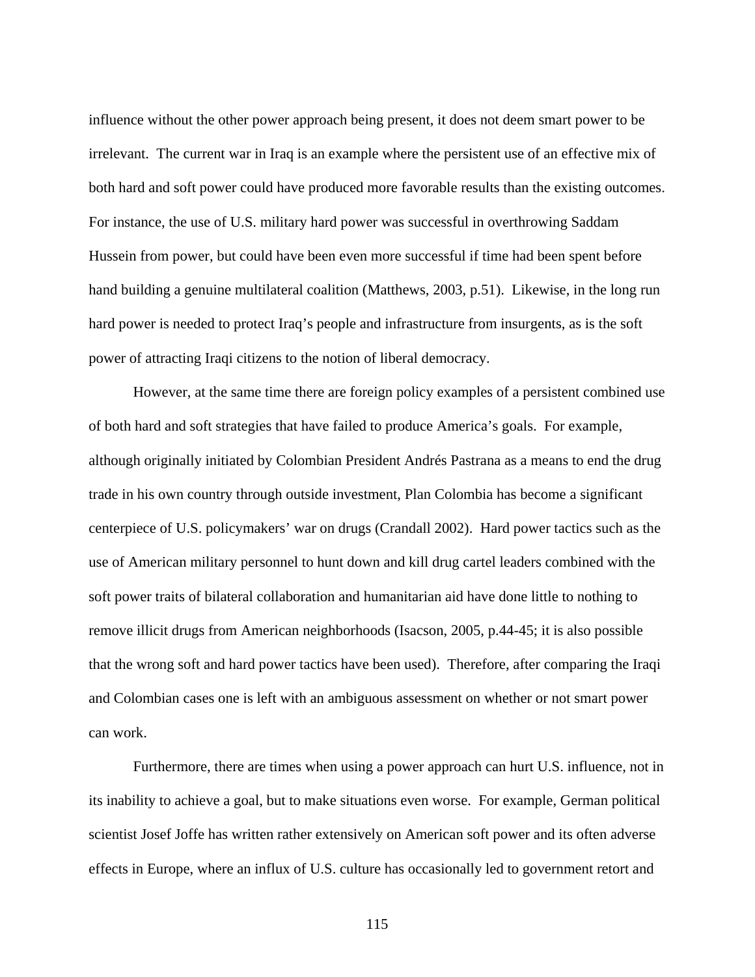influence without the other power approach being present, it does not deem smart power to be irrelevant. The current war in Iraq is an example where the persistent use of an effective mix of both hard and soft power could have produced more favorable results than the existing outcomes. For instance, the use of U.S. military hard power was successful in overthrowing Saddam Hussein from power, but could have been even more successful if time had been spent before hand building a genuine multilateral coalition (Matthews, 2003, p.51). Likewise, in the long run hard power is needed to protect Iraq's people and infrastructure from insurgents, as is the soft power of attracting Iraqi citizens to the notion of liberal democracy.

However, at the same time there are foreign policy examples of a persistent combined use of both hard and soft strategies that have failed to produce America's goals. For example, although originally initiated by Colombian President Andrés Pastrana as a means to end the drug trade in his own country through outside investment, Plan Colombia has become a significant centerpiece of U.S. policymakers' war on drugs (Crandall 2002). Hard power tactics such as the use of American military personnel to hunt down and kill drug cartel leaders combined with the soft power traits of bilateral collaboration and humanitarian aid have done little to nothing to remove illicit drugs from American neighborhoods (Isacson, 2005, p.44-45; it is also possible that the wrong soft and hard power tactics have been used). Therefore, after comparing the Iraqi and Colombian cases one is left with an ambiguous assessment on whether or not smart power can work.

Furthermore, there are times when using a power approach can hurt U.S. influence, not in its inability to achieve a goal, but to make situations even worse. For example, German political scientist Josef Joffe has written rather extensively on American soft power and its often adverse effects in Europe, where an influx of U.S. culture has occasionally led to government retort and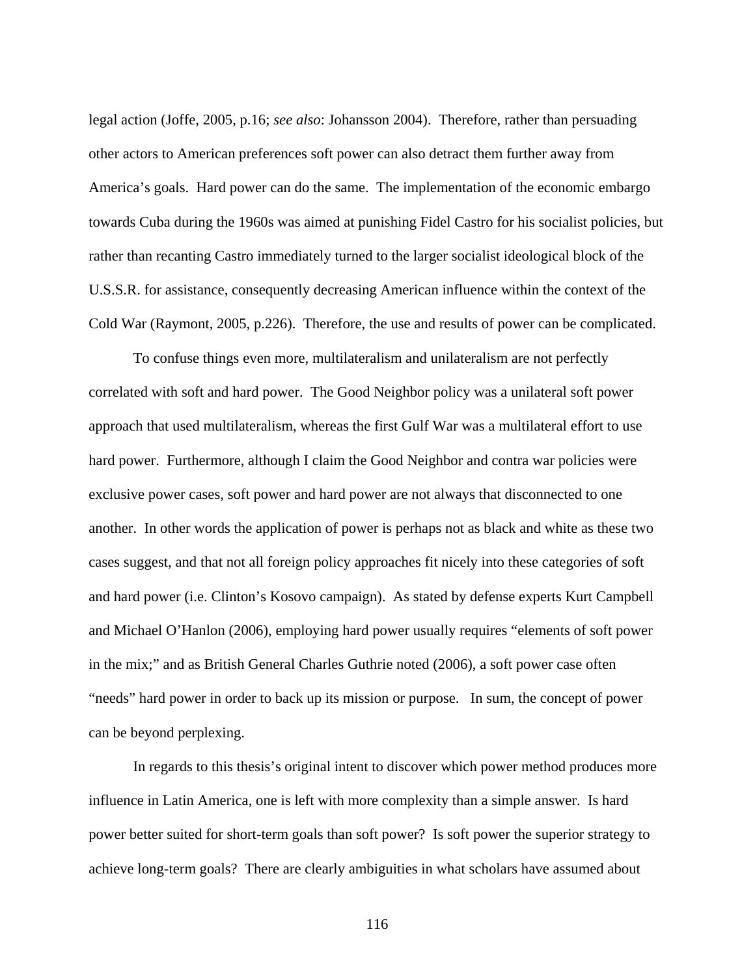legal action (Joffe, 2005, p.16; *see also*: Johansson 2004). Therefore, rather than persuading other actors to American preferences soft power can also detract them further away from America's goals. Hard power can do the same. The implementation of the economic embargo towards Cuba during the 1960s was aimed at punishing Fidel Castro for his socialist policies, but rather than recanting Castro immediately turned to the larger socialist ideological block of the U.S.S.R. for assistance, consequently decreasing American influence within the context of the Cold War (Raymont, 2005, p.226). Therefore, the use and results of power can be complicated.

To confuse things even more, multilateralism and unilateralism are not perfectly correlated with soft and hard power. The Good Neighbor policy was a unilateral soft power approach that used multilateralism, whereas the first Gulf War was a multilateral effort to use hard power. Furthermore, although I claim the Good Neighbor and contra war policies were exclusive power cases, soft power and hard power are not always that disconnected to one another. In other words the application of power is perhaps not as black and white as these two cases suggest, and that not all foreign policy approaches fit nicely into these categories of soft and hard power (i.e. Clinton's Kosovo campaign). As stated by defense experts Kurt Campbell and Michael O'Hanlon (2006), employing hard power usually requires "elements of soft power in the mix;" and as British General Charles Guthrie noted (2006), a soft power case often "needs" hard power in order to back up its mission or purpose. In sum, the concept of power can be beyond perplexing.

In regards to this thesis's original intent to discover which power method produces more influence in Latin America, one is left with more complexity than a simple answer. Is hard power better suited for short-term goals than soft power? Is soft power the superior strategy to achieve long-term goals? There are clearly ambiguities in what scholars have assumed about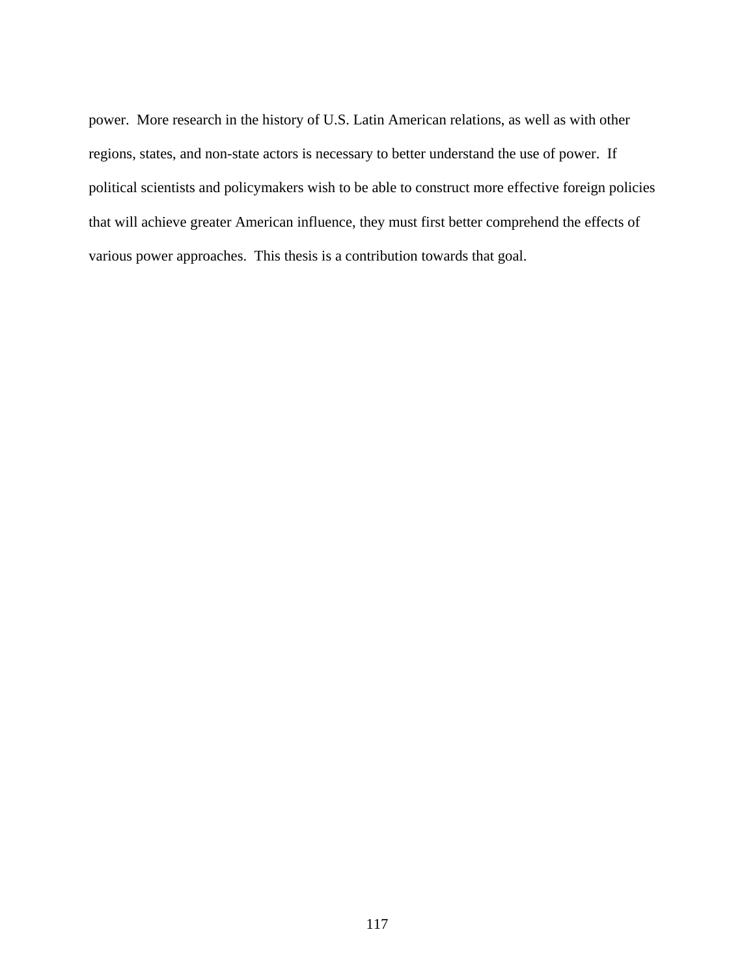power. More research in the history of U.S. Latin American relations, as well as with other regions, states, and non-state actors is necessary to better understand the use of power. If political scientists and policymakers wish to be able to construct more effective foreign policies that will achieve greater American influence, they must first better comprehend the effects of various power approaches. This thesis is a contribution towards that goal.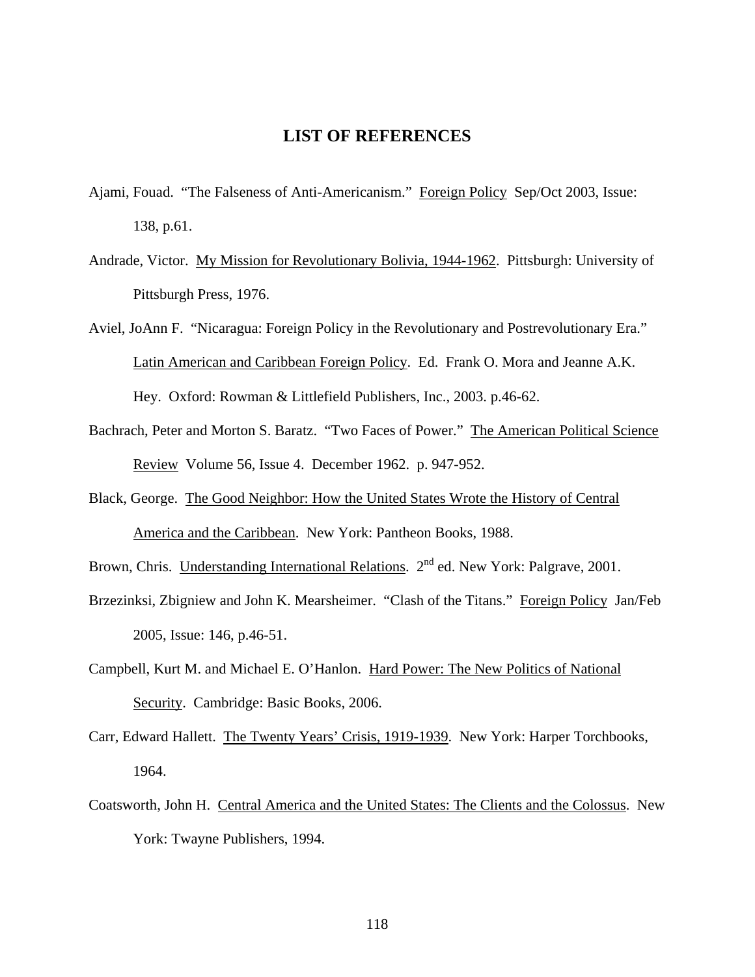# **LIST OF REFERENCES**

- Ajami, Fouad. "The Falseness of Anti-Americanism." Foreign Policy Sep/Oct 2003, Issue: 138, p.61.
- Andrade, Victor. My Mission for Revolutionary Bolivia, 1944-1962. Pittsburgh: University of Pittsburgh Press, 1976.
- Aviel, JoAnn F. "Nicaragua: Foreign Policy in the Revolutionary and Postrevolutionary Era." Latin American and Caribbean Foreign Policy. Ed. Frank O. Mora and Jeanne A.K. Hey. Oxford: Rowman & Littlefield Publishers, Inc., 2003. p.46-62.
- Bachrach, Peter and Morton S. Baratz. "Two Faces of Power." The American Political Science Review Volume 56, Issue 4. December 1962. p. 947-952.
- Black, George. The Good Neighbor: How the United States Wrote the History of Central America and the Caribbean. New York: Pantheon Books, 1988.

Brown, Chris. Understanding International Relations.  $2^{nd}$  ed. New York: Palgrave, 2001.

- Brzezinksi, Zbigniew and John K. Mearsheimer. "Clash of the Titans." Foreign Policy Jan/Feb 2005, Issue: 146, p.46-51.
- Campbell, Kurt M. and Michael E. O'Hanlon. Hard Power: The New Politics of National Security. Cambridge: Basic Books, 2006.
- Carr, Edward Hallett. The Twenty Years' Crisis, 1919-1939. New York: Harper Torchbooks, 1964.
- Coatsworth, John H. Central America and the United States: The Clients and the Colossus. New York: Twayne Publishers, 1994.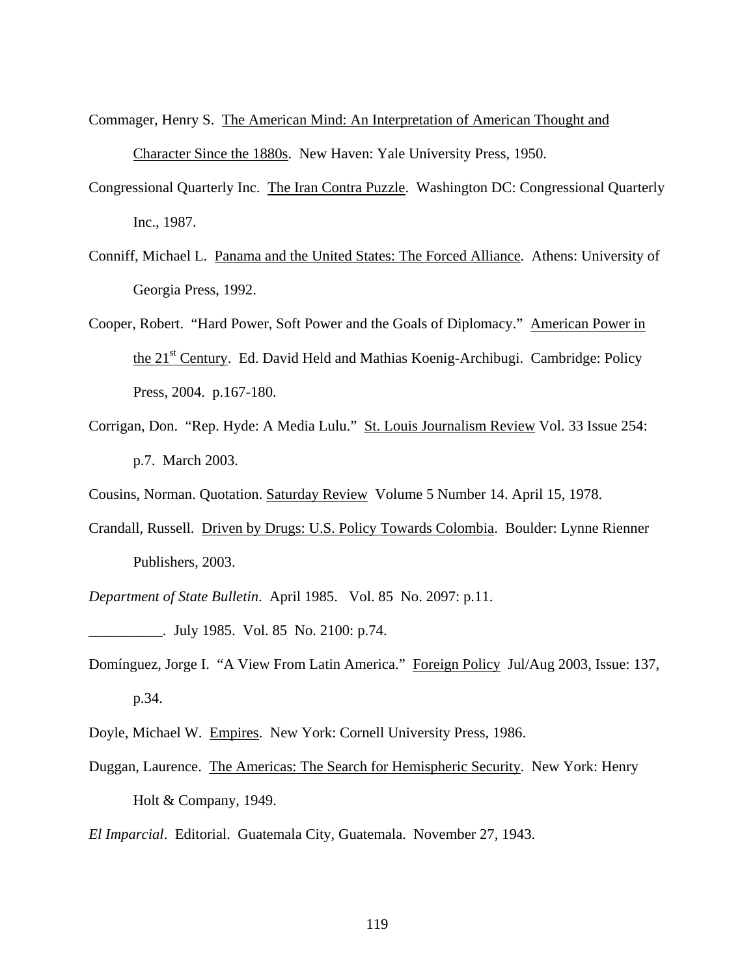- Commager, Henry S. The American Mind: An Interpretation of American Thought and Character Since the 1880s. New Haven: Yale University Press, 1950.
- Congressional Quarterly Inc. The Iran Contra Puzzle. Washington DC: Congressional Quarterly Inc., 1987.
- Conniff, Michael L. Panama and the United States: The Forced Alliance. Athens: University of Georgia Press, 1992.
- Cooper, Robert. "Hard Power, Soft Power and the Goals of Diplomacy." American Power in the 21<sup>st</sup> Century. Ed. David Held and Mathias Koenig-Archibugi. Cambridge: Policy Press, 2004. p.167-180.
- Corrigan, Don. "Rep. Hyde: A Media Lulu." St. Louis Journalism Review Vol. 33 Issue 254: p.7. March 2003.

Cousins, Norman. Quotation. Saturday Review Volume 5 Number 14. April 15, 1978.

- Crandall, Russell. Driven by Drugs: U.S. Policy Towards Colombia. Boulder: Lynne Rienner Publishers, 2003.
- *Department of State Bulletin*. April 1985. Vol. 85 No. 2097: p.11.
- \_\_\_\_\_\_\_\_\_\_. July 1985. Vol. 85 No. 2100: p.74.
- Domínguez, Jorge I. "A View From Latin America." Foreign Policy Jul/Aug 2003, Issue: 137, p.34.
- Doyle, Michael W. Empires. New York: Cornell University Press, 1986.
- Duggan, Laurence. The Americas: The Search for Hemispheric Security. New York: Henry Holt & Company, 1949.
- *El Imparcial*. Editorial. Guatemala City, Guatemala. November 27, 1943.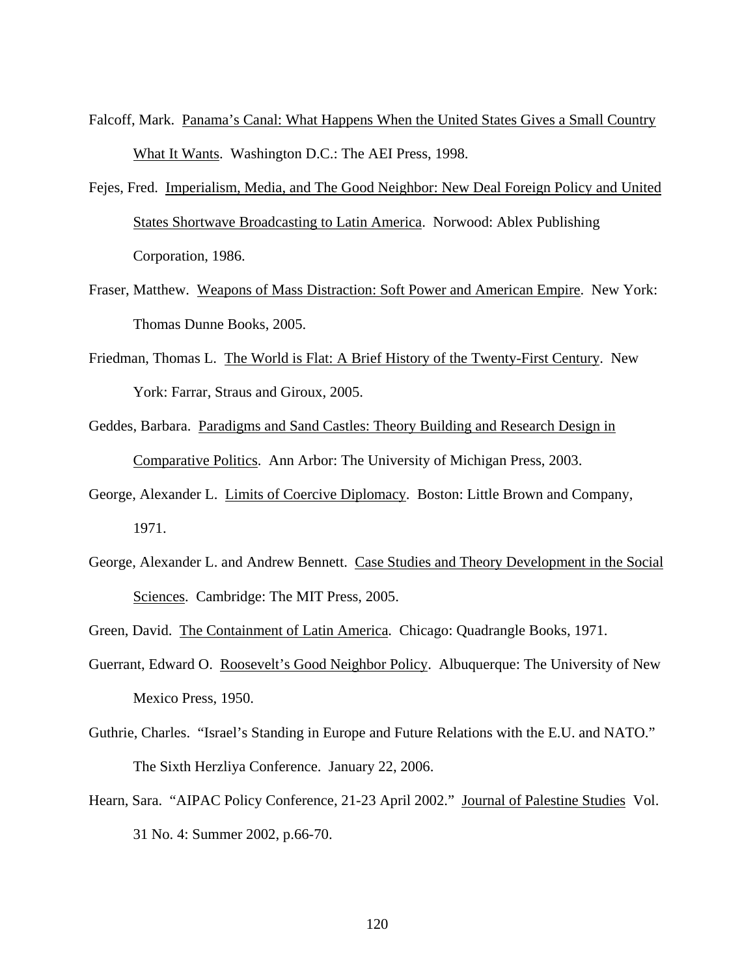- Falcoff, Mark. Panama's Canal: What Happens When the United States Gives a Small Country What It Wants. Washington D.C.: The AEI Press, 1998.
- Fejes, Fred. Imperialism, Media, and The Good Neighbor: New Deal Foreign Policy and United States Shortwave Broadcasting to Latin America. Norwood: Ablex Publishing Corporation, 1986.
- Fraser, Matthew. Weapons of Mass Distraction: Soft Power and American Empire. New York: Thomas Dunne Books, 2005.
- Friedman, Thomas L. The World is Flat: A Brief History of the Twenty-First Century. New York: Farrar, Straus and Giroux, 2005.
- Geddes, Barbara. Paradigms and Sand Castles: Theory Building and Research Design in Comparative Politics. Ann Arbor: The University of Michigan Press, 2003.
- George, Alexander L. Limits of Coercive Diplomacy. Boston: Little Brown and Company, 1971.
- George, Alexander L. and Andrew Bennett. Case Studies and Theory Development in the Social Sciences. Cambridge: The MIT Press, 2005.

Green, David. The Containment of Latin America. Chicago: Quadrangle Books, 1971.

- Guerrant, Edward O. Roosevelt's Good Neighbor Policy. Albuquerque: The University of New Mexico Press, 1950.
- Guthrie, Charles. "Israel's Standing in Europe and Future Relations with the E.U. and NATO." The Sixth Herzliya Conference. January 22, 2006.
- Hearn, Sara. "AIPAC Policy Conference, 21-23 April 2002." Journal of Palestine Studies Vol. 31 No. 4: Summer 2002, p.66-70.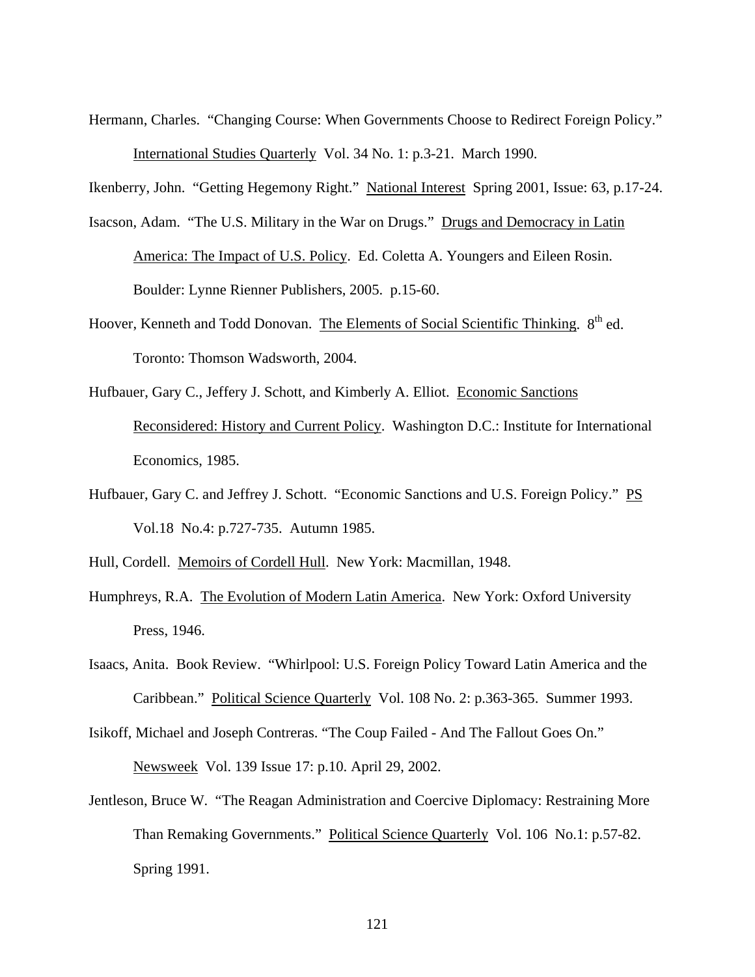Hermann, Charles. "Changing Course: When Governments Choose to Redirect Foreign Policy." International Studies Quarterly Vol. 34 No. 1: p.3-21. March 1990.

Ikenberry, John. "Getting Hegemony Right." National Interest Spring 2001, Issue: 63, p.17-24.

Isacson, Adam. "The U.S. Military in the War on Drugs." Drugs and Democracy in Latin

America: The Impact of U.S. Policy. Ed. Coletta A. Youngers and Eileen Rosin. Boulder: Lynne Rienner Publishers, 2005. p.15-60.

- Hoover, Kenneth and Todd Donovan. The Elements of Social Scientific Thinking.  $8<sup>th</sup>$  ed. Toronto: Thomson Wadsworth, 2004.
- Hufbauer, Gary C., Jeffery J. Schott, and Kimberly A. Elliot. Economic Sanctions Reconsidered: History and Current Policy. Washington D.C.: Institute for International Economics, 1985.
- Hufbauer, Gary C. and Jeffrey J. Schott. "Economic Sanctions and U.S. Foreign Policy." PS Vol.18 No.4: p.727-735. Autumn 1985.
- Hull, Cordell. Memoirs of Cordell Hull. New York: Macmillan, 1948.
- Humphreys, R.A. The Evolution of Modern Latin America. New York: Oxford University Press, 1946.
- Isaacs, Anita. Book Review. "Whirlpool: U.S. Foreign Policy Toward Latin America and the Caribbean." Political Science Quarterly Vol. 108 No. 2: p.363-365. Summer 1993.
- Isikoff, Michael and Joseph Contreras. "The Coup Failed And The Fallout Goes On." Newsweek Vol. 139 Issue 17: p.10. April 29, 2002.
- Jentleson, Bruce W. "The Reagan Administration and Coercive Diplomacy: Restraining More Than Remaking Governments." Political Science Quarterly Vol. 106 No.1: p.57-82. Spring 1991.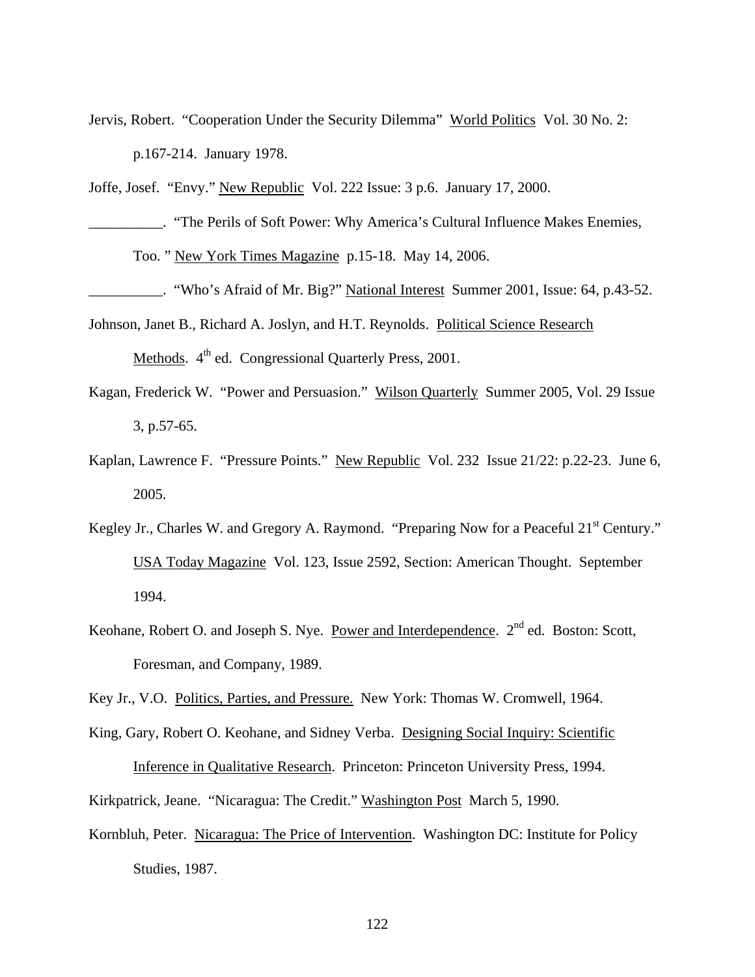Jervis, Robert. "Cooperation Under the Security Dilemma" World Politics Vol. 30 No. 2: p.167-214. January 1978.

Joffe, Josef. "Envy." New Republic Vol. 222 Issue: 3 p.6. January 17, 2000.

- **Example 2.1** "The Perils of Soft Power: Why America's Cultural Influence Makes Enemies, Too. " New York Times Magazine p.15-18. May 14, 2006.
- . "Who's Afraid of Mr. Big?" National Interest Summer 2001, Issue: 64, p.43-52.
- Johnson, Janet B., Richard A. Joslyn, and H.T. Reynolds. Political Science Research Methods.  $4<sup>th</sup>$  ed. Congressional Quarterly Press, 2001.
- Kagan, Frederick W. "Power and Persuasion." Wilson Quarterly Summer 2005, Vol. 29 Issue 3, p.57-65.
- Kaplan, Lawrence F. "Pressure Points." New Republic Vol. 232 Issue 21/22: p.22-23. June 6, 2005.
- Kegley Jr., Charles W. and Gregory A. Raymond. "Preparing Now for a Peaceful 21<sup>st</sup> Century." USA Today Magazine Vol. 123, Issue 2592, Section: American Thought. September 1994.
- Keohane, Robert O. and Joseph S. Nye. Power and Interdependence.  $2^{nd}$  ed. Boston: Scott, Foresman, and Company, 1989.

- King, Gary, Robert O. Keohane, and Sidney Verba. Designing Social Inquiry: Scientific Inference in Qualitative Research. Princeton: Princeton University Press, 1994.
- Kirkpatrick, Jeane. "Nicaragua: The Credit." Washington Post March 5, 1990.
- Kornbluh, Peter. Nicaragua: The Price of Intervention. Washington DC: Institute for Policy Studies, 1987.

Key Jr., V.O. Politics, Parties, and Pressure. New York: Thomas W. Cromwell, 1964.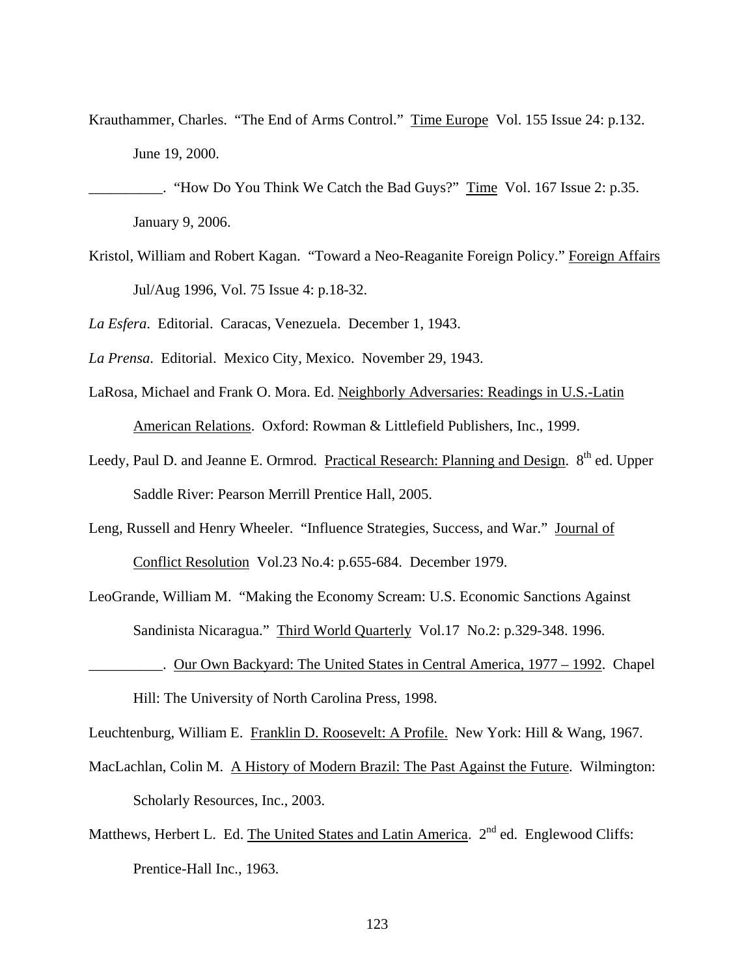- Krauthammer, Charles. "The End of Arms Control." Time Europe Vol. 155 Issue 24: p.132. June 19, 2000.
- \_\_\_\_\_\_\_\_\_\_. "How Do You Think We Catch the Bad Guys?" Time Vol. 167 Issue 2: p.35. January 9, 2006.
- Kristol, William and Robert Kagan. "Toward a Neo-Reaganite Foreign Policy." Foreign Affairs Jul/Aug 1996, Vol. 75 Issue 4: p.18-32.

*La Esfera*. Editorial. Caracas, Venezuela. December 1, 1943.

- *La Prensa*. Editorial. Mexico City, Mexico. November 29, 1943.
- LaRosa, Michael and Frank O. Mora. Ed. Neighborly Adversaries: Readings in U.S.-Latin American Relations. Oxford: Rowman & Littlefield Publishers, Inc., 1999.
- Leedy, Paul D. and Jeanne E. Ormrod. Practical Research: Planning and Design. 8<sup>th</sup> ed. Upper Saddle River: Pearson Merrill Prentice Hall, 2005.
- Leng, Russell and Henry Wheeler. "Influence Strategies, Success, and War." Journal of Conflict Resolution Vol.23 No.4: p.655-684. December 1979.
- LeoGrande, William M. "Making the Economy Scream: U.S. Economic Sanctions Against Sandinista Nicaragua." Third World Quarterly Vol.17 No.2: p.329-348. 1996.
- \_\_\_\_\_\_\_\_\_\_. Our Own Backyard: The United States in Central America, 1977 1992. Chapel Hill: The University of North Carolina Press, 1998.

Leuchtenburg, William E. Franklin D. Roosevelt: A Profile. New York: Hill & Wang, 1967.

- MacLachlan, Colin M. A History of Modern Brazil: The Past Against the Future. Wilmington: Scholarly Resources, Inc., 2003.
- Matthews, Herbert L. Ed. The United States and Latin America. 2<sup>nd</sup> ed. Englewood Cliffs: Prentice-Hall Inc., 1963.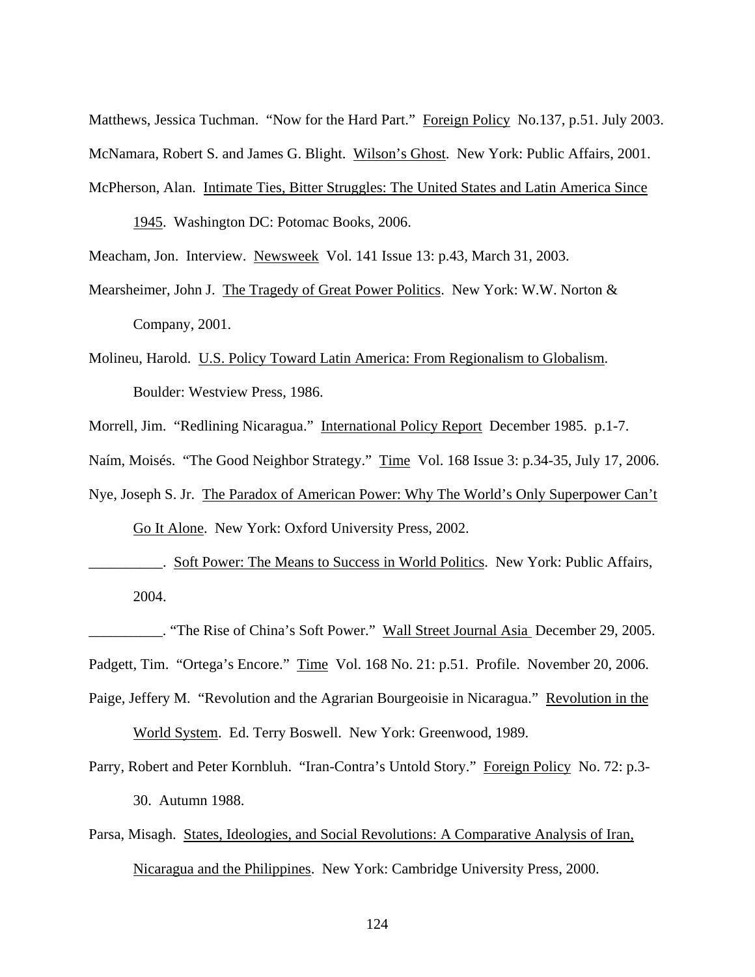Matthews, Jessica Tuchman. "Now for the Hard Part." Foreign Policy No.137, p.51. July 2003. McNamara, Robert S. and James G. Blight. Wilson's Ghost. New York: Public Affairs, 2001.

McPherson, Alan. Intimate Ties, Bitter Struggles: The United States and Latin America Since

1945. Washington DC: Potomac Books, 2006.

Meacham, Jon. Interview. Newsweek Vol. 141 Issue 13: p.43, March 31, 2003.

- Mearsheimer, John J. The Tragedy of Great Power Politics. New York: W.W. Norton & Company, 2001.
- Molineu, Harold. U.S. Policy Toward Latin America: From Regionalism to Globalism. Boulder: Westview Press, 1986.

Morrell, Jim. "Redlining Nicaragua." International Policy Report December 1985. p.1-7.

Naím, Moisés. "The Good Neighbor Strategy." Time Vol. 168 Issue 3: p.34-35, July 17, 2006.

Nye, Joseph S. Jr. The Paradox of American Power: Why The World's Only Superpower Can't Go It Alone. New York: Oxford University Press, 2002.

**EXECUTE:** Soft Power: The Means to Success in World Politics. New York: Public Affairs, 2004.

The Rise of China's Soft Power." Wall Street Journal Asia December 29, 2005. Padgett, Tim. "Ortega's Encore." Time Vol. 168 No. 21: p.51. Profile. November 20, 2006. Paige, Jeffery M. "Revolution and the Agrarian Bourgeoisie in Nicaragua." Revolution in the

World System. Ed. Terry Boswell. New York: Greenwood, 1989.

- Parry, Robert and Peter Kornbluh. "Iran-Contra's Untold Story." Foreign Policy No. 72: p.3- 30. Autumn 1988.
- Parsa, Misagh. States, Ideologies, and Social Revolutions: A Comparative Analysis of Iran, Nicaragua and the Philippines. New York: Cambridge University Press, 2000.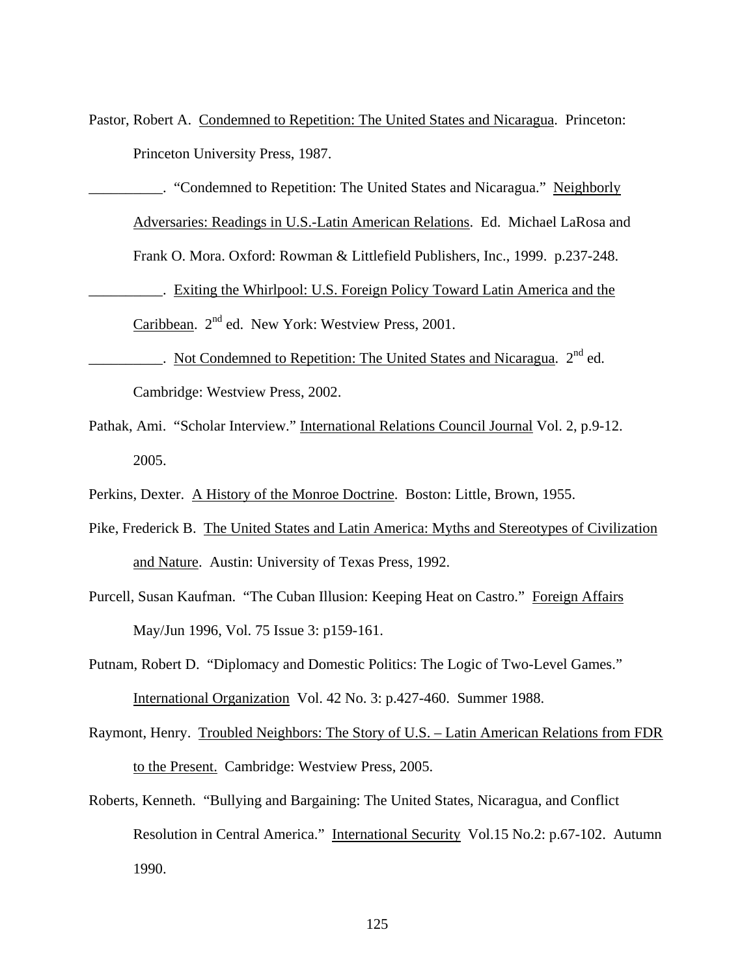- Pastor, Robert A. Condemned to Repetition: The United States and Nicaragua. Princeton: Princeton University Press, 1987.
- \_\_\_\_\_\_\_\_\_\_. "Condemned to Repetition: The United States and Nicaragua." Neighborly Adversaries: Readings in U.S.-Latin American Relations. Ed. Michael LaRosa and Frank O. Mora. Oxford: Rowman & Littlefield Publishers, Inc., 1999. p.237-248. \_\_\_\_\_\_\_\_\_\_. Exiting the Whirlpool: U.S. Foreign Policy Toward Latin America and the Caribbean. 2<sup>nd</sup> ed. New York: Westview Press, 2001.
- $\blacksquare$ . Not Condemned to Repetition: The United States and Nicaragua.  $2^{nd}$  ed. Cambridge: Westview Press, 2002.
- Pathak, Ami. "Scholar Interview." International Relations Council Journal Vol. 2, p.9-12. 2005.
- Perkins, Dexter. A History of the Monroe Doctrine. Boston: Little, Brown, 1955.
- Pike, Frederick B. The United States and Latin America: Myths and Stereotypes of Civilization and Nature. Austin: University of Texas Press, 1992.
- Purcell, Susan Kaufman. "The Cuban Illusion: Keeping Heat on Castro." Foreign Affairs May/Jun 1996, Vol. 75 Issue 3: p159-161.
- Putnam, Robert D. "Diplomacy and Domestic Politics: The Logic of Two-Level Games." International Organization Vol. 42 No. 3: p.427-460. Summer 1988.
- Raymont, Henry. Troubled Neighbors: The Story of U.S. Latin American Relations from FDR to the Present. Cambridge: Westview Press, 2005.
- Roberts, Kenneth. "Bullying and Bargaining: The United States, Nicaragua, and Conflict Resolution in Central America." International Security Vol.15 No.2: p.67-102. Autumn 1990.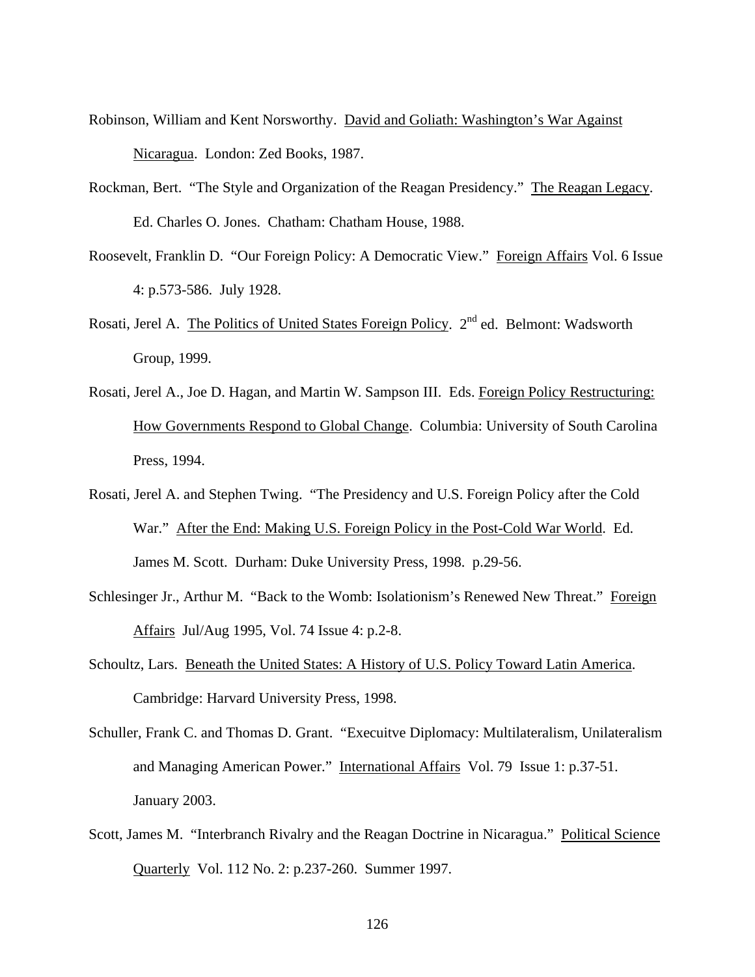- Robinson, William and Kent Norsworthy. David and Goliath: Washington's War Against Nicaragua. London: Zed Books, 1987.
- Rockman, Bert. "The Style and Organization of the Reagan Presidency." The Reagan Legacy. Ed. Charles O. Jones. Chatham: Chatham House, 1988.
- Roosevelt, Franklin D. "Our Foreign Policy: A Democratic View." Foreign Affairs Vol. 6 Issue 4: p.573-586. July 1928.
- Rosati, Jerel A. The Politics of United States Foreign Policy. 2<sup>nd</sup> ed. Belmont: Wadsworth Group, 1999.
- Rosati, Jerel A., Joe D. Hagan, and Martin W. Sampson III. Eds. Foreign Policy Restructuring: How Governments Respond to Global Change. Columbia: University of South Carolina Press, 1994.
- Rosati, Jerel A. and Stephen Twing. "The Presidency and U.S. Foreign Policy after the Cold War." After the End: Making U.S. Foreign Policy in the Post-Cold War World. Ed. James M. Scott. Durham: Duke University Press, 1998. p.29-56.
- Schlesinger Jr., Arthur M. "Back to the Womb: Isolationism's Renewed New Threat." Foreign Affairs Jul/Aug 1995, Vol. 74 Issue 4: p.2-8.
- Schoultz, Lars. Beneath the United States: A History of U.S. Policy Toward Latin America. Cambridge: Harvard University Press, 1998.
- Schuller, Frank C. and Thomas D. Grant. "Execuitve Diplomacy: Multilateralism, Unilateralism and Managing American Power." International Affairs Vol. 79 Issue 1: p.37-51. January 2003.
- Scott, James M. "Interbranch Rivalry and the Reagan Doctrine in Nicaragua." Political Science Quarterly Vol. 112 No. 2: p.237-260. Summer 1997.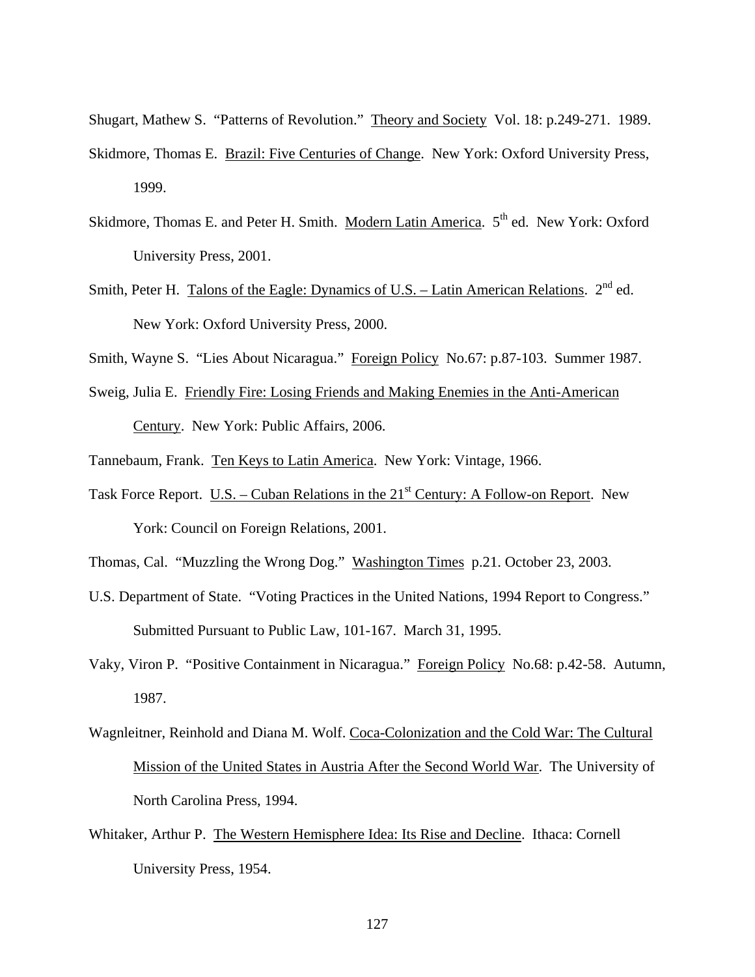Shugart, Mathew S. "Patterns of Revolution." Theory and Society Vol. 18: p.249-271. 1989. Skidmore, Thomas E. Brazil: Five Centuries of Change. New York: Oxford University Press, 1999.

- Skidmore, Thomas E. and Peter H. Smith. Modern Latin America.  $5<sup>th</sup>$  ed. New York: Oxford University Press, 2001.
- Smith, Peter H. Talons of the Eagle: Dynamics of U.S. Latin American Relations.  $2^{nd}$  ed. New York: Oxford University Press, 2000.
- Smith, Wayne S. "Lies About Nicaragua." Foreign Policy No.67: p.87-103. Summer 1987.
- Sweig, Julia E. Friendly Fire: Losing Friends and Making Enemies in the Anti-American Century. New York: Public Affairs, 2006.
- Tannebaum, Frank. Ten Keys to Latin America. New York: Vintage, 1966.
- Task Force Report. U.S. Cuban Relations in the  $21<sup>st</sup>$  Century: A Follow-on Report. New York: Council on Foreign Relations, 2001.
- Thomas, Cal. "Muzzling the Wrong Dog." Washington Times p.21. October 23, 2003.
- U.S. Department of State. "Voting Practices in the United Nations, 1994 Report to Congress." Submitted Pursuant to Public Law, 101-167. March 31, 1995.
- Vaky, Viron P. "Positive Containment in Nicaragua." Foreign Policy No.68: p.42-58. Autumn, 1987.
- Wagnleitner, Reinhold and Diana M. Wolf. Coca-Colonization and the Cold War: The Cultural Mission of the United States in Austria After the Second World War. The University of North Carolina Press, 1994.
- Whitaker, Arthur P. The Western Hemisphere Idea: Its Rise and Decline. Ithaca: Cornell University Press, 1954.